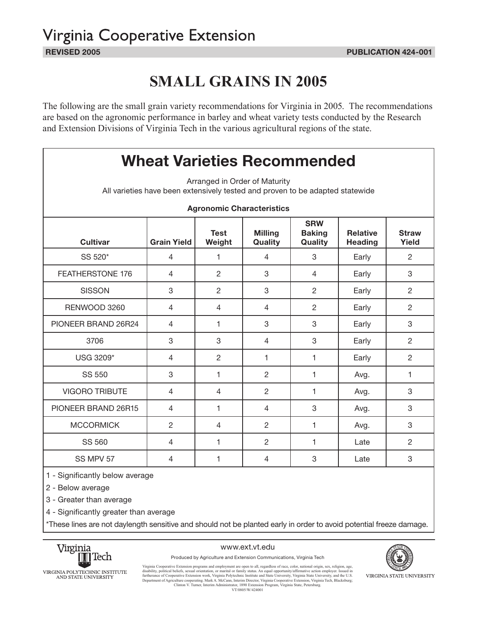# Virginia Cooperative Extension

## **SMALL GRAINS IN 2005**

The following are the small grain variety recommendations for Virginia in 2005. The recommendations are based on the agronomic performance in barley and wheat variety tests conducted by the Research and Extension Divisions of Virginia Tech in the various agricultural regions of the state.

### **Wheat Varieties Recommended**

Arranged in Order of Maturity All varieties have been extensively tested and proven to be adapted statewide

|                         |                    |                       | <b>Agronomic Characteristics</b> |                                        |                                   |                       |
|-------------------------|--------------------|-----------------------|----------------------------------|----------------------------------------|-----------------------------------|-----------------------|
| <b>Cultivar</b>         | <b>Grain Yield</b> | <b>Test</b><br>Weight | <b>Milling</b><br>Quality        | <b>SRW</b><br><b>Baking</b><br>Quality | <b>Relative</b><br><b>Heading</b> | <b>Straw</b><br>Yield |
| SS 520*                 | 4                  | 1                     | 4                                | 3                                      | Early                             | $\overline{2}$        |
| <b>FEATHERSTONE 176</b> | 4                  | 2                     | 3                                | 4                                      | Early                             | 3                     |
| <b>SISSON</b>           | 3                  | $\overline{2}$        | 3                                | $\overline{2}$                         | Early                             | $\overline{2}$        |
| RENWOOD 3260            | 4                  | $\overline{4}$        | 4                                | 2                                      | Early                             | $\overline{2}$        |
| PIONEER BRAND 26R24     | $\overline{4}$     | 1                     | 3                                | 3                                      | Early                             | 3                     |
| 3706                    | 3                  | 3                     | 4                                | 3                                      | Early                             | $\overline{2}$        |
| USG 3209*               | 4                  | $\overline{2}$        | 1                                | 1                                      | Early                             | $\overline{2}$        |
| <b>SS 550</b>           | 3                  | 1                     | $\overline{2}$                   | 1                                      | Avg.                              | 1                     |
| <b>VIGORO TRIBUTE</b>   | $\overline{4}$     | $\overline{4}$        | $\overline{2}$                   | 1                                      | Avg.                              | 3                     |
| PIONEER BRAND 26R15     | $\overline{4}$     | 1                     | $\overline{4}$                   | 3                                      | Avg.                              | 3                     |
| <b>MCCORMICK</b>        | $\overline{2}$     | $\overline{4}$        | $\overline{2}$                   | 1                                      | Avg.                              | 3                     |
| <b>SS 560</b>           | 4                  | 1                     | $\overline{c}$                   | 1                                      | Late                              | $\overline{2}$        |
| SS MPV 57               | 4                  | 1                     | 4                                | 3                                      | Late                              | 3                     |

**Agronomic Characteristics**

1 - Significantly below average

2 - Below average

3 - Greater than average

4 - Significantly greater than average

\*These lines are not daylength sensitive and should not be planted early in order to avoid potential freeze damage.



#### www.ext.vt.edu

Produced by Agriculture and Extension Communications, Virginia Tech



Virginia Cooperative Extension programs and employment are open to all, regardless of race, color, national origin, sex, religion, age, the function employment are function employers in the function employer of the functio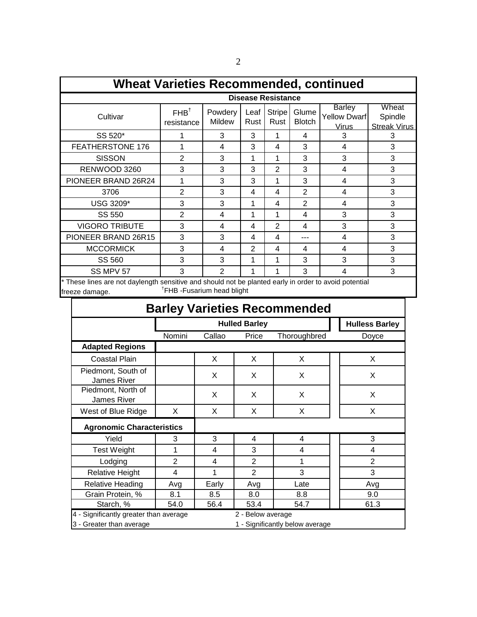| <b>Wheat Varieties Recommended, continued</b>                                                         |                                |                   |              |                           |                        |                                                      |                                         |
|-------------------------------------------------------------------------------------------------------|--------------------------------|-------------------|--------------|---------------------------|------------------------|------------------------------------------------------|-----------------------------------------|
|                                                                                                       |                                |                   |              | <b>Disease Resistance</b> |                        |                                                      |                                         |
| Cultivar                                                                                              | FHB <sup>†</sup><br>resistance | Powdery<br>Mildew | Leaf<br>Rust | <b>Stripe</b><br>Rust     | Glume<br><b>Blotch</b> | <b>Barley</b><br><b>Yellow Dwarf</b><br><u>Virus</u> | Wheat<br>Spindle<br><b>Streak Virus</b> |
| SS 520*                                                                                               |                                | 3                 | 3            |                           | 4                      | 3                                                    | 3                                       |
| FEATHERSTONE 176                                                                                      |                                | 4                 | 3            | 4                         | 3                      | 4                                                    | 3                                       |
| <b>SISSON</b>                                                                                         | $\overline{2}$                 | 3                 | 1            | 1                         | 3                      | 3                                                    | 3                                       |
| RENWOOD 3260                                                                                          | 3                              | 3                 | 3            | $\overline{2}$            | 3                      | 4                                                    | 3                                       |
| PIONEER BRAND 26R24                                                                                   |                                | 3                 | 3            | 1                         | 3                      | 4                                                    | 3                                       |
| 3706                                                                                                  | $\overline{2}$                 | 3                 | 4            | 4                         | $\overline{2}$         | 4                                                    | 3                                       |
| USG 3209*                                                                                             | 3                              | 3                 | 1            | 4                         | $\overline{2}$         | 4                                                    | 3                                       |
| SS 550                                                                                                | $\overline{2}$                 | 4                 | 1            | 1                         | 4                      | 3                                                    | 3                                       |
| <b>VIGORO TRIBUTE</b>                                                                                 | 3                              | 4                 | 4            | $\overline{2}$            | 4                      | 3                                                    | 3                                       |
| PIONEER BRAND 26R15                                                                                   | 3                              | 3                 | 4            | 4                         | ---                    | 4                                                    | 3                                       |
| <b>MCCORMICK</b>                                                                                      | 3                              | 4                 | 2            | 4                         | 4                      | 4                                                    | 3                                       |
| SS 560                                                                                                | 3                              | 3                 | 1            | 1                         | 3                      | 3                                                    | 3                                       |
| SS MPV 57                                                                                             | 3                              | $\mathcal{P}$     | 1            | 1                         | 3                      | 4                                                    | 3                                       |
| * These lines are not daylength sensitive and should not be planted early in order to avoid potential |                                |                   |              |                           |                        |                                                      |                                         |

I nese lines are not daylength sensitive and should not be planted early in order to avoid potential freeze damage. TFHB -Fusarium head blight

| <b>Barley Varieties Recommended</b>      |                |        |                      |                                 |                       |  |  |  |  |  |  |  |  |
|------------------------------------------|----------------|--------|----------------------|---------------------------------|-----------------------|--|--|--|--|--|--|--|--|
|                                          |                |        | <b>Hulled Barley</b> |                                 | <b>Hulless Barley</b> |  |  |  |  |  |  |  |  |
|                                          | Nomini         | Callao | Price                | Thoroughbred                    | Doyce                 |  |  |  |  |  |  |  |  |
| <b>Adapted Regions</b>                   |                |        |                      |                                 |                       |  |  |  |  |  |  |  |  |
| <b>Coastal Plain</b>                     |                | X      | X                    | X.                              | X.                    |  |  |  |  |  |  |  |  |
| Piedmont, South of<br>James River        |                | X      | X                    | X                               | X                     |  |  |  |  |  |  |  |  |
| Piedmont, North of<br><b>James River</b> |                | X      | X                    | X                               | X                     |  |  |  |  |  |  |  |  |
| West of Blue Ridge                       | X.             | X      | X                    | X                               | X                     |  |  |  |  |  |  |  |  |
| <b>Agronomic Characteristics</b>         |                |        |                      |                                 |                       |  |  |  |  |  |  |  |  |
| Yield                                    | 3              | 3      | 4                    | 4                               | 3                     |  |  |  |  |  |  |  |  |
| <b>Test Weight</b>                       | 1              | 4      | 3                    | 4                               | 4                     |  |  |  |  |  |  |  |  |
| Lodging                                  | $\overline{2}$ | 4      | $\overline{2}$       | 1                               | $\overline{2}$        |  |  |  |  |  |  |  |  |
| <b>Relative Height</b>                   | 4              | 1      | 2                    | 3                               | 3                     |  |  |  |  |  |  |  |  |
| <b>Relative Heading</b>                  | Avg            | Early  | Avg                  | Late                            | Avg                   |  |  |  |  |  |  |  |  |
| Grain Protein, %                         | 8.1            | 8.5    | 8.0                  | 8.8                             | 9.0                   |  |  |  |  |  |  |  |  |
| Starch, %                                | 54.0           | 56.4   | 53.4                 | 54.7                            | 61.3                  |  |  |  |  |  |  |  |  |
| 4 - Significantly greater than average   |                |        | 2 - Below average    |                                 |                       |  |  |  |  |  |  |  |  |
| 3 - Greater than average                 |                |        |                      | 1 - Significantly below average |                       |  |  |  |  |  |  |  |  |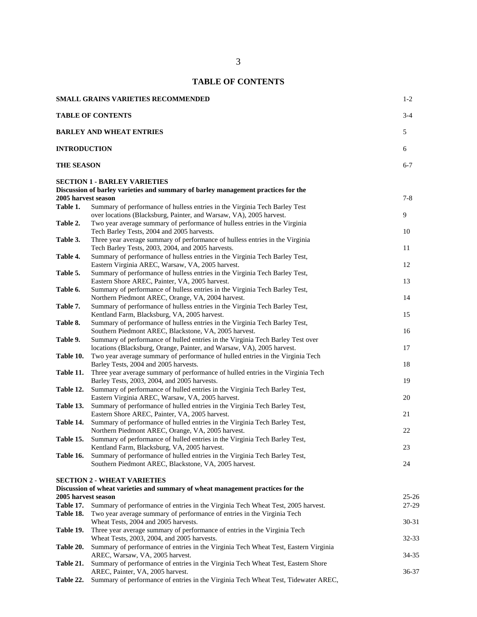|                     | SMALL GRAINS VARIETIES RECOMMENDED                                                                                                                       | $1 - 2$   |
|---------------------|----------------------------------------------------------------------------------------------------------------------------------------------------------|-----------|
|                     | <b>TABLE OF CONTENTS</b>                                                                                                                                 | $3 - 4$   |
|                     | <b>BARLEY AND WHEAT ENTRIES</b>                                                                                                                          | 5         |
| <b>INTRODUCTION</b> |                                                                                                                                                          | 6         |
| <b>THE SEASON</b>   |                                                                                                                                                          | $6 - 7$   |
|                     | <b>SECTION 1 - BARLEY VARIETIES</b><br>Discussion of barley varieties and summary of barley management practices for the                                 |           |
| 2005 harvest season |                                                                                                                                                          | $7 - 8$   |
| Table 1.            | Summary of performance of hulless entries in the Virginia Tech Barley Test                                                                               |           |
|                     | over locations (Blacksburg, Painter, and Warsaw, VA), 2005 harvest.                                                                                      | 9         |
| Table 2.            | Two year average summary of performance of hulless entries in the Virginia                                                                               |           |
|                     | Tech Barley Tests, 2004 and 2005 harvests.                                                                                                               | 10        |
| Table 3.            | Three year average summary of performance of hulless entries in the Virginia<br>Tech Barley Tests, 2003, 2004, and 2005 harvests.                        | 11        |
| Table 4.            | Summary of performance of hulless entries in the Virginia Tech Barley Test,                                                                              |           |
|                     | Eastern Virginia AREC, Warsaw, VA, 2005 harvest.                                                                                                         | 12        |
| Table 5.            | Summary of performance of hulless entries in the Virginia Tech Barley Test,                                                                              |           |
|                     | Eastern Shore AREC, Painter, VA, 2005 harvest.                                                                                                           | 13        |
| Table 6.            | Summary of performance of hulless entries in the Virginia Tech Barley Test,                                                                              |           |
|                     | Northern Piedmont AREC, Orange, VA, 2004 harvest.                                                                                                        | 14        |
| Table 7.            | Summary of performance of hulless entries in the Virginia Tech Barley Test,                                                                              |           |
|                     | Kentland Farm, Blacksburg, VA, 2005 harvest.                                                                                                             | 15        |
| Table 8.            | Summary of performance of hulless entries in the Virginia Tech Barley Test,                                                                              |           |
|                     | Southern Piedmont AREC, Blackstone, VA, 2005 harvest.                                                                                                    | 16        |
| Table 9.            | Summary of performance of hulled entries in the Virginia Tech Barley Test over<br>locations (Blacksburg, Orange, Painter, and Warsaw, VA), 2005 harvest. | 17        |
| Table 10.           | Two year average summary of performance of hulled entries in the Virginia Tech                                                                           |           |
|                     | Barley Tests, 2004 and 2005 harvests.                                                                                                                    | 18        |
| Table 11.           | Three year average summary of performance of hulled entries in the Virginia Tech                                                                         |           |
|                     | Barley Tests, 2003, 2004, and 2005 harvests.                                                                                                             | 19        |
| Table 12.           | Summary of performance of hulled entries in the Virginia Tech Barley Test,                                                                               |           |
|                     | Eastern Virginia AREC, Warsaw, VA, 2005 harvest.                                                                                                         | 20        |
| Table 13.           | Summary of performance of hulled entries in the Virginia Tech Barley Test,                                                                               |           |
|                     | Eastern Shore AREC, Painter, VA, 2005 harvest.                                                                                                           | 21        |
| Table 14.           | Summary of performance of hulled entries in the Virginia Tech Barley Test,                                                                               |           |
|                     | Northern Piedmont AREC, Orange, VA, 2005 harvest.                                                                                                        | 22        |
| Table 15.           | Summary of performance of hulled entries in the Virginia Tech Barley Test,<br>Kentland Farm, Blacksburg, VA, 2005 harvest.                               | 23        |
| Table 16.           | Summary of performance of hulled entries in the Virginia Tech Barley Test,                                                                               |           |
|                     | Southern Piedmont AREC, Blackstone, VA, 2005 harvest.                                                                                                    | 24        |
|                     |                                                                                                                                                          |           |
|                     | <b>SECTION 2 - WHEAT VARIETIES</b>                                                                                                                       |           |
|                     | Discussion of wheat varieties and summary of wheat management practices for the                                                                          |           |
| 2005 harvest season |                                                                                                                                                          | $25 - 26$ |
| Table 17.           | Summary of performance of entries in the Virginia Tech Wheat Test, 2005 harvest.                                                                         | 27-29     |
| Table 18.           | Two year average summary of performance of entries in the Virginia Tech<br>Wheat Tests, 2004 and 2005 harvests.                                          | $30-31$   |
| Table 19.           | Three year average summary of performance of entries in the Virginia Tech                                                                                |           |
|                     | Wheat Tests, 2003, 2004, and 2005 harvests.                                                                                                              | $32 - 33$ |
| Table 20.           | Summary of performance of entries in the Virginia Tech Wheat Test, Eastern Virginia                                                                      |           |
|                     | AREC, Warsaw, VA, 2005 harvest.                                                                                                                          | 34-35     |
| Table 21.           | Summary of performance of entries in the Virginia Tech Wheat Test, Eastern Shore                                                                         |           |
|                     | AREC, Painter, VA, 2005 harvest.                                                                                                                         | $36 - 37$ |
| Table 22.           | Summary of performance of entries in the Virginia Tech Wheat Test, Tidewater AREC,                                                                       |           |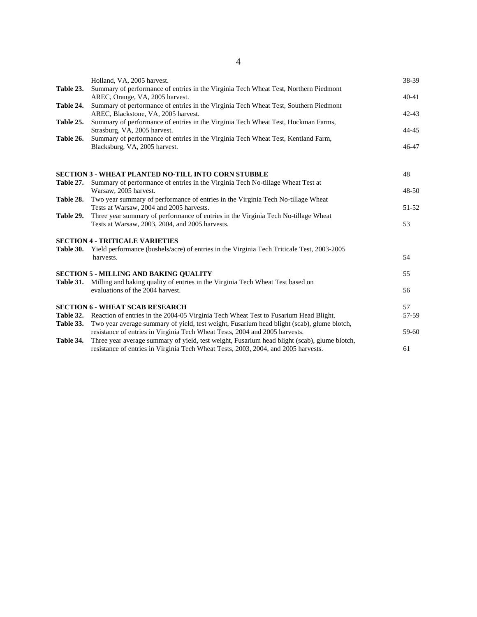|           | Holland, VA, 2005 harvest.                                                                                              | 38-39     |
|-----------|-------------------------------------------------------------------------------------------------------------------------|-----------|
| Table 23. | Summary of performance of entries in the Virginia Tech Wheat Test, Northern Piedmont<br>AREC, Orange, VA, 2005 harvest. | $40 - 41$ |
| Table 24. | Summary of performance of entries in the Virginia Tech Wheat Test, Southern Piedmont                                    |           |
|           | AREC, Blackstone, VA, 2005 harvest.                                                                                     | $42 - 43$ |
| Table 25. | Summary of performance of entries in the Virginia Tech Wheat Test, Hockman Farms,<br>Strasburg, VA, 2005 harvest.       | 44-45     |
| Table 26. | Summary of performance of entries in the Virginia Tech Wheat Test, Kentland Farm,                                       |           |
|           | Blacksburg, VA, 2005 harvest.                                                                                           | 46-47     |
|           | <b>SECTION 3 - WHEAT PLANTED NO-TILL INTO CORN STUBBLE</b>                                                              | 48        |
| Table 27. | Summary of performance of entries in the Virginia Tech No-tillage Wheat Test at                                         |           |
| Table 28. | Warsaw, 2005 harvest.<br>Two year summary of performance of entries in the Virginia Tech No-tillage Wheat               | 48-50     |
|           | Tests at Warsaw, 2004 and 2005 harvests.                                                                                | 51-52     |
| Table 29. | Three year summary of performance of entries in the Virginia Tech No-tillage Wheat                                      |           |
|           | Tests at Warsaw, 2003, 2004, and 2005 harvests.                                                                         | 53        |
|           | <b>SECTION 4 - TRITICALE VARIETIES</b>                                                                                  |           |
| Table 30. | Yield performance (bushels/acre) of entries in the Virginia Tech Triticale Test, 2003-2005                              |           |
|           | harvests.                                                                                                               | 54        |
|           | <b>SECTION 5 - MILLING AND BAKING OUALITY</b>                                                                           | 55        |
|           | Table 31. Milling and baking quality of entries in the Virginia Tech Wheat Test based on                                |           |
|           | evaluations of the 2004 harvest.                                                                                        | 56        |
|           | <b>SECTION 6 - WHEAT SCAB RESEARCH</b>                                                                                  | 57        |
|           | Table 32. Reaction of entries in the 2004-05 Virginia Tech Wheat Test to Fusarium Head Blight.                          | 57-59     |
| Table 33. | Two year average summary of yield, test weight, Fusarium head blight (scab), glume blotch,                              |           |
|           | resistance of entries in Virginia Tech Wheat Tests, 2004 and 2005 harvests.                                             | 59-60     |
| Table 34. | Three year average summary of yield, test weight, Fusarium head blight (scab), glume blotch,                            |           |
|           | resistance of entries in Virginia Tech Wheat Tests, 2003, 2004, and 2005 harvests.                                      | 61        |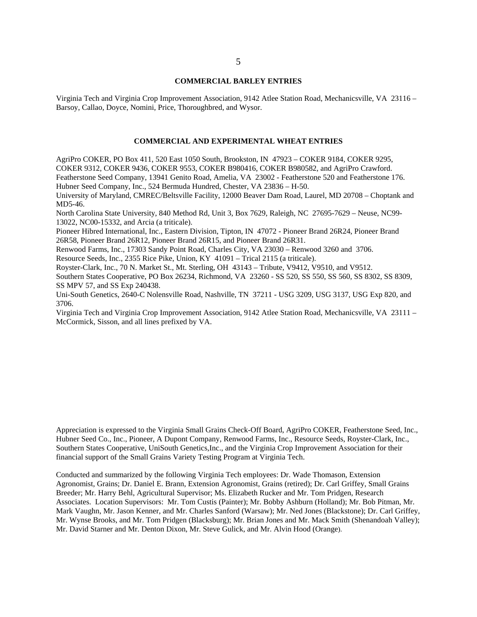#### **COMMERCIAL BARLEY ENTRIES**

Virginia Tech and Virginia Crop Improvement Association, 9142 Atlee Station Road, Mechanicsville, VA 23116 – Barsoy, Callao, Doyce, Nomini, Price, Thoroughbred, and Wysor.

#### **COMMERCIAL AND EXPERIMENTAL WHEAT ENTRIES**

AgriPro COKER, PO Box 411, 520 East 1050 South, Brookston, IN 47923 – COKER 9184, COKER 9295, COKER 9312, COKER 9436, COKER 9553, COKER B980416, COKER B980582, and AgriPro Crawford. Featherstone Seed Company, 13941 Genito Road, Amelia, VA 23002 - Featherstone 520 and Featherstone 176. Hubner Seed Company, Inc., 524 Bermuda Hundred, Chester, VA 23836 – H-50.

University of Maryland, CMREC/Beltsville Facility, 12000 Beaver Dam Road, Laurel, MD 20708 – Choptank and MD5-46.

North Carolina State University, 840 Method Rd, Unit 3, Box 7629, Raleigh, NC 27695-7629 – Neuse, NC99- 13022, NC00-15332, and Arcia (a triticale).

Pioneer Hibred International, Inc., Eastern Division, Tipton, IN 47072 - Pioneer Brand 26R24, Pioneer Brand 26R58, Pioneer Brand 26R12, Pioneer Brand 26R15, and Pioneer Brand 26R31.

Renwood Farms, Inc., 17303 Sandy Point Road, Charles City, VA 23030 – Renwood 3260 and 3706.

Resource Seeds, Inc., 2355 Rice Pike, Union, KY 41091 – Trical 2115 (a triticale).

Royster-Clark, Inc., 70 N. Market St., Mt. Sterling, OH 43143 – Tribute, V9412, V9510, and V9512.

Southern States Cooperative, PO Box 26234, Richmond, VA 23260 - SS 520, SS 550, SS 560, SS 8302, SS 8309, SS MPV 57, and SS Exp 240438.

Uni-South Genetics, 2640-C Nolensville Road, Nashville, TN 37211 - USG 3209, USG 3137, USG Exp 820, and 3706.

Virginia Tech and Virginia Crop Improvement Association, 9142 Atlee Station Road, Mechanicsville, VA 23111 – McCormick, Sisson, and all lines prefixed by VA.

Appreciation is expressed to the Virginia Small Grains Check-Off Board, AgriPro COKER, Featherstone Seed, Inc., Hubner Seed Co., Inc., Pioneer, A Dupont Company, Renwood Farms, Inc., Resource Seeds, Royster-Clark, Inc., Southern States Cooperative, UniSouth Genetics,Inc., and the Virginia Crop Improvement Association for their financial support of the Small Grains Variety Testing Program at Virginia Tech.

Conducted and summarized by the following Virginia Tech employees: Dr. Wade Thomason, Extension Agronomist, Grains; Dr. Daniel E. Brann, Extension Agronomist, Grains (retired); Dr. Carl Griffey, Small Grains Breeder; Mr. Harry Behl, Agricultural Supervisor; Ms. Elizabeth Rucker and Mr. Tom Pridgen, Research Associates. Location Supervisors: Mr. Tom Custis (Painter); Mr. Bobby Ashburn (Holland); Mr. Bob Pitman, Mr. Mark Vaughn, Mr. Jason Kenner, and Mr. Charles Sanford (Warsaw); Mr. Ned Jones (Blackstone); Dr. Carl Griffey, Mr. Wynse Brooks, and Mr. Tom Pridgen (Blacksburg); Mr. Brian Jones and Mr. Mack Smith (Shenandoah Valley); Mr. David Starner and Mr. Denton Dixon, Mr. Steve Gulick, and Mr. Alvin Hood (Orange).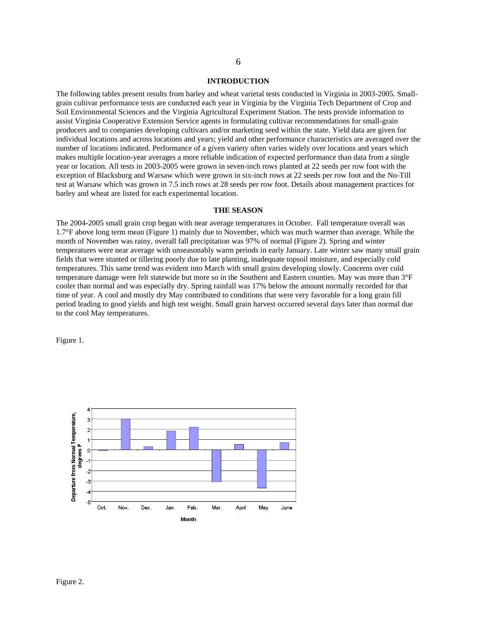#### **INTRODUCTION**

The following tables present results from barley and wheat varietal tests conducted in Virginia in 2003-2005. Smallgrain cultivar performance tests are conducted each year in Virginia by the Virginia Tech Department of Crop and Soil Environmental Sciences and the Virginia Agricultural Experiment Station. The tests provide information to assist Virginia Cooperative Extension Service agents in formulating cultivar recommendations for small-grain producers and to companies developing cultivars and/or marketing seed within the state. Yield data are given for individual locations and across locations and years; yield and other performance characteristics are averaged over the number of locations indicated. Performance of a given variety often varies widely over locations and years which makes multiple location-year averages a more reliable indication of expected performance than data from a single year or location. All tests in 2003-2005 were grown in seven-inch rows planted at 22 seeds per row foot with the exception of Blacksburg and Warsaw which were grown in six-inch rows at 22 seeds per row foot and the No-Till test at Warsaw which was grown in 7.5 inch rows at 28 seeds per row foot. Details about management practices for barley and wheat are listed for each experimental location.

#### **THE SEASON**

The 2004-2005 small grain crop began with near average temperatures in October. Fall temperature overall was 1.7°F above long term mean (Figure 1) mainly due to November, which was much warmer than average. While the month of November was rainy, overall fall precipitation was 97% of normal (Figure 2). Spring and winter temperatures were near average with unseasonably warm periods in early January. Late winter saw many small grain fields that were stunted or tillering poorly due to late planting, inadequate topsoil moisture, and especially cold temperatures. This same trend was evident into March with small grains developing slowly. Concerns over cold temperature damage were felt statewide but more so in the Southern and Eastern counties. May was more than 3°F cooler than normal and was especially dry. Spring rainfall was 17% below the amount normally recorded for that time of year. A cool and mostly dry May contributed to conditions that were very favorable for a long grain fill period leading to good yields and high test weight. Small grain harvest occurred several days later than normal due to the cool May temperatures.

Figure 1.

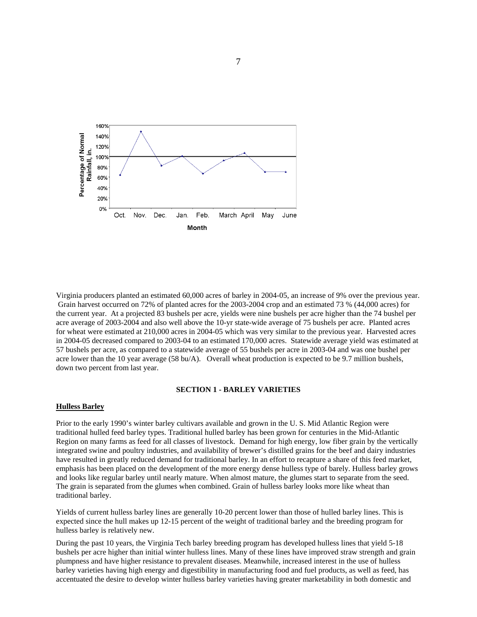

Virginia producers planted an estimated 60,000 acres of barley in 2004-05, an increase of 9% over the previous year. Grain harvest occurred on 72% of planted acres for the 2003-2004 crop and an estimated 73 % (44,000 acres) for the current year. At a projected 83 bushels per acre, yields were nine bushels per acre higher than the 74 bushel per acre average of 2003-2004 and also well above the 10-yr state-wide average of 75 bushels per acre. Planted acres for wheat were estimated at 210,000 acres in 2004-05 which was very similar to the previous year. Harvested acres in 2004-05 decreased compared to 2003-04 to an estimated 170,000 acres. Statewide average yield was estimated at 57 bushels per acre, as compared to a statewide average of 55 bushels per acre in 2003-04 and was one bushel per acre lower than the 10 year average (58 bu/A). Overall wheat production is expected to be 9.7 million bushels, down two percent from last year.

#### **SECTION 1 - BARLEY VARIETIES**

#### **Hulless Barley**

Prior to the early 1990's winter barley cultivars available and grown in the U. S. Mid Atlantic Region were traditional hulled feed barley types. Traditional hulled barley has been grown for centuries in the Mid-Atlantic Region on many farms as feed for all classes of livestock. Demand for high energy, low fiber grain by the vertically integrated swine and poultry industries, and availability of brewer's distilled grains for the beef and dairy industries have resulted in greatly reduced demand for traditional barley. In an effort to recapture a share of this feed market, emphasis has been placed on the development of the more energy dense hulless type of barely. Hulless barley grows and looks like regular barley until nearly mature. When almost mature, the glumes start to separate from the seed. The grain is separated from the glumes when combined. Grain of hulless barley looks more like wheat than traditional barley.

Yields of current hulless barley lines are generally 10-20 percent lower than those of hulled barley lines. This is expected since the hull makes up 12-15 percent of the weight of traditional barley and the breeding program for hulless barley is relatively new.

During the past 10 years, the Virginia Tech barley breeding program has developed hulless lines that yield 5-18 bushels per acre higher than initial winter hulless lines. Many of these lines have improved straw strength and grain plumpness and have higher resistance to prevalent diseases. Meanwhile, increased interest in the use of hulless barley varieties having high energy and digestibility in manufacturing food and fuel products, as well as feed, has accentuated the desire to develop winter hulless barley varieties having greater marketability in both domestic and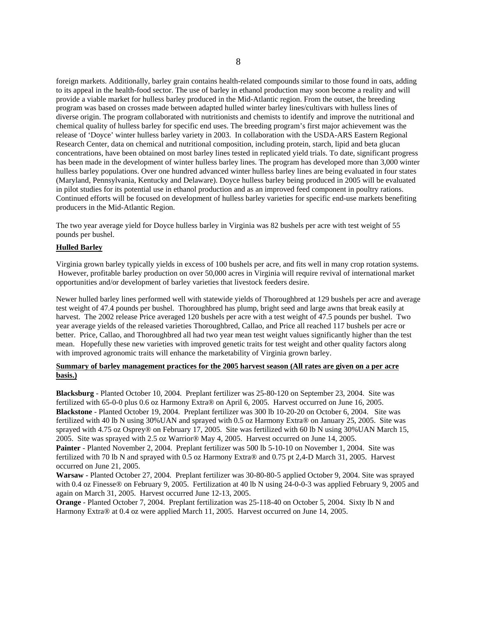foreign markets. Additionally, barley grain contains health-related compounds similar to those found in oats, adding to its appeal in the health-food sector. The use of barley in ethanol production may soon become a reality and will provide a viable market for hulless barley produced in the Mid-Atlantic region. From the outset, the breeding program was based on crosses made between adapted hulled winter barley lines/cultivars with hulless lines of diverse origin. The program collaborated with nutritionists and chemists to identify and improve the nutritional and chemical quality of hulless barley for specific end uses. The breeding program's first major achievement was the release of 'Doyce' winter hulless barley variety in 2003. In collaboration with the USDA-ARS Eastern Regional Research Center, data on chemical and nutritional composition, including protein, starch, lipid and beta glucan concentrations, have been obtained on most barley lines tested in replicated yield trials. To date, significant progress has been made in the development of winter hulless barley lines. The program has developed more than 3,000 winter hulless barley populations. Over one hundred advanced winter hulless barley lines are being evaluated in four states (Maryland, Pennsylvania, Kentucky and Delaware). Doyce hulless barley being produced in 2005 will be evaluated in pilot studies for its potential use in ethanol production and as an improved feed component in poultry rations. Continued efforts will be focused on development of hulless barley varieties for specific end-use markets benefiting producers in the Mid-Atlantic Region.

The two year average yield for Doyce hulless barley in Virginia was 82 bushels per acre with test weight of 55 pounds per bushel.

#### **Hulled Barley**

Virginia grown barley typically yields in excess of 100 bushels per acre, and fits well in many crop rotation systems. However, profitable barley production on over 50,000 acres in Virginia will require revival of international market opportunities and/or development of barley varieties that livestock feeders desire.

Newer hulled barley lines performed well with statewide yields of Thoroughbred at 129 bushels per acre and average test weight of 47.4 pounds per bushel. Thoroughbred has plump, bright seed and large awns that break easily at harvest. The 2002 release Price averaged 120 bushels per acre with a test weight of 47.5 pounds per bushel. Two year average yields of the released varieties Thoroughbred, Callao, and Price all reached 117 bushels per acre or better. Price, Callao, and Thoroughbred all had two year mean test weight values significantly higher than the test mean. Hopefully these new varieties with improved genetic traits for test weight and other quality factors along with improved agronomic traits will enhance the marketability of Virginia grown barley.

#### **Summary of barley management practices for the 2005 harvest season (All rates are given on a per acre basis.)**

**Blacksburg** - Planted October 10, 2004. Preplant fertilizer was 25-80-120 on September 23, 2004. Site was fertilized with 65-0-0 plus 0.6 oz Harmony Extra® on April 6, 2005. Harvest occurred on June 16, 2005. **Blackstone** - Planted October 19, 2004. Preplant fertilizer was 300 lb 10-20-20 on October 6, 2004. Site was fertilized with 40 lb N using 30%UAN and sprayed with 0.5 oz Harmony Extra® on January 25, 2005. Site was sprayed with 4.75 oz Osprey® on February 17, 2005. Site was fertilized with 60 lb N using 30%UAN March 15, 2005. Site was sprayed with 2.5 oz Warrior® May 4, 2005. Harvest occurred on June 14, 2005.

**Painter** - Planted November 2, 2004. Preplant fertilizer was 500 lb 5-10-10 on November 1, 2004. Site was fertilized with 70 lb N and sprayed with 0.5 oz Harmony Extra® and 0.75 pt 2,4-D March 31, 2005. Harvest occurred on June 21, 2005.

**Warsaw** - Planted October 27, 2004. Preplant fertilizer was 30-80-80-5 applied October 9, 2004. Site was sprayed with 0.4 oz Finesse® on February 9, 2005. Fertilization at 40 lb N using 24-0-0-3 was applied February 9, 2005 and again on March 31, 2005. Harvest occurred June 12-13, 2005.

**Orange** - Planted October 7, 2004. Preplant fertilization was 25-118-40 on October 5, 2004. Sixty lb N and Harmony Extra® at 0.4 oz were applied March 11, 2005. Harvest occurred on June 14, 2005.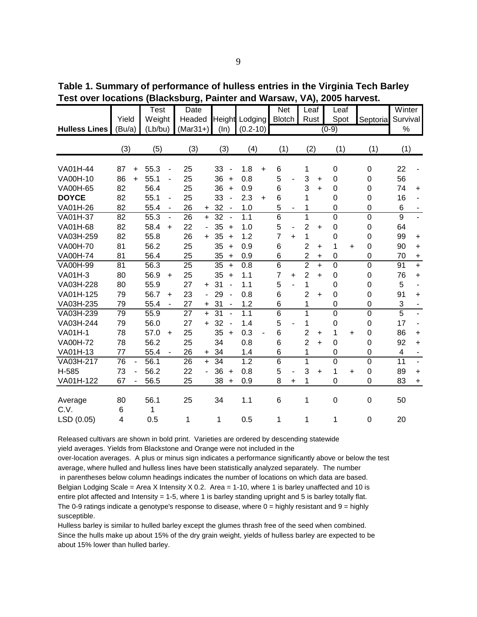| <b>Hulless Lines</b> | Yield<br>(Bu/a)         |           | Test<br>Weight<br>(Lb/bu) |                          | Date<br>Headed<br>$(Mar31+)$ |           | (ln) |                          | <b>Height Lodging</b><br>$(0.2 - 10)$ |                          | Net<br><b>Blotch</b> |           | Leaf<br>Rust   |           | Leaf<br>Spot<br>$(0-9)$ |           | Septoria         | Winter<br>Survival<br>$\frac{0}{0}$ |                          |
|----------------------|-------------------------|-----------|---------------------------|--------------------------|------------------------------|-----------|------|--------------------------|---------------------------------------|--------------------------|----------------------|-----------|----------------|-----------|-------------------------|-----------|------------------|-------------------------------------|--------------------------|
|                      | (3)                     |           | (5)                       |                          | (3)                          |           | (3)  |                          | (4)                                   |                          | (1)                  |           | (2)            |           | (1)                     |           | (1)              | (1)                                 |                          |
| VA01H-44             | 87                      | $\ddot{}$ | 55.3                      | $\overline{\phantom{0}}$ | 25                           |           | 33   | $\overline{\phantom{a}}$ | 1.8                                   | $+$                      | 6                    |           | 1              |           | $\mathbf 0$             |           | $\mathbf 0$      | 22                                  |                          |
| VA00H-10             | 86                      | $+$       | 55.1                      |                          | 25                           |           | 36   | $+$                      | 0.8                                   |                          | 5                    |           | 3              | $\ddot{}$ | 0                       |           | 0                | 56                                  |                          |
| VA00H-65             | 82                      |           | 56.4                      |                          | 25                           |           | 36   | $+$                      | 0.9                                   |                          | 6                    |           | 3              | $\ddot{}$ | 0                       |           | 0                | 74                                  | $\ddot{}$                |
| <b>DOYCE</b>         | 82                      |           | 55.1                      | $\overline{\phantom{0}}$ | 25                           |           | 33   | $\overline{\phantom{a}}$ | 2.3                                   | $\ddot{}$                | 6                    |           | 1              |           | 0                       |           | 0                | 16                                  |                          |
| VA01H-26             | 82                      |           | 55.4                      | $\blacksquare$           | 26                           | $+$       | 32   | $\sim$                   | 1.0                                   |                          | 5                    | -         | 1              |           | 0                       |           | $\mathbf 0$      | 6                                   |                          |
| VA01H-37             | 82                      |           | 55.3                      | $\blacksquare$           | 26                           | $+$       | 32   | $\sim$                   | 1.1                                   |                          | $\overline{6}$       |           | 1              |           | $\overline{0}$          |           | $\mathbf 0$      | $\overline{9}$                      |                          |
| VA01H-68             | 82                      |           | 58.4                      | +                        | 22                           |           | 35   | $\ddot{}$                | 1.0                                   |                          | 5                    | -         | $\overline{2}$ | $\ddot{}$ | 0                       |           | 0                | 64                                  |                          |
| VA03H-259            | 82                      |           | 55.8                      |                          | 26                           | $+$       | 35   | $+$                      | 1.2                                   |                          | $\overline{7}$       | $\ddot{}$ | 1              |           | 0                       |           | $\mathbf 0$      | 99                                  | $\ddot{}$                |
| <b>VA00H-70</b>      | 81                      |           | 56.2                      |                          | 25                           |           | 35   | $\ddot{}$                | 0.9                                   |                          | 6                    |           | $\overline{2}$ | $\ddot{}$ | 1                       | $\ddot{}$ | 0                | 90                                  | $\ddot{}$                |
| <b>VA00H-74</b>      | 81                      |           | 56.4                      |                          | 25                           |           | 35   | $+$                      | 0.9                                   |                          | 6                    |           | $\overline{2}$ | +         | $\Omega$                |           | $\mathbf 0$      | 70                                  | $\ddot{}$                |
| VA00H-99             | 81                      |           | 56.3                      |                          | 25                           |           | 35   | $\ddot{}$                | 0.8                                   |                          | 6                    |           | $\overline{2}$ | $\ddot{}$ | $\Omega$                |           | $\mathbf 0$      | 91                                  | $+$                      |
| VA01H-3              | 80                      |           | 56.9                      | $\ddot{}$                | 25                           |           | 35   | $\ddot{}$                | 1.1                                   |                          | $\overline{7}$       | $\ddot{}$ | $\overline{2}$ | $\ddot{}$ | 0                       |           | $\boldsymbol{0}$ | 76                                  | $\ddot{}$                |
| VA03H-228            | 80                      |           | 55.9                      |                          | 27                           | $\ddot{}$ | 31   | $\blacksquare$           | 1.1                                   |                          | 5                    |           | 1              |           | $\Omega$                |           | 0                | 5                                   | $\overline{\phantom{0}}$ |
| VA01H-125            | 79                      |           | 56.7                      | +                        | 23                           |           | 29   |                          | 0.8                                   |                          | 6                    |           | $\overline{2}$ | $\ddot{}$ | $\Omega$                |           | 0                | 91                                  | $\ddot{}$                |
| VA03H-235            | 79                      |           | 55.4                      | $\blacksquare$           | 27                           | $+$       | 31   | $\blacksquare$           | 1.2                                   |                          | 6                    |           | 1              |           | 0                       |           | $\boldsymbol{0}$ | $\sqrt{3}$                          |                          |
| VA03H-239            | 79                      |           | 55.9                      |                          | 27                           | $+$       | 31   | $\blacksquare$           | 1.1                                   |                          | 6                    |           | 1              |           | 0                       |           | $\mathbf 0$      | $\overline{5}$                      |                          |
| VA03H-244            | 79                      |           | 56.0                      |                          | 27                           | $\ddot{}$ | 32   |                          | 1.4                                   |                          | 5                    |           | 1              |           | 0                       |           | $\mathbf 0$      | 17                                  |                          |
| <b>VA01H-1</b>       | 78                      |           | 57.0                      | +                        | 25                           |           | 35   | $+$                      | 0.3                                   | $\overline{\phantom{0}}$ | 6                    |           | $\overline{2}$ | $\ddot{}$ | 1                       | $\ddot{}$ | $\mathbf 0$      | 86                                  | $\ddot{}$                |
| <b>VA00H-72</b>      | 78                      |           | 56.2                      |                          | 25                           |           | 34   |                          | 0.8                                   |                          | 6                    |           | $\overline{2}$ | $\ddot{}$ | 0                       |           | 0                | 92                                  | $+$                      |
| VA01H-13             | 77                      |           | 55.4                      |                          | 26                           | $+$       | 34   |                          | 1.4                                   |                          | 6                    |           | 1              |           | 0                       |           | $\boldsymbol{0}$ | 4                                   |                          |
| VA03H-217            | 76                      | ÷,        | 56.1                      |                          | 26                           | $+$       | 34   |                          | 1.2                                   |                          | $\overline{6}$       |           | 1              |           | 0                       |           | $\mathbf 0$      | 11                                  | $\overline{\phantom{a}}$ |
| H-585                | 73                      |           | 56.2                      |                          | 22                           |           | 36   | $+$                      | 0.8                                   |                          | 5                    |           | 3              | $\ddot{}$ | 1                       | $+$       | $\mathbf 0$      | 89                                  | $\ddot{}$                |
| VA01H-122            | 67                      |           | 56.5                      |                          | 25                           |           | 38   | $+$                      | 0.9                                   |                          | 8                    | $\ddot{}$ | 1              |           | 0                       |           | 0                | 83                                  | $\pmb{+}$                |
| Average<br>C.V.      | 80<br>6                 |           | 56.1<br>1                 |                          | 25                           |           | 34   |                          | 1.1                                   |                          | 6                    |           | 1              |           | $\boldsymbol{0}$        |           | $\boldsymbol{0}$ | 50                                  |                          |
| LSD (0.05)           | $\overline{\mathbf{4}}$ |           | 0.5                       |                          | 1                            |           | 1    |                          | 0.5                                   |                          | 1                    |           | 1              |           | 1                       |           | 0                | 20                                  |                          |

**Table 1. Summary of performance of hulless entries in the Virginia Tech Barley Test over locations (Blacksburg, Painter and Warsaw, VA), 2005 harvest.**

Released cultivars are shown in bold print. Varieties are ordered by descending statewide yield averages. Yields from Blackstone and Orange were not included in the

over-location averages. A plus or minus sign indicates a performance significantly above or below the test average, where hulled and hulless lines have been statistically analyzed separately. The number in parentheses below column headings indicates the number of locations on which data are based. Belgian Lodging Scale = Area X Intensity X 0.2. Area = 1-10, where 1 is barley unaffected and 10 is entire plot affected and Intensity = 1-5, where 1 is barley standing upright and 5 is barley totally flat. The 0-9 ratings indicate a genotype's response to disease, where  $0 =$  highly resistant and  $9 =$  highly susceptible.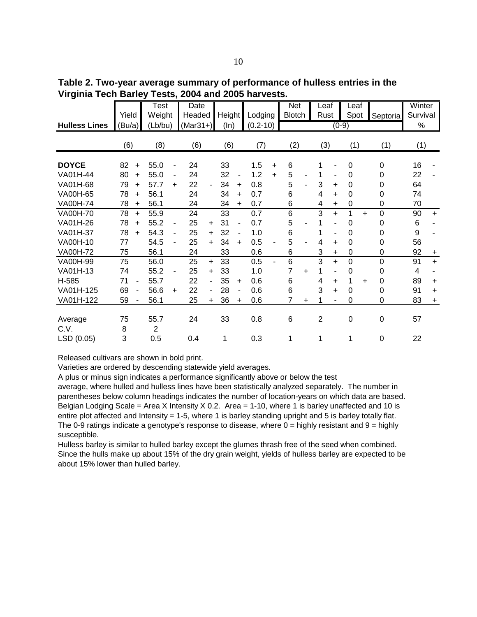**Table 2. Two-year average summary of performance of hulless entries in the Virginia Tech Barley Tests, 2004 and 2005 harvests.**

|                      |        |           | Test           |           | Date       |                |        |           |              |                          | <b>Net</b>    |           | Leaf           |                          | Leaf        |           |             | Winter   |           |
|----------------------|--------|-----------|----------------|-----------|------------|----------------|--------|-----------|--------------|--------------------------|---------------|-----------|----------------|--------------------------|-------------|-----------|-------------|----------|-----------|
|                      | Yield  |           | Weight         |           | Headed     |                | Height |           | Lodging      |                          | <b>Blotch</b> |           | Rust           |                          | Spot        |           | Septoria    | Survival |           |
| <b>Hulless Lines</b> | (Bu/a) |           | (Lb/bu)        |           | $(Mar31+)$ |                | (ln)   |           | $(0.2 - 10)$ |                          |               |           |                | $(0-9)$                  |             |           |             | %        |           |
|                      | (6)    |           | (8)            |           | (6)        |                | (6)    |           | (7)          |                          | (2)           |           | (3)            |                          | (1)         |           | (1)         | (1)      |           |
|                      |        |           |                |           |            |                |        |           |              |                          |               |           |                |                          |             |           |             |          |           |
| <b>DOYCE</b>         | 82     | $\ddot{}$ | 55.0           |           | 24         |                | 33     |           | 1.5          | +                        | 6             |           |                |                          | 0           |           | 0           | 16       |           |
| VA01H-44             | 80     | $\ddot{}$ | 55.0           | -         | 24         |                | 32     |           | 1.2          | $+$                      | 5             |           |                | ٠                        | $\Omega$    |           | 0           | 22       |           |
| VA01H-68             | 79     | $\ddot{}$ | 57.7           | $\ddot{}$ | 22         |                | 34     | $\ddot{}$ | 0.8          |                          | 5             |           | 3              | $\ddot{}$                | $\Omega$    |           | 0           | 64       |           |
| VA00H-65             | 78     | $\ddot{}$ | 56.1           |           | 24         |                | 34     | $\ddot{}$ | 0.7          |                          | 6             |           | 4              | $\ddot{}$                | $\Omega$    |           | 0           | 74       |           |
| <b>VA00H-74</b>      | 78     | $\ddot{}$ | 56.1           |           | 24         |                | 34     | $\ddot{}$ | 0.7          |                          | 6             |           | 4              | ÷.                       | $\Omega$    |           | 0           | 70       |           |
| <b>VA00H-70</b>      | 78     | $+$       | 55.9           |           | 24         |                | 33     |           | 0.7          |                          | 6             |           | 3              | $\ddot{}$                | 1           | $\ddot{}$ | $\Omega$    | 90       | $+$       |
| VA01H-26             | 78     | $\ddot{}$ | 55.2           |           | 25         | $\ddot{}$      | 31     |           | 0.7          |                          | 5             |           |                | $\blacksquare$           | $\Omega$    |           | 0           | 6        |           |
| VA01H-37             | 78     | $\ddot{}$ | 54.3           | -         | 25         | $\ddot{}$      | 32     |           | 1.0          |                          | 6             |           |                | $\overline{\phantom{a}}$ | $\Omega$    |           | 0           | 9        |           |
| VA00H-10             | 77     |           | 54.5           |           | 25         | $+$            | 34     | $\ddot{}$ | 0.5          | $\overline{\phantom{a}}$ | 5             |           | 4              | ÷.                       | $\Omega$    |           | $\Omega$    | 56       |           |
| <b>VA00H-72</b>      | 75     |           | 56.1           |           | 24         |                | 33     |           | 0.6          |                          | 6             |           | 3              | $\ddot{}$                | $\Omega$    |           | 0           | 92       | $\ddot{}$ |
| VA00H-99             | 75     |           | 56.0           |           | 25         | $\ddot{}$      | 33     |           | 0.5          | $\blacksquare$           | 6             |           | 3              | $\ddot{}$                | $\Omega$    |           | $\Omega$    | 91       | $+$       |
| VA01H-13             | 74     |           | 55.2           |           | 25         | $\ddot{}$      | 33     |           | 1.0          |                          | 7             | $\ddot{}$ |                | $\overline{\phantom{m}}$ | $\Omega$    |           | $\Omega$    | 4        |           |
| H-585                | 71     |           | 55.7           |           | 22         | $\blacksquare$ | 35     | $\ddot{}$ | 0.6          |                          | 6             |           | 4              | $\ddot{}$                | 1           | $\ddot{}$ | $\Omega$    | 89       | $+$       |
| VA01H-125            | 69     |           | 56.6           | $\ddot{}$ | 22         | $\blacksquare$ | 28     |           | 0.6          |                          | 6             |           | 3              | $\ddot{}$                | $\Omega$    |           | $\Omega$    | 91       | $+$       |
| VA01H-122            | 59     |           | 56.1           |           | 25         | $\ddot{}$      | 36     | $\ddot{}$ | 0.6          |                          | 7             | ÷         |                | ۰                        | 0           |           | 0           | 83       | $\ddot{}$ |
|                      |        |           |                |           |            |                |        |           |              |                          |               |           |                |                          |             |           |             |          |           |
| Average              | 75     |           | 55.7           |           | 24         |                | 33     |           | 0.8          |                          | 6             |           | $\overline{2}$ |                          | $\mathbf 0$ |           | $\mathbf 0$ | 57       |           |
| C.V.                 | 8      |           | $\overline{2}$ |           |            |                |        |           |              |                          |               |           |                |                          |             |           |             |          |           |
| LSD (0.05)           | 3      |           | 0.5            |           | 0.4        |                | 1      |           | 0.3          |                          | 1             |           | 1              |                          | 1           |           | $\Omega$    | 22       |           |

Varieties are ordered by descending statewide yield averages.

A plus or minus sign indicates a performance significantly above or below the test

average, where hulled and hulless lines have been statistically analyzed separately. The number in parentheses below column headings indicates the number of location-years on which data are based. Belgian Lodging Scale = Area X Intensity X 0.2. Area = 1-10, where 1 is barley unaffected and 10 is entire plot affected and Intensity = 1-5, where 1 is barley standing upright and 5 is barley totally flat. The 0-9 ratings indicate a genotype's response to disease, where  $0 =$  highly resistant and  $9 =$  highly susceptible.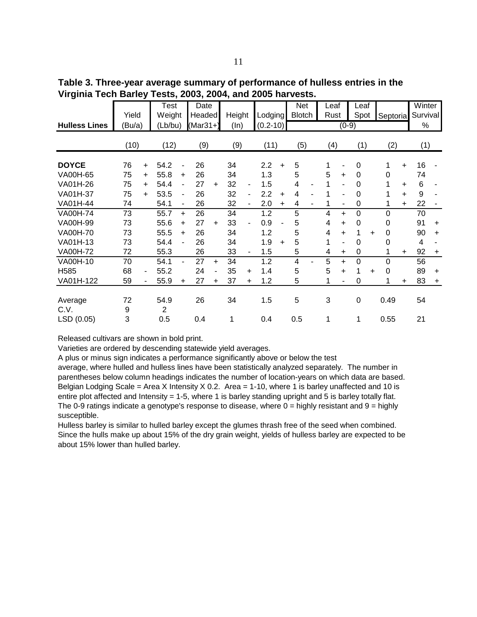**Table 3. Three-year average summary of performance of hulless entries in the Virginia Tech Barley Tests, 2003, 2004, and 2005 harvests.**

|                      | Yield  |           | Test<br>Weight |                          | Date<br><b>Headed</b> |           | Height |                | Lodging      |           | <b>Net</b><br><b>Blotch</b> | Leaf<br>Rust |                | Leaf<br>Spot |    | Septorial |           | Winter<br>Survival |           |
|----------------------|--------|-----------|----------------|--------------------------|-----------------------|-----------|--------|----------------|--------------|-----------|-----------------------------|--------------|----------------|--------------|----|-----------|-----------|--------------------|-----------|
| <b>Hulless Lines</b> | (Bu/a) |           | (Lb/bu)        |                          | (Mar31+)              |           | (ln)   |                | $(0.2 - 10)$ |           |                             |              | $(0-9)$        |              |    |           |           | %                  |           |
|                      | (10)   |           | (12)           |                          | (9)                   |           | (9)    |                | (11)         |           | (5)                         | (4)          |                | (1)          |    | (2)       |           | (1)                |           |
| <b>DOYCE</b>         | 76     | $\ddot{}$ | 54.2           |                          | 26                    |           | 34     |                | 2.2          | $\ddot{}$ | 5                           | 1            |                | 0            |    | 1         | $\ddot{}$ | 16                 |           |
| <b>VA00H-65</b>      | 75     | $\ddot{}$ | 55.8           | ÷                        | 26                    |           | 34     |                | 1.3          |           | 5                           | 5            | $\ddot{}$      | 0            |    | 0         |           | 74                 |           |
| VA01H-26             | 75     | $\ddot{}$ | 54.4           | ۰                        | 27                    | ÷         | 32     | $\blacksquare$ | 1.5          |           | 4                           | 1            | ٠              | $\Omega$     |    |           | $\ddot{}$ | 6                  |           |
| VA01H-37             | 75     | $\ddot{}$ | 53.5           | ÷                        | 26                    |           | 32     | ۰              | 2.2          | $\ddot{}$ | 4                           | 1            |                | 0            |    |           | $\ddot{}$ | 9                  |           |
| VA01H-44             | 74     |           | 54.1           | $\overline{\phantom{0}}$ | 26                    |           | 32     | ۰              | 2.0          | $\ddot{}$ | 4                           | 1            | $\blacksquare$ | 0            |    |           | $\ddot{}$ | 22                 |           |
| <b>VA00H-74</b>      | 73     |           | 55.7           | $\ddot{}$                | 26                    |           | 34     |                | 1.2          |           | 5                           | 4            | $\ddot{}$      | $\Omega$     |    | 0         |           | 70                 |           |
| VA00H-99             | 73     |           | 55.6           | ÷                        | 27                    | $\ddot{}$ | 33     |                | 0.9          |           | 5                           | 4            | $\ddot{}$      | $\Omega$     |    | 0         |           | 91                 | $\ddot{}$ |
| <b>VA00H-70</b>      | 73     |           | 55.5           | ÷                        | 26                    |           | 34     |                | 1.2          |           | 5                           | 4            | $\ddot{}$      | 1            | ÷  | 0         |           | 90                 | $\ddot{}$ |
| VA01H-13             | 73     |           | 54.4           |                          | 26                    |           | 34     |                | 1.9          | $\ddot{}$ | 5                           | 1            | ٠              | 0            |    | 0         |           | 4                  |           |
| <b>VA00H-72</b>      | 72     |           | 55.3           |                          | 26                    |           | 33     | $\blacksquare$ | 1.5          |           | 5                           | 4            | $\ddot{}$      | 0            |    |           | $\ddot{}$ | 92                 | $\ddot{}$ |
| VA00H-10             | 70     |           | 54.1           |                          | 27                    | $\ddot{}$ | 34     |                | 1.2          |           | 4                           | 5            | $\ddot{}$      | 0            |    | 0         |           | 56                 |           |
| H <sub>585</sub>     | 68     | ۰         | 55.2           |                          | 24                    |           | 35     | ÷.             | 1.4          |           | 5                           | 5            | $\ddot{}$      | 1            | ÷. | 0         |           | 89                 | $\ddot{}$ |
| VA01H-122            | 59     |           | 55.9           | ÷                        | 27                    | +         | 37     | +              | 1.2          |           | 5                           | 1            |                | 0            |    | 1         | +         | 83                 | $\ddot{}$ |
| Average              | 72     |           | 54.9           |                          | 26                    |           | 34     |                | 1.5          |           | 5                           | 3            |                | 0            |    | 0.49      |           | 54                 |           |
| C.V.                 | 9      |           | 2              |                          |                       |           |        |                |              |           |                             |              |                |              |    |           |           |                    |           |
| LSD (0.05)           | 3      |           | 0.5            |                          | 0.4                   |           | 1      |                | 0.4          |           | 0.5                         | 1            |                | 1            |    | 0.55      |           | 21                 |           |

Varieties are ordered by descending statewide yield averages.

A plus or minus sign indicates a performance significantly above or below the test

average, where hulled and hulless lines have been statistically analyzed separately. The number in parentheses below column headings indicates the number of location-years on which data are based. Belgian Lodging Scale = Area X Intensity X 0.2. Area = 1-10, where 1 is barley unaffected and 10 is entire plot affected and Intensity = 1-5, where 1 is barley standing upright and 5 is barley totally flat. The 0-9 ratings indicate a genotype's response to disease, where  $0 =$  highly resistant and  $9 =$  highly susceptible.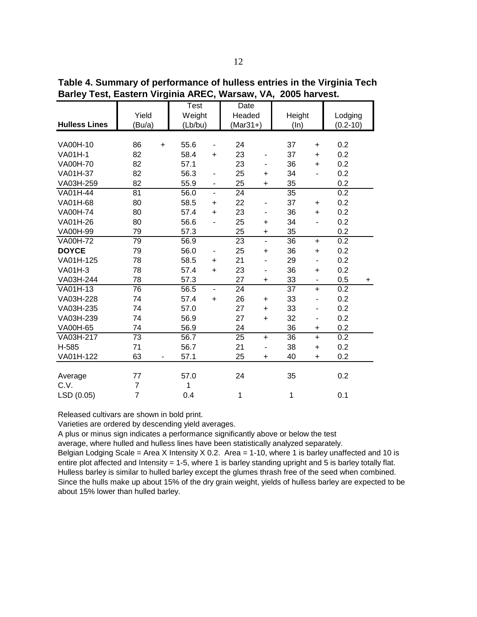**Hulless Lines** VA00H-10 86 + 55.6 - 24 37 + 0.2 VA01H-1 82 58.4 + 23 - 37 + 0.2 VA00H-70 82 57.1 23 - 36 + 0.2 VA01H-37 82 56.3 - 25 + 34 - 0.2 VA03H-259 82 55.9 - 25 + 35 0.2 VA01H-44 81 56.0 - 24 35 0.2 VA01H-68 80 58.5 + 22 - 37 + 0.2 VA00H-74 80 57.4 + 23 - 36 + 0.2 VA01H-26 80 56.6 - 25 + 34 - 0.2 VA00H-99 79 57.3 25 + 35 0.2 VA00H-72 79 56.9 23 - 36 + 0.2 **DOYCE** 79 56.0 - 25 + 36 + 0.2 VA01H-125 78 58.5 + 21 - 29 - 0.2 VA01H-3 78 57.4 + 23 - 36 + 0.2 VA03H-244 78 57.3 27 + 33 - 0.5 + VA01H-13 76 56.5 - 24 37 + 0.2 VA03H-228 74 57.4 + 26 + 33 - 0.2 VA03H-235 74 57.0 27 + 33 - 0.2 VA03H-239 74 56.9 27 + 32 - 0.2 VA00H-65 74 56.9 24 36 + 0.2 VA03H-217 73 56.7 25 + 36 + 0.2 H-585 71 56.7 21 - 38 + 0.2 VA01H-122 63 - 57.1 25 + 40 + 0.2 Average 77 57.0 24 35 0.2 C.V. 7 1 LSD (0.05) 7 0.4 1 1 0.1 Height Lodging (Bu/a) (Lb/bu) (Mar31+) (In) (0.2-10) Test Date Yield | Weight | Headed

**Table 4. Summary of performance of hulless entries in the Virginia Tech Barley Test, Eastern Virginia AREC, Warsaw, VA, 2005 harvest.**

Varieties are ordered by descending yield averages.

A plus or minus sign indicates a performance significantly above or below the test

average, where hulled and hulless lines have been statistically analyzed separately.

Belgian Lodging Scale = Area X Intensity  $X$  0.2. Area = 1-10, where 1 is barley unaffected and 10 is entire plot affected and Intensity = 1-5, where 1 is barley standing upright and 5 is barley totally flat. Hulless barley is similar to hulled barley except the glumes thrash free of the seed when combined. Since the hulls make up about 15% of the dry grain weight, yields of hulless barley are expected to be about 15% lower than hulled barley.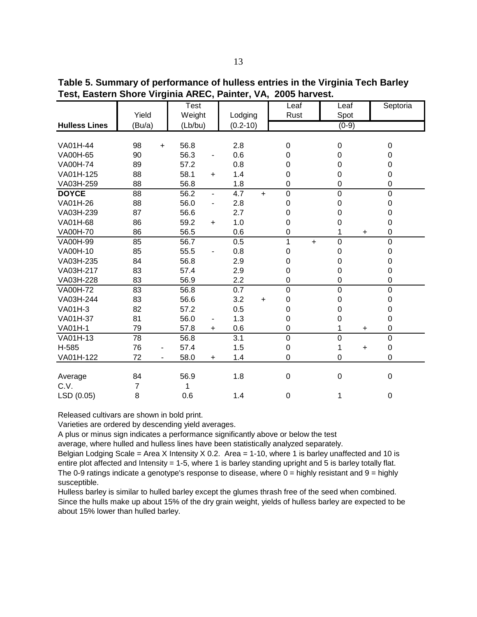|                      |                                | Test    |           |                  | Leaf           | Leaf             | Septoria       |  |
|----------------------|--------------------------------|---------|-----------|------------------|----------------|------------------|----------------|--|
|                      | Yield                          | Weight  |           | Lodging          | Rust           | Spot             |                |  |
| <b>Hulless Lines</b> | (Bu/a)                         | (Lb/bu) |           | $(0.2 - 10)$     |                | $(0-9)$          |                |  |
|                      |                                |         |           |                  |                |                  |                |  |
| VA01H-44             | 98<br>$+$                      | 56.8    |           | 2.8              | 0              | $\Omega$         | 0              |  |
| VA00H-65             | 90                             | 56.3    |           | 0.6              | 0              | 0                | 0              |  |
| <b>VA00H-74</b>      | 89                             | 57.2    |           | 0.8              | 0              | 0                | 0              |  |
| VA01H-125            | 88                             | 58.1    | $\ddot{}$ | 1.4              | $\Omega$       | 0                | 0              |  |
| VA03H-259            | 88                             | 56.8    |           | 1.8              | $\mathbf 0$    | 0                | 0              |  |
| <b>DOYCE</b>         | 88                             | 56.2    | -         | 4.7<br>$+$       | $\mathbf 0$    | $\mathbf 0$      | 0              |  |
| VA01H-26             | 88                             | 56.0    | -         | 2.8              | 0              | 0                | 0              |  |
| VA03H-239            | 87                             | 56.6    |           | 2.7              | 0              | 0                | 0              |  |
| VA01H-68             | 86                             | 59.2    | $\ddot{}$ | 1.0              | 0              | 0                | 0              |  |
| <b>VA00H-70</b>      | 86                             | 56.5    |           | 0.6              | 0              | $\ddot{}$        | 0              |  |
| VA00H-99             | 85                             | 56.7    |           | 0.5              | 1<br>$+$       | $\mathbf 0$      | 0              |  |
| VA00H-10             | 85                             | 55.5    |           | 0.8              | 0              | 0                | 0              |  |
| VA03H-235            | 84                             | 56.8    |           | 2.9              | 0              | 0                | 0              |  |
| VA03H-217            | 83                             | 57.4    |           | 2.9              | 0              | 0                | 0              |  |
| VA03H-228            | 83                             | 56.9    |           | 2.2              | 0              | 0                | 0              |  |
| <b>VA00H-72</b>      | 83                             | 56.8    |           | 0.7              | $\overline{0}$ | $\overline{0}$   | $\overline{0}$ |  |
| VA03H-244            | 83                             | 56.6    |           | 3.2<br>$\ddot{}$ | $\mathbf 0$    | 0                | 0              |  |
| VA01H-3              | 82                             | 57.2    |           | 0.5              | 0              | 0                | 0              |  |
| VA01H-37             | 81                             | 56.0    | -         | 1.3              | 0              | 0                | 0              |  |
| <b>VA01H-1</b>       | 79                             | 57.8    | +         | 0.6              | 0              | $\ddot{}$        | 0              |  |
| VA01H-13             | 78                             | 56.8    |           | 3.1              | 0              | $\mathbf 0$      | $\overline{0}$ |  |
| H-585                | 76                             | 57.4    |           | 1.5              | 0              | $\ddot{}$        | $\mathbf 0$    |  |
| VA01H-122            | 72<br>$\overline{\phantom{0}}$ | 58.0    | $\ddot{}$ | 1.4              | 0              | $\mathbf 0$      | 0              |  |
|                      |                                |         |           |                  |                |                  |                |  |
| Average              | 84                             | 56.9    |           | 1.8              | 0              | $\boldsymbol{0}$ | 0              |  |
| C.V.                 | 7                              |         |           |                  |                |                  |                |  |
| LSD (0.05)           | 8                              | 0.6     |           | 1.4              | 0              |                  | 0              |  |

**Table 5. Summary of performance of hulless entries in the Virginia Tech Barley Test, Eastern Shore Virginia AREC, Painter, VA, 2005 harvest.**

Varieties are ordered by descending yield averages.

A plus or minus sign indicates a performance significantly above or below the test

average, where hulled and hulless lines have been statistically analyzed separately.

Belgian Lodging Scale = Area X Intensity X 0.2. Area = 1-10, where 1 is barley unaffected and 10 is entire plot affected and Intensity = 1-5, where 1 is barley standing upright and 5 is barley totally flat. The 0-9 ratings indicate a genotype's response to disease, where  $0 =$  highly resistant and  $9 =$  highly susceptible.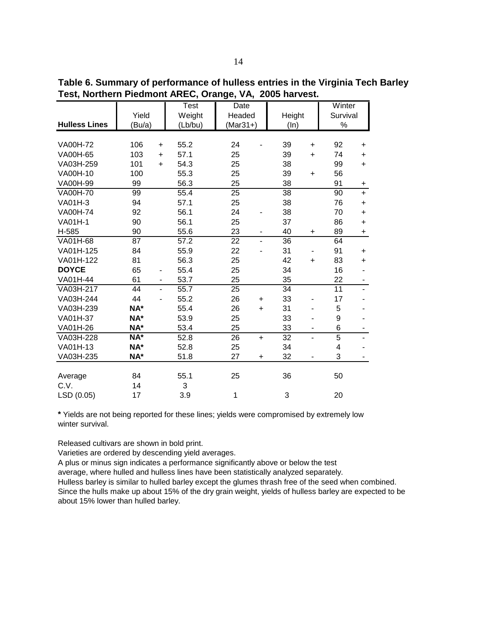**Table 6. Summary of performance of hulless entries in the Virginia Tech Barley Test, Northern Piedmont AREC, Orange, VA, 2005 harvest.** 

|                      |                  | <b>Test</b> | Date                           |                       | Winter          |  |
|----------------------|------------------|-------------|--------------------------------|-----------------------|-----------------|--|
|                      | Yield            | Weight      | Headed                         | Height                | Survival        |  |
| <b>Hulless Lines</b> | (Bu/a)           | (Lb/bu)     | $(Mar31+)$                     | (ln)                  | $\%$            |  |
|                      |                  |             |                                |                       |                 |  |
| <b>VA00H-72</b>      | 106<br>$\ddot{}$ | 55.2        | 24                             | 39<br>$\ddot{}$       | 92<br>$\ddot{}$ |  |
| VA00H-65             | 103<br>$\ddot{}$ | 57.1        | 25                             | 39<br>$\ddot{}$       | 74<br>$\ddot{}$ |  |
| VA03H-259            | 101<br>$\ddot{}$ | 54.3        | 25                             | 38                    | 99<br>$\ddot{}$ |  |
| VA00H-10             | 100              | 55.3        | 25                             | 39<br>$\ddot{}$       | 56              |  |
| VA00H-99             | 99               | 56.3        | 25                             | 38                    | 91<br>+         |  |
| <b>VA00H-70</b>      | 99               | 55.4        | 25                             | 38                    | 90<br>$\ddot{}$ |  |
| <b>VA01H-3</b>       | 94               | 57.1        | 25                             | 38                    | 76<br>$\ddot{}$ |  |
| <b>VA00H-74</b>      | 92               | 56.1        | 24                             | 38                    | 70<br>$\ddot{}$ |  |
| <b>VA01H-1</b>       | 90               | 56.1        | 25                             | 37                    | 86<br>$\ddot{}$ |  |
| H-585                | 90               | 55.6        | 23<br>$\overline{\phantom{0}}$ | 40<br>$\ddot{}$       | 89<br>$\ddot{}$ |  |
| VA01H-68             | 87               | 57.2        | 22<br>$\overline{a}$           | 36                    | 64              |  |
| VA01H-125            | 84               | 55.9        | 22                             | 31                    | 91<br>$\ddot{}$ |  |
| VA01H-122            | 81               | 56.3        | 25                             | 42<br>$\ddot{}$       | 83<br>$\ddot{}$ |  |
| <b>DOYCE</b>         | 65<br>۰          | 55.4        | 25                             | 34                    | 16              |  |
| VA01H-44             | 61               | 53.7        | 25                             | 35                    | 22              |  |
| VA03H-217            | 44<br>÷,         | 55.7        | 25                             | 34                    | 11              |  |
| VA03H-244            | 44<br>ä,         | 55.2        | 26<br>$\ddot{}$                | 33                    | 17              |  |
| VA03H-239            | NA*              | 55.4        | 26<br>$\ddot{}$                | 31                    | 5               |  |
| VA01H-37             | NA*              | 53.9        | 25                             | 33<br>۰               | 9               |  |
| VA01H-26             | NA*              | 53.4        | 25                             | 33<br>۰               | 6               |  |
| VA03H-228            | NA*              | 52.8        | 26<br>$\ddot{}$                | $\overline{32}$<br>÷, | 5               |  |
| VA01H-13             | NA*              | 52.8        | 25                             | 34                    | 4               |  |
| VA03H-235            | NA*              | 51.8        | 27<br>$\ddot{}$                | 32                    | 3               |  |
|                      |                  |             |                                |                       |                 |  |
| Average              | 84               | 55.1        | 25                             | 36                    | 50              |  |
| C.V.                 | 14               | 3           |                                |                       |                 |  |
| LSD (0.05)           | 17               | 3.9         | 1                              | 3                     | 20              |  |

**\*** Yields are not being reported for these lines; yields were compromised by extremely low winter survival.

Released cultivars are shown in bold print.

Varieties are ordered by descending yield averages.

A plus or minus sign indicates a performance significantly above or below the test

average, where hulled and hulless lines have been statistically analyzed separately.

Hulless barley is similar to hulled barley except the glumes thrash free of the seed when combined.

Since the hulls make up about 15% of the dry grain weight, yields of hulless barley are expected to be about 15% lower than hulled barley.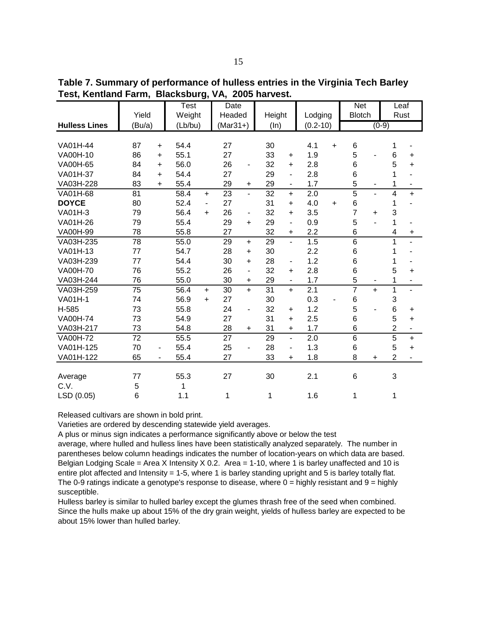**Table 7. Summary of performance of hulless entries in the Virginia Tech Barley Test, Kentland Farm, Blacksburg, VA, 2005 harvest.** 

|                      |        |           | Test    |           | Date       |                          |        |                          |              |           | <b>Net</b>     |           | Leaf           |                |
|----------------------|--------|-----------|---------|-----------|------------|--------------------------|--------|--------------------------|--------------|-----------|----------------|-----------|----------------|----------------|
|                      | Yield  |           | Weight  |           | Headed     |                          | Height |                          | Lodging      |           | <b>Blotch</b>  |           | Rust           |                |
| <b>Hulless Lines</b> | (Bu/a) |           | (Lb/bu) |           | $(Mar31+)$ |                          | (ln)   |                          | $(0.2 - 10)$ |           |                | $(0-9)$   |                |                |
|                      |        |           |         |           |            |                          |        |                          |              |           |                |           |                |                |
| VA01H-44             | 87     | $\ddot{}$ | 54.4    |           | 27         |                          | 30     |                          | 4.1          | $\ddot{}$ | 6              |           | 1              |                |
| VA00H-10             | 86     | $\ddot{}$ | 55.1    |           | 27         |                          | 33     | $\ddot{}$                | 1.9          |           | 5              |           | 6              | $\ddot{}$      |
| VA00H-65             | 84     | $\ddot{}$ | 56.0    |           | 26         | $\overline{\phantom{0}}$ | 32     | $\ddot{}$                | 2.8          |           | $6\phantom{1}$ |           | 5              | $+$            |
| VA01H-37             | 84     | $\ddot{}$ | 54.4    |           | 27         |                          | 29     | -                        | 2.8          |           | $6\phantom{1}$ |           | 1              |                |
| VA03H-228            | 83     | $\ddot{}$ | 55.4    |           | 29         | $\ddot{}$                | 29     | -                        | 1.7          |           | 5              |           | 1              |                |
| VA01H-68             | 81     |           | 58.4    | $+$       | 23         | $\overline{a}$           | 32     | $+$                      | 2.0          |           | $\overline{5}$ | ÷.        | 4              | $+$            |
| <b>DOYCE</b>         | 80     |           | 52.4    | Ξ.        | 27         |                          | 31     | $\ddot{}$                | 4.0          | $\ddot{}$ | $\,6$          |           | 1              |                |
| VA01H-3              | 79     |           | 56.4    | $\ddot{}$ | 26         | $\overline{\phantom{a}}$ | 32     | $\ddot{}$                | 3.5          |           | $\overline{7}$ | $\ddot{}$ | 3              |                |
| VA01H-26             | 79     |           | 55.4    |           | 29         | $+$                      | 29     | $\blacksquare$           | 0.9          |           | 5              |           | 1              |                |
| VA00H-99             | 78     |           | 55.8    |           | 27         |                          | 32     | $\ddot{}$                | 2.2          |           | 6              |           | 4              | $\ddot{}$      |
| VA03H-235            | 78     |           | 55.0    |           | 29         | $+$                      | 29     | $\blacksquare$           | 1.5          |           | $6\phantom{1}$ |           | 1              |                |
| VA01H-13             | 77     |           | 54.7    |           | 28         | $+$                      | 30     |                          | 2.2          |           | $6\phantom{1}$ |           | 1              |                |
| VA03H-239            | 77     |           | 54.4    |           | 30         | $+$                      | 28     | $\overline{\phantom{a}}$ | 1.2          |           | 6              |           | 1              |                |
| <b>VA00H-70</b>      | 76     |           | 55.2    |           | 26         | $\overline{a}$           | 32     | $\ddot{}$                | 2.8          |           | $6\phantom{1}$ |           | 5              | $\ddot{}$      |
| VA03H-244            | 76     |           | 55.0    |           | 30         | $+$                      | 29     | -                        | 1.7          |           | 5              |           | 1              |                |
| VA03H-259            | 75     |           | 56.4    | $\ddot{}$ | 30         | $+$                      | 31     | $+$                      | 2.1          |           | $\overline{7}$ | $+$       | 1              | $\overline{a}$ |
| <b>VA01H-1</b>       | 74     |           | 56.9    | $\ddot{}$ | 27         |                          | 30     |                          | 0.3          |           | 6              |           | 3              |                |
| H-585                | 73     |           | 55.8    |           | 24         | $\frac{1}{2}$            | 32     | $\ddot{}$                | 1.2          |           | 5              |           | 6              | $+$            |
| <b>VA00H-74</b>      | 73     |           | 54.9    |           | 27         |                          | 31     | $+$                      | 2.5          |           | 6              |           | 5              | $\ddot{}$      |
| VA03H-217            | 73     |           | 54.8    |           | 28         | $\ddot{}$                | 31     | $\ddot{}$                | 1.7          |           | 6              |           | $\overline{2}$ |                |
| <b>VA00H-72</b>      | 72     |           | 55.5    |           | 27         |                          | 29     | $\overline{\phantom{a}}$ | 2.0          |           | 6              |           | $\overline{5}$ | $+$            |
| VA01H-125            | 70     |           | 55.4    |           | 25         | $\overline{a}$           | 28     | -                        | 1.3          |           | $6\phantom{1}$ |           | 5              | $\ddot{}$      |
| VA01H-122            | 65     | -         | 55.4    |           | 27         |                          | 33     | $\ddot{}$                | 1.8          |           | 8              | $\ddot{}$ | $\overline{2}$ |                |
|                      |        |           |         |           |            |                          |        |                          |              |           |                |           |                |                |
| Average              | 77     |           | 55.3    |           | 27         |                          | 30     |                          | 2.1          |           | 6              |           | 3              |                |
| C.V.                 | 5      |           | 1       |           |            |                          |        |                          |              |           |                |           |                |                |
| LSD (0.05)           | 6      |           | 1.1     |           | 1          |                          | 1      |                          | 1.6          |           | 1              |           | 1              |                |

Varieties are ordered by descending statewide yield averages.

A plus or minus sign indicates a performance significantly above or below the test

average, where hulled and hulless lines have been statistically analyzed separately. The number in parentheses below column headings indicates the number of location-years on which data are based. Belgian Lodging Scale = Area X Intensity X 0.2. Area = 1-10, where 1 is barley unaffected and 10 is entire plot affected and Intensity = 1-5, where 1 is barley standing upright and 5 is barley totally flat. The 0-9 ratings indicate a genotype's response to disease, where  $0 =$  highly resistant and  $9 =$  highly susceptible.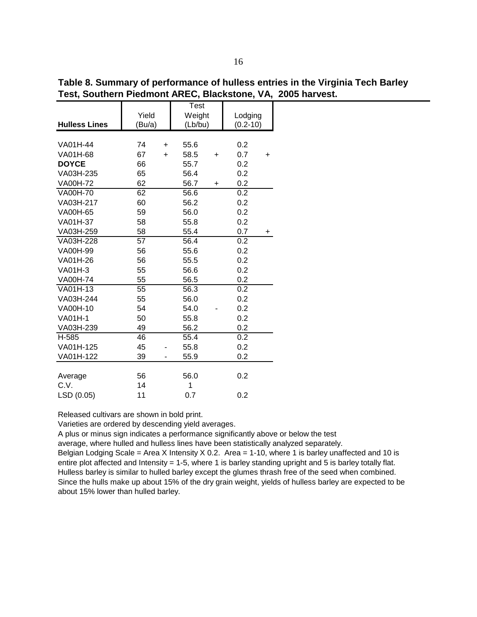|                      |        |           | <b>Test</b> |           |              |           |
|----------------------|--------|-----------|-------------|-----------|--------------|-----------|
|                      | Yield  |           | Weight      |           | Lodging      |           |
| <b>Hulless Lines</b> | (Bu/a) |           | (Lb/bu)     |           | $(0.2 - 10)$ |           |
|                      |        |           |             |           |              |           |
| VA01H-44             | 74     | $\ddot{}$ | 55.6        |           | 0.2          |           |
| VA01H-68             | 67     | $\ddot{}$ | 58.5        | +         | 0.7          | +         |
| <b>DOYCE</b>         | 66     |           | 55.7        |           | 0.2          |           |
| VA03H-235            | 65     |           | 56.4        |           | 0.2          |           |
| VA00H-72             | 62     |           | 56.7        | $\ddot{}$ | 0.2          |           |
| <b>VA00H-70</b>      | 62     |           | 56.6        |           | 0.2          |           |
| VA03H-217            | 60     |           | 56.2        |           | 0.2          |           |
| VA00H-65             | 59     |           | 56.0        |           | 0.2          |           |
| VA01H-37             | 58     |           | 55.8        |           | 0.2          |           |
| VA03H-259            | 58     |           | 55.4        |           | 0.7          | $\ddot{}$ |
| VA03H-228            | 57     |           | 56.4        |           | 0.2          |           |
| VA00H-99             | 56     |           | 55.6        |           | 0.2          |           |
| VA01H-26             | 56     |           | 55.5        |           | 0.2          |           |
| VA01H-3              | 55     |           | 56.6        |           | 0.2          |           |
| <b>VA00H-74</b>      | 55     |           | 56.5        |           | 0.2          |           |
| VA01H-13             | 55     |           | 56.3        |           | 0.2          |           |
| VA03H-244            | 55     |           | 56.0        |           | 0.2          |           |
| VA00H-10             | 54     |           | 54.0        |           | 0.2          |           |
| <b>VA01H-1</b>       | 50     |           | 55.8        |           | 0.2          |           |
| VA03H-239            | 49     |           | 56.2        |           | 0.2          |           |
| H-585                | 46     |           | 55.4        |           | 0.2          |           |
| VA01H-125            | 45     |           | 55.8        |           | 0.2          |           |
| VA01H-122            | 39     |           | 55.9        |           | 0.2          |           |
|                      |        |           |             |           |              |           |
| Average              | 56     |           | 56.0        |           | 0.2          |           |
| C.V.                 | 14     |           | 1           |           |              |           |
| LSD (0.05)           | 11     |           | 0.7         |           | 0.2          |           |

**Table 8. Summary of performance of hulless entries in the Virginia Tech Barley Test, Southern Piedmont AREC, Blackstone, VA, 2005 harvest.**

Varieties are ordered by descending yield averages.

A plus or minus sign indicates a performance significantly above or below the test

average, where hulled and hulless lines have been statistically analyzed separately.

Belgian Lodging Scale = Area X Intensity X 0.2. Area = 1-10, where 1 is barley unaffected and 10 is entire plot affected and Intensity = 1-5, where 1 is barley standing upright and 5 is barley totally flat. Hulless barley is similar to hulled barley except the glumes thrash free of the seed when combined. Since the hulls make up about 15% of the dry grain weight, yields of hulless barley are expected to be about 15% lower than hulled barley.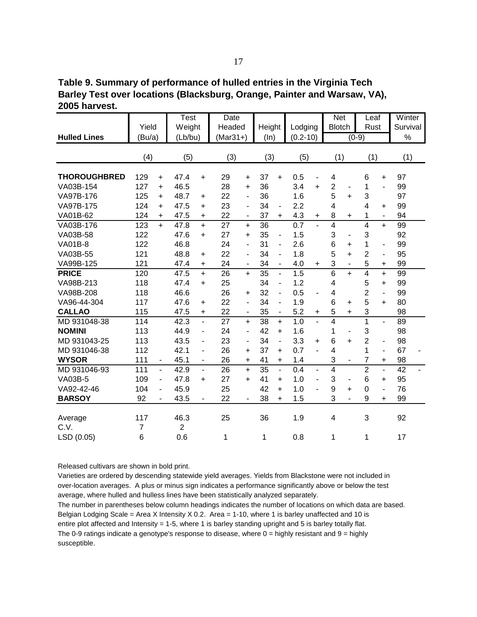**Table 9. Summary of performance of hulled entries in the Virginia Tech Barley Test over locations (Blacksburg, Orange, Painter and Warsaw, VA), 2005 harvest.**

|                     | Yield                 |                          | <b>Test</b><br>Weight  |                          | Date<br>Headed |                              | Height          |                          | Lodging      |                          | <b>Net</b><br><b>Blotch</b> |                          | Leaf<br>Rust   |                          | Winter<br>Survival |
|---------------------|-----------------------|--------------------------|------------------------|--------------------------|----------------|------------------------------|-----------------|--------------------------|--------------|--------------------------|-----------------------------|--------------------------|----------------|--------------------------|--------------------|
| <b>Hulled Lines</b> | (Bu/a)                |                          | (Lb/bu)                |                          | $(Mar31+)$     |                              | (ln)            |                          | $(0.2 - 10)$ |                          |                             |                          | $(0-9)$        |                          | $\%$               |
|                     |                       |                          |                        |                          |                |                              |                 |                          |              |                          |                             |                          |                |                          |                    |
|                     | (4)                   |                          | (5)                    |                          | (3)            |                              | (3)             |                          | (5)          |                          | (1)                         |                          | (1)            |                          | (1)                |
| <b>THOROUGHBRED</b> | 129                   | $\ddot{}$                | 47.4                   | $\ddot{}$                | 29             | $\ddot{}$                    | 37              | $+$                      | 0.5          | $\overline{\phantom{a}}$ | 4                           |                          | 6              | $\ddot{}$                | 97                 |
| VA03B-154           | 127                   | $\ddot{}$                | 46.5                   |                          | 28             | $\ddot{}$                    | 36              |                          | 3.4          | $\ddot{}$                | $\overline{2}$              |                          | 1              | ÷,                       | 99                 |
| VA97B-176           | 125                   | $\ddot{}$                | 48.7                   | $\ddot{}$                | 22             | $\overline{\phantom{a}}$     | 36              |                          | 1.6          |                          | 5                           | $\ddot{}$                | 3              |                          | 97                 |
| VA97B-175           | 124                   | $\ddot{}$                | 47.5                   | $\ddot{}$                | 23             | $\overline{\phantom{a}}$     | 34              | $\overline{\phantom{0}}$ | 2.2          |                          | $\overline{\mathbf{4}}$     |                          | $\overline{4}$ | +                        | 99                 |
| VA01B-62            | 124                   | $\pm$                    | 47.5                   | +                        | 22             | $\overline{\phantom{m}}$     | 37              | $+$                      | 4.3          | $\ddot{}$                | 8                           | $\ddot{}$                | 1              | $\overline{\phantom{a}}$ | 94                 |
| VA03B-176           | 123                   | $+$                      | 47.8                   | $+$                      | 27             | $\ddot{}$                    | 36              |                          | 0.7          |                          | $\overline{4}$              |                          | $\overline{4}$ | $+$                      | 99                 |
| VA03B-58            | 122                   |                          | 47.6                   | $\ddot{}$                | 27             | $\ddot{}$                    | 35              | $\frac{1}{2}$            | 1.5          |                          | 3                           | ÷,                       | 3              |                          | 92                 |
| <b>VA01B-8</b>      | 122                   |                          | 46.8                   |                          | 24             | $\overline{\phantom{0}}$     | 31              | $\blacksquare$           | 2.6          |                          | $\,6$                       | $\ddot{}$                | $\mathbf{1}$   | $\overline{\phantom{m}}$ | 99                 |
| VA03B-55            | 121                   |                          | 48.8                   | +                        | 22             | $\overline{a}$               | 34              | ÷.                       | 1.8          |                          | 5                           | $\ddot{}$                | $\overline{2}$ | $\overline{\phantom{a}}$ | 95                 |
| VA99B-125           | 121                   |                          | 47.4                   | $\ddot{}$                | 24             | $\qquad \qquad \blacksquare$ | 34              | $\frac{1}{2}$            | 4.0          | $\ddot{}$                | 3                           | ä,                       | 5              | $\ddot{}$                | 99                 |
| <b>PRICE</b>        | 120                   |                          | 47.5                   | $+$                      | 26             | $+$                          | $\overline{35}$ | $\overline{\phantom{0}}$ | 1.5          |                          | $\overline{6}$              | $+$                      | $\overline{4}$ | $\ddot{}$                | 99                 |
| VA98B-213           | 118                   |                          | 47.4                   | $\ddot{}$                | 25             |                              | 34              | $\overline{\phantom{0}}$ | 1.2          |                          | $\overline{\mathbf{4}}$     |                          | 5              | $\ddot{}$                | 99                 |
| VA98B-208           | 118                   |                          | 46.6                   |                          | 26             | $\ddot{}$                    | 32              | $\frac{1}{2}$            | 0.5          | $\blacksquare$           | $\overline{4}$              |                          | $\overline{2}$ | $\overline{\phantom{a}}$ | 99                 |
| VA96-44-304         | 117                   |                          | 47.6                   | $\ddot{}$                | 22             | ä,                           | 34              | $\overline{\phantom{0}}$ | 1.9          |                          | $\,6$                       | $\ddot{}$                | 5              | $\ddot{}$                | 80                 |
| <b>CALLAO</b>       | 115                   |                          | 47.5                   | $\ddot{}$                | 22             | $\overline{\phantom{m}}$     | 35              |                          | 5.2          | $\ddot{}$                | 5                           | $\ddot{}$                | 3              |                          | 98                 |
| MD 931048-38        | 114                   |                          | 42.3                   | ÷.                       | 27             | $+$                          | 38              | $+$                      | 1.0          |                          | $\overline{4}$              |                          | $\mathbf{1}$   | ÷.                       | 89                 |
| <b>NOMINI</b>       | 113                   |                          | 44.9                   | $\overline{\phantom{0}}$ | 24             | ٠                            | 42              | $\ddot{}$                | 1.6          |                          | 1                           | $\overline{\phantom{a}}$ | 3              |                          | 98                 |
| MD 931043-25        | 113                   |                          | 43.5                   | $\overline{\phantom{0}}$ | 23             | $\overline{\phantom{0}}$     | 34              | $\overline{\phantom{0}}$ | 3.3          | $\ddot{}$                | $6\phantom{1}$              | $\ddot{}$                | $\overline{2}$ | $\overline{\phantom{0}}$ | 98                 |
| MD 931046-38        | 112                   |                          | 42.1                   | L.                       | 26             | $\ddot{}$                    | 37              | $\ddot{}$                | 0.7          | ä,                       | $\overline{4}$              |                          | 1              | ÷,                       | 67                 |
| <b>WYSOR</b>        | 111                   |                          | 45.1                   | $\overline{\phantom{0}}$ | 26             | $\ddot{}$                    | 41              | $\ddot{}$                | 1.4          |                          | 3                           | $\blacksquare$           | $\overline{7}$ | $\ddot{}$                | 98                 |
| MD 931046-93        | 111                   | $\blacksquare$           | 42.9                   | $\overline{\phantom{0}}$ | 26             | $\ddot{}$                    | $\overline{35}$ | $\overline{\phantom{a}}$ | 0.4          | $\blacksquare$           | $\overline{4}$              |                          | $\overline{2}$ | L.                       | $\overline{42}$    |
| <b>VA03B-5</b>      | 109                   | $\blacksquare$           | 47.8                   | $\ddot{}$                | 27             | $\ddot{}$                    | 41              | $+$                      | 1.0          | $\blacksquare$           | 3                           | $\overline{\phantom{a}}$ | 6              | $+$                      | 95                 |
| VA92-42-46          | 104                   | $\overline{\phantom{a}}$ | 45.9                   |                          | 25             |                              | 42              | $\ddot{}$                | 1.0          | $\blacksquare$           | 9                           | $\ddot{}$                | 0              | $\overline{\phantom{0}}$ | 76                 |
| <b>BARSOY</b>       | 92                    | $\blacksquare$           | 43.5                   | $\blacksquare$           | 22             | $\overline{\phantom{a}}$     | 38              | $\ddot{}$                | 1.5          |                          | 3                           | $\overline{a}$           | 9              | $+$                      | 99                 |
| Average<br>C.V.     | 117<br>$\overline{7}$ |                          | 46.3<br>$\overline{2}$ |                          | 25             |                              | 36              |                          | 1.9          |                          | 4                           |                          | 3              |                          | 92                 |
| LSD (0.05)          | 6                     |                          | 0.6                    |                          | 1              |                              | 1               |                          | 0.8          |                          | 1                           |                          | 1              |                          | 17                 |

Varieties are ordered by descending statewide yield averages. Yields from Blackstone were not included in over-location averages. A plus or minus sign indicates a performance significantly above or below the test average, where hulled and hulless lines have been statistically analyzed separately.

The number in parentheses below column headings indicates the number of locations on which data are based. Belgian Lodging Scale = Area X Intensity  $X$  0.2. Area = 1-10, where 1 is barley unaffected and 10 is entire plot affected and Intensity = 1-5, where 1 is barley standing upright and 5 is barley totally flat. The 0-9 ratings indicate a genotype's response to disease, where  $0 =$  highly resistant and  $9 =$  highly susceptible.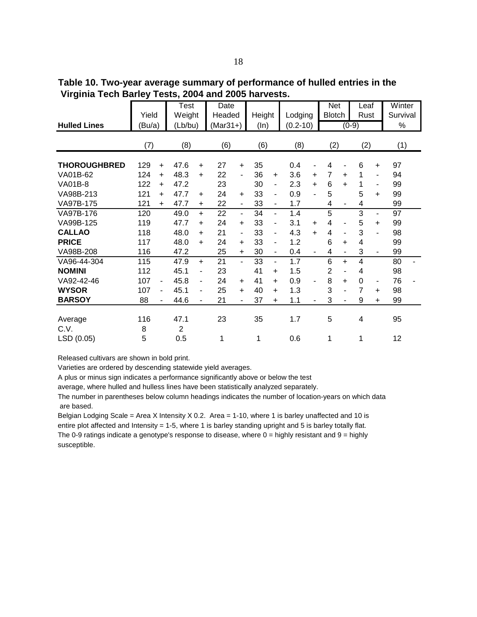**Table 10. Two-year average summary of performance of hulled entries in the Virginia Tech Barley Tests, 2004 and 2005 harvests.**

|                                                                             | Yield                                                                                        | Test<br>Weight                                                                                                              | Date<br>Headed                                                   | Height                                                                        | Lodging                                            | <b>Net</b><br><b>Blotch</b>                                 | Leaf<br>Rust                                                                   | Winter<br>Survival         |
|-----------------------------------------------------------------------------|----------------------------------------------------------------------------------------------|-----------------------------------------------------------------------------------------------------------------------------|------------------------------------------------------------------|-------------------------------------------------------------------------------|----------------------------------------------------|-------------------------------------------------------------|--------------------------------------------------------------------------------|----------------------------|
| <b>Hulled Lines</b>                                                         | (Bu/a)                                                                                       | (Lb/bu)                                                                                                                     | $(Mar31+)$                                                       | (ln)                                                                          | $(0.2 - 10)$                                       |                                                             | $(0-9)$                                                                        | $\%$                       |
|                                                                             | (7)                                                                                          | (8)                                                                                                                         | (6)                                                              | (6)                                                                           | (8)                                                | (2)                                                         | (2)                                                                            | (1)                        |
| <b>THOROUGHBRED</b><br>VA01B-62<br><b>VA01B-8</b><br>VA98B-213              | 129<br>$+$<br>124<br>$\ddot{}$<br>122<br>$\ddot{}$<br>121<br>$\ddot{}$                       | 47.6<br>$+$<br>48.3<br>$+$<br>47.2<br>47.7<br>$\ddot{}$                                                                     | 27<br>$\ddot{}$<br>22<br>$\blacksquare$<br>23<br>24<br>$+$       | 35<br>36<br>$\ddot{}$<br>30<br>$\blacksquare$<br>33<br>$\blacksquare$         | 0.4<br>3.6<br>$\ddot{}$<br>2.3<br>$\ddot{}$<br>0.9 | 4<br>$\overline{7}$<br>$\ddot{}$<br>6<br>$\ddot{}$<br>5     | 6<br>$\ddot{}$<br>1<br>$\blacksquare$<br>1<br>$\blacksquare$<br>5<br>$\ddot{}$ | 97<br>94<br>99<br>99       |
| VA97B-175                                                                   | 121<br>$+$                                                                                   | 47.7<br>$+$                                                                                                                 | 22<br>$\overline{\phantom{a}}$                                   | 33<br>$\blacksquare$                                                          | 1.7                                                | 4<br>$\blacksquare$                                         | 4                                                                              | 99                         |
| VA97B-176<br>VA99B-125                                                      | 120<br>119                                                                                   | 49.0<br>$+$<br>47.7<br>$\ddot{}$                                                                                            | 22<br>$\overline{\phantom{0}}$<br>24<br>$\ddot{}$<br>21          | 34<br>$\blacksquare$<br>33<br>$\blacksquare$                                  | 1.4<br>3.1<br>$\ddot{}$<br>$\ddot{}$               | 5<br>4<br>٠<br>4<br>ä,                                      | 3<br>$\sim$<br>5<br>$\ddot{}$<br>3                                             | 97<br>99                   |
| <b>CALLAO</b><br><b>PRICE</b><br>VA98B-208                                  | 118<br>117<br>116                                                                            | 48.0<br>$\ddot{}$<br>48.0<br>$+$<br>47.2                                                                                    | $\blacksquare$<br>24<br>$\ddot{}$<br>25<br>$+$                   | 33<br>-<br>33<br>30<br>-                                                      | 4.3<br>1.2<br>0.4<br>٠                             | 6<br>$\ddot{}$<br>4<br>$\overline{\phantom{0}}$             | 4<br>3<br>$\blacksquare$                                                       | 98<br>99<br>99             |
| VA96-44-304<br><b>NOMINI</b><br>VA92-42-46<br><b>WYSOR</b><br><b>BARSOY</b> | 115<br>112<br>107<br>$\overline{\phantom{a}}$<br>107<br>$\overline{\phantom{0}}$<br>88<br>÷, | 47.9<br>$+$<br>45.1<br>ä,<br>45.8<br>$\overline{\phantom{m}}$<br>45.1<br>$\overline{\phantom{a}}$<br>44.6<br>$\blacksquare$ | 21<br>$\blacksquare$<br>23<br>24<br>$+$<br>25<br>$+$<br>21<br>÷. | 33<br>-<br>41<br>$\ddot{}$<br>41<br>$\ddot{}$<br>40<br>$\ddot{}$<br>37<br>$+$ | 1.7<br>1.5<br>0.9<br>۰<br>1.3<br>1.1<br>۰          | 6<br>$+$<br>$\overline{2}$<br>8<br>$\ddot{}$<br>3<br>۰<br>3 | 4<br>4<br>0<br>$\blacksquare$<br>$\overline{7}$<br>$\ddot{}$<br>9<br>$+$       | 80<br>98<br>76<br>98<br>99 |
| Average<br>C.V.<br>LSD (0.05)                                               | 116<br>8<br>5                                                                                | 47.1<br>$\overline{2}$<br>0.5                                                                                               | 23<br>1                                                          | 35<br>1                                                                       | 1.7<br>0.6                                         | 5<br>1                                                      | 4<br>1                                                                         | 95<br>12                   |

Varieties are ordered by descending statewide yield averages.

A plus or minus sign indicates a performance significantly above or below the test

average, where hulled and hulless lines have been statistically analyzed separately.

The number in parentheses below column headings indicates the number of location-years on which data are based.

Belgian Lodging Scale = Area X Intensity  $X$  0.2. Area = 1-10, where 1 is barley unaffected and 10 is entire plot affected and Intensity = 1-5, where 1 is barley standing upright and 5 is barley totally flat. The 0-9 ratings indicate a genotype's response to disease, where  $0 =$  highly resistant and  $9 =$  highly susceptible.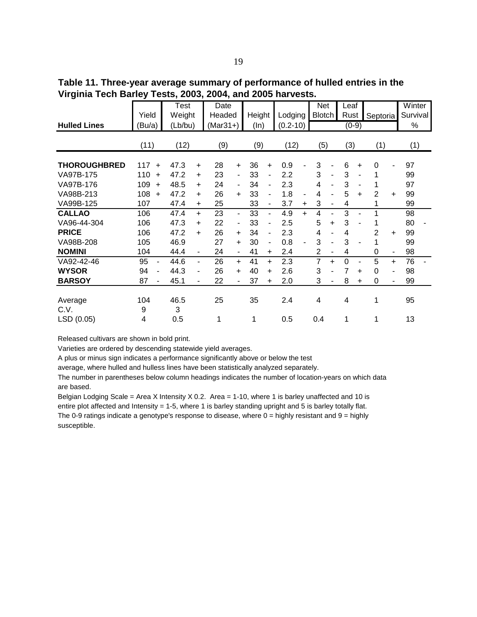**Table 11. Three-year average summary of performance of hulled entries in the Virginia Tech Barley Tests, 2003, 2004, and 2005 harvests.**

|                     |                      | Test      |                          | <b>Date</b> |                          |        |                          |              |                          | <b>Net</b>     |                | Leaf |                |          |           | Winter   |
|---------------------|----------------------|-----------|--------------------------|-------------|--------------------------|--------|--------------------------|--------------|--------------------------|----------------|----------------|------|----------------|----------|-----------|----------|
|                     | Yield                | Weight    |                          | Headed      |                          | Height |                          | Lodging      |                          | <b>Blotch</b>  |                | Rust |                | Septoria |           | Survival |
| <b>Hulled Lines</b> | Bu/a)                | (Lb/bu)   |                          | (Mar31+)    |                          | (ln)   |                          | $(0.2 - 10)$ |                          |                |                |      | $(0-9)$        |          |           | %        |
|                     | (11)                 | (12)      |                          | (9)         |                          | (9)    |                          | (12)         |                          | (5)            |                | (3)  |                | (1)      |           | (1)      |
| <b>THOROUGHBRED</b> | 117<br>$\ddot{}$     | 47.3      | $\ddot{}$                | 28          | $\ddot{}$                | 36     | $\ddot{}$                | 0.9          |                          | 3              |                | 6    | $\ddot{}$      | 0        |           | 97       |
| VA97B-175           | 110<br>$\ddot{}$     | 47.2      | $\ddot{}$                | 23          | $\overline{\phantom{a}}$ | 33     | $\overline{\phantom{0}}$ | 2.2          |                          | 3              | $\blacksquare$ | 3    | $\blacksquare$ | 1        |           | 99       |
| VA97B-176           | 109<br>$\ddot{}$     | 48.5      | $\ddot{}$                | 24          | $\blacksquare$           | 34     | $\blacksquare$           | 2.3          |                          | 4              | ÷.             | 3    | $\blacksquare$ | 1        |           | 97       |
| VA98B-213           | 108<br>$\ddot{}$     | 47.2      | $\ddot{}$                | 26          | $+$                      | 33     | $\blacksquare$           | 1.8          | $\overline{\phantom{a}}$ | 4              | ۰              | 5    | $\ddot{}$      | 2        | $\ddot{}$ | 99       |
| VA99B-125           | 107                  | 47.4      | $\ddot{}$                | 25          |                          | 33     | $\overline{\phantom{a}}$ | 3.7          | $\ddot{}$                | 3              | -              | 4    |                | 1        |           | 99       |
| <b>CALLAO</b>       | 106                  | 47.4      | $+$                      | 23          | $\blacksquare$           | 33     | $\blacksquare$           | 4.9          | $\ddot{}$                | 4              | ۰              | 3    | ÷,             | 1        |           | 98       |
| VA96-44-304         | 106                  | 47.3      | $\ddot{}$                | 22          | $\overline{\phantom{0}}$ | 33     | $\overline{\phantom{a}}$ | 2.5          |                          | 5              | +              | 3    |                | 1        |           | 80       |
| <b>PRICE</b>        | 106                  | 47.2      | $\ddot{}$                | 26          | $+$                      | 34     | $\overline{\phantom{a}}$ | 2.3          |                          | 4              | -              | 4    |                | 2        | $\ddot{}$ | 99       |
| VA98B-208           | 105                  | 46.9      |                          | 27          | $\ddot{}$                | 30     | $\overline{\phantom{a}}$ | 0.8          | $\blacksquare$           | 3              | ۰              | 3    | $\blacksquare$ | 1        |           | 99       |
| <b>NOMINI</b>       | 104                  | 44.4      | $\overline{\phantom{a}}$ | 24          | $\blacksquare$           | 41     | $\ddot{}$                | 2.4          |                          | $\overline{2}$ | -              | 4    |                | 0        | ۰         | 98       |
| VA92-42-46          | 95<br>$\blacksquare$ | 44.6      | $\blacksquare$           | 26          | $\ddot{}$                | 41     | $\ddot{}$                | 2.3          |                          | $\overline{7}$ | $\ddot{}$      | 0    | ä,             | 5        | $\ddot{}$ | 76       |
| <b>WYSOR</b>        | 94<br>$\blacksquare$ | 44.3      | $\overline{\phantom{a}}$ | 26          | $\ddot{}$                | 40     | $\ddot{}$                | 2.6          |                          | 3              |                | 7    | $\ddot{}$      | $\Omega$ |           | 98       |
| <b>BARSOY</b>       | 87                   | 45.1      |                          | 22          |                          | 37     | $\ddot{}$                | 2.0          |                          | 3              |                | 8    | $\ddot{}$      | 0        |           | 99       |
| Average<br>C.V.     | 104<br>9             | 46.5<br>3 |                          | 25          |                          | 35     |                          | 2.4          |                          | 4              |                | 4    |                | 1        |           | 95       |
| LSD (0.05)          | 4                    | 0.5       |                          | 1           |                          | 1      |                          | 0.5          |                          | 0.4            |                | 1    |                | 1        |           | 13       |

Varieties are ordered by descending statewide yield averages.

A plus or minus sign indicates a performance significantly above or below the test

average, where hulled and hulless lines have been statistically analyzed separately.

The number in parentheses below column headings indicates the number of location-years on which data are based.

Belgian Lodging Scale = Area X Intensity  $X$  0.2. Area = 1-10, where 1 is barley unaffected and 10 is entire plot affected and Intensity = 1-5, where 1 is barley standing upright and 5 is barley totally flat. The 0-9 ratings indicate a genotype's response to disease, where  $0 =$  highly resistant and  $9 =$  highly susceptible.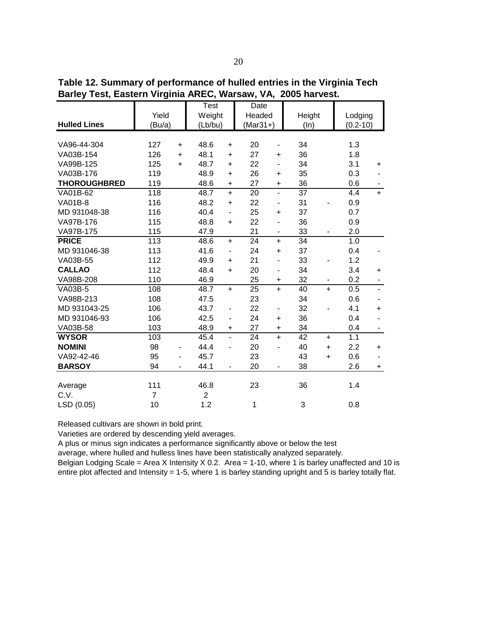**Table 12. Summary of performance of hulled entries in the Virginia Tech Barley Test, Eastern Virginia AREC, Warsaw, VA, 2005 harvest.**

|                     |                  |           | Test           |                              | Date       |                              |        |           |              |                          |
|---------------------|------------------|-----------|----------------|------------------------------|------------|------------------------------|--------|-----------|--------------|--------------------------|
|                     | Yield            |           | Weight         |                              | Headed     |                              | Height |           | Lodging      |                          |
| <b>Hulled Lines</b> | (Bu/a)           |           | (Lb/bu)        |                              | $(Mar31+)$ |                              | (ln)   |           | $(0.2 - 10)$ |                          |
|                     |                  |           |                |                              |            |                              |        |           |              |                          |
| VA96-44-304         | 127              | $\ddot{}$ | 48.6           | $\ddot{}$                    | 20         | $\frac{1}{2}$                | 34     |           | 1.3          |                          |
| VA03B-154           | 126              | $\ddot{}$ | 48.1           | $\ddot{}$                    | 27         | +                            | 36     |           | 1.8          |                          |
| VA99B-125           | 125              | $\ddot{}$ | 48.7           | $\ddot{}$                    | 22         | -                            | 34     |           | 3.1          | $\ddot{}$                |
| VA03B-176           | 119              |           | 48.9           | $\ddot{}$                    | 26         | $\ddot{}$                    | 35     |           | 0.3          |                          |
| <b>THOROUGHBRED</b> | 119              |           | 48.6           | $\ddot{}$                    | 27         | +                            | 36     |           | 0.6          |                          |
| VA01B-62            | 118              |           | 48.7           | $\ddot{}$                    | 20         | $\qquad \qquad \blacksquare$ | 37     |           | 4.4          | $+$                      |
| <b>VA01B-8</b>      | 116              |           | 48.2           | $\ddot{}$                    | 22         | -                            | 31     |           | 0.9          |                          |
| MD 931048-38        | 116              |           | 40.4           | $\blacksquare$               | 25         | $\ddot{}$                    | 37     |           | 0.7          |                          |
| VA97B-176           | 115              |           | 48.8           | $\ddot{}$                    | 22         | -                            | 36     |           | 0.9          |                          |
| VA97B-175           | 115              |           | 47.9           |                              | 21         | $\frac{1}{2}$                | 33     |           | 2.0          |                          |
| <b>PRICE</b>        | $\overline{113}$ |           | 48.6           | $\ddot{}$                    | 24         | $\ddot{}$                    | 34     |           | 1.0          |                          |
| MD 931046-38        | 113              |           | 41.6           | ٠                            | 24         | $\ddot{}$                    | 37     |           | 0.4          |                          |
| VA03B-55            | 112              |           | 49.9           | $\ddot{}$                    | 21         | $\qquad \qquad \blacksquare$ | 33     |           | 1.2          |                          |
| <b>CALLAO</b>       | 112              |           | 48.4           | $\ddot{}$                    | 20         | $\overline{a}$               | 34     |           | 3.4          | $\ddot{}$                |
| VA98B-208           | 110              |           | 46.9           |                              | 25         | +                            | 32     |           | 0.2          | $\blacksquare$           |
| <b>VA03B-5</b>      | 108              |           | 48.7           | $\ddot{}$                    | 25         | $\ddot{}$                    | 40     | $\ddot{}$ | 0.5          | $\blacksquare$           |
| VA98B-213           | 108              |           | 47.5           |                              | 23         |                              | 34     |           | 0.6          |                          |
| MD 931043-25        | 106              |           | 43.7           | $\qquad \qquad \blacksquare$ | 22         | $\qquad \qquad \blacksquare$ | 32     |           | 4.1          | $\ddot{}$                |
| MD 931046-93        | 106              |           | 42.5           | -                            | 24         | $\ddot{}$                    | 36     |           | 0.4          | $\overline{\phantom{a}}$ |
| VA03B-58            | 103              |           | 48.9           | $\ddot{}$                    | 27         | $\ddot{}$                    | 34     |           | 0.4          | $\blacksquare$           |
| <b>WYSOR</b>        | 103              |           | 45.4           | $\overline{a}$               | 24         | $\ddot{}$                    | 42     | $\ddot{}$ | 1.1          |                          |
| <b>NOMINI</b>       | 98               | -         | 44.4           | $\overline{\phantom{0}}$     | 20         | $\qquad \qquad \blacksquare$ | 40     | $\ddot{}$ | 2.2          | $\ddot{}$                |
| VA92-42-46          | 95               |           | 45.7           |                              | 23         |                              | 43     | $\ddot{}$ | 0.6          |                          |
| <b>BARSOY</b>       | 94               |           | 44.1           |                              | 20         | -                            | 38     |           | 2.6          | $+$                      |
|                     |                  |           |                |                              |            |                              |        |           |              |                          |
| Average             | 111              |           | 46.8           |                              | 23         |                              | 36     |           | 1.4          |                          |
| C.V.                | $\overline{7}$   |           | $\overline{2}$ |                              |            |                              |        |           |              |                          |
| LSD (0.05)          | 10               |           | 1.2            |                              | 1          |                              | 3      |           | 0.8          |                          |

Varieties are ordered by descending yield averages.

A plus or minus sign indicates a performance significantly above or below the test

average, where hulled and hulless lines have been statistically analyzed separately.

Belgian Lodging Scale = Area X Intensity X 0.2. Area = 1-10, where 1 is barley unaffected and 10 is entire plot affected and Intensity = 1-5, where 1 is barley standing upright and 5 is barley totally flat.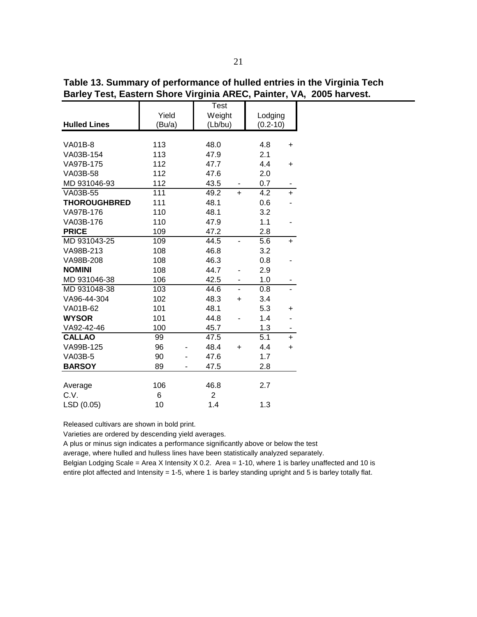**Hulled Lines** VA01B-8 113 48.0 4.8 + VA03B-154 113 47.9 2.1 VA97B-175 112 47.7 4.4 + VA03B-58 112 47.6 2.0 MD 931046-93 112 43.5 - 0.7 VA03B-55 111 49.2 + 4.2 + **THOROUGHBRED** 111 48.1 0.6 VA97B-176 110 48.1 3.2 VA03B-176 110 47.9 1.1 -**PRICE** 109 47.2 2.8 MD 931043-25 109 44.5 - 5.6 + VA98B-213 108 46.8 3.2 VA98B-208 108 46.3 0.8 **NOMINI** 108 44.7 - 2.9 MD 931046-38 106 42.5 - 1.0 MD 931048-38 103 44.6 - 0.8 -VA96-44-304 102 48.3 + 3.4 VA01B-62 101 48.1 5.3 + **WYSOR** 101 44.8 - 1.4 -VA92-42-46 100 45.7 1.3 **CALLAO** 99 47.5 5.1 + VA99B-125 96 - 48.4 + 4.4 + VA03B-5 90 - 47.6 1.7 **BARSOY** 89 - 47.5 2.8 Average 106 46.8 2.7 C.V. 6 2 (Bu/a) (Lb/bu) (0.2-10) Test Yield | Weight | Lodging

**Table 13. Summary of performance of hulled entries in the Virginia Tech Barley Test, Eastern Shore Virginia AREC, Painter, VA, 2005 harvest.**

Varieties are ordered by descending yield averages.

LSD (0.05) 10 1.4 1.3

A plus or minus sign indicates a performance significantly above or below the test

average, where hulled and hulless lines have been statistically analyzed separately.

Belgian Lodging Scale = Area X Intensity  $X$  0.2. Area = 1-10, where 1 is barley unaffected and 10 is entire plot affected and Intensity = 1-5, where 1 is barley standing upright and 5 is barley totally flat.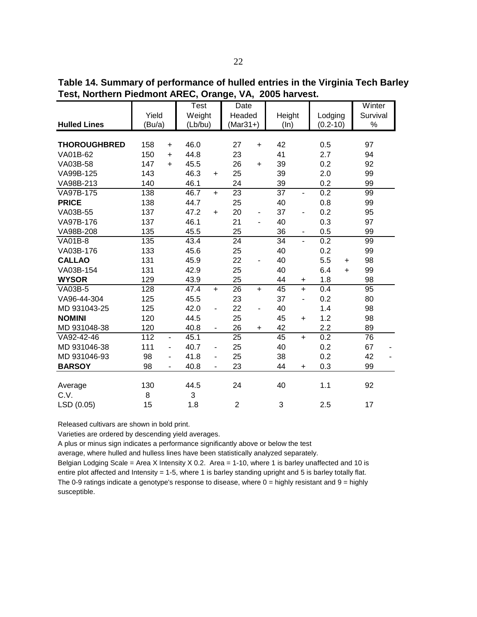**Table 14. Summary of performance of hulled entries in the Virginia Tech Barley Test, Northern Piedmont AREC, Orange, VA, 2005 harvest.** 

|                     |        |           | Test    |                          | <b>Date</b>    |           |                 |                          |              |           | Winter   |  |
|---------------------|--------|-----------|---------|--------------------------|----------------|-----------|-----------------|--------------------------|--------------|-----------|----------|--|
|                     | Yield  |           | Weight  |                          | Headed         |           | Height          |                          | Lodging      |           | Survival |  |
| <b>Hulled Lines</b> | (Bu/a) |           | (Lb/bu) |                          | $(Mar31+)$     |           | (ln)            |                          | $(0.2 - 10)$ |           | $\%$     |  |
|                     |        |           |         |                          |                |           |                 |                          |              |           |          |  |
| <b>THOROUGHBRED</b> | 158    | $\ddot{}$ | 46.0    |                          | 27             | $\ddot{}$ | 42              |                          | 0.5          |           | 97       |  |
| VA01B-62            | 150    | $\ddot{}$ | 44.8    |                          | 23             |           | 41              |                          | 2.7          |           | 94       |  |
| VA03B-58            | 147    | $\ddot{}$ | 45.5    |                          | 26             | $\ddot{}$ | 39              |                          | 0.2          |           | 92       |  |
| VA99B-125           | 143    |           | 46.3    | $+$                      | 25             |           | 39              |                          | 2.0          |           | 99       |  |
| VA98B-213           | 140    |           | 46.1    |                          | 24             |           | 39              |                          | 0.2          |           | 99       |  |
| VA97B-175           | 138    |           | 46.7    | $+$                      | 23             |           | $\overline{37}$ | $\overline{\phantom{a}}$ | 0.2          |           | 99       |  |
| <b>PRICE</b>        | 138    |           | 44.7    |                          | 25             |           | 40              |                          | 0.8          |           | 99       |  |
| VA03B-55            | 137    |           | 47.2    | $\ddot{}$                | 20             |           | 37              | ٠                        | 0.2          |           | 95       |  |
| VA97B-176           | 137    |           | 46.1    |                          | 21             |           | 40              |                          | 0.3          |           | 97       |  |
| VA98B-208           | 135    |           | 45.5    |                          | 25             |           | 36              | $\overline{\phantom{0}}$ | 0.5          |           | 99       |  |
| <b>VA01B-8</b>      | 135    |           | 43.4    |                          | 24             |           | 34              | ÷,                       | 0.2          |           | 99       |  |
| VA03B-176           | 133    |           | 45.6    |                          | 25             |           | 40              |                          | 0.2          |           | 99       |  |
| <b>CALLAO</b>       | 131    |           | 45.9    |                          | 22             |           | 40              |                          | 5.5          | $\ddot{}$ | 98       |  |
| VA03B-154           | 131    |           | 42.9    |                          | 25             |           | 40              |                          | 6.4          | $\ddot{}$ | 99       |  |
| <b>WYSOR</b>        | 129    |           | 43.9    |                          | 25             |           | 44              | +                        | 1.8          |           | 98       |  |
| <b>VA03B-5</b>      | 128    |           | 47.4    | $+$                      | 26             | $\ddot{}$ | 45              | $\ddot{}$                | 0.4          |           | 95       |  |
| VA96-44-304         | 125    |           | 45.5    |                          | 23             |           | 37              | $\overline{\phantom{a}}$ | 0.2          |           | 80       |  |
| MD 931043-25        | 125    |           | 42.0    | $\overline{\phantom{a}}$ | 22             |           | 40              |                          | 1.4          |           | 98       |  |
| <b>NOMINI</b>       | 120    |           | 44.5    |                          | 25             |           | 45              | $\ddot{}$                | 1.2          |           | 98       |  |
| MD 931048-38        | 120    |           | 40.8    | $\overline{\phantom{m}}$ | 26             | $\ddot{}$ | 42              |                          | 2.2          |           | 89       |  |
| VA92-42-46          | 112    | ٠         | 45.1    |                          | 25             |           | 45              | $+$                      | 0.2          |           | 76       |  |
| MD 931046-38        | 111    | Ξ.        | 40.7    | $\overline{\phantom{a}}$ | 25             |           | 40              |                          | 0.2          |           | 67       |  |
| MD 931046-93        | 98     | ۰         | 41.8    | $\blacksquare$           | 25             |           | 38              |                          | 0.2          |           | 42       |  |
| <b>BARSOY</b>       | 98     |           | 40.8    | ä,                       | 23             |           | 44              | $\ddot{}$                | 0.3          |           | 99       |  |
|                     |        |           |         |                          |                |           |                 |                          |              |           |          |  |
| Average             | 130    |           | 44.5    |                          | 24             |           | 40              |                          | 1.1          |           | 92       |  |
| C.V.                | 8      |           | 3       |                          |                |           |                 |                          |              |           |          |  |
| LSD (0.05)          | 15     |           | 1.8     |                          | $\overline{c}$ |           | 3               |                          | 2.5          |           | 17       |  |

Varieties are ordered by descending yield averages.

A plus or minus sign indicates a performance significantly above or below the test

average, where hulled and hulless lines have been statistically analyzed separately.

Belgian Lodging Scale = Area X Intensity X 0.2. Area = 1-10, where 1 is barley unaffected and 10 is entire plot affected and Intensity = 1-5, where 1 is barley standing upright and 5 is barley totally flat. The 0-9 ratings indicate a genotype's response to disease, where  $0 =$  highly resistant and  $9 =$  highly susceptible.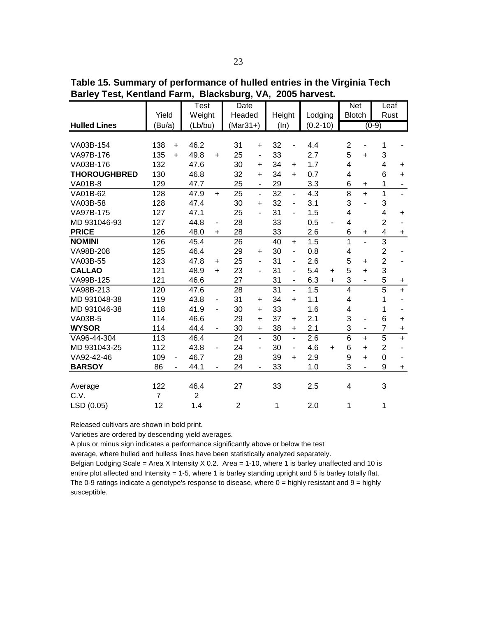**Table 15. Summary of performance of hulled entries in the Virginia Tech Barley Test, Kentland Farm, Blacksburg, VA, 2005 harvest.** 

|                     |                  | <b>Test</b>    |                          | Date            |                          |                 |                          |                  |           | <b>Net</b>              |                          | Leaf                    |                             |
|---------------------|------------------|----------------|--------------------------|-----------------|--------------------------|-----------------|--------------------------|------------------|-----------|-------------------------|--------------------------|-------------------------|-----------------------------|
|                     | Yield            | Weight         |                          | Headed          |                          | Height          |                          | Lodging          |           | <b>Blotch</b>           |                          | Rust                    |                             |
| <b>Hulled Lines</b> | (Bu/a)           | (Lb/bu)        |                          | $(Mar31+)$      |                          | (ln)            |                          | $(0.2 - 10)$     |           |                         |                          | $(0-9)$                 |                             |
|                     |                  |                |                          |                 |                          |                 |                          |                  |           |                         |                          |                         |                             |
| VA03B-154           | 138<br>$\ddot{}$ | 46.2           |                          | 31              | $\ddot{}$                | 32              | $\blacksquare$           | 4.4              |           | $\overline{c}$          | $\blacksquare$           | $\mathbf{1}$            |                             |
| VA97B-176           | 135<br>$\ddot{}$ | 49.8           | $\ddot{}$                | 25              | $\overline{\phantom{a}}$ | 33              |                          | 2.7              |           | 5                       | $+$                      | 3                       |                             |
| VA03B-176           | 132              | 47.6           |                          | 30              | $\ddot{}$                | 34              | $\ddot{}$                | 1.7              |           | 4                       |                          | 4                       | $\ddot{}$                   |
| <b>THOROUGHBRED</b> | 130              | 46.8           |                          | 32              | $\ddot{}$                | 34              | $+$                      | 0.7              |           | 4                       |                          | 6                       | $+$                         |
| <b>VA01B-8</b>      | 129              | 47.7           |                          | 25              | $\overline{\phantom{a}}$ | 29              |                          | 3.3              |           | 6                       | +                        | 1                       | $\blacksquare$              |
| VA01B-62            | 128              | 47.9           | $+$                      | $\overline{25}$ | $\overline{a}$           | $\overline{32}$ | $\blacksquare$           | $\overline{4.3}$ |           | $\overline{8}$          | $\ddot{}$                | $\overline{1}$          | $\mathcal{L}^{\mathcal{A}}$ |
| VA03B-58            | 128              | 47.4           |                          | 30              | $\ddot{}$                | 32              | $\blacksquare$           | 3.1              |           | 3                       |                          | 3                       |                             |
| VA97B-175           | 127              | 47.1           |                          | 25              | $\overline{\phantom{0}}$ | 31              | $\overline{\phantom{a}}$ | 1.5              |           | 4                       |                          | $\overline{\mathbf{4}}$ | $\ddot{}$                   |
| MD 931046-93        | 127              | 44.8           | $\overline{\phantom{m}}$ | 28              |                          | 33              |                          | 0.5              |           | $\overline{\mathbf{4}}$ |                          | $\overline{2}$          |                             |
| <b>PRICE</b>        | 126              | 48.0           | $+$                      | 28              |                          | 33              |                          | 2.6              |           | 6                       | $\ddot{}$                | $\overline{\mathbf{4}}$ | $\ddot{}$                   |
| <b>NOMINI</b>       | 126              | 45.4           |                          | 26              |                          | 40              | $\ddot{}$                | 1.5              |           | $\overline{1}$          | $\overline{a}$           | $\overline{3}$          |                             |
| VA98B-208           | 125              | 46.4           |                          | 29              | $\ddot{}$                | 30              | $\blacksquare$           | 0.8              |           | $\overline{\mathbf{4}}$ |                          | $\overline{c}$          |                             |
| VA03B-55            | 123              | 47.8           | $\ddot{}$                | 25              | $\overline{\phantom{0}}$ | 31              | $\blacksquare$           | 2.6              |           | 5                       | $\ddot{}$                | $\overline{2}$          |                             |
| <b>CALLAO</b>       | 121              | 48.9           | $+$                      | 23              | $\frac{1}{2}$            | 31              | $\blacksquare$           | 5.4              | $\ddot{}$ | 5                       | $+$                      | 3                       |                             |
| VA99B-125           | 121              | 46.6           |                          | 27              |                          | 31              | $\overline{\phantom{a}}$ | 6.3              | $\ddot{}$ | 3                       | $\overline{\phantom{a}}$ | 5                       | $\ddot{}$                   |
| VA98B-213           | 120              | 47.6           |                          | 28              |                          | $\overline{31}$ | $\overline{a}$           | 1.5              |           | $\overline{4}$          |                          | $\overline{5}$          | $+$                         |
| MD 931048-38        | 119              | 43.8           |                          | 31              | $\ddot{}$                | 34              | $+$                      | 1.1              |           | 4                       |                          | 1                       |                             |
| MD 931046-38        | 118              | 41.9           | $\overline{\phantom{m}}$ | 30              | $\ddot{}$                | 33              |                          | 1.6              |           | 4                       |                          | 1                       |                             |
| <b>VA03B-5</b>      | 114              | 46.6           |                          | 29              | $\ddot{}$                | 37              | $+$                      | 2.1              |           | 3                       | ٠                        | 6                       | $\ddot{}$                   |
| <b>WYSOR</b>        | 114              | 44.4           |                          | 30              | $\ddot{}$                | 38              | $\ddot{}$                | 2.1              |           | 3                       |                          | $\overline{7}$          | $\ddot{}$                   |
| VA96-44-304         | $\overline{113}$ | 46.4           |                          | $\overline{24}$ | $\overline{a}$           | $\overline{30}$ | $\overline{a}$           | 2.6              |           | $\overline{6}$          | $\ddot{}$                | $\overline{5}$          | $+$                         |
| MD 931043-25        | 112              | 43.8           | $\overline{\phantom{0}}$ | 24              | $\blacksquare$           | 30              | $\blacksquare$           | 4.6              | $\ddot{}$ | 6                       | $+$                      | $\overline{c}$          |                             |
| VA92-42-46          | 109              | 46.7           |                          | 28              |                          | 39              | $\ddot{}$                | 2.9              |           | 9                       | $+$                      | $\boldsymbol{0}$        |                             |
| <b>BARSOY</b>       | 86               | 44.1           |                          | 24              | $\overline{\phantom{0}}$ | 33              |                          | 1.0              |           | 3                       | ٠                        | 9                       | $+$                         |
|                     |                  |                |                          |                 |                          |                 |                          |                  |           |                         |                          |                         |                             |
| Average             | 122              | 46.4           |                          | 27              |                          | 33              |                          | 2.5              |           | 4                       |                          | 3                       |                             |
| C.V.                | $\overline{7}$   | $\overline{2}$ |                          |                 |                          |                 |                          |                  |           |                         |                          |                         |                             |
| LSD (0.05)          | 12               | 1.4            |                          | $\overline{2}$  |                          | 1               |                          | 2.0              |           | 1                       |                          | $\mathbf{1}$            |                             |

Varieties are ordered by descending yield averages.

A plus or minus sign indicates a performance significantly above or below the test

average, where hulled and hulless lines have been statistically analyzed separately.

Belgian Lodging Scale = Area X Intensity  $X$  0.2. Area = 1-10, where 1 is barley unaffected and 10 is entire plot affected and Intensity = 1-5, where 1 is barley standing upright and 5 is barley totally flat. The 0-9 ratings indicate a genotype's response to disease, where  $0 =$  highly resistant and  $9 =$  highly susceptible.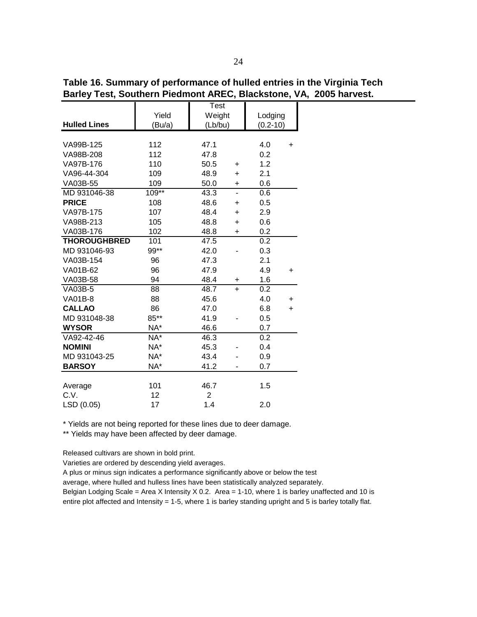**Hulled Lines** VA99B-125 112 47.1 4.0 + VA98B-208 112 47.8 0.2 VA97B-176 110 50.5 + 1.2 VA96-44-304 109 48.9 + 2.1 VA03B-55 109 50.0 + 0.6 MD 931046-38 109\*\* 43.3 - 0.6 **PRICE** 108 48.6 + 0.5 VA97B-175 107 48.4 + 2.9 VA98B-213 105 48.8 + 0.6 VA03B-176 102 48.8 + 0.2 **THOROUGHBRED** 101 47.5 0.2 MD 931046-93 99\*\* 42.0 - 0.3 VA03B-154 96 47.3 2.1 VA01B-62 96 47.9 4.9 + VA03B-58 94 48.4 + 1.6 VA03B-5 88 48.7 + 0.2 VA01B-8 88 45.6 4.0 + **CALLAO** 86 47.0 6.8 + MD 931048-38 85\*\* 41.9 - 0.5 **WYSOR** NA\* 46.6 0.7 VA92-42-46 NA\* 46.3 0.2 **NOMINI**  $NA^*$  45.3 - 0.4 MD 931043-25 NA\* 43.4 - 0.9 **BARSOY** NA\* 41.2 - 0.7 Average 101 46.7 1.5 C.V. 2 LSD (0.05) 17 1.4 2.0  $(Bu/a)$   $(Lb/bu)$   $(0.2-10)$ Test Yield | Weight | Lodging

**Table 16. Summary of performance of hulled entries in the Virginia Tech Barley Test, Southern Piedmont AREC, Blackstone, VA, 2005 harvest.**

\* Yields are not being reported for these lines due to deer damage.

\*\* Yields may have been affected by deer damage.

Released cultivars are shown in bold print.

Varieties are ordered by descending yield averages.

A plus or minus sign indicates a performance significantly above or below the test

average, where hulled and hulless lines have been statistically analyzed separately.

Belgian Lodging Scale = Area X Intensity  $X$  0.2. Area = 1-10, where 1 is barley unaffected and 10 is entire plot affected and Intensity = 1-5, where 1 is barley standing upright and 5 is barley totally flat.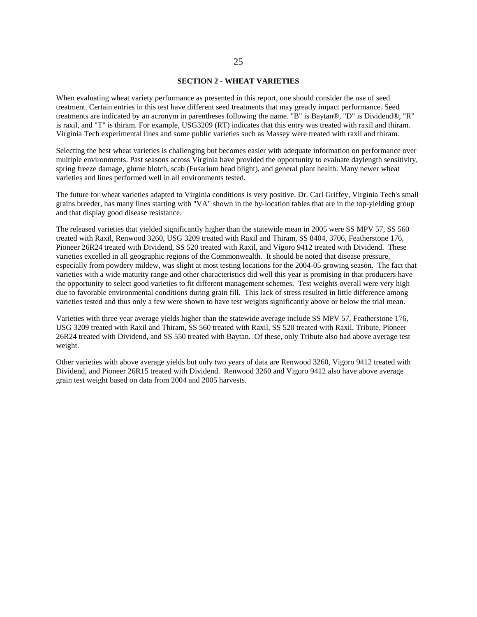#### **SECTION 2 - WHEAT VARIETIES**

When evaluating wheat variety performance as presented in this report, one should consider the use of seed treatment. Certain entries in this test have different seed treatments that may greatly impact performance. Seed treatments are indicated by an acronym in parentheses following the name. "B" is Baytan®, "D" is Dividend®, "R" is raxil, and "T" is thiram. For example, USG3209 (RT) indicates that this entry was treated with raxil and thiram. Virginia Tech experimental lines and some public varieties such as Massey were treated with raxil and thiram.

Selecting the best wheat varieties is challenging but becomes easier with adequate information on performance over multiple environments. Past seasons across Virginia have provided the opportunity to evaluate daylength sensitivity, spring freeze damage, glume blotch, scab (Fusarium head blight), and general plant health. Many newer wheat varieties and lines performed well in all environments tested.

The future for wheat varieties adapted to Virginia conditions is very positive. Dr. Carl Griffey, Virginia Tech's small grains breeder, has many lines starting with "VA" shown in the by-location tables that are in the top-yielding group and that display good disease resistance.

The released varieties that yielded significantly higher than the statewide mean in 2005 were SS MPV 57, SS 560 treated with Raxil, Renwood 3260, USG 3209 treated with Raxil and Thiram, SS 8404, 3706, Featherstone 176, Pioneer 26R24 treated with Dividend, SS 520 treated with Raxil, and Vigoro 9412 treated with Dividend. These varieties excelled in all geographic regions of the Commonwealth. It should be noted that disease pressure, especially from powdery mildew, was slight at most testing locations for the 2004-05 growing season. The fact that varieties with a wide maturity range and other characteristics did well this year is promising in that producers have the opportunity to select good varieties to fit different management schemes. Test weights overall were very high due to favorable environmental conditions during grain fill. This lack of stress resulted in little difference among varieties tested and thus only a few were shown to have test weights significantly above or below the trial mean.

Varieties with three year average yields higher than the statewide average include SS MPV 57, Featherstone 176, USG 3209 treated with Raxil and Thiram, SS 560 treated with Raxil, SS 520 treated with Raxil, Tribute, Pioneer 26R24 treated with Dividend, and SS 550 treated with Baytan. Of these, only Tribute also had above average test weight.

Other varieties with above average yields but only two years of data are Renwood 3260, Vigoro 9412 treated with Dividend, and Pioneer 26R15 treated with Dividend. Renwood 3260 and Vigoro 9412 also have above average grain test weight based on data from 2004 and 2005 harvests.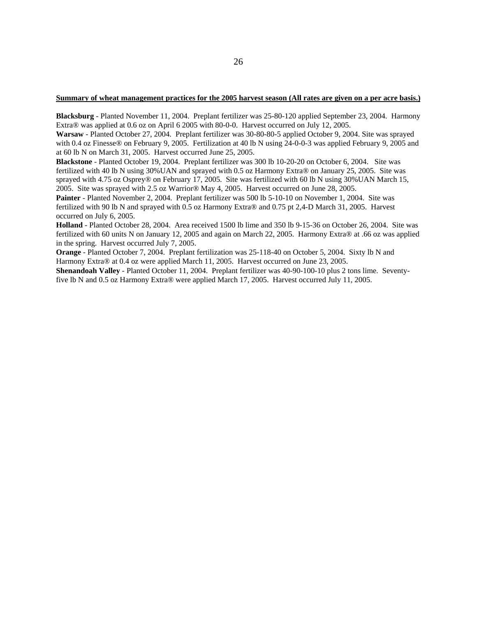#### **Summary of wheat management practices for the 2005 harvest season (All rates are given on a per acre basis.)**

**Blacksburg** - Planted November 11, 2004. Preplant fertilizer was 25-80-120 applied September 23, 2004. Harmony Extra® was applied at 0.6 oz on April 6 2005 with 80-0-0. Harvest occurred on July 12, 2005.

**Warsaw** - Planted October 27, 2004. Preplant fertilizer was 30-80-80-5 applied October 9, 2004. Site was sprayed with 0.4 oz Finesse® on February 9, 2005. Fertilization at 40 lb N using 24-0-0-3 was applied February 9, 2005 and at 60 lb N on March 31, 2005. Harvest occurred June 25, 2005.

**Blackstone** - Planted October 19, 2004. Preplant fertilizer was 300 lb 10-20-20 on October 6, 2004. Site was fertilized with 40 lb N using 30%UAN and sprayed with 0.5 oz Harmony Extra® on January 25, 2005. Site was sprayed with 4.75 oz Osprey® on February 17, 2005. Site was fertilized with 60 lb N using 30% UAN March 15, 2005. Site was sprayed with 2.5 oz Warrior® May 4, 2005. Harvest occurred on June 28, 2005.

**Painter** - Planted November 2, 2004. Preplant fertilizer was 500 lb 5-10-10 on November 1, 2004. Site was fertilized with 90 lb N and sprayed with 0.5 oz Harmony Extra® and 0.75 pt 2,4-D March 31, 2005. Harvest occurred on July 6, 2005.

**Holland** - Planted October 28, 2004. Area received 1500 lb lime and 350 lb 9-15-36 on October 26, 2004. Site was fertilized with 60 units N on January 12, 2005 and again on March 22, 2005. Harmony Extra® at .66 oz was applied in the spring. Harvest occurred July 7, 2005.

**Orange** - Planted October 7, 2004. Preplant fertilization was 25-118-40 on October 5, 2004. Sixty lb N and Harmony Extra® at 0.4 oz were applied March 11, 2005. Harvest occurred on June 23, 2005.

**Shenandoah Valley** - Planted October 11, 2004. Preplant fertilizer was 40-90-100-10 plus 2 tons lime. Seventyfive lb N and 0.5 oz Harmony Extra® were applied March 17, 2005. Harvest occurred July 11, 2005.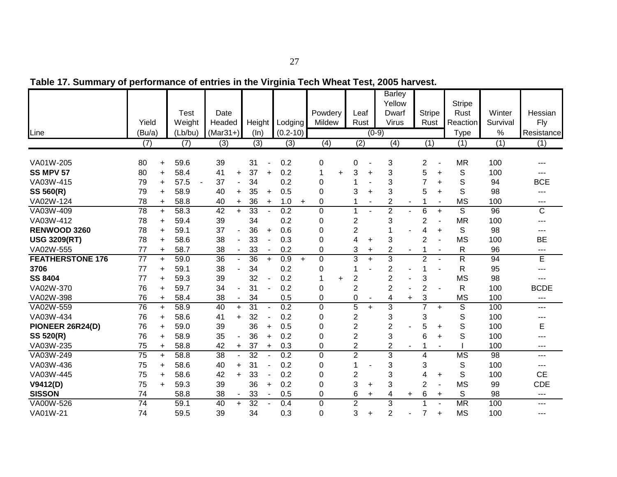|                         | Yield           |           | <b>Test</b><br>Weight | Date<br>Headed  |                | Height          |                          | Lodging      |           | Powdery<br>Mildew | Leaf<br>Rust   |           | <b>Barley</b><br>Yellow<br>Dwarf<br>Virus |     | <b>Stripe</b><br>Rust |                              | <b>Stripe</b><br>Rust<br>Reaction | Winter<br>Survival | Hessian<br>Fly |
|-------------------------|-----------------|-----------|-----------------------|-----------------|----------------|-----------------|--------------------------|--------------|-----------|-------------------|----------------|-----------|-------------------------------------------|-----|-----------------------|------------------------------|-----------------------------------|--------------------|----------------|
| Line                    | (Bu/a)          |           | (Lb/bu)               | $(Mar31+)$      |                | (ln)            |                          | $(0.2 - 10)$ |           |                   |                | $(0-9)$   |                                           |     |                       |                              | <b>Type</b>                       | $\%$               | Resistance     |
|                         | (7)             |           | (7)                   | (3)             |                | (3)             |                          | (3)          |           | (4)               | (2)            |           | (4)                                       |     | (1)                   |                              | (1)                               | (1)                | (1)            |
|                         |                 |           |                       |                 |                |                 |                          |              |           |                   |                |           |                                           |     |                       |                              |                                   |                    |                |
| VA01W-205               | 80              | $\ddot{}$ | 59.6                  | 39              |                | 31              |                          | 0.2          |           | 0                 | 0              |           | 3                                         |     | 2                     |                              | <b>MR</b>                         | 100                |                |
| <b>SS MPV 57</b>        | 80              | $\ddot{}$ | 58.4                  | 41              | $\ddot{}$      | 37              | $\ddot{}$                | 0.2          |           | $\ddot{}$         | 3              | ÷         | 3                                         |     | 5                     | $\ddot{}$                    | S                                 | 100                |                |
| VA03W-415               | 79              | $\ddot{}$ | 57.5                  | 37              |                | 34              |                          | 0.2          |           | 0                 |                |           | 3                                         |     | 7                     | +                            | S                                 | 94                 | <b>BCE</b>     |
| SS 560(R)               | 79              | $\ddot{}$ | 58.9                  | 40              | $+$            | 35              | $\ddot{}$                | 0.5          |           | 0                 | 3              |           | 3                                         |     | 5                     | $\ddot{}$                    | S                                 | 98                 | ---            |
| VA02W-124               | 78              | $\ddot{}$ | 58.8                  | 40              | $\ddot{}$      | 36              | $\ddot{}$                | 1.0          | $\ddot{}$ | $\Omega$          |                |           | $\overline{2}$                            |     |                       | $\blacksquare$               | <b>MS</b>                         | 100                | ---            |
| VA03W-409               | $\overline{78}$ | $+$       | 58.3                  | 42              | $+$            | 33              |                          | 0.2          |           | 0                 | 1              |           | $\overline{2}$                            |     | 6                     | $\ddot{}$                    | S                                 | 96                 | $\mathsf C$    |
| VA03W-412               | 78              | $\ddot{}$ | 59.4                  | 39              |                | 34              |                          | 0.2          |           | 0                 | $\overline{2}$ |           | 3                                         |     | $\overline{2}$        |                              | <b>MR</b>                         | 100                | ---            |
| RENWOOD 3260            | 78              | $\ddot{}$ | 59.1                  | 37              | ÷,             | 36              | $\ddot{}$                | 0.6          |           | 0                 | $\overline{2}$ |           |                                           |     | 4                     | +                            | S                                 | 98                 | ---            |
| <b>USG 3209(RT)</b>     | 78              | $\ddot{}$ | 58.6                  | 38              |                | 33              |                          | 0.3          |           | $\Omega$          | 4              | +         | 3                                         |     | $\overline{2}$        | $\qquad \qquad \blacksquare$ | <b>MS</b>                         | 100                | <b>BE</b>      |
| VA02W-555               | 77              | $\ddot{}$ | 58.7                  | 38              |                | 33              | $\overline{\phantom{a}}$ | 0.2          |           | $\Omega$          | 3              | $\ddot{}$ | $\overline{c}$                            |     |                       | $\blacksquare$               | $\mathsf{R}$                      | 96                 | $---$          |
| <b>FEATHERSTONE 176</b> | $\overline{77}$ | $\ddot{}$ | 59.0                  | $\overline{36}$ | $\sim$         | $\overline{36}$ | $\ddot{}$                | 0.9          | $+$       | $\mathbf 0$       | 3              | $+$       | $\overline{3}$                            |     | $\overline{c}$        | $\blacksquare$               | $\overline{R}$                    | 94                 | E              |
| 3706                    | 77              | $\ddot{}$ | 59.1                  | 38              |                | 34              |                          | 0.2          |           | 0                 | 1              |           | $\overline{2}$                            |     | 1                     |                              | $\mathsf{R}$                      | 95                 | ---            |
| <b>SS 8404</b>          | 77              | $\ddot{}$ | 59.3                  | 39              |                | 32              |                          | 0.2          |           | $\ddot{}$         | $\overline{2}$ |           | $\overline{2}$                            |     | 3                     |                              | <b>MS</b>                         | 98                 |                |
| VA02W-370               | 76              | $+$       | 59.7                  | 34              |                | 31              |                          | 0.2          |           | 0                 | $\overline{2}$ |           | $\overline{c}$                            |     | $\overline{2}$        |                              | $\mathsf{R}$                      | 100                | <b>BCDE</b>    |
| VA02W-398               | 76              | $\ddot{}$ | 58.4                  | 38              |                | 34              |                          | 0.5          |           | 0                 | 0              |           | 4                                         | $+$ | 3                     |                              | <b>MS</b>                         | 100                | $---$          |
| VA02W-559               | 76              | $\ddot{}$ | 58.9                  | 40              | $\ddot{}$      | $\overline{31}$ |                          | 0.2          |           | $\mathbf 0$       | 5              | $\ddot{}$ | 3                                         |     | $\overline{7}$        | $\ddot{}$                    | $\overline{S}$                    | 100                | ---            |
| VA03W-434               | 76              | $\ddot{}$ | 58.6                  | 41              | $+$            | 32              |                          | 0.2          |           | 0                 | $\overline{2}$ |           | 3                                         |     | 3                     |                              | S                                 | 100                | ---            |
| PIONEER 26R24(D)        | 76              | $\ddot{}$ | 59.0                  | 39              |                | 36              | $\ddot{}$                | 0.5          |           | $\Omega$          | $\overline{2}$ |           | $\overline{2}$                            |     | 5                     | $\ddot{}$                    | S                                 | 100                | E              |
| SS 520(R)               | 76              | $\ddot{}$ | 58.9                  | 35              |                | 36              | $\ddot{}$                | 0.2          |           | 0                 | $\overline{2}$ |           | 3                                         |     | 6                     | $\ddot{}$                    | S                                 | 100                |                |
| VA03W-235               | 75              | $\ddot{}$ | 58.8                  | 42              | $\ddot{}$      | 37              | $\ddot{}$                | 0.3          |           | 0                 | $\overline{2}$ |           | $\overline{c}$                            |     |                       |                              |                                   | 100                | ---            |
| VA03W-249               | $\overline{75}$ | $+$       | 58.8                  | $\overline{38}$ | $\blacksquare$ | $\overline{32}$ | ÷,                       | 0.2          |           | $\overline{0}$    | $\overline{2}$ |           | 3                                         |     | 4                     |                              | <b>MS</b>                         | $\overline{98}$    | ---            |
| VA03W-436               | 75              | $+$       | 58.6                  | 40              | $+$            | 31              |                          | 0.2          |           | $\mathbf 0$       | 1              |           | 3                                         |     | 3                     |                              | $\mathbb S$                       | 100                | ---            |
| VA03W-445               | 75              | $+$       | 58.6                  | 42              | $+$            | 33              |                          | 0.2          |           | $\Omega$          | 2              |           | 3                                         |     | 4                     | $\ddot{}$                    | S                                 | 100                | <b>CE</b>      |
| V9412(D)                | 75              | $\ddot{}$ | 59.3                  | 39              |                | 36              | $\ddot{}$                | 0.2          |           | $\Omega$          | 3              | +         | 3                                         |     | $\overline{2}$        |                              | <b>MS</b>                         | 99                 | <b>CDE</b>     |
| <b>SISSON</b>           | 74              |           | 58.8                  | 38              | $\blacksquare$ | 33              | $\overline{\phantom{a}}$ | 0.5          |           | 0                 | 6              | +         | 4                                         | +   | 6                     | $\ddot{}$                    | S                                 | 98                 | $---$          |
| VA00W-526               | $\overline{74}$ |           | 59.1                  | 40              | $\ddot{}$      | $\overline{32}$ |                          | 0.4          |           | 0                 | $\overline{2}$ |           | 3                                         |     |                       |                              | <b>MR</b>                         | 100                | ---            |
| VA01W-21                | 74              |           | 59.5                  | 39              |                | 34              |                          | 0.3          |           | $\Omega$          | 3              | ÷.        | $\overline{2}$                            |     | 7                     | $\ddot{}$                    | <b>MS</b>                         | 100                | $---$          |

**Table 17. Summary of performance of entries in the Virginia Tech Wheat Test, 2005 harvest.**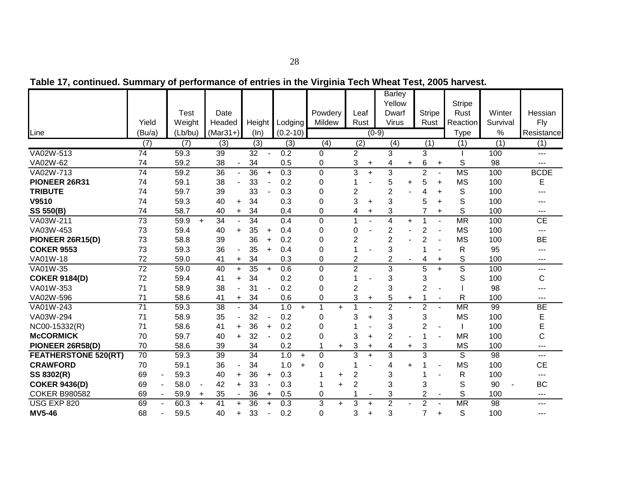|                             |                      |         |                |                 |                          |                 |                          |                  |                  |           |                |                          | <b>Barley</b>    |           |                |                          |                |                 |                   |
|-----------------------------|----------------------|---------|----------------|-----------------|--------------------------|-----------------|--------------------------|------------------|------------------|-----------|----------------|--------------------------|------------------|-----------|----------------|--------------------------|----------------|-----------------|-------------------|
|                             |                      |         |                |                 |                          |                 |                          |                  |                  |           |                |                          | Yellow           |           |                |                          | <b>Stripe</b>  |                 |                   |
|                             |                      | Test    |                | Date            |                          |                 |                          |                  | Powdery          |           | Leaf           |                          | Dwarf            |           | <b>Stripe</b>  |                          | Rust           | Winter          | Hessian           |
|                             | Yield                | Weight  |                | Headed          |                          | Height          |                          | Lodging          | Mildew           |           | Rust           |                          | <b>Virus</b>     |           | Rust           |                          | Reaction       | Survival        | Fly               |
| Line                        | (Bu/a)               | (Lb/bu) |                | $(Mar31+)$      |                          | $(\ln)$         |                          | $(0.2 - 10)$     |                  |           |                | $(0-9)$                  |                  |           |                |                          | <b>Type</b>    | %               | Resistance        |
|                             | (7)                  | (7)     |                | (3)             |                          | (3)             |                          | (3)              | $\overline{(4)}$ |           | (2)            |                          | $\overline{(4)}$ |           | (1)            |                          | (1)            | (1)             | (1)               |
| VA02W-513                   | $\overline{74}$      | 59.3    |                | 39              |                          | $\overline{32}$ |                          | 0.2              | $\Omega$         |           | $\overline{2}$ |                          | $\overline{3}$   |           | 3              |                          |                | 100             | $- - -$           |
| VA02W-62                    | 74                   | 59.2    |                | 38              | $\overline{\phantom{a}}$ | 34              |                          | 0.5              | 0                |           | 3              | +                        | 4                | $\ddot{}$ | 6              | $\ddot{}$                | S              | 98              | $---$             |
| VA02W-713                   | $\overline{74}$      | 59.2    |                | 36              | $\blacksquare$           | 36              | $+$                      | 0.3              | $\overline{0}$   |           | 3              | $\ddot{}$                | 3                |           | $\overline{2}$ | $\blacksquare$           | <b>MS</b>      | 100             | <b>BCDE</b>       |
| PIONEER 26R31               | 74                   | 59.1    |                | 38              |                          | 33              |                          | 0.2              | $\Omega$         |           | 1              |                          | 5                | $\ddot{}$ | 5              | $\ddot{}$                | <b>MS</b>      | 100             | E                 |
| <b>TRIBUTE</b>              | 74                   | 59.7    |                | 39              |                          | 33              |                          | 0.3              | $\Omega$         |           | 2              |                          | $\overline{c}$   |           | 4              | $\ddot{}$                | S              | 100             | ---               |
| V9510                       | 74                   | 59.3    |                | 40              | +                        | 34              |                          | 0.3              | 0                |           | 3              | +                        | 3                |           | 5              | $\ddot{}$                | S              | 100             | ---               |
| <b>SS 550(B)</b>            | 74                   | 58.7    |                | 40              | $\ddot{}$                | 34              |                          | 0.4              | 0                |           | 4              | +                        | 3                |           |                | $\ddot{}$                | S              | 100             | $---$             |
| VA03W-211                   | 73                   | 59.9    | $\ddot{}$      | 34              | $\overline{a}$           | 34              |                          | 0.4              | $\mathbf 0$      |           | 1              |                          | 4                | $\ddot{}$ | 1              |                          | <b>MR</b>      | 100             | CE                |
| VA03W-453                   | 73                   | 59.4    |                | 40              | $\ddot{}$                | 35              | $\ddot{}$                | 0.4              | 0                |           | $\Omega$       |                          | $\overline{c}$   |           | 2              | $\blacksquare$           | <b>MS</b>      | 100             | $---$             |
| PIONEER 26R15(D)            | 73                   | 58.8    |                | 39              |                          | 36              | $\ddot{}$                | 0.2              | $\Omega$         |           | $\overline{c}$ |                          | $\overline{c}$   |           | $\overline{2}$ |                          | <b>MS</b>      | 100             | <b>BE</b>         |
| <b>COKER 9553</b>           | 73                   | 59.3    |                | 36              | $\overline{a}$           | 35              | $\ddot{}$                | 0.4              | $\Omega$         |           | 1              |                          | 3                |           |                |                          | R              | 95              | ---               |
| VA01W-18                    | 72                   | 59.0    |                | 41              | $\ddot{}$                | 34              |                          | 0.3              | 0                |           | 2              |                          | $\overline{2}$   |           | 4              | $\ddot{}$                | S              | 100             | ---               |
| VA01W-35                    | $\overline{72}$      | 59.0    |                | 40              | $\ddot{}$                | 35              | $\ddot{}$                | 0.6              | $\mathbf 0$      |           | $\overline{2}$ |                          | 3                |           | 5              | $+$                      | $\overline{s}$ | 100             | ---               |
| <b>COKER 9184(D)</b>        | 72                   | 59.4    |                | 41              | $\ddot{}$                | 34              |                          | 0.2              | 0                |           | 1              |                          | 3                |           | 3              |                          | S              | 100             | $\mathsf C$       |
| VA01W-353                   | 71                   | 58.9    |                | 38              |                          | 31              |                          | 0.2              | $\Omega$         |           | $\overline{c}$ |                          | 3                |           | $\overline{2}$ |                          |                | 98              | ---               |
| VA02W-596                   | 71                   | 58.6    |                | 41              | $\ddot{}$                | 34              |                          | 0.6              | 0                |           | 3              | $\ddot{}$                | 5                | $\ddot{}$ |                |                          | R              | 100             | $---$             |
| VA01W-243                   | $\overline{71}$      | 59.3    |                | 38              | ÷,                       | $\overline{34}$ |                          | 1.0<br>$+$       | 1                | $\ddot{}$ | 4              |                          | $\overline{2}$   |           | $\overline{2}$ |                          | <b>MR</b>      | 99              | <b>BE</b>         |
| VA03W-294                   | 71                   | 58.9    |                | 35              | ÷                        | 32              | $\overline{\phantom{a}}$ | 0.2              | $\mathbf 0$      |           | 3              | $\ddot{}$                | 3                |           | 3              |                          | <b>MS</b>      | 100             | E                 |
| NC00-15332(R)               | 71                   | 58.6    |                | 41              | $\ddot{}$                | 36              | $\ddot{}$                | 0.2              | 0                |           |                |                          | 3                |           | 2              | $\overline{\phantom{a}}$ |                | 100             | E                 |
| <b>McCORMICK</b>            | 70                   | 59.7    |                | 40              | $\ddot{}$                | 32              |                          | 0.2              | $\Omega$         |           | 3              | ÷                        | $\overline{2}$   |           | 1              |                          | <b>MR</b>      | 100             | $\mathsf C$       |
| PIONEER 26R58(D)            | 70                   | 58.6    |                | 39              |                          | 34              |                          | 0.2              |                  | $\ddot{}$ | 3              | $+$                      | 4                | $+$       | 3              |                          | <b>MS</b>      | 100             | $---$             |
| <b>FEATHERSTONE 520(RT)</b> | 70                   | 59.3    |                | 39              |                          | 34              |                          | 1.0<br>$+$       | $\Omega$         |           | 3              | $+$                      | 3                |           | 3              |                          | S              | 98              | $\overline{a}$    |
| <b>CRAWFORD</b>             | 70                   | 59.1    |                | 36              | $\overline{\phantom{a}}$ | 34              |                          | 1.0<br>$\ddot{}$ | $\Omega$         |           |                |                          | 4                | $\ddot{}$ |                |                          | <b>MS</b>      | 100             | <b>CE</b>         |
| SS 8302(R)                  | 69                   | 59.3    |                | 40              | $\ddot{}$                | 36              | $\ddot{}$                | 0.3              |                  | $\ddot{}$ | $\overline{2}$ |                          | 3                |           |                |                          | R              | 100             | ---               |
| <b>COKER 9436(D)</b>        | 69                   | 58.0    | $\blacksquare$ | 42              | $+$                      | 33              |                          | 0.3              |                  | $\ddot{}$ | 2              |                          | 3                |           | 3              |                          | S              | 90              | <b>BC</b>         |
| <b>COKER B980582</b>        | 69<br>$\blacksquare$ | 59.9    | $\ddot{}$      | 35              | $\overline{\phantom{a}}$ | 36              | $\ddot{}$                | 0.5              | 0                |           |                | $\overline{\phantom{a}}$ | 3                |           | $\overline{2}$ | $\overline{\phantom{a}}$ | S              | 100             | $\qquad \qquad -$ |
| USG EXP 820                 | 69                   | 60.3    | $\ddotmark$    | $\overline{41}$ | $\ddot{}$                | $\overline{36}$ | $\ddot{}$                | $\overline{0.3}$ | $\overline{3}$   | $\ddot{}$ | 3              | $\ddot{}$                | $\overline{2}$   |           | $\overline{2}$ |                          | <b>MR</b>      | $\overline{98}$ | $---$             |
| <b>MV5-46</b>               | 68                   | 59.5    |                | 40              | $\ddot{}$                | 33              | ٠                        | 0.2              | $\Omega$         |           | 3              | $\ddot{}$                | 3                |           | 7              | $\ddot{}$                | S              | 100             | $---$             |

**Table 17, continued. Summary of performance of entries in the Virginia Tech Wheat Test, 2005 harvest.**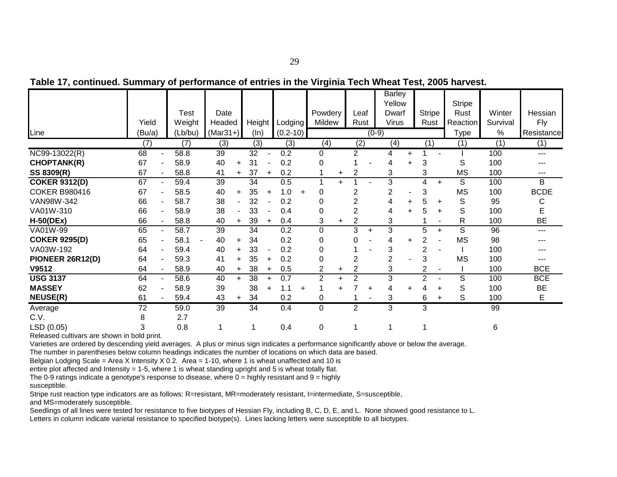|                                                    |        |                  |                      |                  |           |              |           |                |           |                  |           | <b>Barley</b>  |           |                |           |               |          |             |
|----------------------------------------------------|--------|------------------|----------------------|------------------|-----------|--------------|-----------|----------------|-----------|------------------|-----------|----------------|-----------|----------------|-----------|---------------|----------|-------------|
|                                                    |        |                  |                      |                  |           |              |           |                |           |                  |           | Yellow         |           |                |           | <b>Stripe</b> |          |             |
|                                                    |        | Test             | Date                 |                  |           |              |           | Powdery        |           | Leaf             |           | Dwarf          |           | <b>Stripe</b>  |           | Rust          | Winter   | Hessian     |
|                                                    | Yield  | Weight           | Headed               | Height           |           | Lodging      |           | Mildew         |           | Rust             |           | <b>Virus</b>   |           | Rust           |           | Reaction      | Survival | Fly         |
| Line                                               | (Bu/a) | (Lb/bu)          | $(Mar31+)$           | (ln)             |           | $(0.2 - 10)$ |           |                |           |                  | $(0-9)$   |                |           |                |           | <b>Type</b>   | %        | Resistance  |
|                                                    | (7)    | $\overline{(7)}$ | (3)                  | $\overline{(3)}$ |           | (3)          |           | (4)            |           | $\overline{(2)}$ |           | (4)            |           | (1)            |           | (1)           | (1)      | (1)         |
| NC99-13022(R)                                      | 68     | 58.8             | 39                   | 32               |           | 0.2          |           | $\Omega$       |           | 2                |           | 4              | $+$       |                |           |               | 100      | $\cdots$    |
| <b>CHOPTANK(R)</b>                                 | 67     | 58.9             | 40<br>$\ddot{}$      | 31               |           | 0.2          |           | 0              |           |                  |           | 4              | $\ddot{}$ | 3              |           | S             | 100      | ---         |
| SS 8309(R)                                         | 67     | 58.8             | 41<br>$\ddot{}$      | 37               | $\ddot{}$ | 0.2          |           |                | $\pm$     | $\overline{2}$   |           | 3              |           | 3              |           | <b>MS</b>     | 100      | ---         |
| <b>COKER 9312(D)</b>                               | 67     | 59.4             | 39                   | 34               |           | 0.5          |           |                | $+$       |                  |           | 3              |           | 4              | $\ddot{}$ | S             | 100      | B           |
| <b>COKER B980416</b>                               | 67     | 58.5             | 40<br>$\ddot{}$      | 35               | $\ddot{}$ | 1.0          | $\ddot{}$ | 0              |           | 2                |           | $\overline{2}$ |           | 3              |           | <b>MS</b>     | 100      | <b>BCDE</b> |
| VAN98W-342                                         | 66     | 58.7             | 38<br>$\blacksquare$ | 32               |           | 0.2          |           | 0              |           | 2                |           |                | +         | 5              | $\ddot{}$ | S             | 95       | С           |
| VA01W-310                                          | 66     | 58.9             | 38                   | 33               |           | 0.4          |           | 0              |           | 2                |           | 4              | $\ddot{}$ | 5              |           | S             | 100      | E           |
| $H-50(DEx)$                                        | 66     | 58.8             | 40<br>$\ddot{}$      | 39               | $\pm$     | 0.4          |           | 3              | $\ddot{}$ | 2                |           | 3              |           |                |           | R             | 100      | <b>BE</b>   |
| VA01W-99                                           | 65     | 58.7             | 39                   | 34               |           | 0.2          |           | $\Omega$       |           | 3                | $\ddot{}$ | 3              |           | 5              | $\ddot{}$ | S             | 96       | ---         |
| <b>COKER 9295(D)</b>                               | 65     | 58.1             | 40<br>$\ddot{}$      | 34               |           | 0.2          |           | 0              |           | 0                |           | 4              | $\ddot{}$ | 2              |           | <b>MS</b>     | 98       |             |
| VA03W-192                                          | 64     | 59.4             | 40<br>÷              | 33               |           | 0.2          |           | 0              |           |                  |           | 3              |           | 2              |           |               | 100      |             |
| PIONEER 26R12(D)                                   | 64     | 59.3             | 41<br>+              | 35               | $\ddot{}$ | 0.2          |           | 0              |           | 2                |           | $\overline{2}$ |           | 3              |           | <b>MS</b>     | 100      |             |
| V9512                                              | 64     | 58.9             | 40<br>+              | 38               | $\ddot{}$ | 0.5          |           | $\overline{2}$ | $\ddot{}$ | $\overline{2}$   |           | 3              |           | 2              |           |               | 100      | <b>BCE</b>  |
| <b>USG 3137</b>                                    | 64     | 58.6             | 40<br>$\ddot{}$      | 38               | $\ddot{}$ | 0.7          |           | $\overline{2}$ | ÷         | 2                |           | 3              |           | $\overline{2}$ |           | S             | 100      | <b>BCE</b>  |
| <b>MASSEY</b>                                      | 62     | 58.9             | 39                   | 38               | $\ddot{}$ | 1.1          | $\ddot{}$ |                |           |                  | $\ddot{}$ | 4              | $\ddot{}$ |                | ÷         | S             | 100      | <b>BE</b>   |
| <b>NEUSE(R)</b>                                    | 61     | 59.4             | 43<br>+              | 34               |           | 0.2          |           | 0              |           |                  |           | 3              |           | 6              | +         | S             | 100      | Е           |
| Average                                            | 72     | 59.0             | 39                   | 34               |           | 0.4          |           | 0              |           | $\overline{2}$   |           | 3              |           | 3              |           |               | 99       |             |
| C.V.                                               | 8      | 2.7              |                      |                  |           |              |           |                |           |                  |           |                |           |                |           |               |          |             |
| LSD (0.05)                                         | 3      | 0.8              |                      |                  |           | 0.4          |           | 0              |           |                  |           |                |           |                |           |               | 6        |             |
| Delegación de la componente de como la decla mujud |        |                  |                      |                  |           |              |           |                |           |                  |           |                |           |                |           |               |          |             |

**Table 17, continued. Summary of performance of entries in the Virginia Tech Wheat Test, 2005 harvest.**

Varieties are ordered by descending yield averages. A plus or minus sign indicates a performance significantly above or below the average.

The number in parentheses below column headings indicates the number of locations on which data are based.

Belgian Lodging Scale = Area X Intensity X 0.2. Area = 1-10, where 1 is wheat unaffected and 10 is

entire plot affected and Intensity = 1-5, where 1 is wheat standing upright and 5 is wheat totally flat.

The 0-9 ratings indicate a genotype's response to disease, where  $0 =$  highly resistant and  $9 =$  highly

susceptible.

Stripe rust reaction type indicators are as follows: R=resistant, MR=moderately resistant, I=intermediate, S=susceptible,

and MS=moderately susceptible.

Seedlings of all lines were tested for resistance to five biotypes of Hessian Fly, including B, C, D, E, and L. None showed good resistance to L.

Letters in column indicate varietal resistance to specified biotype(s). Lines lacking letters were susceptible to all biotypes.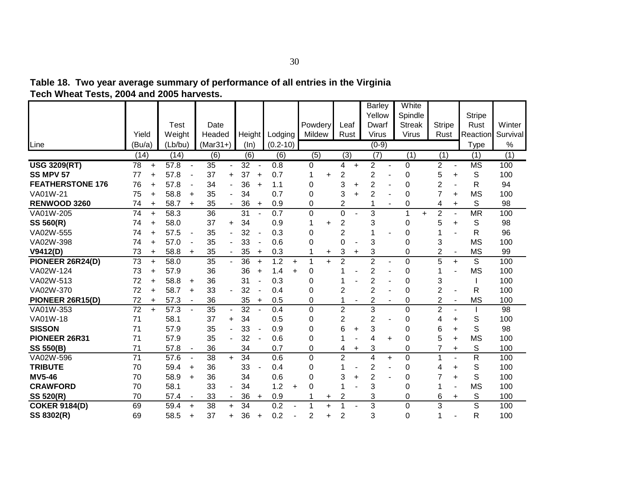| Tech wheat Tests, 2004 and 2005 harvests. |        |           |         |                          |            |                          |        |        |               |        |               |    |                  |           |                |                          |               |                |                          |               |          |
|-------------------------------------------|--------|-----------|---------|--------------------------|------------|--------------------------|--------|--------|---------------|--------|---------------|----|------------------|-----------|----------------|--------------------------|---------------|----------------|--------------------------|---------------|----------|
|                                           |        |           |         |                          |            |                          |        |        |               |        |               |    |                  |           | <b>Barley</b>  |                          | White         |                |                          |               |          |
|                                           |        |           |         |                          |            |                          |        |        |               |        |               |    |                  |           | Yellow         |                          | Spindle       |                |                          | <b>Stripe</b> |          |
|                                           |        |           | Test    |                          | Date       |                          |        |        |               |        | Powdery       |    | Leaf             |           | Dwarf          |                          | <b>Streak</b> | <b>Stripe</b>  |                          | Rust          | Winter   |
|                                           | Yield  |           | Weight  |                          | Headed     |                          | Height |        | Lodging       |        | <b>Mildew</b> |    | Rust             |           | Virus          |                          | Virus         | Rust           |                          | Reaction      | Survival |
| Line                                      | (Bu/a) |           | (Lb/bu) |                          | $(Mar31+)$ |                          | (ln)   |        | $(0.2 - 10)$  |        |               |    |                  |           | $(0-9)$        |                          |               |                |                          | Type          | %        |
|                                           | (14)   |           | (14)    |                          | (6)        |                          | (6)    |        | (6)           |        | (5)           |    | $\overline{(3)}$ |           | (7)            |                          | (1)           | (1)            |                          | (1)           | (1)      |
| <b>USG 3209(RT)</b>                       | 78     | $\ddot{}$ | 57.8    | $\overline{\phantom{0}}$ | 35         | ۰                        | 32     |        | 0.8           |        | 0             |    | 4                | $\ddot{}$ | $\overline{2}$ | $\overline{\phantom{a}}$ | 0             | $\overline{2}$ | $\overline{\phantom{a}}$ | <b>MS</b>     | 100      |
| <b>SS MPV 57</b>                          | 77     |           | 57.8    |                          | 37         | $\ddot{}$                | 37     | ÷      | 0.7           |        |               |    | 2                |           | 2              |                          | 0             | 5              | $\ddot{}$                | S             | 100      |
| <b>FEATHERSTONE 176</b>                   | 76     |           | 57.8    |                          | 34         | ۰                        | 36     | $\div$ | 1.1           |        | 0             |    | 3                | +         | $\overline{2}$ |                          | 0             | $\overline{2}$ |                          | R             | 94       |
| VA01W-21                                  | 75     | $\ddot{}$ | 58.8    | $\ddot{}$                | 35         | ۰                        | 34     |        | 0.7           |        | 0             |    | 3                |           | 2              |                          | 0             | 7              | $\ddot{}$                | <b>MS</b>     | 100      |
| <b>RENWOOD 3260</b>                       | 74     | $\ddot{}$ | 58.7    | $\ddot{}$                | 35         | $\sim$                   | 36     | $+$    | 0.9           |        | 0             |    | 2                |           |                | $\overline{\phantom{a}}$ | 0             | 4              | $\ddot{}$                | S             | 98       |
| VA01W-205                                 | 74     | $\ddot{}$ | 58.3    |                          | 36         |                          | 31     |        | 0.7           |        | 0             |    | 0                |           | 3              |                          |               | 2              |                          | <b>MR</b>     | 100      |
| SS 560(R)                                 | 74     | $\ddot{}$ | 58.0    |                          | 37         | $\ddot{}$                | 34     |        | 0.9           |        |               |    | 2                |           | 3              |                          | $\Omega$      | 5              | ÷                        | S             | 98       |
| VA02W-555                                 | 74     |           | 57.5    |                          | 35         |                          | 32     |        | 0.3           |        | 0             |    | 2                |           |                |                          | 0             |                |                          | R             | 96       |
| VA02W-398                                 | 74     | $\ddot{}$ | 57.0    | $\blacksquare$           | 35         | ٠                        | 33     |        | 0.6           |        | 0             |    | 0                |           | 3              |                          | 0             | 3              |                          | <b>MS</b>     | 100      |
| V9412(D)                                  | 73     | ÷         | 58.8    | $\ddot{}$                | 35         | $\overline{\phantom{0}}$ | 35     | $\pm$  | 0.3           |        |               | ÷. | 3                | ÷         | 3              |                          | 0             | 2              |                          | МS            | 99       |
| PIONEER 26R24(D)                          | 73     |           | 58.0    |                          | 35         |                          | 36     |        | 1.2           |        |               |    | 2                |           | 2              |                          |               | 5              | +                        | S             | 100      |
| VA02W-124                                 | 73     |           | 57.9    |                          | 36         |                          | 36     |        | 1.4           | $\div$ | 0             |    |                  |           | 2              |                          | 0             |                |                          | <b>MS</b>     | 100      |
| VA02W-513                                 | 72     |           | 58.8    | $\ddot{}$                | 36         |                          | 31     |        | 0.3           |        | 0             |    |                  |           | 2              |                          | 0             | 3              |                          |               | 100      |
| VA02W-370                                 | 72     |           | 58.7    | $\ddot{}$                | 33         |                          | 32     |        | 0.4           |        | 0             |    | 2                |           | 2              |                          |               | 2              |                          | R             | 100      |
| DIANEED 2CD4E/DI                          | 70.    |           | 570     |                          | nc.        |                          | OE.    |        | $\cap$ $\Box$ |        |               |    |                  |           | ⌒              |                          |               |                |                          | <b>MC</b>     | 100      |

**Table 18. Two year average summary of performance of all entries in the Virginia Tech Wheat Tests, 2004 and 2005 harvests.**

| VA02W-370            | 72 | ÷         | 58.7 | +         | 33 |                          | 32 |                          | 0.4 |          |     |    |   | ⌒ |                          |          |   |    |                | R         | 100 |
|----------------------|----|-----------|------|-----------|----|--------------------------|----|--------------------------|-----|----------|-----|----|---|---|--------------------------|----------|---|----|----------------|-----------|-----|
| PIONEER 26R15(D)     | 72 | $\ddot{}$ | 57.3 |           | 36 |                          | 35 | $\ddot{}$                | 0.5 | 0        |     |    |   | っ | ٠                        |          |   |    | ٠              | <b>MS</b> | 100 |
| VA01W-353            | 72 | $\div$    | 57.3 |           | 35 | ٠.                       | 32 |                          | 0.4 |          |     | っ  |   | 3 |                          |          |   |    |                |           | 98  |
| VA01W-18             | 71 |           | 58.1 |           | 37 | $+$                      | 34 |                          | 0.5 |          |     | っ  |   | ⌒ | -                        |          | 4 |    |                | S         | 100 |
| <b>SISSON</b>        | 71 |           | 57.9 |           | 35 |                          | 33 | $\overline{\phantom{0}}$ | 0.9 | 0        |     | 6. | ÷ | 3 |                          |          |   | 6. | $\ddot{}$      | S         | 98  |
| <b>PIONEER 26R31</b> | 71 |           | 57.9 |           | 35 | ۰.                       | 32 | $\blacksquare$           | 0.6 | 0        |     |    | - | 4 | $\pm$                    | 0        |   | 5. | $\ddot{}$      | ΜS        | 100 |
| <b>SS 550(B)</b>     | 71 |           | 57.8 |           | 36 |                          | 34 |                          | 0.7 |          |     | 4  | ÷ | 3 |                          |          |   |    | $\pm$          | S         | 100 |
| VA02W-596            | 71 |           | 57.6 |           | 38 | +                        | 34 |                          | 0.6 | O        |     | າ  |   | 4 | $+$                      |          |   |    |                | R         | 100 |
| <b>TRIBUTE</b>       | 70 |           | 59.4 | $\ddot{}$ | 36 |                          | 33 | $\overline{\phantom{0}}$ | 0.4 | 0        |     |    | - | 2 | $\overline{\phantom{0}}$ | $\Omega$ | 4 |    | $\ddot{}$      | S         | 100 |
| <b>MV5-46</b>        | 70 |           | 58.9 | ÷         | 36 |                          | 34 |                          | 0.6 |          |     | 3  |   | າ |                          |          |   |    | $\ddot{}$      | S         | 100 |
| <b>CRAWFORD</b>      | 70 |           | 58.1 |           | 33 | $\overline{\phantom{0}}$ | 34 |                          | 1.2 | $\Omega$ |     |    |   | 3 |                          |          |   |    | $\blacksquare$ | <b>MS</b> | 100 |
| <b>SS 520(R)</b>     | 70 |           | 57.4 |           | 33 |                          | 36 | $+$                      | 0.9 |          | $+$ | 2  |   | 3 |                          | 0        |   | 6  | $\pm$          | S         | 100 |
| <b>COKER 9184(D)</b> | 69 |           | 59.4 | +         | 38 | $\pm$                    | 34 |                          | 0.2 |          |     |    |   | 3 |                          |          | 3 |    |                | S         | 100 |
| SS 8302(R)           | 69 |           | 58.5 | +         | 37 | $+$                      | 36 | $\ddot{}$                | 0.2 | ⌒        |     | 2  |   | 3 |                          | 0        |   |    |                | R         | 100 |
|                      |    |           |      |           |    |                          |    |                          |     |          |     |    |   |   |                          |          |   |    |                |           |     |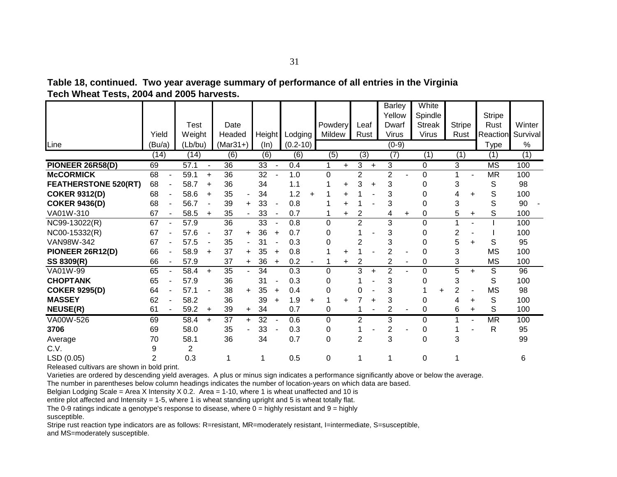|                             |                |                |           |                  |                |                 |                |              |           |                  |           |                |           | <b>Barley</b>    |           | White         |   |               |           |                        |          |
|-----------------------------|----------------|----------------|-----------|------------------|----------------|-----------------|----------------|--------------|-----------|------------------|-----------|----------------|-----------|------------------|-----------|---------------|---|---------------|-----------|------------------------|----------|
|                             |                |                |           |                  |                |                 |                |              |           |                  |           |                |           | Yellow           |           | Spindle       |   |               |           | <b>Stripe</b>          |          |
|                             |                | Test           |           | Date             |                |                 |                |              |           | Powdery          |           | Leaf           |           | Dwarf            |           | <b>Streak</b> |   | <b>Stripe</b> |           | Rust                   | Winter   |
|                             | Yield          | Weight         |           | Headed           |                | Height          |                | Lodging      |           | Mildew           |           | Rust           |           | <b>Virus</b>     |           | <b>Virus</b>  |   | Rust          |           | Reaction               | Survival |
| Line                        | (Bu/a)         | (Lb/bu)        |           | $(Mar31+)$       |                | (ln)            |                | $(0.2 - 10)$ |           |                  |           |                |           | $(0-9)$          |           |               |   |               |           | Type                   | $\%$     |
|                             | (14)           | (14)           |           | $\overline{(6)}$ |                | (6)             |                | (6)          |           | $\overline{(5)}$ |           | (3)            |           | $\overline{(7)}$ |           | (1)           |   | (1)           |           | (1)                    | (1)      |
| PIONEER 26R58(D)            | 69             | 57.1           |           | $\overline{36}$  |                | 33              |                | 0.4          |           | 1                | $\ddot{}$ | 3              | $\ddot{}$ | 3                |           | 0             |   | 3             |           | $\overline{\text{MS}}$ | 100      |
| <b>McCORMICK</b>            | 68             | 59.1           | $\ddot{}$ | 36               |                | 32              |                | 1.0          |           | $\mathbf 0$      |           | $\overline{2}$ |           | $\overline{2}$   |           | 0             |   |               |           | <b>MR</b>              | 100      |
| <b>FEATHERSTONE 520(RT)</b> | 68             | 58.7           | $\ddot{}$ | 36               |                | 34              |                | 1.1          |           |                  | $\ddot{}$ | 3              | $\ddot{}$ | 3                |           | 0             |   | 3             |           | S                      | 98       |
| <b>COKER 9312(D)</b>        | 68             | 58.6           | $\ddot{}$ | 35               | $\blacksquare$ | 34              |                | 1.2          | $\ddot{}$ |                  | +         |                |           | 3                |           | 0             |   | 4             | ÷         | S                      | 100      |
| <b>COKER 9436(D)</b>        | 68             | 56.7           |           | 39               | $\ddot{}$      | 33              |                | 0.8          |           |                  | $\ddot{}$ |                |           | 3                |           | 0             |   | 3             |           | S                      | 90       |
| VA01W-310                   | 67             | 58.5           | $\ddot{}$ | 35               | ÷.             | 33              | $\blacksquare$ | 0.7          |           | 1                | $\ddot{}$ | $\overline{2}$ |           | 4                | $\ddot{}$ | 0             |   | 5             | +         | S                      | 100      |
| NC99-13022(R)               | 67             | 57.9           |           | 36               |                | 33              |                | 0.8          |           | $\Omega$         |           | $\overline{2}$ |           | 3                |           | 0             |   |               |           |                        | 100      |
| NC00-15332(R)               | 67             | 57.6           |           | 37               | ÷              | 36              | $\ddot{}$      | 0.7          |           | 0                |           |                |           | 3                |           | 0             |   | 2             |           |                        | 100      |
| VAN98W-342                  | 67             | 57.5           |           | 35               |                | 31              |                | 0.3          |           | 0                |           | 2              |           | 3                |           | 0             |   | 5             | $\ddot{}$ | S                      | 95       |
| PIONEER 26R12(D)            | 66             | 58.9           | $\ddot{}$ | 37               | $\ddot{}$      | 35              | $\ddot{}$      | 0.8          |           | 1                | +         |                |           | $\overline{2}$   |           | 0             |   | 3             |           | <b>MS</b>              | 100      |
| SS 8309(R)                  | 66             | 57.9           |           | 37               | +              | 36              | $\pm$          | 0.2          |           | 1                | $\ddot{}$ | 2              |           | 2                | -         | 0             |   | 3             |           | <b>MS</b>              | 100      |
| VA01W-99                    | 65             | 58.4           | $\ddot{}$ | 35               |                | 34              |                | 0.3          |           | $\Omega$         |           | 3              | $\ddot{}$ | $\overline{2}$   |           | 0             |   | 5             | $\ddot{}$ | S                      | 96       |
| <b>CHOPTANK</b>             | 65             | 57.9           |           | 36               |                | 31              |                | 0.3          |           | 0                |           |                |           | 3                |           | 0             |   | 3             |           | S                      | 100      |
| <b>COKER 9295(D)</b>        | 64             | 57.1           |           | 38               | $+$            | 35              | $\ddot{}$      | 0.4          |           | 0                |           | 0              |           | 3                |           |               | ÷ | 2             |           | <b>MS</b>              | 98       |
| <b>MASSEY</b>               | 62             | 58.2           |           | 36               |                | 39              | $\ddot{}$      | 1.9          | $\ddot{}$ | 1                | ÷.        |                | ÷         | 3                |           | 0             |   | 4             | ÷         | S                      | 100      |
| <b>NEUSE(R)</b>             | 61             | 59.2           | $\ddot{}$ | 39               | $\ddot{}$      | 34              |                | 0.7          |           | 0                |           |                |           | 2                |           | 0             |   | 6             | $\ddot{}$ | S                      | 100      |
| VA00W-526                   | 69             | 58.4           | $\ddot{}$ | $\overline{37}$  | $+$            | $\overline{32}$ |                | 0.6          |           | 0                |           | 2              |           | 3                |           | 0             |   |               |           | <b>MR</b>              | 100      |
| 3706                        | 69             | 58.0           |           | 35               |                | 33              |                | 0.3          |           | 0                |           |                |           | 2                |           | 0             |   |               |           | R                      | 95       |
| Average                     | 70             | 58.1           |           | 36               |                | 34              |                | 0.7          |           | $\mathbf 0$      |           | $\overline{2}$ |           | 3                |           | 0             |   | 3             |           |                        | 99       |
| C.V.                        | 9              | $\overline{2}$ |           |                  |                |                 |                |              |           |                  |           |                |           |                  |           |               |   |               |           |                        |          |
| LSD (0.05)                  | $\overline{2}$ | 0.3            |           | 1                |                | 1               |                | 0.5          |           | 0                |           | 1              |           |                  |           | 0             |   |               |           |                        | 6        |

**Table 18, continued. Two year average summary of performance of all entries in the Virginia Tech Wheat Tests, 2004 and 2005 harvests.**

Varieties are ordered by descending yield averages. A plus or minus sign indicates a performance significantly above or below the average.

The number in parentheses below column headings indicates the number of location-years on which data are based.

Belgian Lodging Scale = Area X Intensity X 0.2. Area = 1-10, where 1 is wheat unaffected and 10 is

entire plot affected and Intensity = 1-5, where 1 is wheat standing upright and 5 is wheat totally flat.

The 0-9 ratings indicate a genotype's response to disease, where  $0 =$  highly resistant and  $9 =$  highly susceptible.

Stripe rust reaction type indicators are as follows: R=resistant, MR=moderately resistant, l=intermediate, S=susceptible, and MS=moderately susceptible.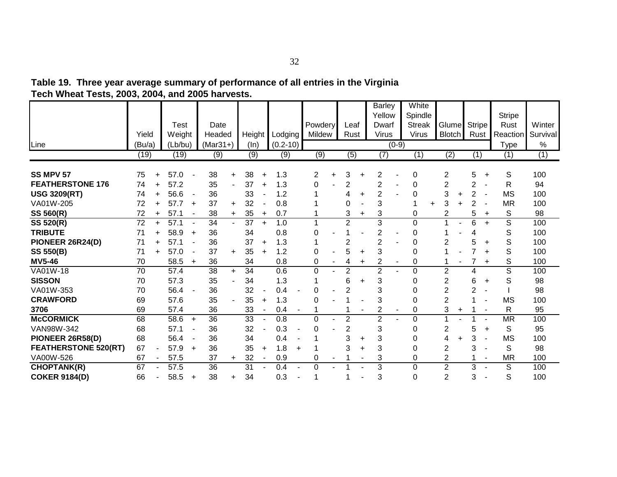| Table 19. Three year average summary of performance of all entries in the Virginia |  |
|------------------------------------------------------------------------------------|--|
| Tech Wheat Tests, 2003, 2004, and 2005 harvests.                                   |  |

|                             |        |           |         |                          |            |           |        |           |                  |           |                |                  |           | <b>Barley</b>  |         | White         |   |                |           |                |                |               |          |
|-----------------------------|--------|-----------|---------|--------------------------|------------|-----------|--------|-----------|------------------|-----------|----------------|------------------|-----------|----------------|---------|---------------|---|----------------|-----------|----------------|----------------|---------------|----------|
|                             |        |           |         |                          |            |           |        |           |                  |           |                |                  |           | Yellow         |         | Spindle       |   |                |           |                |                | <b>Stripe</b> |          |
|                             |        |           | Test    |                          | Date       |           |        |           |                  |           | Powdery        | Leaf             |           | Dwarf          |         | <b>Streak</b> |   | Glume          |           | <b>Stripe</b>  |                | Rust          | Winter   |
|                             | Yield  |           | Weight  |                          | Headed     |           | Height |           | Lodging          |           | Mildew         | Rust             |           | <b>Virus</b>   |         | <b>Virus</b>  |   | <b>Blotch</b>  |           | Rust           |                | Reaction      | Survival |
| Line                        | (Bu/a) |           | (Lb/bu) |                          | $(Mar31+)$ |           | (ln)   |           | $(0.2 - 10)$     |           |                |                  |           |                | $(0-9)$ |               |   |                |           |                |                | Type          | $\%$     |
|                             | (19)   |           | (19)    |                          | (9)        |           | (9)    |           | $\overline{(9)}$ |           | (9)            | $\overline{(5)}$ |           | (7)            |         | (1)           |   | (2)            |           | (1)            |                | (1)           | (1)      |
|                             |        |           |         |                          |            |           |        |           |                  |           |                |                  |           |                |         |               |   |                |           |                |                |               |          |
| <b>SS MPV 57</b>            | 75     | +         | 57.0    |                          | 38         | $+$       | 38     | ÷         | 1.3              |           | 2              | 3                | +         | 2              |         | 0             |   | 2              |           | 5              | $\ddot{}$      | S             | 100      |
| <b>FEATHERSTONE 176</b>     | 74     | $\ddot{}$ | 57.2    |                          | 35         |           | 37     | $\ddot{}$ | 1.3              |           | 0              | 2                |           | 2              |         | 0             |   | $\overline{2}$ |           | 2              |                | $\mathsf{R}$  | 94       |
| <b>USG 3209(RT)</b>         | 74     |           | 56.6    | $\overline{\phantom{a}}$ | 36         |           | 33     |           | 1.2              |           |                |                  | $\ddot{}$ | $\overline{2}$ |         | 0             |   | 3              | ÷         | $\overline{2}$ |                | <b>MS</b>     | 100      |
| VA01W-205                   | 72     |           | 57.7    | $\ddot{}$                | 37         | $\pm$     | 32     |           | 0.8              |           |                | 0                |           | 3              |         | 1             | ÷ | 3              |           | 2              |                | <b>MR</b>     | 100      |
| SS 560(R)                   | 72     | $\ddot{}$ | 57.1    | $\overline{\phantom{a}}$ | 38         | $\div$    | 35     | $\ddot{}$ | 0.7              |           |                | 3                | +         | 3              |         | 0             |   | 2              |           | 5              | $\ddot{}$      | S             | 98       |
| <b>SS 520(R)</b>            | 72     | $\ddot{}$ | 57.1    | $\blacksquare$           | 34         |           | 37     | $+$       | 1.0              |           |                | $\overline{2}$   |           | 3              |         | 0             |   |                |           | 6              | $+$            | S             | 100      |
| <b>TRIBUTE</b>              | 71     |           | 58.9    | $\ddot{}$                | 36         |           | 34     |           | 0.8              |           | 0              |                  |           | $\overline{2}$ |         | 0             |   |                |           | 4              |                | S             | 100      |
| PIONEER 26R24(D)            | 71     |           | 57.1    |                          | 36         |           | 37     | $\ddot{}$ | 1.3              |           |                | 2                |           | 2              |         | 0             |   | 2              |           | 5              | +              | S             | 100      |
| <b>SS 550(B)</b>            | 71     | $\ddot{}$ | 57.0    | $\blacksquare$           | 37         | $\ddot{}$ | 35     | $\ddot{}$ | 1.2              |           | 0              | 5                | ÷.        | 3              |         | 0             |   |                |           | 7              | $\ddot{}$      | S             | 100      |
| <b>MV5-46</b>               | 70     |           | 58.5    | $\ddot{}$                | 36         |           | 34     |           | 0.8              |           | 0              | 4                | +         | 2              |         | 0             |   |                |           | 7              | $\ddot{}$      | S             | 100      |
| VA01W-18                    | 70     |           | 57.4    |                          | 38         | $+$       | 34     |           | 0.6              |           | $\mathbf 0$    | $\overline{2}$   |           | $\overline{2}$ |         | $\mathbf 0$   |   | $\overline{2}$ |           | 4              |                | S             | 100      |
| <b>SISSON</b>               | 70     |           | 57.3    |                          | 35         |           | 34     |           | 1.3              |           |                | 6                | +         | 3              |         | 0             |   | $\overline{2}$ |           | 6              | $\ddot{}$      | S             | 98       |
| VA01W-353                   | 70     |           | 56.4    |                          | 36         |           | 32     |           | 0.4              |           | 0              | 2                |           | 3              |         | 0             |   | $\overline{2}$ |           | 2              | $\blacksquare$ |               | 98       |
| <b>CRAWFORD</b>             | 69     |           | 57.6    |                          | 35         |           | 35     | $\ddot{}$ | 1.3              |           | 0              |                  |           | 3              |         | 0             |   | $\overline{2}$ |           |                |                | <b>MS</b>     | 100      |
| 3706                        | 69     |           | 57.4    |                          | 36         |           | 33     |           | 0.4              |           |                |                  |           | 2              |         | 0             |   | 3              | $\ddot{}$ |                |                | R             | 95       |
| <b>McCORMICK</b>            | 68     |           | 58.6    | $+$                      | 36         |           | 33     |           | 0.8              |           | $\overline{0}$ | $\overline{2}$   |           | $\overline{2}$ |         | $\Omega$      |   |                |           |                |                | <b>MR</b>     | 100      |
| VAN98W-342                  | 68     |           | 57.1    |                          | 36         |           | 32     |           | 0.3              |           | 0              | 2                |           | 3              |         | 0             |   | 2              |           | 5              | ÷.             | S             | 95       |
| PIONEER 26R58(D)            | 68     |           | 56.4    |                          | 36         |           | 34     |           | 0.4              |           |                | 3                | +         | 3              |         | 0             |   | 4              | $\ddot{}$ | 3              |                | <b>MS</b>     | 100      |
| <b>FEATHERSTONE 520(RT)</b> | 67     |           | 57.9    | $\ddot{}$                | 36         |           | 35     | $\ddot{}$ | 1.8              | $\ddot{}$ |                | 3                | ÷         | 3              |         | 0             |   | $\overline{2}$ |           | 3              | $\blacksquare$ | S             | 98       |
| VA00W-526                   | 67     |           | 57.5    |                          | 37         | $+$       | 32     |           | 0.9              |           | 0              |                  |           | 3              |         | 0             |   | $\overline{c}$ |           |                | $\blacksquare$ | <b>MR</b>     | 100      |
| <b>CHOPTANK(R)</b>          | 67     |           | 57.5    |                          | 36         |           | 31     |           | 0.4              |           | $\Omega$       |                  |           | 3              |         | 0             |   | $\overline{2}$ |           | 3              |                | S             | 100      |
| <b>COKER 9184(D)</b>        | 66     |           | 58.5    | $\ddot{}$                | 38         | $\pm$     | 34     |           | 0.3              |           |                |                  |           | 3              |         | 0             |   | $\overline{2}$ |           | 3              |                | S             | 100      |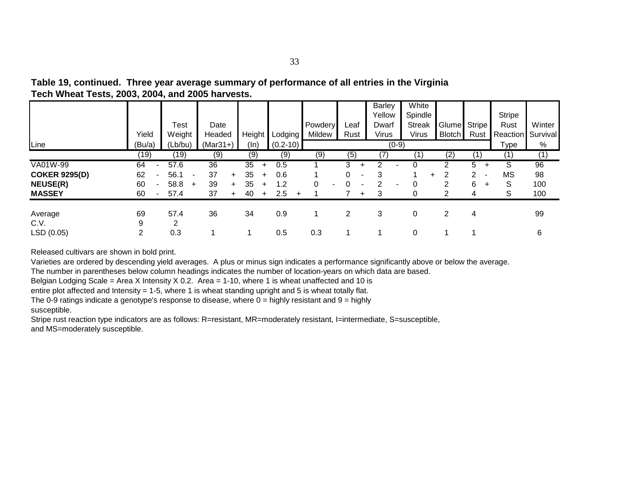| Table 19, continued. Three year average summary of performance of all entries in the Virginia |
|-----------------------------------------------------------------------------------------------|
| Tech Wheat Tests, 2003, 2004, and 2005 harvests.                                              |

|                      |                                |                        |                 |                 |                  |         |                | <b>Barley</b><br>Yellow | White<br>Spindle |               |                | <b>Stripe</b> |          |
|----------------------|--------------------------------|------------------------|-----------------|-----------------|------------------|---------|----------------|-------------------------|------------------|---------------|----------------|---------------|----------|
|                      |                                | Test                   | Date            |                 |                  | Powdery | Leaf           | Dwarf                   | <b>Streak</b>    | Glume         | <b>Stripe</b>  | Rust          | Winter   |
|                      | Yield                          | Weight                 | Headed          | Height          | Lodging          | Mildew  | Rust           | <b>Virus</b>            | <b>Virus</b>     | <b>Blotch</b> | Rust           | Reaction      | Survival |
| Line                 | (Bu/a)                         | (Lb/bu)                | $(Mar31+)$      | (ln)            | $(0.2 - 10)$     |         |                | $(0-9)$                 |                  |               |                | Type          | %        |
|                      | (19)                           | ั19)                   | (9)             | (9)             | (9)              | (9)     | (5)            | 7)                      |                  | (2)           | 11             | (1,           | (1)      |
| VA01W-99             | 64<br>$\overline{\phantom{a}}$ | 57.6                   | $\overline{36}$ | 35<br>$+$       | 0.5              |         | 3<br>$\ddot{}$ |                         |                  |               | 5.<br>$\pm$    | S             | 96       |
| <b>COKER 9295(D)</b> | 62                             | 56.1<br>$\blacksquare$ | 37<br>$+$       | 35<br>$\ddot{}$ | 0.6              |         | 0<br>۰         | 3                       | $+$              | 2             | 2              | <b>MS</b>     | 98       |
| <b>NEUSE(R)</b>      | 60                             | 58.8<br>$\ddot{}$      | 39<br>$+$       | 35<br>$\ddot{}$ | 1.2              | 0<br>۰. | ۰              | 2                       |                  | 2             | 6<br>$\ddot{}$ | S             | 100      |
| <b>MASSEY</b>        | 60<br>٠                        | 57.4                   | 37<br>$+$       | 40<br>$+$       | 2.5<br>$\ddot{}$ |         | $+$            | 3                       |                  |               | 4              | S             | 100      |
| Average              | 69                             | 57.4                   | 36              | 34              | 0.9              |         | 2              | 3                       | 0                | 2             | 4              |               | 99       |
| C.V.                 | 9                              | 2                      |                 |                 |                  |         |                |                         |                  |               |                |               |          |
| LSD (0.05)           | $\overline{2}$                 | 0.3                    |                 |                 | 0.5              | 0.3     |                |                         | 0                |               |                |               | 6        |

Varieties are ordered by descending yield averages. A plus or minus sign indicates a performance significantly above or below the average.

The number in parentheses below column headings indicates the number of location-years on which data are based.

Belgian Lodging Scale = Area X Intensity X 0.2. Area = 1-10, where 1 is wheat unaffected and 10 is

entire plot affected and Intensity = 1-5, where 1 is wheat standing upright and 5 is wheat totally flat.

The 0-9 ratings indicate a genotype's response to disease, where  $0 =$  highly resistant and  $9 =$  highly susceptible.

Stripe rust reaction type indicators are as follows: R=resistant, MR=moderately resistant, I=intermediate, S=susceptible, and MS=moderately susceptible.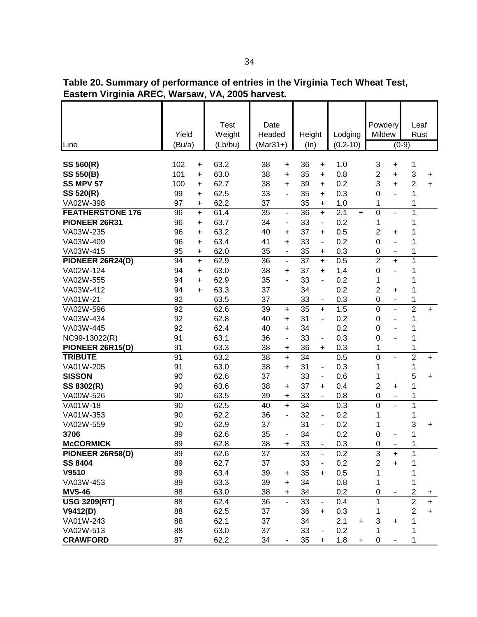**Table 20. Summary of performance of entries in the Virginia Tech Wheat Test, Eastern Virginia AREC, Warsaw, VA, 2005 harvest.**

|                         | <b>Test</b><br>Weight<br>Yield<br>(Bu/a)<br>(Lb/bu) |      | Date<br>Headed                     | Height                             | Lodging                 | Powdery<br>Mildew                         | Leaf<br>Rust                 |
|-------------------------|-----------------------------------------------------|------|------------------------------------|------------------------------------|-------------------------|-------------------------------------------|------------------------------|
| Line                    |                                                     |      | $(Mar31+)$                         | (ln)                               | $(0.2 - 10)$            |                                           | $(0-9)$                      |
| SS 560(R)               | 102<br>+                                            | 63.2 | 38<br>$\ddot{}$                    | 36<br>+                            | 1.0                     | 3                                         | 1                            |
| <b>SS 550(B)</b>        | 101<br>$\ddot{}$                                    | 63.0 | 38<br>$\ddot{}$                    | 35<br>$\ddot{}$                    | 0.8                     | +<br>2<br>$\ddot{}$                       | 3<br>+                       |
| SS MPV 57               | 100<br>$\ddot{}$                                    | 62.7 | 38<br>$\ddot{}$                    | 39<br>$\ddot{}$                    | 0.2                     | 3<br>$\ddot{}$                            | $\overline{2}$<br>$\ddot{}$  |
| SS 520(R)               | 99<br>$\ddot{}$                                     | 62.5 | 33<br>$\overline{\phantom{0}}$     | 35<br>$\ddot{}$                    | 0.3                     | $\mathbf 0$<br>L,                         | 1                            |
| VA02W-398               | 97<br>+                                             | 62.2 | 37                                 | 35<br>+                            | 1.0                     | 1                                         | 1                            |
| <b>FEATHERSTONE 176</b> | 96<br>$\ddot{}$                                     | 61.4 | 35<br>$\qquad \qquad \blacksquare$ | $\overline{36}$<br>$\ddot{}$       | $\overline{2.1}$<br>$+$ | $\mathbf 0$<br>$\overline{a}$             | 1                            |
| PIONEER 26R31           | 96<br>$\ddot{}$                                     | 63.7 | 34<br>$\overline{\phantom{m}}$     | 33<br>$\overline{\phantom{0}}$     | 0.2                     | 1                                         | 1                            |
| VA03W-235               | 96<br>+                                             | 63.2 | 40<br>+                            | 37<br>$\ddot{}$                    | 0.5                     | $\overline{2}$<br>+                       | 1                            |
| VA03W-409               | 96<br>+                                             | 63.4 | 41<br>$\ddot{}$                    | 33<br>$\blacksquare$               | 0.2                     | $\mathbf 0$<br>$\overline{a}$             | 1                            |
| VA03W-415               | 95<br>+                                             | 62.0 | 35<br>$\qquad \qquad \blacksquare$ | 35<br>+                            | 0.3                     | $\pmb{0}$<br>$\qquad \qquad \blacksquare$ | 1                            |
| PIONEER 26R24(D)        | 94<br>$\ddot{}$                                     | 62.9 | 36<br>$\blacksquare$               | $\overline{37}$<br>$\ddot{}$       | 0.5                     | $\overline{2}$<br>$\ddot{}$               | $\mathbf 1$                  |
| VA02W-124               | 94<br>+                                             | 63.0 | 38<br>+                            | 37<br>+                            | 1.4                     | $\mathbf 0$<br>$\overline{\phantom{0}}$   | 1                            |
| VA02W-555               | 94<br>+                                             | 62.9 | 35<br>٠                            | 33<br>$\overline{\phantom{m}}$     | 0.2                     | 1                                         | 1                            |
| VA03W-412               | 94<br>+                                             | 63.3 | 37                                 | 34                                 | 0.2                     | $\overline{2}$<br>+                       | 1                            |
| VA01W-21                | 92                                                  | 63.5 | 37                                 | 33<br>۰                            | 0.3                     | $\mathbf 0$<br>$\overline{\phantom{a}}$   | 1                            |
| VA02W-596               | 92                                                  | 62.6 | 39<br>$\ddot{}$                    | $\overline{35}$<br>$\ddot{}$       | 1.5                     | $\mathbf 0$<br>$\overline{a}$             | $\overline{2}$<br>$+$        |
| VA03W-434               | 92                                                  | 62.8 | 40<br>$\ddot{}$                    | 31<br>$\blacksquare$               | 0.2                     | 0<br>$\overline{a}$                       | 1                            |
| VA03W-445               | 92                                                  | 62.4 | 40<br>+                            | 34                                 | 0.2                     | 0                                         | 1                            |
| NC99-13022(R)           | 91                                                  | 63.1 | 36<br>$\overline{\phantom{m}}$     | 33<br>$\overline{\phantom{a}}$     | 0.3                     | $\mathbf 0$                               | 1                            |
| PIONEER 26R15(D)        | 91                                                  | 63.3 | 38<br>+                            | 36<br>$\ddot{}$                    | 0.3                     | 1                                         | 1                            |
| <b>TRIBUTE</b>          | 91                                                  | 63.2 | 38<br>$\ddot{}$                    | 34                                 | 0.5                     | $\mathbf 0$<br>$\overline{a}$             | $\overline{2}$<br>$\ddot{}$  |
| VA01W-205               | 91                                                  | 63.0 | 38<br>$\ddot{}$                    | 31<br>$\overline{\phantom{m}}$     | 0.3                     | 1                                         | 1                            |
| <b>SISSON</b>           | 90                                                  | 62.6 | 37                                 | 33<br>$\overline{\phantom{a}}$     | 0.6                     | 1                                         | 5<br>+                       |
| SS 8302(R)              | 90                                                  | 63.6 | 38<br>+                            | 37<br>+                            | 0.4                     | $\overline{c}$<br>+                       | 1                            |
| VA00W-526               | 90                                                  | 63.5 | 39<br>+                            | 33                                 | 0.8                     | 0<br>$\overline{\phantom{0}}$             | 1                            |
| VA01W-18                | 90                                                  | 62.5 | 40<br>$\ddot{}$                    | 34                                 | 0.3                     | $\mathbf 0$<br>$\overline{a}$             | 1                            |
| VA01W-353               | 90                                                  | 62.2 | 36<br>$\overline{\phantom{m}}$     | 32<br>$\qquad \qquad \blacksquare$ | 0.2                     | 1                                         | 1                            |
| VA02W-559               | 90                                                  | 62.9 | 37                                 | 31<br>$\overline{\phantom{m}}$     | 0.2                     | 1                                         | 3<br>+                       |
| 3706                    | 89                                                  | 62.6 | 35<br>$\qquad \qquad \blacksquare$ | 34                                 | 0.2                     | 0                                         | 1                            |
| <b>McCORMICK</b>        | 89                                                  | 62.8 | 38<br>+                            | 33<br>$\overline{\phantom{0}}$     | 0.3                     | 0<br>-                                    | 1                            |
| PIONEER 26R58(D)        | 89                                                  | 62.6 | 37                                 | 33                                 | 0.2                     | 3<br>$\ddot{}$                            |                              |
| <b>SS 8404</b>          | 89                                                  | 62.7 | 37                                 | 33                                 | 0.2                     | $\overline{2}$<br>$\ddot{}$               |                              |
| V9510                   | 89                                                  | 63.4 | 39<br>+                            | 35<br>$\ddot{}$                    | 0.5                     | 1                                         |                              |
| VA03W-453               | 89                                                  | 63.3 | 39<br>$\ddot{}$                    | 34                                 | 0.8                     | 1                                         | 1                            |
| <b>MV5-46</b>           | 88                                                  | 63.0 | 38<br>$\ddot{}$                    | 34                                 | 0.2                     | 0                                         | $\overline{\mathbf{c}}$<br>+ |
| <b>USG 3209(RT)</b>     | 88                                                  | 62.4 | 36                                 | 33                                 | 0.4                     | 1                                         | $\overline{2}$<br>$\ddot{}$  |
| V9412(D)                | 88                                                  | 62.5 | 37                                 | 36<br>$\ddot{}$                    | 0.3                     |                                           | $\overline{c}$<br>$\ddot{}$  |
| VA01W-243               | 88                                                  | 62.1 | 37                                 | 34                                 | 2.1<br>$\ddot{}$        | 3<br>$\ddot{}$                            | 1                            |
| VA02W-513               | 88                                                  | 63.0 | 37                                 | 33                                 | 0.2                     | 1                                         | 1                            |
| <b>CRAWFORD</b>         | 87                                                  | 62.2 | 34                                 | 35<br>+                            | 1.8<br>+                | 0                                         |                              |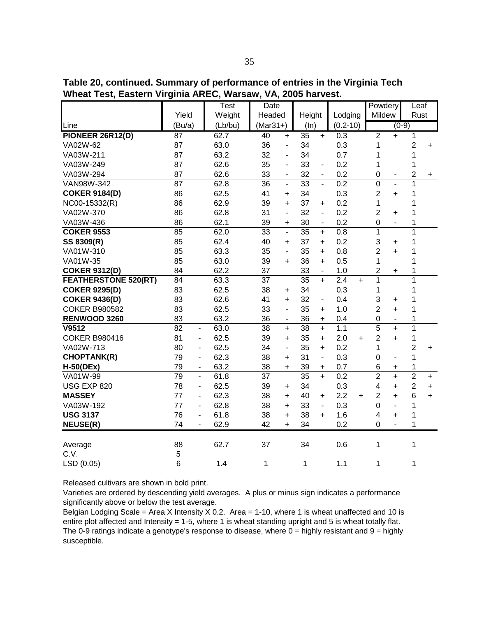| .<br>=uv.v.i. v.i           | ັ                                  |         | ., .            |                          |                 |                              |                  |                         |                          |                |           |
|-----------------------------|------------------------------------|---------|-----------------|--------------------------|-----------------|------------------------------|------------------|-------------------------|--------------------------|----------------|-----------|
|                             |                                    | Test    | Date            |                          |                 |                              |                  | Powdery                 |                          | Leaf           |           |
|                             | Yield                              | Weight  | Headed          |                          | Height          |                              | Lodging          | Mildew                  |                          | Rust           |           |
| Line                        | (Bu/a)                             | (Lb/bu) | $(Mar31+)$      |                          | (ln)            |                              | $(0.2 - 10)$     |                         | $(0-9)$                  |                |           |
| <b>PIONEER 26R12(D)</b>     | $\overline{87}$                    | 62.7    | $\overline{40}$ | $+$                      | $\overline{35}$ | $\ddot{}$                    | 0.3              | $\overline{2}$          | $\ddot{}$                | $\mathbf{1}$   |           |
| VA02W-62                    | 87                                 | 63.0    | 36              | $\overline{\phantom{0}}$ | 34              |                              | 0.3              | 1                       |                          | $\overline{2}$ | $\ddot{}$ |
| VA03W-211                   | 87                                 | 63.2    | 32              | $\blacksquare$           | 34              |                              | 0.7              | 1                       |                          | 1              |           |
| VA03W-249                   | 87                                 | 62.6    | 35              | $\blacksquare$           | 33              | $\blacksquare$               | 0.2              | 1                       |                          | 1              |           |
| VA03W-294                   | 87                                 | 62.6    | 33              | $\blacksquare$           | 32              | $\blacksquare$               | 0.2              | $\overline{0}$          |                          | $\overline{c}$ | +         |
| VAN98W-342                  | $\overline{87}$                    | 62.8    | 36              | L.                       | 33              | L.                           | 0.2              | $\overline{0}$          | $\overline{a}$           | $\mathbf 1$    |           |
| <b>COKER 9184(D)</b>        | 86                                 | 62.5    | 41              | $\ddot{}$                | 34              |                              | 0.3              | $\overline{2}$          | $\ddot{}$                | 1              |           |
| NC00-15332(R)               | 86                                 | 62.9    | 39              | $+$                      | 37              | $+$                          | 0.2              | 1                       |                          | $\mathbf 1$    |           |
| VA02W-370                   | 86                                 | 62.8    | 31              | $\overline{a}$           | 32              | $\blacksquare$               | 0.2              | $\overline{2}$          | $\ddot{}$                | 1              |           |
| VA03W-436                   | 86                                 | 62.1    | 39              | +                        | 30              | $\blacksquare$               | 0.2              | $\mathbf 0$             | $\blacksquare$           | 1              |           |
| <b>COKER 9553</b>           | 85                                 | 62.0    | 33              | $\overline{\phantom{a}}$ | 35              | $\ddot{}$                    | 0.8              | $\mathbf{1}$            |                          | $\overline{1}$ |           |
| SS 8309(R)                  | 85                                 | 62.4    | 40              | $\ddot{}$                | 37              | $\ddot{}$                    | 0.2              | 3                       | +                        | 1              |           |
| VA01W-310                   | 85                                 | 63.3    | 35              | $\blacksquare$           | 35              | $\ddot{}$                    | 0.8              | $\overline{2}$          | $+$                      | $\mathbf 1$    |           |
| VA01W-35                    | 85                                 | 63.0    | 39              | $\ddot{}$                | 36              | $\ddot{}$                    | 0.5              | $\mathbf{1}$            |                          | $\mathbf 1$    |           |
| <b>COKER 9312(D)</b>        | 84                                 | 62.2    | 37              |                          | 33              |                              | 1.0              | $\overline{\mathbf{c}}$ | +                        | 1              |           |
| <b>FEATHERSTONE 520(RT)</b> | 84                                 | 63.3    | $\overline{37}$ |                          | 35              | $+$                          | 2.4<br>$+$       | 1                       |                          | $\overline{1}$ |           |
| <b>COKER 9295(D)</b>        | 83                                 | 62.5    | 38              | $\ddot{}$                | 34              |                              | 0.3              | 1                       |                          | $\mathbf 1$    |           |
| <b>COKER 9436(D)</b>        | 83                                 | 62.6    | 41              | $\ddot{}$                | 32              | $\overline{\phantom{a}}$     | 0.4              | 3                       | +                        | 1              |           |
| <b>COKER B980582</b>        | 83                                 | 62.5    | 33              | $\overline{\phantom{0}}$ | 35              | $+$                          | 1.0              | $\overline{2}$          | $\ddot{}$                | $\mathbf 1$    |           |
| RENWOOD 3260                | 83                                 | 63.2    | 36              | $\blacksquare$           | 36              | $\ddot{}$                    | 0.4              | $\overline{0}$          | $\blacksquare$           | $\mathbf 1$    |           |
| V9512                       | $\overline{82}$<br>$\blacksquare$  | 63.0    | 38              | $+$                      | $\overline{38}$ | $\ddot{}$                    | 1.1              | $\overline{5}$          | $\ddot{}$                | $\overline{1}$ |           |
| <b>COKER B980416</b>        | 81<br>$\blacksquare$               | 62.5    | 39              | $\ddot{}$                | 35              | $\ddot{}$                    | 2.0<br>$\ddot{}$ | $\overline{2}$          | $+$                      | 1              |           |
| VA02W-713                   | 80<br>$\overline{\phantom{a}}$     | 62.5    | 34              | $\blacksquare$           | 35              | $\ddot{}$                    | 0.2              | 1                       |                          | $\overline{2}$ | $+$       |
| <b>CHOPTANK(R)</b>          | 79<br>$\blacksquare$               | 62.3    | 38              | $+$                      | 31              | $\blacksquare$               | 0.3              | $\mathbf 0$             | $\overline{\phantom{0}}$ | $\mathbf 1$    |           |
| $H-50(DEx)$                 | 79<br>$\qquad \qquad \blacksquare$ | 63.2    | 38              | $+$                      | 39              | $\ddot{}$                    | 0.7              | 6                       | $\ddot{}$                | 1              |           |
| VA01W-99                    | 79<br>$\blacksquare$               | 61.8    | 37              |                          | $\overline{35}$ | $\ddot{}$                    | 0.2              | $\overline{2}$          | $\ddot{}$                | $\overline{2}$ | $+$       |
| USG EXP 820                 | 78<br>$\overline{\phantom{m}}$     | 62.5    | 39              | $\ddot{}$                | 34              |                              | 0.3              | 4                       | $\ddot{}$                | $\overline{2}$ | $\ddot{}$ |
| <b>MASSEY</b>               | 77<br>$\overline{\phantom{0}}$     | 62.3    | 38              | $\ddot{}$                | 40              | +                            | 2.2<br>$\ddot{}$ | $\overline{2}$          | +                        | $6\phantom{a}$ | $\ddot{}$ |
| VA03W-192                   | 77<br>٠                            | 62.8    | 38              | $\ddot{}$                | 33              | $\qquad \qquad \blacksquare$ | 0.3              | $\mathbf 0$             | $\blacksquare$           | $\mathbf 1$    |           |
| <b>USG 3137</b>             | 76<br>$\overline{\phantom{0}}$     | 61.8    | 38              | $\ddot{}$                | 38              | $\ddot{}$                    | 1.6              | $\overline{\mathbf{4}}$ | +                        | $\mathbf 1$    |           |
| <b>NEUSE(R)</b>             | 74<br>$\overline{\phantom{0}}$     | 62.9    | 42              | $\ddot{}$                | 34              |                              | 0.2              | $\overline{0}$          | L,                       | $\mathbf 1$    |           |
|                             |                                    |         |                 |                          |                 |                              |                  |                         |                          |                |           |
| Average                     | 88                                 | 62.7    | 37              |                          | 34              |                              | 0.6              | 1                       |                          | 1              |           |
| C.V.                        | 5                                  |         |                 |                          |                 |                              |                  |                         |                          |                |           |
| LSD (0.05)                  | 6                                  | 1.4     | 1               |                          | 1               |                              | 1.1              | 1                       |                          | 1              |           |

**Table 20, continued. Summary of performance of entries in the Virginia Tech Wheat Test, Eastern Virginia AREC, Warsaw, VA, 2005 harvest.**

Varieties are ordered by descending yield averages. A plus or minus sign indicates a performance significantly above or below the test average.

Belgian Lodging Scale = Area X Intensity X 0.2. Area = 1-10, where 1 is wheat unaffected and 10 is entire plot affected and Intensity = 1-5, where 1 is wheat standing upright and 5 is wheat totally flat. The 0-9 ratings indicate a genotype's response to disease, where  $0 =$  highly resistant and  $9 =$  highly susceptible.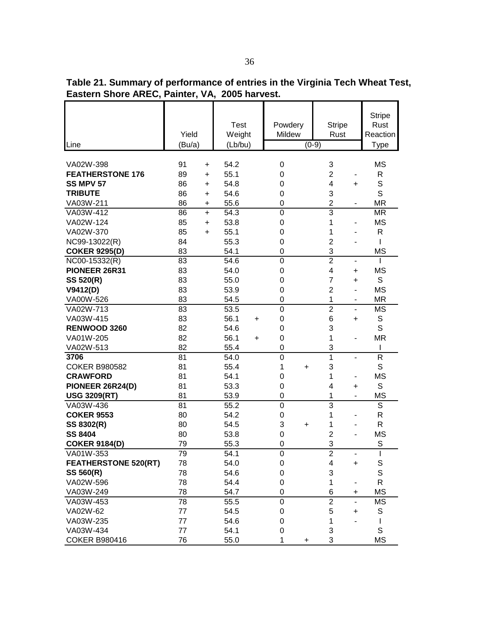**Table 21. Summary of performance of entries in the Virginia Tech Wheat Test, Eastern Shore AREC, Painter, VA, 2005 harvest.** 

| Line                        | Yield<br>(Bu/a) | <b>Test</b><br>Weight<br>(Lb/bu) | Powdery<br>Mildew | <b>Stripe</b><br>Rust<br>$(0-9)$ | <b>Stripe</b><br>Rust<br>Reaction<br>Type |
|-----------------------------|-----------------|----------------------------------|-------------------|----------------------------------|-------------------------------------------|
|                             |                 |                                  |                   |                                  |                                           |
| VA02W-398                   | 91<br>$\ddot{}$ | 54.2                             | $\pmb{0}$         | 3                                | <b>MS</b>                                 |
| <b>FEATHERSTONE 176</b>     | 89<br>$\ddot{}$ | 55.1                             | 0                 | $\overline{c}$                   | R                                         |
| <b>SS MPV 57</b>            | 86<br>+         | 54.8                             | 0                 | 4<br>+                           | $\mathsf S$                               |
| <b>TRIBUTE</b>              | 86<br>$\ddot{}$ | 54.6                             | 0                 | 3                                | S                                         |
| VA03W-211                   | 86<br>+         | 55.6                             | $\mathbf 0$       | $\overline{2}$                   | <b>MR</b>                                 |
| VA03W-412                   | 86<br>$\ddot{}$ | 54.3                             | $\mathbf 0$       | $\overline{3}$                   | <b>MR</b>                                 |
| VA02W-124                   | 85<br>$\ddot{}$ | 53.8                             | $\boldsymbol{0}$  | 1                                | <b>MS</b>                                 |
| VA02W-370                   | 85<br>$\ddot{}$ | 55.1                             | $\boldsymbol{0}$  | 1                                | R                                         |
| NC99-13022(R)               | 84              | 55.3                             | $\boldsymbol{0}$  | $\overline{2}$                   | I                                         |
| <b>COKER 9295(D)</b>        | 83              | 54.1                             | $\mathbf 0$       | 3                                | <b>MS</b>                                 |
| NC00-15332(R)               | 83              | 54.6                             | $\mathbf 0$       | $\overline{2}$<br>-              | I                                         |
| PIONEER 26R31               | 83              | 54.0                             | $\mathbf 0$       | 4<br>+                           | <b>MS</b>                                 |
| SS 520(R)                   | 83              | 55.0                             | $\mathbf 0$       | $\overline{7}$<br>+              | S                                         |
| V9412(D)                    | 83              | 53.9                             | $\mathbf 0$       | $\overline{2}$                   | <b>MS</b>                                 |
| VA00W-526                   | 83              | 54.5                             | $\mathbf 0$       | 1<br>۰                           | <b>MR</b>                                 |
| VA02W-713                   | 83              | 53.5                             | $\mathbf 0$       | $\overline{2}$<br>٠              | <b>MS</b>                                 |
| VA03W-415                   | 83              | 56.1<br>$\ddot{}$                | $\mathbf 0$       | 6<br>+                           | S                                         |
| RENWOOD 3260                | 82              | 54.6                             | $\mathbf 0$       | 3                                | S                                         |
| VA01W-205                   | 82              | 56.1<br>+                        | $\mathbf 0$       | 1                                | <b>MR</b>                                 |
| VA02W-513                   | 82              | 55.4                             | $\mathbf 0$       | 3                                | I                                         |
| 3706                        | 81              | 54.0                             | $\mathbf 0$       | 1<br>$\overline{\phantom{0}}$    | R                                         |
| <b>COKER B980582</b>        | 81              | 55.4                             | 1<br>+            | 3                                | S                                         |
| <b>CRAWFORD</b>             | 81              | 54.1                             | $\mathbf 0$       | 1                                | <b>MS</b>                                 |
| PIONEER 26R24(D)            | 81              | 53.3                             | $\boldsymbol{0}$  | 4<br>$\ddot{}$                   | S                                         |
| <b>USG 3209(RT)</b>         | 81              | 53.9                             | $\mathbf 0$       | 1                                | <b>MS</b>                                 |
| VA03W-436                   | 81              | 55.2                             | $\boldsymbol{0}$  | 3                                | $\overline{s}$                            |
| <b>COKER 9553</b>           | 80              | 54.2                             | $\mathbf 0$       | 1                                | R                                         |
| SS 8302(R)                  | 80              | 54.5                             | 3<br>$\ddot{}$    | 1                                | R                                         |
| <b>SS 8404</b>              | 80              | 53.8                             | $\mathbf 0$       | $\overline{2}$                   | <b>MS</b>                                 |
| <b>COKER 9184(D)</b>        | 79              | 55.3                             | $\mathbf 0$       | 3                                | S                                         |
| VA01W-353                   | 79              | 54.1                             | 0                 | 2                                |                                           |
| <b>FEATHERSTONE 520(RT)</b> | 78              | 54.0                             | $\mathbf 0$       | 4<br>+                           | S                                         |
| SS 560(R)                   | 78              | 54.6                             | 0                 | 3                                | $\mathsf S$                               |
| VA02W-596                   | 78              | 54.4                             | $\boldsymbol{0}$  | 1                                | R                                         |
| VA03W-249                   | 78              | 54.7                             | $\boldsymbol{0}$  | 6<br>+                           | <b>MS</b>                                 |
| VA03W-453                   | 78              | 55.5                             | $\mathbf 0$       | $\overline{2}$<br>L.             | <b>MS</b>                                 |
| VA02W-62                    | 77              | 54.5                             | $\pmb{0}$         | 5<br>+                           | S                                         |
| VA03W-235                   | 77              | 54.6                             | 0                 | 1                                | L                                         |
| VA03W-434                   | 77              | 54.1                             | $\boldsymbol{0}$  | 3                                | S                                         |
| <b>COKER B980416</b>        | 76              | 55.0                             | 1<br>+            | 3                                | <b>MS</b>                                 |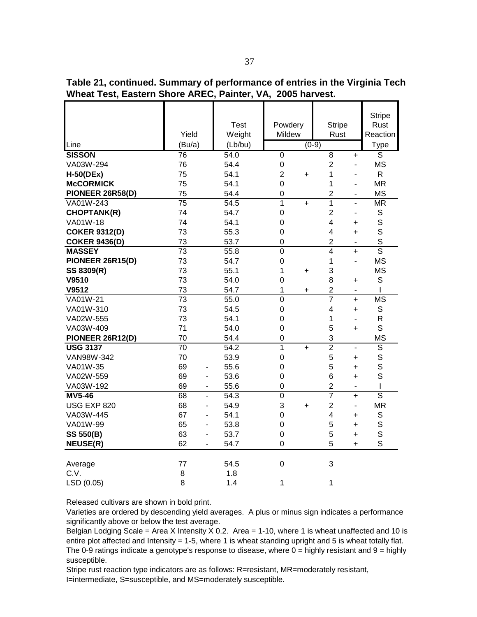**Table 21, continued. Summary of performance of entries in the Virginia Tech Wheat Test, Eastern Shore AREC, Painter, VA, 2005 harvest.** 

| Line                 | Yield<br>(Bu/a) | <b>Test</b><br>Weight<br>(Lb/bu) | Powdery<br>Mildew           | <b>Stripe</b><br>Rust<br>$(0-9)$ |                          | <b>Stripe</b><br>Rust<br>Reaction<br><b>Type</b> |
|----------------------|-----------------|----------------------------------|-----------------------------|----------------------------------|--------------------------|--------------------------------------------------|
| <b>SISSON</b>        | $\overline{76}$ | 54.0                             | $\overline{0}$              | $\overline{8}$                   | $\ddot{}$                | S                                                |
| VA03W-294            | 76              | 54.4                             | $\mathbf 0$                 | $\overline{2}$                   | ٠                        | <b>MS</b>                                        |
| $H-50(DEx)$          | 75              | 54.1                             | $\overline{2}$<br>$\ddot{}$ | 1                                | $\blacksquare$           | R.                                               |
| <b>McCORMICK</b>     | 75              | 54.1                             | 0                           | 1                                | $\blacksquare$           | <b>MR</b>                                        |
| PIONEER 26R58(D)     | 75              | 54.4                             | $\overline{0}$              | $\overline{c}$                   | $\blacksquare$           | <b>MS</b>                                        |
| VA01W-243            | $\overline{75}$ | 54.5                             | $\overline{1}$<br>$\ddot{}$ | 1                                | $\overline{a}$           | $\overline{\mathsf{MR}}$                         |
| <b>CHOPTANK(R)</b>   | 74              | 54.7                             | $\mathbf 0$                 | $\overline{2}$                   | $\overline{\phantom{a}}$ | $\mathbb S$                                      |
| VA01W-18             | 74              | 54.1                             | $\mathbf 0$                 | $\overline{\mathbf{4}}$          | +                        | $\mathbb S$                                      |
| <b>COKER 9312(D)</b> | 73              | 55.3                             | $\mathbf 0$                 | $\overline{4}$                   | $\ddot{}$                | S                                                |
| <b>COKER 9436(D)</b> | 73              | 53.7                             | $\overline{0}$              | $\overline{2}$                   | $\overline{\phantom{0}}$ | S                                                |
| <b>MASSEY</b>        | $\overline{73}$ | 55.8                             | $\overline{0}$              | $\overline{4}$                   | $+$                      | $\overline{\mathsf{s}}$                          |
| PIONEER 26R15(D)     | 73              | 54.7                             | $\mathbf 0$                 | 1                                | L.                       | <b>MS</b>                                        |
| SS 8309(R)           | 73              | 55.1                             | 1<br>$\ddot{}$              | 3                                |                          | <b>MS</b>                                        |
| V9510                | 73              | 54.0                             | 0                           | 8                                | $\ddot{}$                | S                                                |
| V9512                | 73              | 54.7                             | 1<br>+                      | $\overline{2}$                   | $\blacksquare$           | I                                                |
| VA01W-21             | $\overline{73}$ | 55.0                             | $\overline{0}$              | $\overline{7}$                   | $+$                      | <b>MS</b>                                        |
| VA01W-310            | 73              | 54.5                             | $\overline{0}$              | $\overline{4}$                   | $\ddot{}$                | S                                                |
| VA02W-555            | 73              | 54.1                             | $\mathbf 0$                 | 1                                | $\blacksquare$           | R                                                |
| VA03W-409            | 71              | 54.0                             | 0                           | 5                                | $\ddot{}$                | S                                                |
| PIONEER 26R12(D)     | 70              | 54.4                             | $\mathbf 0$                 | 3                                |                          | <b>MS</b>                                        |
| <b>USG 3137</b>      | $\overline{70}$ | 54.2                             | $\overline{1}$<br>$+$       | $\overline{2}$                   | $\blacksquare$           | $\overline{\mathsf{s}}$                          |
| VAN98W-342           | 70              | 53.9                             | $\mathbf 0$                 | 5                                | +                        | $\mathbf S$                                      |
| VA01W-35             | 69<br>۰         | 55.6                             | $\mathbf 0$                 | 5                                | +                        | S                                                |
| VA02W-559            | 69<br>۰         | 53.6                             | $\mathbf 0$                 | 6                                | $\ddot{}$                | S                                                |
| VA03W-192            | 69              | 55.6                             | $\mathbf 0$                 | $\overline{c}$                   | $\blacksquare$           | I                                                |
| <b>MV5-46</b>        | 68<br>L,        | 54.3                             | $\mathbf 0$                 | $\overline{7}$                   | $\ddot{}$                | $\overline{\mathsf{s}}$                          |
| USG EXP 820          | 68              | 54.9                             | 3<br>$\ddot{}$              | $\overline{2}$                   | ä,                       | <b>MR</b>                                        |
| VA03W-445            | 67<br>÷,        | 54.1                             | 0                           | 4                                | $\ddot{}$                | S                                                |
| VA01W-99             | 65<br>÷,        | 53.8                             | $\mathbf 0$                 | 5                                | $\ddot{}$                | $\mathbb S$                                      |
| <b>SS 550(B)</b>     | 63<br>L,        | 53.7                             | $\boldsymbol{0}$            | 5                                | $\ddot{}$                | $\mathsf S$                                      |
| <b>NEUSE(R)</b>      | 62              | 54.7                             | $\mathbf 0$                 | 5                                | +                        | S                                                |
|                      |                 |                                  |                             |                                  |                          |                                                  |
| Average              | 77              | 54.5                             | $\mathbf 0$                 | 3                                |                          |                                                  |
| C.V.                 | 8               | 1.8                              |                             |                                  |                          |                                                  |
| LSD (0.05)           | 8               | 1.4                              | 1                           | 1                                |                          |                                                  |

Varieties are ordered by descending yield averages. A plus or minus sign indicates a performance significantly above or below the test average.

Belgian Lodging Scale = Area X Intensity X 0.2. Area = 1-10, where 1 is wheat unaffected and 10 is entire plot affected and Intensity = 1-5, where 1 is wheat standing upright and 5 is wheat totally flat. The 0-9 ratings indicate a genotype's response to disease, where  $0 =$  highly resistant and  $9 =$  highly susceptible.

Stripe rust reaction type indicators are as follows: R=resistant, MR=moderately resistant, I=intermediate, S=susceptible, and MS=moderately susceptible.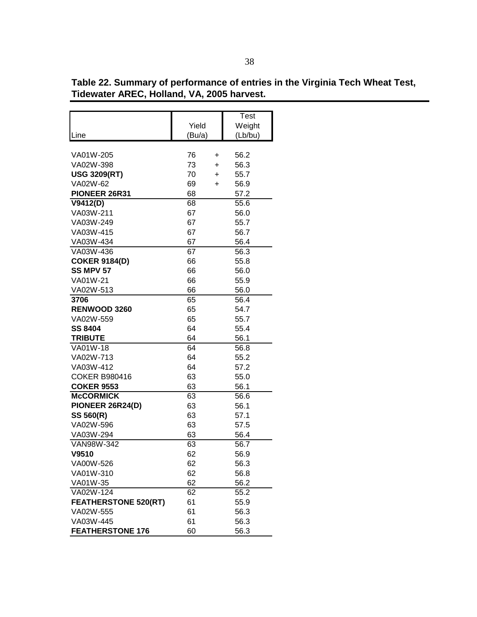|                             |        |           | Test    |  |  |  |  |
|-----------------------------|--------|-----------|---------|--|--|--|--|
|                             | Yield  |           | Weight  |  |  |  |  |
| Line                        | (Bu/a) |           | (Lb/bu) |  |  |  |  |
|                             |        |           |         |  |  |  |  |
| VA01W-205                   | 76     | +         | 56.2    |  |  |  |  |
| VA02W-398                   | 73     | $\ddot{}$ | 56.3    |  |  |  |  |
| <b>USG 3209(RT)</b>         | 70     | $\ddot{}$ | 55.7    |  |  |  |  |
| VA02W-62                    | 69     | ÷.        | 56.9    |  |  |  |  |
| PIONEER 26R31               | 68     |           | 57.2    |  |  |  |  |
| V9412(D)                    | 68     |           | 55.6    |  |  |  |  |
| VA03W-211                   | 67     |           | 56.0    |  |  |  |  |
| VA03W-249                   | 67     |           | 55.7    |  |  |  |  |
| VA03W-415                   | 67     |           | 56.7    |  |  |  |  |
| VA03W-434                   | 67     |           | 56.4    |  |  |  |  |
| VA03W-436                   | 67     |           | 56.3    |  |  |  |  |
| <b>COKER 9184(D)</b>        | 66     |           | 55.8    |  |  |  |  |
| <b>SS MPV 57</b>            | 66     |           | 56.0    |  |  |  |  |
| VA01W-21                    | 66     |           | 55.9    |  |  |  |  |
| VA02W-513                   | 66     |           | 56.0    |  |  |  |  |
| 3706                        | 65     |           | 56.4    |  |  |  |  |
| RENWOOD 3260                | 65     |           | 54.7    |  |  |  |  |
| VA02W-559                   | 65     |           | 55.7    |  |  |  |  |
| <b>SS 8404</b>              | 64     |           | 55.4    |  |  |  |  |
| <b>TRIBUTE</b>              | 64     |           | 56.1    |  |  |  |  |
| VA01W-18                    | 64     |           | 56.8    |  |  |  |  |
| VA02W-713                   | 64     |           | 55.2    |  |  |  |  |
| VA03W-412                   | 64     |           | 57.2    |  |  |  |  |
| <b>COKER B980416</b>        | 63     |           | 55.0    |  |  |  |  |
| <b>COKER 9553</b>           | 63     |           | 56.1    |  |  |  |  |
| <b>McCORMICK</b>            | 63     |           | 56.6    |  |  |  |  |
| PIONEER 26R24(D)            | 63     |           | 56.1    |  |  |  |  |
| SS 560(R)                   | 63     |           | 57.1    |  |  |  |  |
| VA02W-596                   | 63     |           | 57.5    |  |  |  |  |
| VA03W-294                   | 63     |           | 56.4    |  |  |  |  |
| VAN98W-342                  | 63     |           | 56.7    |  |  |  |  |
| V9510                       | 62     |           | 56.9    |  |  |  |  |
| VA00W-526                   | 62     |           | 56.3    |  |  |  |  |
| VA01W-310                   | 62     |           | 56.8    |  |  |  |  |
| VA01W-35                    | 62     |           | 56.2    |  |  |  |  |
| VA02W-124                   | 62     |           | 55.2    |  |  |  |  |
| <b>FEATHERSTONE 520(RT)</b> | 61     |           | 55.9    |  |  |  |  |
| VA02W-555                   | 61     |           | 56.3    |  |  |  |  |
| VA03W-445                   | 61     |           | 56.3    |  |  |  |  |
| <b>FEATHERSTONE 176</b>     | 60     |           | 56.3    |  |  |  |  |

**Table 22. Summary of performance of entries in the Virginia Tech Wheat Test, Tidewater AREC, Holland, VA, 2005 harvest.**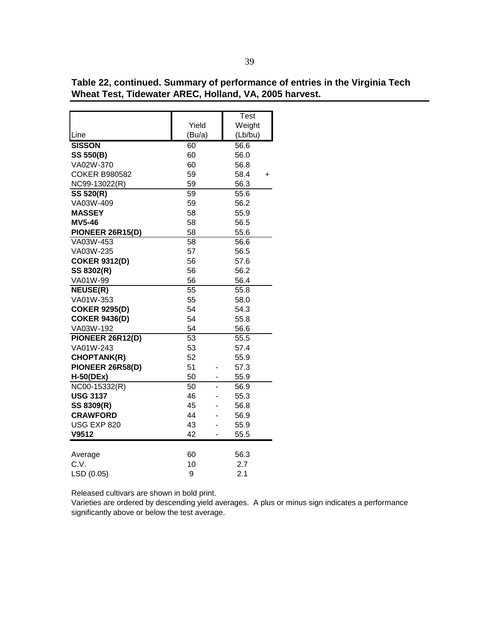|                      |        | Test      |
|----------------------|--------|-----------|
|                      | Yield  | Weight    |
| Line                 | (Bu/a) | (Lb/bu)   |
| <b>SISSON</b>        | 60     | 56.6      |
| <b>SS 550(B)</b>     | 60     | 56.0      |
| VA02W-370            | 60     | 56.8      |
| <b>COKER B980582</b> | 59     | 58.4<br>+ |
| NC99-13022(R)        | 59     | 56.3      |
| SS 520(R)            | 59     | 55.6      |
| VA03W-409            | 59     | 56.2      |
| <b>MASSEY</b>        | 58     | 55.9      |
| <b>MV5-46</b>        | 58     | 56.5      |
| PIONEER 26R15(D)     | 58     | 55.6      |
| VA03W-453            | 58     | 56.6      |
| VA03W-235            | 57     | 56.5      |
| <b>COKER 9312(D)</b> | 56     | 57.6      |
| SS 8302(R)           | 56     | 56.2      |
| VA01W-99             | 56     | 56.4      |
| <b>NEUSE(R)</b>      | 55     | 55.8      |
| VA01W-353            | 55     | 58.0      |
| <b>COKER 9295(D)</b> | 54     | 54.3      |
| <b>COKER 9436(D)</b> | 54     | 55.8      |
| VA03W-192            | 54     | 56.6      |
| PIONEER 26R12(D)     | 53     | 55.5      |
| VA01W-243            | 53     | 57.4      |
| <b>CHOPTANK(R)</b>   | 52     | 55.9      |
| PIONEER 26R58(D)     | 51     | 57.3      |
| <b>H-50(DEx)</b>     | 50     | 55.9      |
| NC00-15332(R)        | 50     | 56.9      |
| <b>USG 3137</b>      | 46     | 55.3      |
| SS 8309(R)           | 45     | 56.8      |
| <b>CRAWFORD</b>      | 44     | 56.9      |
| <b>USG EXP 820</b>   | 43     | 55.9      |
| V9512                | 42     | 55.5      |
|                      |        |           |
| Average              | 60     | 56.3      |
| C.V.                 | 10     | 2.7       |
| LSD (0.05)           | 9      | 2.1       |

**Table 22, continued. Summary of performance of entries in the Virginia Tech Wheat Test, Tidewater AREC, Holland, VA, 2005 harvest.**

Varieties are ordered by descending yield averages. A plus or minus sign indicates a performance significantly above or below the test average.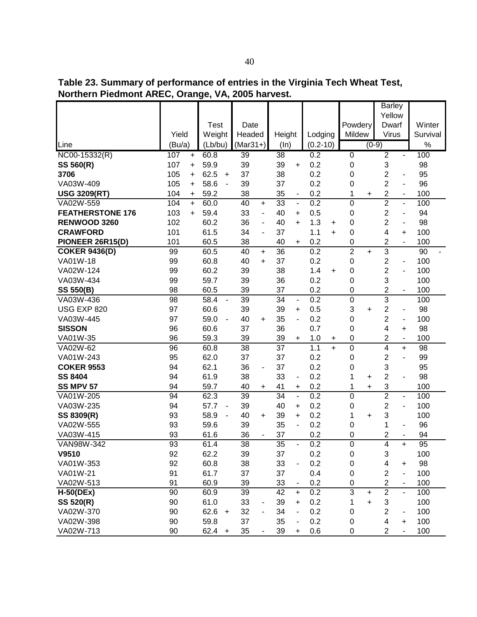**Table 23. Summary of performance of entries in the Virginia Tech Wheat Test, Northern Piedmont AREC, Orange, VA, 2005 harvest.**

|                                                                                                                                                                                                                                                                              |                                                                                                                      |           |                                                                                                                                                              |                          |                                                                                                                      |                                                    |                                                                                                                      |                                                                                                                   |                                                                                                                                          |     |                                                                                                                                                            |                                          | <b>Barley</b><br>Yellow                                                                                                                                      |                                                                                                                                                                                          |                                                                                                                                  |
|------------------------------------------------------------------------------------------------------------------------------------------------------------------------------------------------------------------------------------------------------------------------------|----------------------------------------------------------------------------------------------------------------------|-----------|--------------------------------------------------------------------------------------------------------------------------------------------------------------|--------------------------|----------------------------------------------------------------------------------------------------------------------|----------------------------------------------------|----------------------------------------------------------------------------------------------------------------------|-------------------------------------------------------------------------------------------------------------------|------------------------------------------------------------------------------------------------------------------------------------------|-----|------------------------------------------------------------------------------------------------------------------------------------------------------------|------------------------------------------|--------------------------------------------------------------------------------------------------------------------------------------------------------------|------------------------------------------------------------------------------------------------------------------------------------------------------------------------------------------|----------------------------------------------------------------------------------------------------------------------------------|
|                                                                                                                                                                                                                                                                              |                                                                                                                      |           |                                                                                                                                                              |                          |                                                                                                                      |                                                    |                                                                                                                      |                                                                                                                   |                                                                                                                                          |     |                                                                                                                                                            |                                          |                                                                                                                                                              |                                                                                                                                                                                          |                                                                                                                                  |
|                                                                                                                                                                                                                                                                              | Yield                                                                                                                |           | <b>Test</b>                                                                                                                                                  |                          | Date<br>Headed                                                                                                       |                                                    |                                                                                                                      |                                                                                                                   |                                                                                                                                          |     | Powdery<br>Mildew                                                                                                                                          |                                          | Dwarf<br>Virus                                                                                                                                               |                                                                                                                                                                                          | Winter<br>Survival                                                                                                               |
| Line                                                                                                                                                                                                                                                                         | (Bu/a)                                                                                                               |           | Weight<br>(Lb/bu)                                                                                                                                            |                          | $(Mar31+)$                                                                                                           |                                                    | Height<br>(ln)                                                                                                       |                                                                                                                   | Lodging<br>$(0.2 - 10)$                                                                                                                  |     |                                                                                                                                                            | $(0-9)$                                  |                                                                                                                                                              |                                                                                                                                                                                          | $\%$                                                                                                                             |
| $NCOO-15332(R)$                                                                                                                                                                                                                                                              | 107                                                                                                                  | $\ddot{}$ | 60.8                                                                                                                                                         |                          | 39                                                                                                                   |                                                    | $\overline{38}$                                                                                                      |                                                                                                                   | 0.2                                                                                                                                      |     | $\overline{0}$                                                                                                                                             |                                          | $\overline{2}$                                                                                                                                               | $\blacksquare$                                                                                                                                                                           | 100                                                                                                                              |
| <b>SS 560(R)</b>                                                                                                                                                                                                                                                             | 107                                                                                                                  | +         | 59.9                                                                                                                                                         |                          | 39                                                                                                                   |                                                    | 39                                                                                                                   | $\ddot{}$                                                                                                         | 0.2                                                                                                                                      |     | 0                                                                                                                                                          |                                          | 3                                                                                                                                                            |                                                                                                                                                                                          | 98                                                                                                                               |
| 3706                                                                                                                                                                                                                                                                         | 105                                                                                                                  | $\ddot{}$ | 62.5                                                                                                                                                         | $+$                      | 37                                                                                                                   |                                                    | 38                                                                                                                   |                                                                                                                   | 0.2                                                                                                                                      |     | 0                                                                                                                                                          |                                          | 2                                                                                                                                                            | $\overline{\phantom{a}}$                                                                                                                                                                 | 95                                                                                                                               |
| VA03W-409                                                                                                                                                                                                                                                                    | 105                                                                                                                  | $\ddot{}$ | 58.6                                                                                                                                                         | $\blacksquare$           | 39                                                                                                                   |                                                    | 37                                                                                                                   |                                                                                                                   | 0.2                                                                                                                                      |     | 0                                                                                                                                                          |                                          | $\overline{2}$                                                                                                                                               | $\blacksquare$                                                                                                                                                                           | 96                                                                                                                               |
| <b>USG 3209(RT)</b>                                                                                                                                                                                                                                                          | 104                                                                                                                  | $\ddot{}$ | 59.2                                                                                                                                                         |                          | 38                                                                                                                   |                                                    | 35                                                                                                                   |                                                                                                                   | 0.2                                                                                                                                      |     | 1                                                                                                                                                          | +                                        | 2                                                                                                                                                            | $\overline{\phantom{0}}$                                                                                                                                                                 | 100                                                                                                                              |
| VA02W-559                                                                                                                                                                                                                                                                    | 104                                                                                                                  | $\ddot{}$ | 60.0                                                                                                                                                         |                          | 40                                                                                                                   | +                                                  | 33                                                                                                                   | $\overline{a}$                                                                                                    | 0.2                                                                                                                                      |     | 0                                                                                                                                                          |                                          | $\overline{2}$                                                                                                                                               | $\blacksquare$                                                                                                                                                                           | 100                                                                                                                              |
| <b>FEATHERSTONE 176</b>                                                                                                                                                                                                                                                      | 103                                                                                                                  | $\ddot{}$ | 59.4                                                                                                                                                         |                          | 33                                                                                                                   | $\overline{\phantom{a}}$                           | 40                                                                                                                   | $\ddot{}$                                                                                                         | 0.5                                                                                                                                      |     | 0                                                                                                                                                          |                                          | $\overline{2}$                                                                                                                                               | $\overline{\phantom{a}}$                                                                                                                                                                 | 94                                                                                                                               |
| RENWOOD 3260                                                                                                                                                                                                                                                                 | 102                                                                                                                  |           | 60.2                                                                                                                                                         |                          | 36                                                                                                                   | $\overline{\phantom{a}}$                           | 40                                                                                                                   | $\ddot{}$                                                                                                         | 1.3                                                                                                                                      | +   | $\mathbf 0$                                                                                                                                                |                                          | $\overline{2}$                                                                                                                                               | $\overline{\phantom{a}}$                                                                                                                                                                 | 98                                                                                                                               |
| <b>CRAWFORD</b>                                                                                                                                                                                                                                                              | 101                                                                                                                  |           | 61.5                                                                                                                                                         |                          | 34                                                                                                                   | $\overline{\phantom{a}}$                           | 37                                                                                                                   |                                                                                                                   | 1.1                                                                                                                                      | $+$ | 0                                                                                                                                                          |                                          | 4                                                                                                                                                            | $\ddot{}$                                                                                                                                                                                | 100                                                                                                                              |
| PIONEER 26R15(D)                                                                                                                                                                                                                                                             | 101                                                                                                                  |           | 60.5                                                                                                                                                         |                          | 38                                                                                                                   |                                                    | 40                                                                                                                   | +                                                                                                                 | 0.2                                                                                                                                      |     | 0                                                                                                                                                          |                                          | 2                                                                                                                                                            |                                                                                                                                                                                          | 100                                                                                                                              |
| <b>COKER 9436(D)</b>                                                                                                                                                                                                                                                         | 99                                                                                                                   |           | 60.5                                                                                                                                                         |                          | 40                                                                                                                   | $\ddot{}$                                          | 36                                                                                                                   |                                                                                                                   | 0.2                                                                                                                                      |     | $\overline{2}$                                                                                                                                             | $\ddot{}$                                | $\overline{3}$                                                                                                                                               |                                                                                                                                                                                          | 90                                                                                                                               |
| VA01W-18                                                                                                                                                                                                                                                                     | 99                                                                                                                   |           | 60.8                                                                                                                                                         |                          | 40                                                                                                                   | $\ddot{}$                                          | 37                                                                                                                   |                                                                                                                   | 0.2                                                                                                                                      |     | $\boldsymbol{0}$                                                                                                                                           |                                          | $\overline{2}$                                                                                                                                               | $\blacksquare$                                                                                                                                                                           | 100                                                                                                                              |
| VA02W-124                                                                                                                                                                                                                                                                    | 99                                                                                                                   |           | 60.2                                                                                                                                                         |                          | 39                                                                                                                   |                                                    | 38                                                                                                                   |                                                                                                                   | 1.4                                                                                                                                      | +   | $\boldsymbol{0}$                                                                                                                                           |                                          | $\overline{2}$                                                                                                                                               | $\overline{\phantom{a}}$                                                                                                                                                                 | 100                                                                                                                              |
| VA03W-434                                                                                                                                                                                                                                                                    | 99                                                                                                                   |           | 59.7                                                                                                                                                         |                          | 39                                                                                                                   |                                                    | 36                                                                                                                   |                                                                                                                   | 0.2                                                                                                                                      |     | 0                                                                                                                                                          |                                          | 3                                                                                                                                                            |                                                                                                                                                                                          | 100                                                                                                                              |
| <b>SS 550(B)</b>                                                                                                                                                                                                                                                             | 98                                                                                                                   |           | 60.5                                                                                                                                                         |                          | 39                                                                                                                   |                                                    | 37                                                                                                                   |                                                                                                                   | 0.2                                                                                                                                      |     | 0                                                                                                                                                          |                                          | $\overline{2}$                                                                                                                                               | $\blacksquare$                                                                                                                                                                           | 100                                                                                                                              |
| VA03W-436                                                                                                                                                                                                                                                                    | 98                                                                                                                   |           | 58.4                                                                                                                                                         | $\blacksquare$           | 39                                                                                                                   |                                                    | 34                                                                                                                   | $\blacksquare$                                                                                                    | 0.2                                                                                                                                      |     | $\boldsymbol{0}$                                                                                                                                           |                                          | 3                                                                                                                                                            |                                                                                                                                                                                          | 100                                                                                                                              |
| USG EXP 820                                                                                                                                                                                                                                                                  | 97                                                                                                                   |           | 60.6                                                                                                                                                         |                          | 39                                                                                                                   |                                                    | 39                                                                                                                   | $\ddot{}$                                                                                                         | 0.5                                                                                                                                      |     | 3                                                                                                                                                          | +                                        | 2                                                                                                                                                            | $\overline{\phantom{m}}$                                                                                                                                                                 | 98                                                                                                                               |
| VA03W-445                                                                                                                                                                                                                                                                    | 97                                                                                                                   |           | 59.0                                                                                                                                                         | $\overline{\phantom{a}}$ | 40                                                                                                                   | $\ddot{}$                                          | 35                                                                                                                   | $\overline{\phantom{a}}$                                                                                          | 0.2                                                                                                                                      |     | 0                                                                                                                                                          |                                          | $\overline{2}$                                                                                                                                               | $\overline{\phantom{a}}$                                                                                                                                                                 | 100                                                                                                                              |
| <b>SISSON</b>                                                                                                                                                                                                                                                                | 96                                                                                                                   |           | 60.6                                                                                                                                                         |                          | 37                                                                                                                   |                                                    | 36                                                                                                                   |                                                                                                                   | 0.7                                                                                                                                      |     | 0                                                                                                                                                          |                                          | 4                                                                                                                                                            | $\ddot{}$                                                                                                                                                                                | 98                                                                                                                               |
| VA01W-35                                                                                                                                                                                                                                                                     | 96                                                                                                                   |           | 59.3                                                                                                                                                         |                          | 39                                                                                                                   |                                                    | 39                                                                                                                   | $\ddot{}$                                                                                                         | 1.0                                                                                                                                      | +   | $\boldsymbol{0}$                                                                                                                                           |                                          | 2                                                                                                                                                            | $\overline{\phantom{a}}$                                                                                                                                                                 | 100                                                                                                                              |
|                                                                                                                                                                                                                                                                              |                                                                                                                      |           |                                                                                                                                                              |                          |                                                                                                                      |                                                    |                                                                                                                      |                                                                                                                   |                                                                                                                                          | $+$ |                                                                                                                                                            |                                          |                                                                                                                                                              |                                                                                                                                                                                          |                                                                                                                                  |
|                                                                                                                                                                                                                                                                              |                                                                                                                      |           |                                                                                                                                                              |                          |                                                                                                                      |                                                    |                                                                                                                      |                                                                                                                   |                                                                                                                                          |     |                                                                                                                                                            |                                          |                                                                                                                                                              | ÷,                                                                                                                                                                                       |                                                                                                                                  |
|                                                                                                                                                                                                                                                                              |                                                                                                                      |           |                                                                                                                                                              |                          |                                                                                                                      |                                                    |                                                                                                                      |                                                                                                                   |                                                                                                                                          |     |                                                                                                                                                            |                                          |                                                                                                                                                              |                                                                                                                                                                                          |                                                                                                                                  |
|                                                                                                                                                                                                                                                                              |                                                                                                                      |           |                                                                                                                                                              |                          |                                                                                                                      |                                                    |                                                                                                                      | $\blacksquare$                                                                                                    |                                                                                                                                          |     |                                                                                                                                                            | +                                        |                                                                                                                                                              | $\overline{\phantom{a}}$                                                                                                                                                                 |                                                                                                                                  |
|                                                                                                                                                                                                                                                                              |                                                                                                                      |           |                                                                                                                                                              |                          |                                                                                                                      |                                                    |                                                                                                                      |                                                                                                                   |                                                                                                                                          |     |                                                                                                                                                            |                                          |                                                                                                                                                              |                                                                                                                                                                                          |                                                                                                                                  |
|                                                                                                                                                                                                                                                                              |                                                                                                                      |           |                                                                                                                                                              |                          |                                                                                                                      |                                                    |                                                                                                                      |                                                                                                                   |                                                                                                                                          |     |                                                                                                                                                            |                                          |                                                                                                                                                              |                                                                                                                                                                                          |                                                                                                                                  |
|                                                                                                                                                                                                                                                                              |                                                                                                                      |           |                                                                                                                                                              |                          |                                                                                                                      |                                                    |                                                                                                                      |                                                                                                                   |                                                                                                                                          |     |                                                                                                                                                            |                                          |                                                                                                                                                              |                                                                                                                                                                                          |                                                                                                                                  |
|                                                                                                                                                                                                                                                                              |                                                                                                                      |           |                                                                                                                                                              |                          |                                                                                                                      |                                                    |                                                                                                                      |                                                                                                                   |                                                                                                                                          |     |                                                                                                                                                            |                                          |                                                                                                                                                              |                                                                                                                                                                                          |                                                                                                                                  |
|                                                                                                                                                                                                                                                                              |                                                                                                                      |           |                                                                                                                                                              |                          |                                                                                                                      |                                                    |                                                                                                                      |                                                                                                                   |                                                                                                                                          |     |                                                                                                                                                            |                                          |                                                                                                                                                              |                                                                                                                                                                                          |                                                                                                                                  |
|                                                                                                                                                                                                                                                                              |                                                                                                                      |           |                                                                                                                                                              |                          |                                                                                                                      |                                                    |                                                                                                                      |                                                                                                                   |                                                                                                                                          |     |                                                                                                                                                            |                                          |                                                                                                                                                              |                                                                                                                                                                                          |                                                                                                                                  |
|                                                                                                                                                                                                                                                                              |                                                                                                                      |           |                                                                                                                                                              |                          |                                                                                                                      |                                                    |                                                                                                                      |                                                                                                                   |                                                                                                                                          |     |                                                                                                                                                            |                                          |                                                                                                                                                              |                                                                                                                                                                                          |                                                                                                                                  |
|                                                                                                                                                                                                                                                                              |                                                                                                                      |           |                                                                                                                                                              |                          |                                                                                                                      |                                                    |                                                                                                                      |                                                                                                                   |                                                                                                                                          |     |                                                                                                                                                            |                                          |                                                                                                                                                              |                                                                                                                                                                                          |                                                                                                                                  |
|                                                                                                                                                                                                                                                                              |                                                                                                                      |           |                                                                                                                                                              |                          |                                                                                                                      |                                                    |                                                                                                                      |                                                                                                                   |                                                                                                                                          |     |                                                                                                                                                            |                                          |                                                                                                                                                              |                                                                                                                                                                                          |                                                                                                                                  |
|                                                                                                                                                                                                                                                                              |                                                                                                                      |           |                                                                                                                                                              |                          |                                                                                                                      |                                                    |                                                                                                                      |                                                                                                                   |                                                                                                                                          |     |                                                                                                                                                            |                                          |                                                                                                                                                              |                                                                                                                                                                                          |                                                                                                                                  |
|                                                                                                                                                                                                                                                                              |                                                                                                                      |           |                                                                                                                                                              |                          |                                                                                                                      |                                                    |                                                                                                                      |                                                                                                                   |                                                                                                                                          |     |                                                                                                                                                            |                                          |                                                                                                                                                              |                                                                                                                                                                                          |                                                                                                                                  |
|                                                                                                                                                                                                                                                                              |                                                                                                                      |           |                                                                                                                                                              |                          |                                                                                                                      |                                                    |                                                                                                                      |                                                                                                                   |                                                                                                                                          |     |                                                                                                                                                            |                                          |                                                                                                                                                              |                                                                                                                                                                                          |                                                                                                                                  |
|                                                                                                                                                                                                                                                                              |                                                                                                                      |           |                                                                                                                                                              | $\ddot{}$                |                                                                                                                      |                                                    |                                                                                                                      | $\overline{\phantom{a}}$                                                                                          |                                                                                                                                          |     |                                                                                                                                                            |                                          |                                                                                                                                                              |                                                                                                                                                                                          |                                                                                                                                  |
|                                                                                                                                                                                                                                                                              |                                                                                                                      |           |                                                                                                                                                              |                          |                                                                                                                      |                                                    |                                                                                                                      |                                                                                                                   |                                                                                                                                          |     |                                                                                                                                                            |                                          |                                                                                                                                                              | $\ddot{}$                                                                                                                                                                                |                                                                                                                                  |
| VA02W-713                                                                                                                                                                                                                                                                    |                                                                                                                      |           |                                                                                                                                                              | $\ddot{}$                |                                                                                                                      |                                                    |                                                                                                                      | $\ddot{}$                                                                                                         |                                                                                                                                          |     | 0                                                                                                                                                          |                                          | $\overline{c}$                                                                                                                                               |                                                                                                                                                                                          |                                                                                                                                  |
| VA02W-62<br>VA01W-243<br><b>COKER 9553</b><br><b>SS 8404</b><br><b>SS MPV 57</b><br>VA01W-205<br>VA03W-235<br>SS 8309(R)<br>VA02W-555<br>VA03W-415<br>VAN98W-342<br>V9510<br>VA01W-353<br>VA01W-21<br>VA02W-513<br>$H-50(DEx)$<br><b>SS 520(R)</b><br>VA02W-370<br>VA02W-398 | 96<br>95<br>94<br>94<br>94<br>94<br>94<br>93<br>93<br>93<br>93<br>92<br>92<br>91<br>91<br>90<br>90<br>90<br>90<br>90 |           | 60.8<br>62.0<br>62.1<br>61.9<br>59.7<br>62.3<br>57.7<br>58.9<br>59.6<br>61.6<br>61.4<br>62.2<br>60.8<br>61.7<br>60.9<br>60.9<br>61.0<br>62.6<br>59.8<br>62.4 | $\overline{\phantom{a}}$ | 38<br>37<br>36<br>38<br>40<br>39<br>39<br>40<br>39<br>36<br>38<br>39<br>38<br>37<br>39<br>39<br>33<br>32<br>37<br>35 | $\ddot{}$<br>$\ddot{}$<br>$\overline{\phantom{a}}$ | 37<br>37<br>37<br>33<br>41<br>34<br>40<br>39<br>35<br>37<br>35<br>37<br>33<br>37<br>33<br>42<br>39<br>34<br>35<br>39 | $\ddot{}$<br>$\blacksquare$<br>$\ddot{}$<br>$\ddot{}$<br>ä,<br>$\overline{\phantom{a}}$<br>$\ddot{}$<br>$\ddot{}$ | 1.1<br>0.2<br>0.2<br>0.2<br>0.2<br>0.2<br>0.2<br>0.2<br>0.2<br>0.2<br>0.2<br>0.2<br>0.2<br>0.4<br>0.2<br>0.2<br>0.2<br>0.2<br>0.2<br>0.6 |     | $\boldsymbol{0}$<br>0<br>0<br>1<br>1<br>0<br>0<br>1<br>0<br>0<br>$\boldsymbol{0}$<br>0<br>0<br>0<br>0<br>$\overline{3}$<br>1<br>$\mathbf 0$<br>$\mathbf 0$ | $\ddot{}$<br>$\ddot{}$<br>+<br>$\ddot{}$ | 4<br>2<br>3<br>$\overline{c}$<br>3<br>$\overline{2}$<br>$\overline{2}$<br>3<br>1<br>2<br>4<br>3<br>4<br>$\overline{2}$<br>2<br>$\overline{2}$<br>3<br>2<br>4 | $\ddot{}$<br>$\overline{\phantom{a}}$<br>$\overline{\phantom{0}}$<br>$\overline{\phantom{m}}$<br>$\overline{\phantom{a}}$<br>$+$<br>+<br>÷,<br>$\frac{1}{2}$<br>$\overline{\phantom{a}}$ | 98<br>99<br>95<br>98<br>100<br>100<br>100<br>100<br>96<br>94<br>95<br>100<br>98<br>100<br>100<br>100<br>100<br>100<br>100<br>100 |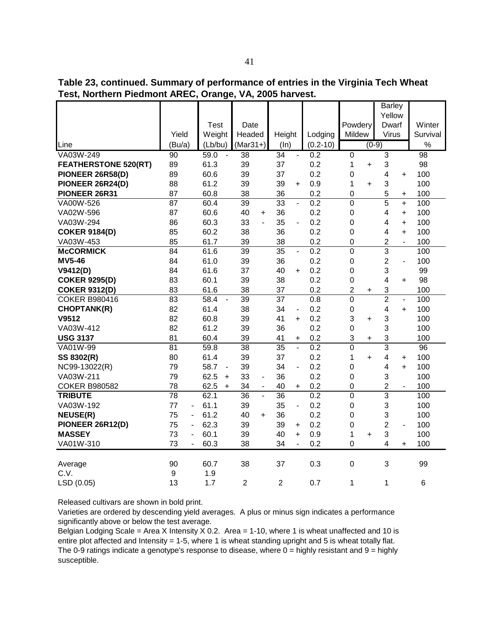**Table 23, continued. Summary of performance of entries in the Virginia Tech Wheat Test, Northern Piedmont AREC, Orange, VA, 2005 harvest.**

|                             |                                |                        |                                 |                                   |                  |                  | <b>Barley</b>                              |                 |
|-----------------------------|--------------------------------|------------------------|---------------------------------|-----------------------------------|------------------|------------------|--------------------------------------------|-----------------|
|                             |                                |                        |                                 |                                   |                  |                  | Yellow                                     |                 |
|                             |                                | <b>Test</b>            | Date                            |                                   |                  | Powdery          | Dwarf                                      | Winter          |
|                             | Yield                          | Weight                 | Headed                          | Height                            | Lodging          | Mildew           | Virus                                      | Survival        |
| Line                        | (Bu/a)                         | (Lb/bu)                | $(Mar31+)$                      | (ln)                              | $(0.2 - 10)$     |                  | $(0-9)$                                    | $\%$            |
| VA03W-249                   | 90                             | 59.0<br>$\sim$         | 38                              | $\overline{34}$<br>÷.             | 0.2              | $\overline{0}$   | $\overline{3}$                             | 98              |
| <b>FEATHERSTONE 520(RT)</b> | 89                             | 61.3                   | 39                              | 37                                | 0.2              | 1<br>$\ddot{}$   | 3                                          | 98              |
| PIONEER 26R58(D)            | 89                             | 60.6                   | 39                              | 37                                | 0.2              | 0                | 4<br>$\ddot{}$                             | 100             |
| PIONEER 26R24(D)            | 88                             | 61.2                   | 39                              | 39<br>$\ddot{}$                   | 0.9              | 1<br>$\ddot{}$   | 3                                          | 100             |
| PIONEER 26R31               | 87                             | 60.8                   | 38                              | 36                                | 0.2              | $\mathbf 0$      | 5<br>$\ddot{}$                             | 100             |
| VA00W-526                   | $\overline{87}$                | 60.4                   | 39                              | 33<br>$\overline{a}$              | $\overline{0.2}$ | $\overline{0}$   | 5<br>$+$                                   | 100             |
| VA02W-596                   | 87                             | 60.6                   | 40<br>$\ddot{}$                 | 36                                | 0.2              | 0                | 4<br>$\ddot{}$                             | 100             |
| VA03W-294                   | 86                             | 60.3                   | 33<br>$\overline{a}$            | 35<br>$\overline{a}$              | 0.2              | 0                | 4<br>$\ddot{}$                             | 100             |
| <b>COKER 9184(D)</b>        | 85                             | 60.2                   | 38                              | 36                                | 0.2              | 0                | 4<br>$\ddot{}$                             | 100             |
| VA03W-453                   | 85                             | 61.7                   | 39                              | 38                                | 0.2              | 0                | $\overline{2}$                             | 100             |
| <b>McCORMICK</b>            | $\overline{84}$                | 61.6                   | 39                              | $\overline{35}$<br>$\blacksquare$ | 0.2              | $\overline{0}$   | $\overline{3}$                             | 100             |
| <b>MV5-46</b>               | 84                             | 61.0                   | 39                              | 36                                | 0.2              | 0                | $\overline{2}$<br>$\overline{\phantom{0}}$ | 100             |
| V9412(D)                    | 84                             | 61.6                   | 37                              | 40<br>$+$                         | 0.2              | $\mathbf 0$      | 3                                          | 99              |
| <b>COKER 9295(D)</b>        | 83                             | 60.1                   | 39                              | 38                                | 0.2              | 0                | 4<br>$\ddot{}$                             | 98              |
| <b>COKER 9312(D)</b>        | 83                             | 61.6                   | 38                              | 37                                | 0.2              | 2<br>$\ddot{}$   | 3                                          | 100             |
| <b>COKER B980416</b>        | $\overline{83}$                | 58.4<br>$\blacksquare$ | $\overline{39}$                 | $\overline{37}$                   | $\overline{0.8}$ | $\overline{0}$   | $\overline{2}$<br>$\blacksquare$           | 100             |
| <b>CHOPTANK(R)</b>          | 82                             | 61.4                   | 38                              | 34<br>$\overline{\phantom{a}}$    | 0.2              | $\boldsymbol{0}$ | $\overline{\mathbf{4}}$<br>$+$             | 100             |
| V9512                       | 82                             | 60.8                   | 39                              | 41<br>$\ddot{}$                   | 0.2              | 3<br>$\ddot{}$   | 3                                          | 100             |
| VA03W-412                   | 82                             | 61.2                   | 39                              | 36                                | 0.2              | 0                | 3                                          | 100             |
| <b>USG 3137</b>             | 81                             | 60.4                   | 39                              | 41<br>+                           | 0.2              | 3<br>$\ddot{}$   | 3                                          | 100             |
| VA01W-99                    | 81                             | 59.8                   | $\overline{38}$                 | $\overline{35}$<br>$\blacksquare$ | $\overline{0.2}$ | $\overline{0}$   | $\overline{3}$                             | $\overline{96}$ |
| SS 8302(R)                  | 80                             | 61.4                   | 39                              | 37                                | 0.2              | 1<br>$\ddot{}$   | 4<br>$\ddot{}$                             | 100             |
| NC99-13022(R)               | 79                             | 58.7<br>$\blacksquare$ | 39                              | 34<br>$\overline{\phantom{a}}$    | 0.2              | 0                | 4<br>$+$                                   | 100             |
| VA03W-211                   | 79                             | 62.5<br>$\ddot{}$      | 33<br>$\overline{\phantom{a}}$  | 36                                | 0.2              | $\boldsymbol{0}$ | 3                                          | 100             |
| <b>COKER B980582</b>        | 78                             | 62.5<br>$+$            | 34<br>$\blacksquare$            | 40<br>$\ddot{}$                   | 0.2              | 0                | $\overline{2}$<br>$\overline{\phantom{0}}$ | 100             |
| <b>TRIBUTE</b>              | $\overline{78}$                | 62.1                   | $\overline{36}$<br>$\mathbf{L}$ | $\overline{36}$                   | 0.2              | $\overline{0}$   | $\overline{3}$                             | 100             |
| VA03W-192                   | 77<br>$\sim$                   | 61.1                   | 39                              | 35<br>÷,                          | 0.2              | 0                | 3                                          | 100             |
| <b>NEUSE(R)</b>             | 75<br>$\overline{\phantom{0}}$ | 61.2                   | 40<br>$\ddot{}$                 | 36                                | 0.2              | 0                | 3                                          | 100             |
| PIONEER 26R12(D)            | 75<br>$\blacksquare$           | 62.3                   | 39                              | 39<br>$\ddot{}$                   | 0.2              | 0                | $\overline{2}$<br>$\blacksquare$           | 100             |
| <b>MASSEY</b>               | 73<br>$\overline{\phantom{a}}$ | 60.1                   | 39                              | 40<br>$\ddot{}$                   | 0.9              | 1<br>$\ddot{}$   | 3                                          | 100             |
| VA01W-310                   | 73<br>$\blacksquare$           | 60.3                   | 38                              | 34<br>$\overline{a}$              | 0.2              | $\mathbf 0$      | 4<br>$\ddot{}$                             | 100             |
|                             |                                |                        |                                 |                                   |                  |                  |                                            |                 |
| Average                     | 90                             | 60.7                   | 38                              | 37                                | 0.3              | 0                | 3                                          | 99              |
| C.V.                        | $\boldsymbol{9}$               | 1.9                    |                                 |                                   |                  |                  |                                            |                 |
| LSD (0.05)                  | 13                             | 1.7                    | $\overline{2}$                  | $\overline{2}$                    | 0.7              | 1                | 1                                          | 6               |

Varieties are ordered by descending yield averages. A plus or minus sign indicates a performance significantly above or below the test average.

Belgian Lodging Scale = Area X Intensity X 0.2. Area = 1-10, where 1 is wheat unaffected and 10 is entire plot affected and Intensity = 1-5, where 1 is wheat standing upright and 5 is wheat totally flat. The 0-9 ratings indicate a genotype's response to disease, where  $0 =$  highly resistant and  $9 =$  highly susceptible.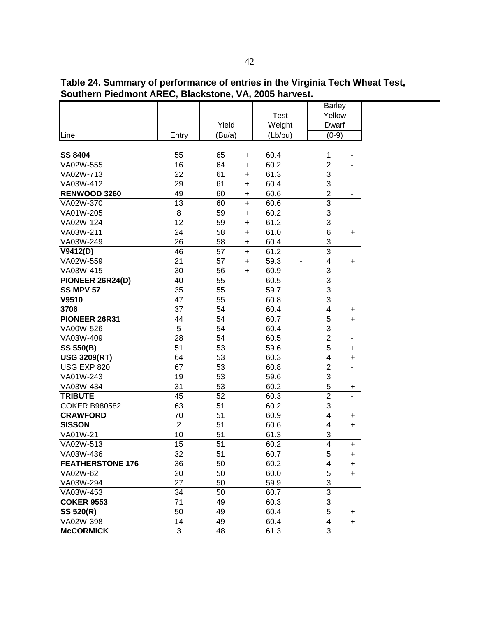| Table 24. Summary of performance of entries in the Virginia Tech Wheat Test,<br>Southern Piedmont AREC, Blackstone, VA, 2005 harvest. |            |        |                         |  |
|---------------------------------------------------------------------------------------------------------------------------------------|------------|--------|-------------------------|--|
|                                                                                                                                       |            | Test   | <b>Barley</b><br>Yellow |  |
|                                                                                                                                       | Yield      | Weight | Dwarf                   |  |
|                                                                                                                                       | $\sqrt{2}$ |        | $\sim$ $\sim$           |  |

|                         |                |        |           | I GOL   | <b>I GIIOM</b> |           |
|-------------------------|----------------|--------|-----------|---------|----------------|-----------|
|                         |                | Yield  |           | Weight  | Dwarf          |           |
| Line                    | Entry          | (Bu/a) |           | (Lb/bu) | $(0-9)$        |           |
|                         |                |        |           |         |                |           |
| <b>SS 8404</b>          | 55             | 65     | +         | 60.4    | 1              |           |
| VA02W-555               | 16             | 64     | $\ddot{}$ | 60.2    | $\mathbf{2}$   |           |
| VA02W-713               | 22             | 61     | $\ddot{}$ | 61.3    | 3              |           |
| VA03W-412               | 29             | 61     | $\ddot{}$ | 60.4    | 3              |           |
| RENWOOD 3260            | 49             | 60     | $\ddot{}$ | 60.6    | $\overline{2}$ |           |
| VA02W-370               | 13             | 60     | $\ddot{}$ | 60.6    | 3              |           |
| VA01W-205               | 8              | 59     | $\ddot{}$ | 60.2    | 3              |           |
| VA02W-124               | 12             | 59     | $\ddot{}$ | 61.2    | 3              |           |
| VA03W-211               | 24             | 58     | $\ddot{}$ | 61.0    | 6              | +         |
| VA03W-249               | 26             | 58     | $\pmb{+}$ | 60.4    | 3              |           |
| V9412(D)                | 46             | 57     | $\ddot{}$ | 61.2    | 3              |           |
| VA02W-559               | 21             | 57     | $\ddot{}$ | 59.3    | 4              | +         |
| VA03W-415               | 30             | 56     | $\ddot{}$ | 60.9    | 3              |           |
| PIONEER 26R24(D)        | 40             | 55     |           | 60.5    | 3              |           |
| <b>SS MPV 57</b>        | 35             | 55     |           | 59.7    | 3              |           |
| V9510                   | 47             | 55     |           | 60.8    | $\overline{3}$ |           |
| 3706                    | 37             | 54     |           | 60.4    | 4              | +         |
| PIONEER 26R31           | 44             | 54     |           | 60.7    | 5              | +         |
| VA00W-526               | 5              | 54     |           | 60.4    | 3              |           |
| VA03W-409               | 28             | 54     |           | 60.5    | $\mathbf{2}$   |           |
| <b>SS 550(B)</b>        | 51             | 53     |           | 59.6    | $\overline{5}$ | +         |
| <b>USG 3209(RT)</b>     | 64             | 53     |           | 60.3    | 4              | $\ddot{}$ |
| USG EXP 820             | 67             | 53     |           | 60.8    | $\mathbf{2}$   |           |
| VA01W-243               | 19             | 53     |           | 59.6    | 3              |           |
| VA03W-434               | 31             | 53     |           | 60.2    | 5              | +         |
| <b>TRIBUTE</b>          | 45             | 52     |           | 60.3    | $\overline{2}$ |           |
| <b>COKER B980582</b>    | 63             | 51     |           | 60.2    | 3              |           |
| <b>CRAWFORD</b>         | 70             | 51     |           | 60.9    | 4              | +         |
| <b>SISSON</b>           | $\overline{2}$ | 51     |           | 60.6    | 4              | +         |
| VA01W-21                | 10             | 51     |           | 61.3    | 3              |           |
| VA02W-513               | 15             | 51     |           | 60.2    | 4              | $\ddot{}$ |
| VA03W-436               | 32             | 51     |           | 60.7    | 5              | $\ddot{}$ |
| <b>FEATHERSTONE 176</b> | 36             | 50     |           | 60.2    | 4              | +         |
| VA02W-62                | 20             | 50     |           | 60.0    | 5              | +         |
| VA03W-294               | 27             | 50     |           | 59.9    | 3              |           |
| VA03W-453               | 34             | 50     |           | 60.7    | 3              |           |
| <b>COKER 9553</b>       | 71             | 49     |           | 60.3    | 3              |           |
| SS 520(R)               | 50             | 49     |           | 60.4    | 5              | +         |
| VA02W-398               | 14             | 49     |           | 60.4    | 4              | +         |
| <b>McCORMICK</b>        | 3              | 48     |           | 61.3    | 3              |           |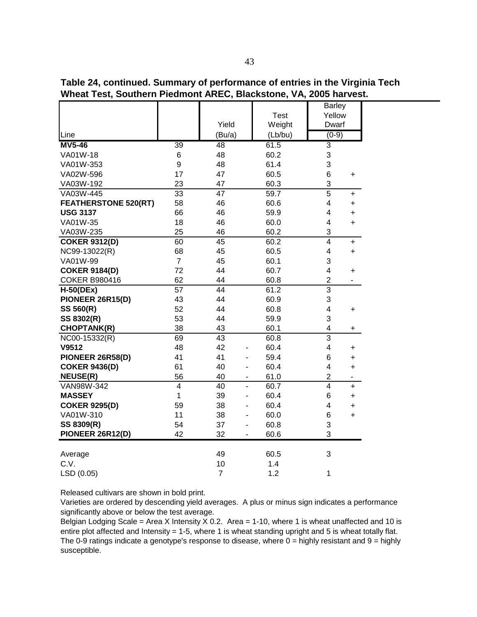| Yield<br>Weight<br>Dwarf<br>Line<br>(Bu/a)<br>(Lb/bu)<br>$(0-9)$<br>61.5<br>$\overline{3}$<br>39<br>48<br>3<br>60.2<br>6<br>48<br>3<br>9<br>61.4<br>48<br>17<br>47<br>60.5<br>6<br>$\ddot{}$<br>23<br>3<br>47<br>60.3<br>33<br>5<br>47<br>59.7<br>+<br>58<br>46<br>60.6<br>4<br>$\ddot{}$<br>66<br>46<br>59.9<br>4<br>$\ddot{}$<br>18<br>46<br>60.0<br>4<br>$\ddot{}$<br>25<br>3<br>46<br>60.2<br>$\overline{4}$<br>60<br>45<br>60.2<br>$\ddot{}$<br>68<br>45<br>60.5<br>4<br>+<br>$\overline{7}$<br>45<br>60.1<br>3<br>4<br>72<br>44<br>60.7<br>+<br>62<br>$\overline{c}$<br>60.8<br>44<br>-<br>$\overline{3}$<br>57<br>44<br>61.2<br>3<br>43<br>60.9<br>44<br>52<br>44<br>60.8<br>4<br>+<br>53<br>3<br>44<br>59.9<br>38<br>43<br>60.1<br>4<br>+<br>$\overline{3}$<br>69<br>60.8<br>43<br>48<br>42<br>60.4<br>4<br>$\ddot{}$<br>41<br>59.4<br>41<br>6<br>$\ddot{}$<br>40<br>60.4<br>61<br>4<br>$\ddot{}$<br>-<br>$\overline{c}$<br>56<br>40<br>61.0<br>۰<br>-<br>4<br>40<br>60.7<br>4<br>$\ddot{}$<br>$\blacksquare$<br>1<br>39<br>60.4<br>6<br>+<br>59<br>38<br>60.4<br>4<br>$\ddot{}$<br>11<br>38<br>60.0<br>6<br>+<br>Ĭ.<br>3<br>54<br>37<br>60.8<br>3<br>42<br>32<br>60.6<br>49<br>60.5<br>3<br>Average<br>10<br>1.4 |                             |  | <b>Test</b> | <b>Barley</b><br>Yellow |
|---------------------------------------------------------------------------------------------------------------------------------------------------------------------------------------------------------------------------------------------------------------------------------------------------------------------------------------------------------------------------------------------------------------------------------------------------------------------------------------------------------------------------------------------------------------------------------------------------------------------------------------------------------------------------------------------------------------------------------------------------------------------------------------------------------------------------------------------------------------------------------------------------------------------------------------------------------------------------------------------------------------------------------------------------------------------------------------------------------------------------------------------------------------------------------------------------------------------------|-----------------------------|--|-------------|-------------------------|
|                                                                                                                                                                                                                                                                                                                                                                                                                                                                                                                                                                                                                                                                                                                                                                                                                                                                                                                                                                                                                                                                                                                                                                                                                           |                             |  |             |                         |
|                                                                                                                                                                                                                                                                                                                                                                                                                                                                                                                                                                                                                                                                                                                                                                                                                                                                                                                                                                                                                                                                                                                                                                                                                           |                             |  |             |                         |
|                                                                                                                                                                                                                                                                                                                                                                                                                                                                                                                                                                                                                                                                                                                                                                                                                                                                                                                                                                                                                                                                                                                                                                                                                           | <b>MV5-46</b>               |  |             |                         |
|                                                                                                                                                                                                                                                                                                                                                                                                                                                                                                                                                                                                                                                                                                                                                                                                                                                                                                                                                                                                                                                                                                                                                                                                                           | VA01W-18                    |  |             |                         |
|                                                                                                                                                                                                                                                                                                                                                                                                                                                                                                                                                                                                                                                                                                                                                                                                                                                                                                                                                                                                                                                                                                                                                                                                                           | VA01W-353                   |  |             |                         |
|                                                                                                                                                                                                                                                                                                                                                                                                                                                                                                                                                                                                                                                                                                                                                                                                                                                                                                                                                                                                                                                                                                                                                                                                                           | VA02W-596                   |  |             |                         |
|                                                                                                                                                                                                                                                                                                                                                                                                                                                                                                                                                                                                                                                                                                                                                                                                                                                                                                                                                                                                                                                                                                                                                                                                                           | VA03W-192                   |  |             |                         |
|                                                                                                                                                                                                                                                                                                                                                                                                                                                                                                                                                                                                                                                                                                                                                                                                                                                                                                                                                                                                                                                                                                                                                                                                                           | VA03W-445                   |  |             |                         |
|                                                                                                                                                                                                                                                                                                                                                                                                                                                                                                                                                                                                                                                                                                                                                                                                                                                                                                                                                                                                                                                                                                                                                                                                                           | <b>FEATHERSTONE 520(RT)</b> |  |             |                         |
|                                                                                                                                                                                                                                                                                                                                                                                                                                                                                                                                                                                                                                                                                                                                                                                                                                                                                                                                                                                                                                                                                                                                                                                                                           | <b>USG 3137</b>             |  |             |                         |
|                                                                                                                                                                                                                                                                                                                                                                                                                                                                                                                                                                                                                                                                                                                                                                                                                                                                                                                                                                                                                                                                                                                                                                                                                           | VA01W-35                    |  |             |                         |
|                                                                                                                                                                                                                                                                                                                                                                                                                                                                                                                                                                                                                                                                                                                                                                                                                                                                                                                                                                                                                                                                                                                                                                                                                           | VA03W-235                   |  |             |                         |
|                                                                                                                                                                                                                                                                                                                                                                                                                                                                                                                                                                                                                                                                                                                                                                                                                                                                                                                                                                                                                                                                                                                                                                                                                           | <b>COKER 9312(D)</b>        |  |             |                         |
|                                                                                                                                                                                                                                                                                                                                                                                                                                                                                                                                                                                                                                                                                                                                                                                                                                                                                                                                                                                                                                                                                                                                                                                                                           | NC99-13022(R)               |  |             |                         |
|                                                                                                                                                                                                                                                                                                                                                                                                                                                                                                                                                                                                                                                                                                                                                                                                                                                                                                                                                                                                                                                                                                                                                                                                                           | VA01W-99                    |  |             |                         |
|                                                                                                                                                                                                                                                                                                                                                                                                                                                                                                                                                                                                                                                                                                                                                                                                                                                                                                                                                                                                                                                                                                                                                                                                                           | <b>COKER 9184(D)</b>        |  |             |                         |
|                                                                                                                                                                                                                                                                                                                                                                                                                                                                                                                                                                                                                                                                                                                                                                                                                                                                                                                                                                                                                                                                                                                                                                                                                           | <b>COKER B980416</b>        |  |             |                         |
|                                                                                                                                                                                                                                                                                                                                                                                                                                                                                                                                                                                                                                                                                                                                                                                                                                                                                                                                                                                                                                                                                                                                                                                                                           | $H-50(DEx)$                 |  |             |                         |
|                                                                                                                                                                                                                                                                                                                                                                                                                                                                                                                                                                                                                                                                                                                                                                                                                                                                                                                                                                                                                                                                                                                                                                                                                           | PIONEER 26R15(D)            |  |             |                         |
|                                                                                                                                                                                                                                                                                                                                                                                                                                                                                                                                                                                                                                                                                                                                                                                                                                                                                                                                                                                                                                                                                                                                                                                                                           | SS 560(R)                   |  |             |                         |
|                                                                                                                                                                                                                                                                                                                                                                                                                                                                                                                                                                                                                                                                                                                                                                                                                                                                                                                                                                                                                                                                                                                                                                                                                           | SS 8302(R)                  |  |             |                         |
|                                                                                                                                                                                                                                                                                                                                                                                                                                                                                                                                                                                                                                                                                                                                                                                                                                                                                                                                                                                                                                                                                                                                                                                                                           | <b>CHOPTANK(R)</b>          |  |             |                         |
|                                                                                                                                                                                                                                                                                                                                                                                                                                                                                                                                                                                                                                                                                                                                                                                                                                                                                                                                                                                                                                                                                                                                                                                                                           | NC00-15332(R)               |  |             |                         |
|                                                                                                                                                                                                                                                                                                                                                                                                                                                                                                                                                                                                                                                                                                                                                                                                                                                                                                                                                                                                                                                                                                                                                                                                                           | V9512                       |  |             |                         |
|                                                                                                                                                                                                                                                                                                                                                                                                                                                                                                                                                                                                                                                                                                                                                                                                                                                                                                                                                                                                                                                                                                                                                                                                                           | PIONEER 26R58(D)            |  |             |                         |
|                                                                                                                                                                                                                                                                                                                                                                                                                                                                                                                                                                                                                                                                                                                                                                                                                                                                                                                                                                                                                                                                                                                                                                                                                           | <b>COKER 9436(D)</b>        |  |             |                         |
|                                                                                                                                                                                                                                                                                                                                                                                                                                                                                                                                                                                                                                                                                                                                                                                                                                                                                                                                                                                                                                                                                                                                                                                                                           | <b>NEUSE(R)</b>             |  |             |                         |
|                                                                                                                                                                                                                                                                                                                                                                                                                                                                                                                                                                                                                                                                                                                                                                                                                                                                                                                                                                                                                                                                                                                                                                                                                           | VAN98W-342                  |  |             |                         |
|                                                                                                                                                                                                                                                                                                                                                                                                                                                                                                                                                                                                                                                                                                                                                                                                                                                                                                                                                                                                                                                                                                                                                                                                                           | <b>MASSEY</b>               |  |             |                         |
|                                                                                                                                                                                                                                                                                                                                                                                                                                                                                                                                                                                                                                                                                                                                                                                                                                                                                                                                                                                                                                                                                                                                                                                                                           | <b>COKER 9295(D)</b>        |  |             |                         |
|                                                                                                                                                                                                                                                                                                                                                                                                                                                                                                                                                                                                                                                                                                                                                                                                                                                                                                                                                                                                                                                                                                                                                                                                                           | VA01W-310                   |  |             |                         |
|                                                                                                                                                                                                                                                                                                                                                                                                                                                                                                                                                                                                                                                                                                                                                                                                                                                                                                                                                                                                                                                                                                                                                                                                                           | SS 8309(R)                  |  |             |                         |
|                                                                                                                                                                                                                                                                                                                                                                                                                                                                                                                                                                                                                                                                                                                                                                                                                                                                                                                                                                                                                                                                                                                                                                                                                           | PIONEER 26R12(D)            |  |             |                         |
|                                                                                                                                                                                                                                                                                                                                                                                                                                                                                                                                                                                                                                                                                                                                                                                                                                                                                                                                                                                                                                                                                                                                                                                                                           |                             |  |             |                         |
|                                                                                                                                                                                                                                                                                                                                                                                                                                                                                                                                                                                                                                                                                                                                                                                                                                                                                                                                                                                                                                                                                                                                                                                                                           | C.V.                        |  |             |                         |

**Table 24, continued. Summary of performance of entries in the Virginia Tech Wheat Test, Southern Piedmont AREC, Blackstone, VA, 2005 harvest.** 

Varieties are ordered by descending yield averages. A plus or minus sign indicates a performance significantly above or below the test average.

LSD (0.05) 7 1.2 1

Belgian Lodging Scale = Area X Intensity X 0.2. Area = 1-10, where 1 is wheat unaffected and 10 is entire plot affected and Intensity = 1-5, where 1 is wheat standing upright and 5 is wheat totally flat. The 0-9 ratings indicate a genotype's response to disease, where  $0 =$  highly resistant and  $9 =$  highly susceptible.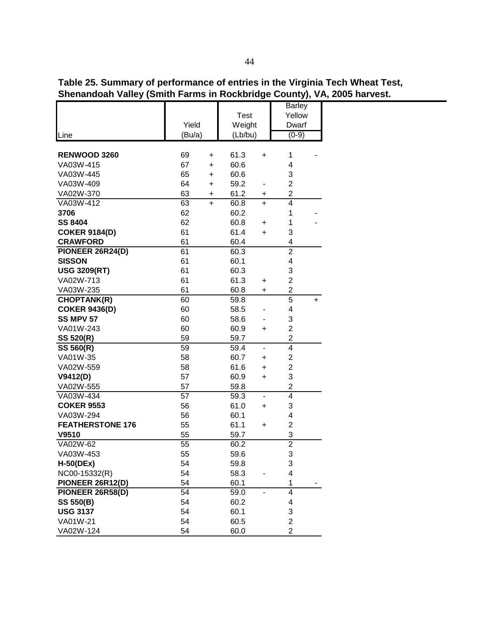| Table 25. Summary of performance of entries in the Virginia Tech Wheat Test, |
|------------------------------------------------------------------------------|
| Shenandoah Valley (Smith Farms in Rockbridge County), VA, 2005 harvest.      |

|                         |        |                |              |                              | <b>Barley</b>                             |   |  |  |
|-------------------------|--------|----------------|--------------|------------------------------|-------------------------------------------|---|--|--|
|                         |        |                | <b>Test</b>  |                              | Yellow                                    |   |  |  |
|                         | Yield  |                | Weight       |                              | Dwarf                                     |   |  |  |
| Line                    | (Bu/a) |                | (Lb/bu)      |                              | $(0-9)$                                   |   |  |  |
| RENWOOD 3260            | 69     |                |              |                              | 1                                         |   |  |  |
| VA03W-415               | 67     | +<br>$\ddot{}$ | 61.3<br>60.6 | $\ddot{}$                    | 4                                         |   |  |  |
| VA03W-445               | 65     |                | 60.6         |                              |                                           |   |  |  |
|                         | 64     | +              |              |                              | 3                                         |   |  |  |
| VA03W-409               |        | $\ddot{}$      | 59.2         |                              | $\overline{2}$                            |   |  |  |
| VA02W-370               | 63     | +              | 61.2         | +                            | $\overline{\mathbf{c}}$<br>$\overline{4}$ |   |  |  |
| VA03W-412               | 63     | $\ddot{}$      | 60.8         | $\ddot{}$                    |                                           |   |  |  |
| 3706                    | 62     |                | 60.2         |                              | 1                                         |   |  |  |
| <b>SS 8404</b>          | 62     |                | 60.8         | +                            | 1                                         |   |  |  |
| <b>COKER 9184(D)</b>    | 61     |                | 61.4         | $\ddot{}$                    | 3                                         |   |  |  |
| <b>CRAWFORD</b>         | 61     |                | 60.4         |                              | 4                                         |   |  |  |
| PIONEER 26R24(D)        | 61     |                | 60.3         |                              | $\overline{2}$                            |   |  |  |
| <b>SISSON</b>           | 61     |                | 60.1         |                              | 4                                         |   |  |  |
| <b>USG 3209(RT)</b>     | 61     |                | 60.3         |                              | 3                                         |   |  |  |
| VA02W-713               | 61     |                | 61.3         | +                            | $\overline{2}$                            |   |  |  |
| VA03W-235               | 61     |                | 60.8         | +                            | $\overline{\mathbf{c}}$                   |   |  |  |
| <b>CHOPTANK(R)</b>      | 60     |                | 59.8         |                              | $\overline{5}$                            | + |  |  |
| <b>COKER 9436(D)</b>    | 60     |                | 58.5         |                              | 4                                         |   |  |  |
| <b>SS MPV 57</b>        | 60     |                | 58.6         |                              | 3                                         |   |  |  |
| VA01W-243               | 60     |                | 60.9         | +                            | $\overline{2}$                            |   |  |  |
| <b>SS 520(R)</b>        | 59     |                | 59.7         |                              | $\overline{2}$                            |   |  |  |
| <b>SS 560(R)</b>        | 59     |                | 59.4         | $\qquad \qquad \blacksquare$ | 4                                         |   |  |  |
| VA01W-35                | 58     |                | 60.7         | +                            | $\overline{2}$                            |   |  |  |
| VA02W-559               | 58     |                | 61.6         | +                            | $\overline{c}$                            |   |  |  |
| V9412(D)                | 57     |                | 60.9         | +                            | 3                                         |   |  |  |
| VA02W-555               | 57     |                | 59.8         |                              | $\overline{c}$                            |   |  |  |
| VA03W-434               | 57     |                | 59.3         | ä,                           | 4                                         |   |  |  |
| <b>COKER 9553</b>       | 56     |                | 61.0         | +                            | 3                                         |   |  |  |
| VA03W-294               | 56     |                | 60.1         |                              | 4                                         |   |  |  |
| <b>FEATHERSTONE 176</b> | 55     |                | 61.1         | +                            | $\overline{c}$                            |   |  |  |
| V9510                   | 55     |                | 59.7         |                              | $\overline{3}$                            |   |  |  |
| VA02W-62                | 55     |                | 60.2         |                              | $\overline{2}$                            |   |  |  |
| VA03W-453               | 55     |                | 59.6         |                              | 3                                         |   |  |  |
| $H-50(DEx)$             | 54     |                | 59.8         |                              | 3                                         |   |  |  |
| NC00-15332(R)           | 54     |                | 58.3         |                              | 4                                         |   |  |  |
| PIONEER 26R12(D)        | 54     |                | 60.1         |                              | 1                                         |   |  |  |
| PIONEER 26R58(D)        | 54     |                | 59.0         |                              | 4                                         |   |  |  |
| <b>SS 550(B)</b>        | 54     |                | 60.2         |                              | 4                                         |   |  |  |
| <b>USG 3137</b>         | 54     |                | 60.1         |                              | 3                                         |   |  |  |
| VA01W-21                | 54     |                | 60.5         |                              | $\overline{2}$                            |   |  |  |
| VA02W-124               | 54     |                | 60.0         |                              | $\overline{2}$                            |   |  |  |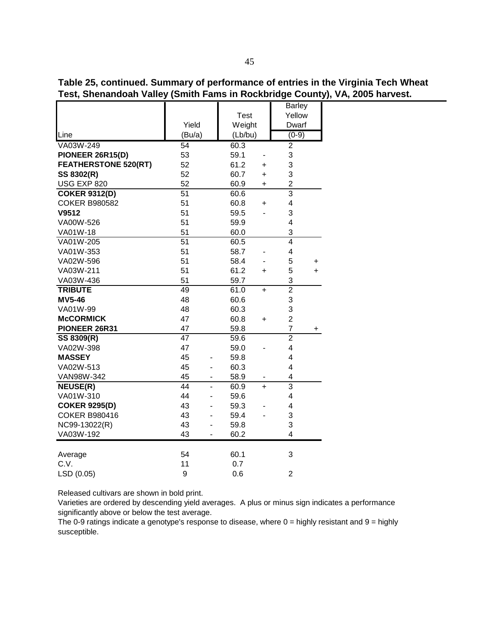| Table 25, continued. Summary of performance of entries in the Virginia Tech Wheat |  |
|-----------------------------------------------------------------------------------|--|
| Test, Shenandoah Valley (Smith Fams in Rockbridge County), VA, 2005 harvest.      |  |

|                                |                 |    |             |           | <b>Barley</b>           |     |
|--------------------------------|-----------------|----|-------------|-----------|-------------------------|-----|
|                                |                 |    | <b>Test</b> |           | Yellow                  |     |
|                                | Yield           |    | Weight      |           | Dwarf                   |     |
| Line                           | (Bu/a)          |    | (Lb/bu)     |           | $(0-9)$                 |     |
| VA03W-249                      | 54              |    | 60.3        |           | $\overline{2}$          |     |
| PIONEER 26R15(D)               | 53              |    | 59.1        |           | 3                       |     |
| <b>FEATHERSTONE 520(RT)</b>    | 52              |    | 61.2        | +         | 3                       |     |
| SS 8302(R)                     | 52              |    | 60.7        | $\ddot{}$ | 3                       |     |
| USG EXP 820                    | 52              |    | 60.9        | +         | $\overline{c}$          |     |
| <b>COKER 9312(D)</b>           | $\overline{51}$ |    | 60.6        |           | $\overline{3}$          |     |
| <b>COKER B980582</b>           | 51              |    | 60.8        | $\ddot{}$ | $\overline{\mathbf{4}}$ |     |
| V9512                          | 51              |    | 59.5        |           | 3                       |     |
| VA00W-526                      | 51              |    | 59.9        |           | 4                       |     |
| VA01W-18                       | 51              |    | 60.0        |           | 3                       |     |
| VA01W-205                      | $\overline{51}$ |    | 60.5        |           | $\overline{4}$          |     |
| VA01W-353                      | 51              |    | 58.7        |           | 4                       |     |
| VA02W-596                      | 51              |    | 58.4        |           | 5                       | +   |
| VA03W-211                      | 51              |    | 61.2        | $\ddot{}$ | 5                       | $+$ |
| VA03W-436                      | 51              |    | 59.7        |           | 3                       |     |
| <b>TRIBUTE</b>                 | 49              |    | 61.0        | $+$       | $\overline{2}$          |     |
| <b>MV5-46</b>                  | 48              |    | 60.6        |           | 3                       |     |
| VA01W-99                       | 48              |    | 60.3        |           | 3                       |     |
| <b>McCORMICK</b>               | 47              |    | 60.8        | $\ddot{}$ | $\overline{c}$          |     |
| PIONEER 26R31                  | 47              |    | 59.8        |           | $\overline{7}$          | +   |
| SS 8309(R)                     | 47              |    | 59.6        |           | $\overline{2}$          |     |
| VA02W-398                      | 47              |    | 59.0        |           | 4                       |     |
| <b>MASSEY</b>                  | 45              |    | 59.8        |           | 4                       |     |
| VA02W-513                      | 45              |    | 60.3        |           | $\overline{\mathbf{4}}$ |     |
| VAN98W-342                     | 45              | -  | 58.9        |           | 4                       |     |
| $\overline{\mathsf{NEUSE}}(R)$ | $\overline{44}$ | ÷, | 60.9        | $\ddot{}$ | $\overline{3}$          |     |
| VA01W-310                      | 44              |    | 59.6        |           | $\overline{\mathbf{4}}$ |     |
| <b>COKER 9295(D)</b>           | 43              |    | 59.3        |           | 4                       |     |
| <b>COKER B980416</b>           | 43              |    | 59.4        |           | 3                       |     |
| NC99-13022(R)                  | 43              |    | 59.8        |           | 3                       |     |
| VA03W-192                      | 43              |    | 60.2        |           | $\overline{\mathbf{4}}$ |     |
|                                |                 |    |             |           |                         |     |
| Average                        | 54              |    | 60.1        |           | 3                       |     |
| C.V.                           | 11              |    | 0.7         |           |                         |     |
| LSD (0.05)                     | 9               |    | 0.6         |           | $\overline{c}$          |     |

Varieties are ordered by descending yield averages. A plus or minus sign indicates a performance significantly above or below the test average.

The 0-9 ratings indicate a genotype's response to disease, where  $0 =$  highly resistant and  $9 =$  highly susceptible.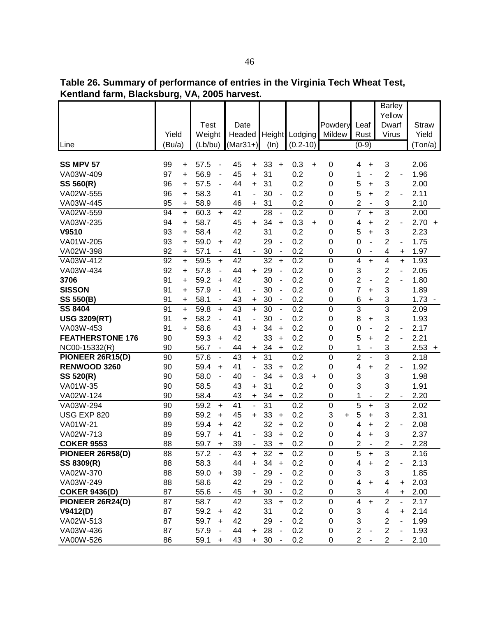**Table 26. Summary of performance of entries in the Virginia Tech Wheat Test, Kentland farm, Blacksburg, VA, 2005 harvest.**

|                         |                 |                                     |                      |                              |                       |                                  |                         |           |                   |                         |                          | <b>Barley</b><br>Yellow |                          |                  |
|-------------------------|-----------------|-------------------------------------|----------------------|------------------------------|-----------------------|----------------------------------|-------------------------|-----------|-------------------|-------------------------|--------------------------|-------------------------|--------------------------|------------------|
|                         | Yield           | <b>Test</b>                         | Date                 |                              |                       |                                  |                         |           | Powdery<br>Mildew | Leaf                    |                          | Dwarf                   |                          | <b>Straw</b>     |
| Line                    | (Bu/a)          | Weight<br>(Lb/bu)                   | Headed<br>$(Mar31+)$ |                              | <b>Height</b><br>(ln) |                                  | Lodging<br>$(0.2 - 10)$ |           |                   | Rust<br>$(0-9)$         |                          | Virus                   |                          | Yield<br>(Ton/a) |
|                         |                 |                                     |                      |                              |                       |                                  |                         |           |                   |                         |                          |                         |                          |                  |
| <b>SS MPV 57</b>        | 99<br>$\ddot{}$ | 57.5                                | 45                   | $\ddot{}$                    | 33                    | $\ddot{}$                        | 0.3                     | $\ddot{}$ | 0                 | 4                       | +                        | 3                       |                          | 2.06             |
| VA03W-409               | 97<br>$\ddot{}$ | 56.9<br>$\blacksquare$              | 45                   | $\ddot{}$                    | 31                    |                                  | 0.2                     |           | 0                 | 1                       | ÷,                       | $\overline{c}$          | ä,                       | 1.96             |
| SS 560(R)               | 96<br>+         | 57.5<br>$\overline{\phantom{a}}$    | 44                   | $\ddot{}$                    | 31                    |                                  | 0.2                     |           | 0                 | 5                       | +                        | 3                       |                          | 2.00             |
| VA02W-555               | 96<br>$\ddot{}$ | 58.3                                | 41                   | $\overline{\phantom{a}}$     | 30                    | $\blacksquare$                   | 0.2                     |           | 0                 | 5                       | $\ddot{}$                | $\overline{c}$          |                          | 2.11             |
| VA03W-445               | 95<br>$\ddot{}$ | 58.9                                | 46                   | +                            | 31                    |                                  | 0.2                     |           | 0                 | 2                       | $\overline{\phantom{a}}$ | 3                       |                          | 2.10             |
| VA02W-559               | 94<br>$\ddot{}$ | 60.3<br>$\ddot{}$                   | 42                   |                              | 28                    | $\blacksquare$                   | 0.2                     |           | 0                 | $\overline{7}$          | $\ddot{}$                | $\overline{3}$          |                          | 2.00             |
| VA03W-235               | 94<br>$\ddot{}$ | 58.7                                | 45                   | $+$                          | 34                    | $\ddot{}$                        | 0.3                     | $\ddot{}$ | 0                 | 4                       | $\ddot{}$                | 2                       | $\overline{\phantom{0}}$ | 2.70<br>$+$      |
| V9510                   | 93<br>$\ddot{}$ | 58.4                                | 42                   |                              | 31                    |                                  | 0.2                     |           | 0                 | 5                       | $\ddot{}$                | 3                       |                          | 2.23             |
| VA01W-205               | 93<br>$\ddot{}$ | 59.0<br>$\ddot{}$                   | 42                   |                              | 29                    | $\qquad \qquad \blacksquare$     | 0.2                     |           | 0                 | 0                       | $\overline{\phantom{a}}$ | $\overline{2}$          | $\overline{\phantom{a}}$ | 1.75             |
| VA02W-398               | 92<br>+         | 57.1<br>$\overline{\phantom{a}}$    | 41                   |                              | 30                    | $\blacksquare$                   | 0.2                     |           | 0                 | 0                       | $\overline{\phantom{a}}$ | 4                       | +                        | 1.97             |
| VA03W-412               | 92<br>$\ddot{}$ | 59.5<br>$\ddot{}$                   | 42                   |                              | 32                    | $\ddot{}$                        | 0.2                     |           | $\mathbf 0$       | 4                       | $\ddot{}$                | 4                       | $\ddot{}$                | 1.93             |
| VA03W-434               | 92<br>$\ddot{}$ | 57.8                                | 44                   | $\ddot{}$                    | 29                    | ä,                               | 0.2                     |           | 0                 | 3                       |                          | 2                       | L,                       | 2.05             |
| 3706                    | 91<br>$\ddot{}$ | 59.2<br>$\ddot{}$                   | 42                   |                              | 30                    | $\blacksquare$                   | 0.2                     |           | 0                 | 2                       | $\overline{\phantom{0}}$ | $\overline{2}$          |                          | 1.80             |
| <b>SISSON</b>           | 91<br>$\ddot{}$ | 57.9<br>÷,                          | 41                   | $\qquad \qquad \blacksquare$ | 30                    | ٠                                | 0.2                     |           | 0                 | 7                       | +                        | 3                       |                          | 1.89             |
| <b>SS 550(B)</b>        | 91<br>$\ddot{}$ | 58.1<br>$\blacksquare$              | 43                   | $\ddot{}$                    | 30                    | $\overline{\phantom{0}}$         | 0.2                     |           | 0                 | 6                       | +                        | 3                       |                          | 1.73             |
| <b>SS 8404</b>          | 91<br>$\ddot{}$ | 59.8<br>$\ddot{}$                   | 43                   | $\ddot{}$                    | 30                    | $\blacksquare$                   | 0.2                     |           | $\mathbf 0$       | 3                       |                          | $\overline{3}$          |                          | 2.09             |
| <b>USG 3209(RT)</b>     | 91<br>$\ddot{}$ | 58.2<br>$\overline{\phantom{a}}$    | 41                   | $\blacksquare$               | 30                    | $\overline{\phantom{a}}$         | 0.2                     |           | 0                 | 8                       | +                        | 3                       |                          | 1.93             |
| VA03W-453               | 91<br>$\ddot{}$ | 58.6                                | 43                   | $\ddot{}$                    | 34                    | +                                | 0.2                     |           | 0                 | 0                       | $\overline{\phantom{a}}$ | $\overline{c}$          | ٠                        | 2.17             |
| <b>FEATHERSTONE 176</b> | 90              | 59.3<br>$\ddot{}$                   | 42                   |                              | 33                    | +                                | 0.2                     |           | 0                 | 5                       | +                        | $\overline{2}$          |                          | 2.21             |
| NC00-15332(R)           | 90              | 56.7<br>$\overline{\phantom{a}}$    | 44                   | $\ddot{}$                    | 34                    | $\ddot{}$                        | 0.2                     |           | 0                 | 1                       | $\overline{\phantom{m}}$ | 3                       |                          | $2.53 +$         |
| PIONEER 26R15(D)        | 90              | 57.6<br>$\blacksquare$              | 43                   | $\ddot{}$                    | 31                    |                                  | 0.2                     |           | 0                 | $\overline{2}$          | $\overline{a}$           | $\overline{3}$          |                          | 2.18             |
| RENWOOD 3260            | 90              | 59.4<br>$\ddot{}$                   | 41                   | $\blacksquare$               | 33                    | $\ddot{}$                        | 0.2                     |           | 0                 | 4                       | $\ddot{}$                | $\overline{c}$          |                          | 1.92             |
| SS 520(R)               | 90              | 58.0<br>$\blacksquare$              | 40                   | $\overline{\phantom{a}}$     | 34                    | $+$                              | 0.3                     | $\ddot{}$ | 0                 | 3                       |                          | 3                       |                          | 1.98             |
| VA01W-35                | 90              | 58.5                                | 43                   | $\ddot{}$                    | 31                    |                                  | 0.2                     |           | 0                 | 3                       |                          | 3                       |                          | 1.91             |
| VA02W-124               | 90              | 58.4                                | 43                   | $\ddot{}$                    | 34                    | +                                | 0.2                     |           | 0                 | 1                       |                          | 2                       |                          | 2.20             |
| VA03W-294               | 90              | 59.2<br>$\ddot{}$                   | 41                   | $\overline{a}$               | 31                    |                                  | 0.2                     |           | $\boldsymbol{0}$  | 5                       | $\ddot{}$                | $\overline{3}$          |                          | 2.02             |
| USG EXP 820             | 89              | 59.2<br>+                           | 45                   | $\ddot{}$                    | 33                    | +                                | 0.2                     |           | 3<br>$\ddot{}$    | 5                       | +                        | 3                       |                          | 2.31             |
| VA01W-21                | 89              | 59.4<br>$\ddot{}$                   | 42                   |                              | 32                    | +                                | 0.2                     |           | 0                 | 4                       | +                        | $\overline{\mathbf{c}}$ | $\overline{\phantom{a}}$ | 2.08             |
| VA02W-713               | 89              | 59.7<br>$\ddot{}$                   | 41                   |                              | 33                    | $\ddot{}$                        | 0.2                     |           | 0                 | 4                       | +                        | 3                       |                          | 2.37             |
| <b>COKER 9553</b>       | 88              | 59.7<br>+                           | 39                   | -                            | 33                    | +                                | 0.2                     |           | 0                 | 2                       |                          | 2                       | $\overline{\phantom{a}}$ | 2.28             |
| PIONEER 26R58(D)        | 88              | 57.2<br>$\Box$                      | 43                   | +                            | 32                    | $\begin{array}{c} + \end{array}$ | 0.2                     |           | 0                 | 5                       | +                        | 3                       |                          | 2.16             |
| SS 8309(R)              | 88              | 58.3                                | 44                   | $\ddot{}$                    | 34                    | $\ddot{}$                        | 0.2                     |           | 0                 | 4                       | $\ddot{}$                | $\mathbf{2}$            | L,                       | 2.13             |
| VA02W-370               | 88              | $59.0 +$                            | 39                   | $\overline{a}$               | 29                    | $\qquad \qquad \blacksquare$     | 0.2                     |           | 0                 | 3                       |                          | 3                       |                          | 1.85             |
| VA03W-249               | 88              | 58.6                                | 42                   |                              | 29                    | $\qquad \qquad \blacksquare$     | 0.2                     |           | 0                 | 4                       | $\ddot{}$                | 4                       | +                        | 2.03             |
| <b>COKER 9436(D)</b>    | 87              | 55.6                                | 45                   | $+$                          | 30                    | $\blacksquare$                   | 0.2                     |           | 0                 | 3                       |                          | 4                       | +                        | 2.00             |
| PIONEER 26R24(D)        | 87              | 58.7                                | 42                   |                              | 33                    | $\ddot{}$                        | 0.2                     |           | 0                 | $\overline{\mathbf{4}}$ | $\ddot{}$                | $\overline{c}$          | $\blacksquare$           | 2.17             |
| V9412(D)<br>VA02W-513   | 87<br>87        | 59.2<br>$\ddot{}$<br>59.7           | 42<br>42             |                              | 31<br>29              | $\qquad \qquad \blacksquare$     | 0.2<br>0.2              |           | 0<br>0            | 3<br>3                  |                          | 4<br>$\overline{c}$     | +                        | 2.14<br>1.99     |
| VA03W-436               | 87              | $\ddot{}$<br>57.9<br>$\blacksquare$ | 44                   |                              | 28                    |                                  | 0.2                     |           | 0                 | $\overline{2}$          |                          | $\overline{c}$          |                          | 1.93             |
| VA00W-526               | 86              |                                     | 43                   | $\ddot{}$                    |                       |                                  |                         |           | 0                 | $\overline{2}$          |                          | $\overline{2}$          |                          |                  |
|                         |                 | 59.1<br>$\ddot{}$                   |                      | $\ddot{}$                    | 30                    |                                  | 0.2                     |           |                   |                         |                          |                         |                          | 2.10             |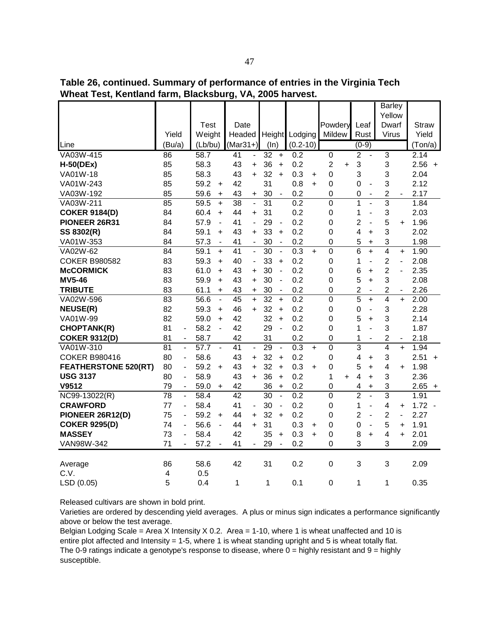**Table 26, continued. Summary of performance of entries in the Virginia Tech Wheat Test, Kentland farm, Blacksburg, VA, 2005 harvest.**

|                             |                               |                          |             |                          |                 |                              |                 |                          |                  |           |                  |           |                |                          | <b>Barley</b>           |                              |              |
|-----------------------------|-------------------------------|--------------------------|-------------|--------------------------|-----------------|------------------------------|-----------------|--------------------------|------------------|-----------|------------------|-----------|----------------|--------------------------|-------------------------|------------------------------|--------------|
|                             |                               |                          |             |                          |                 |                              |                 |                          |                  |           |                  |           |                |                          | Yellow                  |                              |              |
|                             |                               |                          | <b>Test</b> |                          | Date            |                              |                 |                          |                  |           | Powdery          |           | Leaf           |                          | Dwarf                   |                              | <b>Straw</b> |
|                             | Yield                         |                          | Weight      |                          | Headed          |                              | <b>Height</b>   |                          | Lodging          |           | Mildew           |           | Rust           |                          | <b>Virus</b>            |                              | Yield        |
| Line                        | (Bu/a)                        |                          | (Lb/bu)     |                          | $(Mar31+)$      |                              | (ln)            |                          | $(0.2 - 10)$     |           |                  |           | $(0-9)$        |                          |                         |                              | (Ton/a)      |
| VA03W-415                   | 86                            |                          | 58.7        |                          | $\overline{41}$ | $\qquad \qquad \blacksquare$ | $\overline{32}$ | $\ddot{}$                | 0.2              |           | $\overline{0}$   |           | $\overline{2}$ | ÷,                       | $\overline{3}$          |                              | 2.14         |
| $H-50(DEx)$                 | 85                            |                          | 58.3        |                          | 43              | $\ddot{}$                    | 36              | $\ddot{}$                | 0.2              |           | $\overline{2}$   | $\ddot{}$ | 3              |                          | 3                       |                              | $2.56 +$     |
| VA01W-18                    | 85                            |                          | 58.3        |                          | 43              | $\ddot{}$                    | 32              | $\ddot{}$                | 0.3              | $\ddot{}$ | 0                |           | 3              |                          | 3                       |                              | 2.04         |
| VA01W-243                   | 85                            |                          | 59.2        | $\ddot{}$                | 42              |                              | 31              |                          | 0.8              | $+$       | $\boldsymbol{0}$ |           | 0              | $\overline{\phantom{0}}$ | 3                       |                              | 2.12         |
| VA03W-192                   | 85                            |                          | 59.6        | $\ddot{}$                | 43              | $\ddot{}$                    | 30              | $\blacksquare$           | 0.2              |           | $\mathbf 0$      |           | 0              | $\blacksquare$           | $\overline{2}$          |                              | 2.17         |
| VA03W-211                   | 85                            |                          | 59.5        | $+$                      | 38              | $\frac{1}{2}$                | $\overline{31}$ |                          | 0.2              |           | 0                |           | 1              | $\overline{a}$           | 3                       |                              | 1.84         |
| <b>COKER 9184(D)</b>        | 84                            |                          | 60.4        | $\ddot{}$                | 44              | $\ddot{}$                    | 31              |                          | 0.2              |           | 0                |           | 1              | ÷,                       | 3                       |                              | 2.03         |
| PIONEER 26R31               | 84                            |                          | 57.9        | $\overline{\phantom{a}}$ | 41              | $\overline{\phantom{a}}$     | 29              | $\blacksquare$           | 0.2              |           | $\mathbf 0$      |           | $\overline{2}$ | $\overline{\phantom{0}}$ | 5                       | $\ddot{}$                    | 1.96         |
| SS 8302(R)                  | 84                            |                          | 59.1        | $\ddot{}$                | 43              | $\ddot{}$                    | 33              | $\ddot{}$                | 0.2              |           | 0                |           | 4              | +                        | 3                       |                              | 2.02         |
| VA01W-353                   | 84                            |                          | 57.3        | $\blacksquare$           | 41              | $\blacksquare$               | 30              | $\blacksquare$           | 0.2              |           | 0                |           | 5              | $\ddot{}$                | 3                       |                              | 1.98         |
| VA02W-62                    | 84                            |                          | 59.1        | $+$                      | 41              | $\blacksquare$               | 30              | $\overline{\phantom{a}}$ | 0.3              | $+$       | $\mathbf 0$      |           | 6              | $\ddotmark$              | $\overline{4}$          | $\ddot{}$                    | 1.90         |
| <b>COKER B980582</b>        | 83                            |                          | 59.3        | $\ddot{}$                | 40              | $\blacksquare$               | 33              | $+$                      | 0.2              |           | $\mathbf 0$      |           | 1              | $\overline{a}$           | $\overline{2}$          | $\overline{a}$               | 2.08         |
| <b>McCORMICK</b>            | 83                            |                          | 61.0        | $+$                      | 43              | $\ddot{}$                    | 30              | $\overline{\phantom{a}}$ | 0.2              |           | 0                |           | 6              | $\ddot{}$                | $\overline{2}$          | $\overline{a}$               | 2.35         |
| <b>MV5-46</b>               | 83                            |                          | 59.9        | $\ddot{}$                | 43              | $\ddot{}$                    | 30              | $\overline{a}$           | 0.2              |           | 0                |           | 5              | $\ddot{}$                | 3                       |                              | 2.08         |
| <b>TRIBUTE</b>              | 83                            |                          | 61.1        | $\ddot{}$                | 43              | $\ddot{}$                    | 30              | $\blacksquare$           | 0.2              |           | 0                |           | $\overline{c}$ | $\overline{\phantom{0}}$ | 2                       | $\qquad \qquad \blacksquare$ | 2.26         |
| VA02W-596                   | 83                            |                          | 56.6        | $\blacksquare$           | 45              | $\ddot{}$                    | 32              | $\ddot{}$                | 0.2              |           | $\mathbf 0$      |           | 5              | $\ddot{}$                | 4                       | $+$                          | 2.00         |
| <b>NEUSE(R)</b>             | 82                            |                          | 59.3        | $\ddot{}$                | 46              | $+$                          | 32              | $\ddot{}$                | 0.2              |           | 0                |           | 0              | ÷,                       | 3                       |                              | 2.28         |
| VA01W-99                    | 82                            |                          | 59.0        | $+$                      | 42              |                              | 32              | $+$                      | 0.2              |           | 0                |           | 5              | $\ddot{}$                | 3                       |                              | 2.14         |
| <b>CHOPTANK(R)</b>          | 81                            | ÷,                       | 58.2        | $\blacksquare$           | 42              |                              | 29              | $\overline{\phantom{a}}$ | 0.2              |           | 0                |           | 1              | $\overline{a}$           | 3                       |                              | 1.87         |
| <b>COKER 9312(D)</b>        | 81                            | $\blacksquare$           | 58.7        |                          | 42              |                              | 31              |                          | 0.2              |           | 0                |           | 1              | $\overline{a}$           | $\overline{c}$          |                              | 2.18         |
| VA01W-310                   | $\overline{81}$               | ÷.                       | 57.7        | $\sim$                   | $\overline{41}$ | $\overline{a}$               | $\overline{29}$ | $\ddot{\phantom{a}}$     | 0.3              | $+$       | 0                |           | 3              |                          | $\overline{4}$          | $\ddot{}$                    | 1.94         |
| <b>COKER B980416</b>        | 80                            | ٠                        | 58.6        |                          | 43              | $+$                          | 32              | $\ddot{}$                | 0.2              |           | $\mathbf 0$      |           | 4              | $\ddot{}$                | 3                       |                              | $2.51 +$     |
| <b>FEATHERSTONE 520(RT)</b> | 80                            | $\overline{\phantom{0}}$ | 59.2        | $\ddot{}$                | 43              | $\ddot{}$                    | 32              | $\ddot{}$                | 0.3              | $\ddot{}$ | 0                |           | 5              | +                        | 4                       | $\ddot{}$                    | 1.98         |
| <b>USG 3137</b>             | 80                            | $\overline{\phantom{0}}$ | 58.9        |                          | 43              | $+$                          | 36              | $\ddot{}$                | 0.2              |           | 1                | $\ddot{}$ | 4              | $\ddot{}$                | 3                       |                              | 2.36         |
| V9512                       | 79                            | $\overline{\phantom{a}}$ | 59.0        | $\ddot{}$                | 42              |                              | 36              | $\ddot{}$                | 0.2              |           | 0                |           | 4              | $\ddot{}$                | 3                       |                              | $2.65 +$     |
| NC99-13022(R)               | 78                            | $\blacksquare$           | 58.4        |                          | $\overline{42}$ |                              | $\overline{30}$ | $\overline{a}$           | $\overline{0.2}$ |           | $\overline{0}$   |           | $\overline{2}$ | ÷,                       | $\overline{3}$          |                              | 1.91         |
| <b>CRAWFORD</b>             | 77                            | $\blacksquare$           | 58.4        |                          | 41              | $\overline{a}$               | 30              | $\overline{\phantom{a}}$ | 0.2              |           | 0                |           | 1              | $\overline{a}$           | $\overline{\mathbf{4}}$ | $\ddot{}$                    | $1.72 -$     |
| PIONEER 26R12(D)            | 75                            | ÷,                       | 59.2        | $\ddot{}$                | 44              | $\ddot{}$                    | 32              | $\ddot{}$                | 0.2              |           | 0                |           | $\overline{2}$ | ÷,                       | $\overline{c}$          | ÷,                           | 2.27         |
| <b>COKER 9295(D)</b>        | 74                            | $\blacksquare$           | 56.6        | $\blacksquare$           | 44              | $+$                          | 31              |                          | 0.3              | $\ddot{}$ | 0                |           | 0              | $\overline{\phantom{a}}$ | 5                       | $\ddot{}$                    | 1.91         |
| <b>MASSEY</b>               | 73                            | $\overline{\phantom{0}}$ | 58.4        |                          | 42              |                              | 35              | $\ddot{}$                | 0.3              | $\ddot{}$ | 0                |           | 8              | $\ddot{}$                | 4                       | $\ddot{}$                    | 2.01         |
| VAN98W-342                  | 71                            | $\overline{\phantom{0}}$ | 57.2        |                          | 41              |                              | 29              | $\blacksquare$           | 0.2              |           | 0                |           | 3              |                          | 3                       |                              | 2.09         |
|                             |                               |                          |             |                          |                 |                              |                 |                          |                  |           |                  |           |                |                          |                         |                              |              |
| Average<br>C.V.             | 86<br>$\overline{\mathbf{4}}$ |                          | 58.6<br>0.5 |                          | 42              |                              | 31              |                          | 0.2              |           | $\mathbf 0$      |           | 3              |                          | 3                       |                              | 2.09         |
|                             |                               |                          |             |                          |                 |                              |                 |                          |                  |           |                  |           |                |                          |                         |                              |              |
| LSD (0.05)                  | 5                             |                          | 0.4         |                          | 1               |                              | 1               |                          | 0.1              |           | $\mathbf 0$      |           | 1              |                          | 1                       |                              | 0.35         |

Varieties are ordered by descending yield averages. A plus or minus sign indicates a performance significantly above or below the test average.

Belgian Lodging Scale = Area X Intensity X 0.2. Area = 1-10, where 1 is wheat unaffected and 10 is entire plot affected and Intensity = 1-5, where 1 is wheat standing upright and 5 is wheat totally flat. The 0-9 ratings indicate a genotype's response to disease, where  $0 =$  highly resistant and  $9 =$  highly susceptible.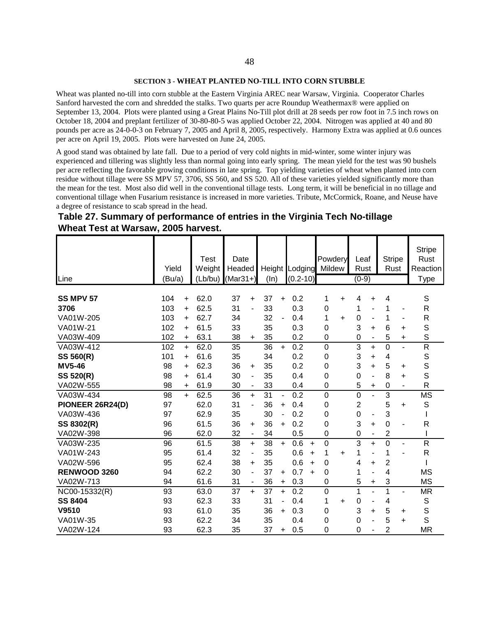#### **SECTION 3 - WHEAT PLANTED NO-TILL INTO CORN STUBBLE**

Wheat was planted no-till into corn stubble at the Eastern Virginia AREC near Warsaw, Virginia. Cooperator Charles Sanford harvested the corn and shredded the stalks. Two quarts per acre Roundup Weathermax® were applied on September 13, 2004. Plots were planted using a Great Plains No-Till plot drill at 28 seeds per row foot in 7.5 inch rows on October 18, 2004 and preplant fertilizer of 30-80-80-5 was applied October 22, 2004. Nitrogen was applied at 40 and 80 pounds per acre as 24-0-0-3 on February 7, 2005 and April 8, 2005, respectively. Harmony Extra was applied at 0.6 ounces per acre on April 19, 2005. Plots were harvested on June 24, 2005.

A good stand was obtained by late fall. Due to a period of very cold nights in mid-winter, some winter injury was experienced and tillering was slightly less than normal going into early spring. The mean yield for the test was 90 bushels per acre reflecting the favorable growing conditions in late spring. Top yielding varieties of wheat when planted into corn residue without tillage were SS MPV 57, 3706, SS 560, and SS 520. All of these varieties yielded significantly more than the mean for the test. Most also did well in the conventional tillage tests. Long term, it will be beneficial in no tillage and conventional tillage when Fusarium resistance is increased in more varieties. Tribute, McCormick, Roane, and Neuse have a degree of resistance to scab spread in the head.

| Table 27. Summary of performance of entries in the Virginia Tech No-tillage |  |
|-----------------------------------------------------------------------------|--|
| Wheat Test at Warsaw, 2005 harvest.                                         |  |

| Line             | Yield<br>(Bu/a) |           | <b>Test</b><br>Weight<br>(Lb/bu) | Date<br>Headed<br>$(Mar31+)$ |                          | (ln) |                          | Height Lodging<br>$(0.2 - 10)$ |           | Powdery<br>Mildew |           | Leaf<br>Rust<br>$(0-9)$ |                | <b>Stripe</b><br>Rust |           | <b>Stripe</b><br>Rust<br>Reaction<br>Type |
|------------------|-----------------|-----------|----------------------------------|------------------------------|--------------------------|------|--------------------------|--------------------------------|-----------|-------------------|-----------|-------------------------|----------------|-----------------------|-----------|-------------------------------------------|
| <b>SS MPV 57</b> | 104             | $\ddot{}$ | 62.0                             | 37                           | $\ddot{}$                | 37   | $+$                      | 0.2                            |           | 1                 | $\ddot{}$ | 4                       | +              | 4                     |           | S                                         |
| 3706             | 103             | $\ddot{}$ | 62.5                             | 31                           |                          | 33   |                          | 0.3                            |           | 0                 |           | 1                       |                | 1                     |           | R                                         |
| VA01W-205        | 103             | $\ddot{}$ | 62.7                             | 34                           |                          | 32   | $\overline{\phantom{a}}$ | 0.4                            |           | 1                 | $\ddot{}$ | $\boldsymbol{0}$        | ٠              | 1                     |           | R                                         |
| VA01W-21         | 102             | $\ddot{}$ | 61.5                             | 33                           |                          | 35   |                          | 0.3                            |           | 0                 |           | 3                       | ÷.             | 6                     | ÷.        | S                                         |
| VA03W-409        | 102             | $\ddot{}$ | 63.1                             | 38                           | $\ddot{}$                | 35   |                          | 0.2                            |           | 0                 |           | 0                       | $\blacksquare$ | 5                     | $\ddot{}$ | S                                         |
| VA03W-412        | 102             | $+$       | 62.0                             | 35                           |                          | 36   | $+$                      | 0.2                            |           | $\boldsymbol{0}$  |           | $\overline{3}$          | ÷.             | $\mathbf 0$           |           | $\overline{R}$                            |
| SS 560(R)        | 101             | $\ddot{}$ | 61.6                             | 35                           |                          | 34   |                          | 0.2                            |           | 0                 |           | 3                       | ÷.             | 4                     |           | $\mathbb S$                               |
| <b>MV5-46</b>    | 98              | $\ddot{}$ | 62.3                             | 36                           | $\ddot{}$                | 35   |                          | 0.2                            |           | 0                 |           | 3                       | $\ddot{}$      | 5                     | ÷         | S                                         |
| SS 520(R)        | 98              | $\ddot{}$ | 61.4                             | 30                           | $\overline{\phantom{0}}$ | 35   |                          | 0.4                            |           | 0                 |           | 0                       | $\blacksquare$ | 8                     | +         | S                                         |
| VA02W-555        | 98              | $\ddot{}$ | 61.9                             | 30                           |                          | 33   |                          | 0.4                            |           | 0                 |           | 5                       | +              | $\mathbf 0$           |           | R                                         |
| VA03W-434        | 98              | $+$       | 62.5                             | 36                           | $\ddot{}$                | 31   | $\blacksquare$           | 0.2                            |           | $\boldsymbol{0}$  |           | $\mathbf 0$             |                | 3                     |           | <b>MS</b>                                 |
| PIONEER 26R24(D) | 97              |           | 62.0                             | 31                           | $\overline{\phantom{0}}$ | 36   | $\ddot{}$                | 0.4                            |           | 0                 |           | $\overline{c}$          |                | 5                     | $\ddot{}$ | S                                         |
| VA03W-436        | 97              |           | 62.9                             | 35                           |                          | 30   |                          | 0.2                            |           | 0                 |           | $\boldsymbol{0}$        | ÷              | 3                     |           |                                           |
| SS 8302(R)       | 96              |           | 61.5                             | 36                           | $\ddot{}$                | 36   | $+$                      | 0.2                            |           | 0                 |           | 3                       | ÷.             | 0                     |           | R                                         |
| VA02W-398        | 96              |           | 62.0                             | 32                           |                          | 34   |                          | 0.5                            |           | 0                 |           | $\boldsymbol{0}$        | ٠              | $\overline{c}$        |           |                                           |
| VA03W-235        | 96              |           | 61.5                             | 38                           | $+$                      | 38   | $+$                      | 0.6                            | $\ddot{}$ | 0                 |           | 3                       | $\ddot{}$      | $\mathbf 0$           |           | $\overline{\mathsf{R}}$                   |
| VA01W-243        | 95              |           | 61.4                             | 32                           | $\blacksquare$           | 35   |                          | 0.6                            | $\ddot{}$ | 1                 | ÷         | 1                       | $\blacksquare$ | 1                     |           | $\mathsf R$                               |
| VA02W-596        | 95              |           | 62.4                             | 38                           | $\ddot{}$                | 35   |                          | 0.6                            | $\ddot{}$ | 0                 |           | 4                       | +              | $\overline{2}$        |           |                                           |
| RENWOOD 3260     | 94              |           | 62.2                             | 30                           | $\overline{\phantom{0}}$ | 37   | $\ddot{}$                | 0.7                            | $\ddot{}$ | 0                 |           | 1                       | Ĭ.             | 4                     |           | MS                                        |
| VA02W-713        | 94              |           | 61.6                             | 31                           |                          | 36   | $\ddot{}$                | 0.3                            |           | 0                 |           | 5                       | +              | 3                     |           | <b>MS</b>                                 |
| NC00-15332(R)    | 93              |           | 63.0                             | 37                           | $\ddot{}$                | 37   | $+$                      | 0.2                            |           | $\boldsymbol{0}$  |           | 1                       | $\blacksquare$ | 1                     |           | <b>MR</b>                                 |
| <b>SS 8404</b>   | 93              |           | 62.3                             | 33                           |                          | 31   |                          | 0.4                            |           | 1                 | $\ddot{}$ | $\mathbf 0$             | ٠              | 4                     |           | $\mathbb S$                               |
| V9510            | 93              |           | 61.0                             | 35                           |                          | 36   | +                        | 0.3                            |           | 0                 |           | 3                       | ÷.             | 5                     | +         | $\mathbb S$                               |
| VA01W-35         | 93              |           | 62.2                             | 34                           |                          | 35   |                          | 0.4                            |           | 0                 |           | $\mathbf 0$             | Ĭ.             | 5                     | $\ddot{}$ | S                                         |
| VA02W-124        | 93              |           | 62.3                             | 35                           |                          | 37   | $\ddot{}$                | 0.5                            |           | 0                 |           | $\mathbf 0$             |                | 2                     |           | <b>MR</b>                                 |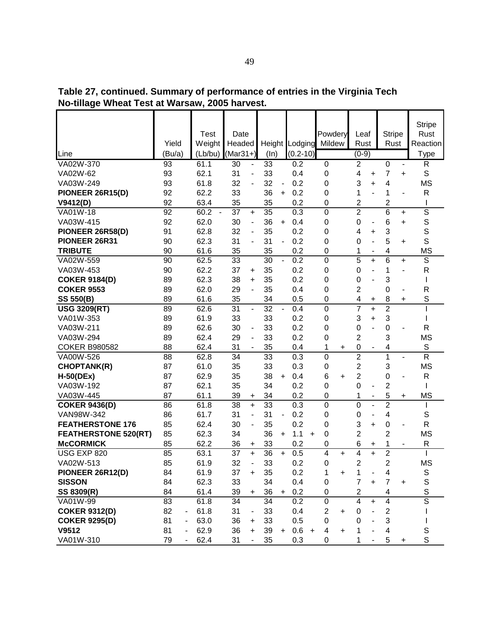|                             | Yield  | Test<br>Weight                   | Date<br>Headed       |                                | Height Lodging   | Powdery<br>Mildew            | Leaf<br>Rust                          | <b>Stripe</b><br>Rust                   | <b>Stripe</b><br>Rust<br>Reaction |
|-----------------------------|--------|----------------------------------|----------------------|--------------------------------|------------------|------------------------------|---------------------------------------|-----------------------------------------|-----------------------------------|
| Line                        | (Bu/a) | (Lb/bu)                          | $(Mar31+)$           | (ln)                           | $(0.2 - 10)$     |                              | $(0-9)$                               |                                         | <b>Type</b>                       |
| VA02W-370                   | 93     | 61.1                             | 30<br>$\blacksquare$ | 33                             | 0.2              | $\overline{0}$               | $\overline{2}$                        | $\overline{0}$<br>$\blacksquare$        | R                                 |
| VA02W-62                    | 93     | 62.1                             | 31                   | 33                             | 0.4              | 0                            | 4<br>+                                | 7<br>+                                  | $\mathsf S$                       |
| VA03W-249                   | 93     | 61.8                             | 32                   | 32<br>$\overline{\phantom{a}}$ | 0.2              | 0                            | 3<br>$\ddot{}$                        | 4                                       | <b>MS</b>                         |
| PIONEER 26R15(D)            | 92     | 62.2                             | 33                   | 36<br>$\ddot{}$                | 0.2              | 0                            | 1                                     | 1<br>$\overline{\phantom{a}}$           | R                                 |
| V9412(D)                    | 92     | 63.4                             | 35                   | 35                             | 0.2              | 0                            | 2                                     | 2                                       | I                                 |
| VA01W-18                    | 92     | 60.2<br>$\overline{\phantom{a}}$ | 37<br>$\ddot{}$      | 35                             | 0.3              | 0                            | $\overline{2}$                        | 6<br>$\ddot{}$                          | $\overline{\mathsf{s}}$           |
| VA03W-415                   | 92     | 62.0                             | 30<br>$\blacksquare$ | 36<br>$+$                      | 0.4              | 0                            | $\boldsymbol{0}$<br>ä,                | 6<br>$\ddot{}$                          | S                                 |
| PIONEER 26R58(D)            | 91     | 62.8                             | 32                   | 35                             | 0.2              | 0                            | 4<br>$\ddot{}$                        | 3                                       | S                                 |
| PIONEER 26R31               | 90     | 62.3                             | 31                   | 31<br>$\overline{\phantom{a}}$ | 0.2              | 0                            | 0<br>÷                                | 5<br>+                                  | S                                 |
| <b>TRIBUTE</b>              | 90     | 61.6                             | 35                   | 35                             | 0.2              | 0                            | 1                                     | 4                                       | <b>MS</b>                         |
| VA02W-559                   | 90     | 62.5                             | 33                   | 30<br>$\blacksquare$           | 0.2              | $\mathbf 0$                  | $\overline{5}$<br>$\ddot{}$           | 6<br>+                                  | $\overline{s}$                    |
| VA03W-453                   | 90     | 62.2                             | 37<br>$\ddot{}$      | 35                             | 0.2              | 0                            | 0<br>ä,                               | 1                                       | R                                 |
| <b>COKER 9184(D)</b>        | 89     | 62.3                             | 38<br>+              | 35                             | 0.2              | 0                            | 0<br>L,                               | 3                                       | I                                 |
| <b>COKER 9553</b>           | 89     | 62.0                             | 29<br>$\blacksquare$ | 35                             | 0.4              | 0                            | 2                                     | 0<br>$\overline{\phantom{m}}$           | $\mathsf{R}$                      |
| <b>SS 550(B)</b>            | 89     | 61.6                             | 35                   | 34                             | 0.5              | 0                            | 4<br>+                                | 8<br>+                                  | S                                 |
| <b>USG 3209(RT)</b>         | 89     | 62.6                             | 31<br>$\overline{a}$ | 32<br>$\blacksquare$           | 0.4              | $\overline{0}$               | $\overline{7}$<br>$\ddot{}$           | $\overline{2}$                          | $\mathbf{I}$                      |
| VA01W-353                   | 89     | 61.9                             | 33                   | 33                             | 0.2              | 0                            | 3<br>$\ddot{}$                        | 3                                       |                                   |
| VA03W-211                   | 89     | 62.6                             | 30                   | 33                             | 0.2              | 0                            | 0<br>L,                               | 0                                       | R                                 |
| VA03W-294                   | 89     | 62.4                             | 29                   | 33                             | 0.2              | 0                            | $\overline{2}$                        | 3                                       | <b>MS</b>                         |
| <b>COKER B980582</b>        | 88     | 62.4                             | 31                   | 35                             | 0.4              | 1<br>+                       | $\mathbf 0$                           | 4                                       | S                                 |
| VA00W-526                   | 88     | 62.8                             | 34                   | 33                             | 0.3              | 0                            | $\overline{2}$                        | 1                                       | $\overline{R}$                    |
| <b>CHOPTANK(R)</b>          | 87     | 61.0                             | 35                   | 33                             | 0.3              | 0                            | $\overline{2}$                        | 3                                       | <b>MS</b>                         |
| $H-50(DEx)$                 | 87     | 62.9                             | 35                   | 38<br>$+$                      | 0.4              | 6<br>+                       | $\overline{2}$                        | 0                                       | R                                 |
| VA03W-192                   | 87     | 62.1                             | 35                   | 34                             | 0.2              | 0                            | $\mathbf 0$<br>٠                      | 2                                       |                                   |
| VA03W-445                   | 87     | 61.1                             | 39<br>+              | 34                             | 0.2              | 0                            | 1                                     | 5<br>+                                  | <b>MS</b>                         |
| <b>COKER 9436(D)</b>        | 86     | 61.8                             | 38<br>$\ddot{}$      | 33                             | 0.3              | $\mathbf 0$                  | $\mathbf 0$                           | $\overline{2}$                          | I                                 |
| VAN98W-342                  | 86     | 61.7                             | 31<br>$\blacksquare$ | 31                             | 0.2              | 0                            | 0<br>L,                               | 4                                       | S                                 |
| <b>FEATHERSTONE 176</b>     | 85     | 62.4                             | 30                   | 35                             | 0.2              | 0                            | 3<br>$\ddot{}$                        | $\mathbf 0$<br>$\overline{\phantom{a}}$ | $\mathsf{R}$                      |
| <b>FEATHERSTONE 520(RT)</b> | 85     | 62.3                             | 34                   | 36<br>$\ddot{}$                | 1.1<br>$\ddot{}$ | 0                            | $\overline{2}$                        | $\overline{2}$                          | <b>MS</b>                         |
| <b>McCORMICK</b>            | 85     | 62.2                             | 36<br>+              | 33                             | 0.2              | 0                            | 6<br>+                                | 1                                       | R                                 |
| USG EXP 820                 | 85     | 63.1                             | 37<br>$\ddot{}$      | 36<br>$\ddot{}$                | 0.5              | 4<br>+                       | 4<br>$\ddot{}$                        | $\overline{2}$                          | I                                 |
| VA02W-513                   | 85     | 61.9                             | 32                   | 33                             | 0.2              | $\boldsymbol{0}$             | 2                                     | $\overline{\mathbf{c}}$                 | MS                                |
| PIONEER 26R12(D)            | 84     | 61.9                             | 37<br>$\ddot{}$      | 35                             | 0.2              | 1<br>+                       | 1                                     | 4                                       | $\mathsf S$                       |
| <b>SISSON</b>               | 84     | 62.3                             | 33                   | 34                             | 0.4              | $\boldsymbol{0}$             | 7<br>+                                | $\overline{7}$<br>+                     | $\mathsf S$                       |
| SS 8309(R)                  | 84     | 61.4                             | 39<br>+              | 36<br>$+$                      | 0.2              | 0                            | $\boldsymbol{2}$                      | 4                                       | $\mathbb S$                       |
| VA01W-99                    | 83     | 61.8                             | 34                   | 34                             | 0.2              | $\overline{0}$               | 4<br>$+$                              | $\overline{4}$                          | $\overline{s}$                    |
| <b>COKER 9312(D)</b>        | 82     | 61.8                             | 31                   | 33                             | 0.4              | $\boldsymbol{2}$<br>+        | $\pmb{0}$<br>$\overline{\phantom{0}}$ | $\boldsymbol{2}$                        |                                   |
| <b>COKER 9295(D)</b>        | 81     | 63.0                             | 36<br>$\ddot{}$      | 33                             | 0.5              | $\pmb{0}$                    | $\boldsymbol{0}$                      | 3                                       |                                   |
| V9512                       | 81     | 62.9                             | 36<br>$\ddot{}$      | 39<br>$\ddot{}$                | 0.6<br>$\ddot{}$ | $\overline{\mathbf{4}}$<br>+ | 1                                     | $\overline{\mathbf{4}}$                 | $\mathbb S$                       |
| VA01W-310                   | 79     | 62.4                             | 31                   | 35                             | 0.3              | 0                            | 1                                     | 5<br>+                                  | S                                 |

**Table 27, continued. Summary of performance of entries in the Virginia Tech No-tillage Wheat Test at Warsaw, 2005 harvest.**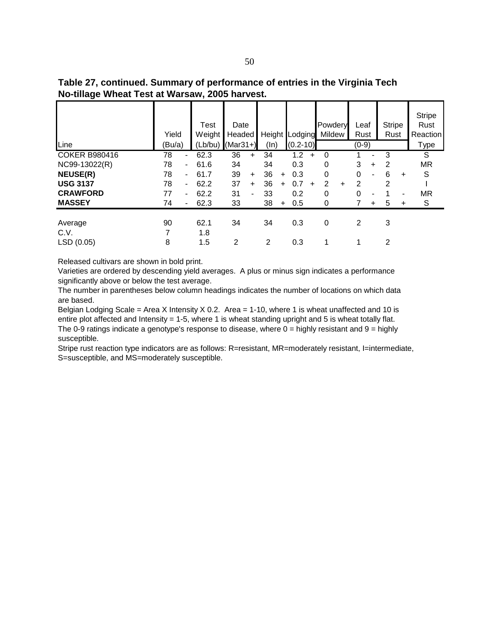| Table 27, continued. Summary of performance of entries in the Virginia Tech |
|-----------------------------------------------------------------------------|
| No-tillage Wheat Test at Warsaw, 2005 harvest.                              |

| Line                          | Yield<br>(Bu/a) |                          | Test<br>Weight<br>$(Lb/bu)$ (Mar31+) | Date<br>Headed |                | (ln)    |           | Height Lodging<br>$(0.2 - 10)$ |           | Powdery<br>Mildew |   | Leaf<br>Rust<br>$(0-9)$ |           | <b>Stripe</b><br>Rust |       | <b>Stripe</b><br>Rust<br>Reaction<br>Type |
|-------------------------------|-----------------|--------------------------|--------------------------------------|----------------|----------------|---------|-----------|--------------------------------|-----------|-------------------|---|-------------------------|-----------|-----------------------|-------|-------------------------------------------|
| <b>COKER B980416</b>          | 78              | ٠                        | 62.3                                 | 36             | $\ddot{}$      | 34      |           | 1.2                            | ÷         | $\Omega$          |   |                         |           | 3                     |       | S                                         |
| NC99-13022(R)                 | 78              | ۰.                       | 61.6                                 | 34             |                | 34      |           | 0.3                            |           | 0                 |   | 3                       | $\ddot{}$ | 2                     |       | <b>MR</b>                                 |
| <b>NEUSE(R)</b>               | 78              | ٠                        | 61.7                                 | 39             | $+$            | 36      | $+$       | 0.3                            |           | 0                 |   | 0                       | ۰         | 6                     | $+$   | S                                         |
| <b>USG 3137</b>               | 78              | Ξ.                       | 62.2                                 | 37             | $+$            | 36      | $\ddot{}$ | 0.7                            | $\ddot{}$ | 2                 | + | 2                       |           | 2                     |       |                                           |
| <b>CRAWFORD</b>               | 77              | $\overline{\phantom{0}}$ | 62.2                                 | 31             | $\blacksquare$ | 33      |           | 0.2                            |           | 0                 |   | 0                       | ۰         |                       | ٠     | <b>MR</b>                                 |
| <b>MASSEY</b>                 | 74              |                          | 62.3                                 | 33             |                | 38      | $\ddot{}$ | 0.5                            |           | 0                 |   |                         | +         | 5                     | $\pm$ | S                                         |
| Average<br>C.V.<br>LSD (0.05) | 90<br>8         |                          | 62.1<br>1.8<br>1.5                   | 34<br>2        |                | 34<br>2 |           | 0.3<br>0.3                     |           | 0                 |   | 2                       |           | 3<br>2                |       |                                           |

Varieties are ordered by descending yield averages. A plus or minus sign indicates a performance significantly above or below the test average.

The number in parentheses below column headings indicates the number of locations on which data are based.

Belgian Lodging Scale = Area X Intensity X 0.2. Area = 1-10, where 1 is wheat unaffected and 10 is entire plot affected and Intensity = 1-5, where 1 is wheat standing upright and 5 is wheat totally flat. The 0-9 ratings indicate a genotype's response to disease, where  $0 =$  highly resistant and  $9 =$  highly susceptible.

Stripe rust reaction type indicators are as follows: R=resistant, MR=moderately resistant, l=intermediate, S=susceptible, and MS=moderately susceptible.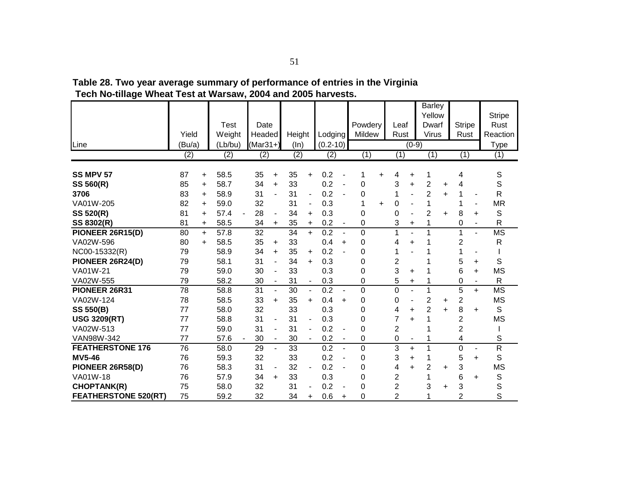|                             |        |           | <b>Test</b> | Date           |                          |        |                          |              |                          | Powdery     |    | Leaf           |                          | <b>Barley</b><br>Yellow<br>Dwarf |           | <b>Stripe</b>  |                          | <b>Stripe</b><br>Rust    |
|-----------------------------|--------|-----------|-------------|----------------|--------------------------|--------|--------------------------|--------------|--------------------------|-------------|----|----------------|--------------------------|----------------------------------|-----------|----------------|--------------------------|--------------------------|
|                             | Yield  |           | Weight      | Headed         |                          | Height |                          | Lodging      |                          | Mildew      |    | Rust           |                          | <b>Virus</b>                     |           | Rust           |                          | Reaction                 |
| Line                        | (Bu/a) |           | (Lb/bu)     | $(Mar31+)$     |                          | (ln)   |                          | $(0.2 - 10)$ |                          |             |    |                | $(0-9)$                  |                                  |           |                |                          | <b>Type</b>              |
|                             | (2)    |           | (2)         | $\overline{2}$ |                          | (2)    |                          | (2)          |                          | (1)         |    | (1)            |                          | (1)                              |           | (1)            |                          | (1)                      |
|                             |        |           |             |                |                          |        |                          |              |                          |             |    |                |                          |                                  |           |                |                          |                          |
| <b>SS MPV 57</b>            | 87     | $\ddot{}$ | 58.5        | 35             | $\ddot{}$                | 35     | $\ddot{}$                | 0.2          |                          | 1           | ÷  | 4              | +                        | 1                                |           | 4              |                          | $\mathsf S$              |
| SS 560(R)                   | 85     | $\ddot{}$ | 58.7        | 34             | $\ddot{}$                | 33     |                          | 0.2          |                          | 0           |    | 3              | $\ddot{}$                | $\overline{2}$                   | +         | 4              |                          | S                        |
| 3706                        | 83     | $+$       | 58.9        | 31             |                          | 31     | $\overline{\phantom{0}}$ | 0.2          |                          | 0           |    |                |                          | $\overline{2}$                   | $\ddot{}$ | 1              |                          | $\mathsf{R}$             |
| VA01W-205                   | 82     | $\ddot{}$ | 59.0        | 32             |                          | 31     | ۰                        | 0.3          |                          | 1           | ÷. | 0              | ۰                        | 1                                |           | 1              | $\blacksquare$           | <b>MR</b>                |
| SS 520(R)                   | 81     | $\ddot{}$ | 57.4        | 28             | $\blacksquare$           | 34     | $\ddot{}$                | 0.3          |                          | 0           |    | 0              | $\blacksquare$           | $\overline{2}$                   | $\ddot{}$ | 8              | ÷.                       | S                        |
| SS 8302(R)                  | 81     | $\ddot{}$ | 58.5        | 34             | $\ddot{}$                | 35     | $\ddot{}$                | 0.2          | $\blacksquare$           | 0           |    | 3              | +                        | 1                                |           | 0              | $\overline{\phantom{a}}$ | $\mathsf{R}$             |
| PIONEER 26R15(D)            | 80     | $+$       | 57.8        | 32             |                          | 34     | $+$                      | 0.2          | $\overline{a}$           | $\mathbf 0$ |    | 1              |                          | 1                                |           | 1              | L,                       | $\overline{\mathsf{MS}}$ |
| VA02W-596                   | 80     | $+$       | 58.5        | 35             | $\ddot{}$                | 33     |                          | 0.4          | $\ddot{}$                | $\Omega$    |    | 4              | $\ddot{}$                |                                  |           | 2              |                          | ${\sf R}$                |
| NC00-15332(R)               | 79     |           | 58.9        | 34             | $\ddot{}$                | 35     | $\ddot{}$                | 0.2          |                          | 0           |    | 1              |                          |                                  |           | 1              |                          |                          |
| PIONEER 26R24(D)            | 79     |           | 58.1        | 31             | ä,                       | 34     | $\ddot{}$                | 0.3          |                          | 0           |    | $\overline{c}$ |                          |                                  |           | 5              | +                        | S                        |
| VA01W-21                    | 79     |           | 59.0        | 30             | $\overline{\phantom{a}}$ | 33     |                          | 0.3          |                          | $\mathbf 0$ |    | 3              | ÷                        |                                  |           | 6              | ÷.                       | <b>MS</b>                |
| VA02W-555                   | 79     |           | 58.2        | 30             | $\overline{\phantom{a}}$ | 31     | $\overline{\phantom{a}}$ | 0.3          |                          | 0           |    | 5              | $\ddot{}$                | 1                                |           | 0              | $\blacksquare$           | $\mathsf{R}$             |
| PIONEER 26R31               | 78     |           | 58.8        | 31             | $\blacksquare$           | 30     | $\blacksquare$           | 0.2          | $\blacksquare$           | 0           |    | 0              | $\overline{a}$           | 1                                |           | 5              | $\ddot{}$                | $\overline{\text{MS}}$   |
| VA02W-124                   | 78     |           | 58.5        | 33             | $\ddot{}$                | 35     | $\ddot{}$                | 0.4          | $\ddot{}$                | 0           |    | 0              | ÷,                       | $\overline{2}$                   | $\ddot{}$ | $\overline{2}$ |                          | <b>MS</b>                |
| <b>SS 550(B)</b>            | 77     |           | 58.0        | 32             |                          | 33     |                          | 0.3          |                          | 0           |    | 4              | $\ddot{}$                | 2                                | $\ddot{}$ | 8              | $\ddot{}$                | S                        |
| <b>USG 3209(RT)</b>         | 77     |           | 58.8        | 31             | $\overline{\phantom{a}}$ | 31     | -                        | 0.3          |                          | 0           |    | 7              | $\ddot{}$                | 1                                |           | 2              |                          | <b>MS</b>                |
| VA02W-513                   | 77     |           | 59.0        | 31             | $\overline{\phantom{a}}$ | 31     | ٠                        | 0.2          | $\overline{\phantom{a}}$ | 0           |    | $\overline{2}$ |                          |                                  |           | 2              |                          |                          |
| VAN98W-342                  | 77     |           | 57.6        | 30             | $\blacksquare$           | 30     | $\blacksquare$           | 0.2          | $\overline{\phantom{a}}$ | 0           |    | 0              | $\overline{\phantom{a}}$ |                                  |           | 4              |                          | S                        |
| <b>FEATHERSTONE 176</b>     | 76     |           | 58.0        | 29             |                          | 33     |                          | 0.2          |                          | 0           |    | 3              | $\ddot{}$                | 1                                |           | 0              |                          | R                        |
| <b>MV5-46</b>               | 76     |           | 59.3        | 32             |                          | 33     |                          | 0.2          |                          | $\Omega$    |    | 3              | $\ddot{}$                | 1                                |           | 5              | $\ddot{}$                | S                        |
| PIONEER 26R58(D)            | 76     |           | 58.3        | 31             | $\blacksquare$           | 32     |                          | 0.2          |                          | 0           |    | 4              | $\ddot{}$                | $\overline{2}$                   | $\ddot{}$ | 3              |                          | <b>MS</b>                |
| VA01W-18                    | 76     |           | 57.9        | 34             | $\ddot{}$                | 33     |                          | 0.3          |                          | 0           |    | 2              |                          |                                  |           | 6              | $\ddot{}$                | S                        |
| <b>CHOPTANK(R)</b>          | 75     |           | 58.0        | 32             |                          | 31     |                          | 0.2          |                          | 0           |    | 2              |                          | 3                                | +         | 3              |                          | S                        |
| <b>FEATHERSTONE 520(RT)</b> | 75     |           | 59.2        | 32             |                          | 34     | $\ddot{}$                | 0.6          | ÷                        | $\Omega$    |    | $\overline{2}$ |                          |                                  |           | $\overline{2}$ |                          | S                        |

**Table 28. Two year average summary of performance of entries in the Virginia Tech No-tillage Wheat Test at Warsaw, 2004 and 2005 harvests.**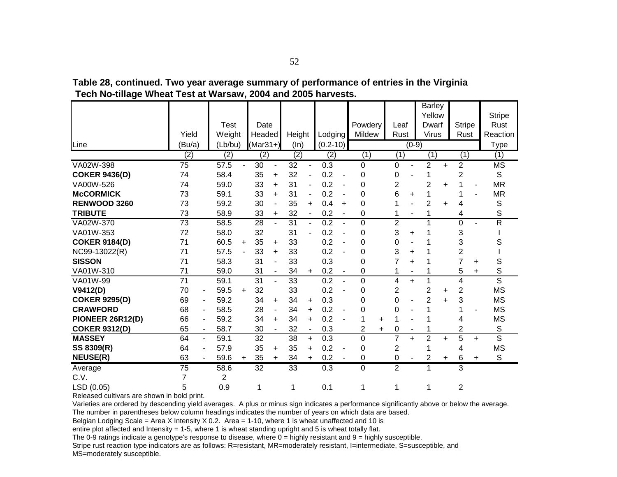|                      |                 |                          |                  |           |                  |                          |                  |                |              |                              |                |           |                |                | Barley         |           |                |                |                        |
|----------------------|-----------------|--------------------------|------------------|-----------|------------------|--------------------------|------------------|----------------|--------------|------------------------------|----------------|-----------|----------------|----------------|----------------|-----------|----------------|----------------|------------------------|
|                      |                 |                          |                  |           |                  |                          |                  |                |              |                              |                |           |                |                | Yellow         |           |                |                | <b>Stripe</b>          |
|                      |                 |                          | Test             |           | Date             |                          |                  |                |              |                              | Powdery        |           | Leaf           |                | Dwarf          |           | <b>Stripe</b>  |                | Rust                   |
|                      | Yield           |                          | Weight           |           | Headed           |                          | Height           |                | Lodging      |                              | Mildew         |           | Rust           |                | Virus          |           | Rust           |                | Reaction               |
| Line                 | (Bu/a)          |                          | (Lb/bu)          |           | $(Mar31+)$       |                          | (ln)             |                | $(0.2 - 10)$ |                              |                |           |                | $(0-9)$        |                |           |                |                | Type                   |
|                      | (2)             |                          | $\overline{(2)}$ |           | $\overline{(2)}$ |                          | $\overline{(2)}$ |                | (2)          |                              | (1)            |           | (1)            |                | (1)            |           | (1)            |                | (1)                    |
| VA02W-398            | 75              |                          | 57.5             |           | 30               |                          | 32               | ٠              | 0.3          |                              | 0              |           | 0              |                | 2              | $\ddot{}$ | $\overline{2}$ |                | $\overline{\text{MS}}$ |
| <b>COKER 9436(D)</b> | 74              |                          | 58.4             |           | 35               | $\ddot{}$                | 32               |                | 0.2          | ÷,                           | 0              |           | 0              |                | 1              |           | $\overline{c}$ |                | S                      |
| VA00W-526            | 74              |                          | 59.0             |           | 33               | $\ddot{}$                | 31               |                | 0.2          |                              | $\Omega$       |           | $\overline{c}$ |                | $\overline{2}$ | $\ddot{}$ | 1              | $\blacksquare$ | <b>MR</b>              |
| <b>McCORMICK</b>     | 73              |                          | 59.1             |           | 33               | $\ddot{}$                | 31               |                | 0.2          |                              | 0              |           | 6              | ÷.             | 1              |           | 1              |                | <b>MR</b>              |
| RENWOOD 3260         | 73              |                          | 59.2             |           | 30               |                          | 35               | $\ddot{}$      | 0.4          | $\ddot{}$                    | $\Omega$       |           |                |                | 2              | $\ddot{}$ | 4              |                | S                      |
| <b>TRIBUTE</b>       | 73              |                          | 58.9             |           | 33               | $\ddot{}$                | 32               |                | 0.2          | $\qquad \qquad \blacksquare$ | 0              |           |                | -              | 1              |           | 4              |                | S                      |
| VA02W-370            | 73              |                          | 58.5             |           | 28               | $\sim$                   | 31               | $\blacksquare$ | 0.2          |                              | $\Omega$       |           | $\overline{c}$ |                | 1              |           | 0              |                | R                      |
| VA01W-353            | 72              |                          | 58.0             |           | 32               |                          | 31               |                | 0.2          |                              | 0              |           | 3              | +              |                |           | 3              |                |                        |
| <b>COKER 9184(D)</b> | 71              |                          | 60.5             | $\ddot{}$ | 35               | +                        | 33               |                | 0.2          |                              | 0              |           | 0              |                |                |           | 3              |                | S                      |
| NC99-13022(R)        | 71              |                          | 57.5             |           | 33               | $\ddot{}$                | 33               |                | 0.2          |                              | 0              |           | 3              | +              |                |           | $\overline{2}$ |                |                        |
| <b>SISSON</b>        | 71              |                          | 58.3             |           | 31               | $\overline{\phantom{a}}$ | 33               |                | 0.3          |                              | 0              |           | 7              | +              |                |           | $\overline{7}$ | +              | S                      |
| VA01W-310            | 71              |                          | 59.0             |           | 31               | $\sim$                   | 34               | $\pm$          | 0.2          |                              | 0              |           |                |                |                |           | 5              | $\ddot{}$      | S                      |
| VA01W-99             | 71              |                          | 59.1             |           | 31               | $\blacksquare$           | 33               |                | 0.2          |                              | $\mathbf 0$    |           | 4              | $\ddot{}$      | 1              |           | 4              |                | S                      |
| V9412(D)             | 70              | $\overline{\phantom{0}}$ | 59.5             | $\ddot{}$ | 32               |                          | 33               |                | 0.2          |                              | 0              |           | $\overline{c}$ |                | $\overline{2}$ | $\ddot{}$ | $\overline{2}$ |                | <b>MS</b>              |
| <b>COKER 9295(D)</b> | 69              | $\overline{\phantom{a}}$ | 59.2             |           | 34               | $\ddot{}$                | 34               | $\ddot{}$      | 0.3          |                              | 0              |           | 0              |                | $\overline{2}$ | $\ddot{}$ | 3              |                | <b>MS</b>              |
| <b>CRAWFORD</b>      | 68              | $\overline{\phantom{a}}$ | 58.5             |           | 28               | $\overline{\phantom{a}}$ | 34               | $\ddot{}$      | 0.2          |                              | 0              |           | 0              |                |                |           | 1              | $\blacksquare$ | <b>MS</b>              |
| PIONEER 26R12(D)     | 66              | $\overline{\phantom{a}}$ | 59.2             |           | 34               | $\ddot{}$                | 34               | $\ddot{}$      | 0.2          |                              |                | $\ddot{}$ |                |                |                |           | 4              |                | <b>MS</b>              |
| <b>COKER 9312(D)</b> | 65              | $\blacksquare$           | 58.7             |           | 30               | $\blacksquare$           | 32               | $\blacksquare$ | 0.3          |                              | $\overline{2}$ | $\ddot{}$ | 0              | $\blacksquare$ |                |           | $\overline{2}$ |                | S                      |
| <b>MASSEY</b>        | 64              | $\blacksquare$           | 59.1             |           | 32               |                          | 38               | $+$            | 0.3          |                              | 0              |           | $\overline{7}$ | $+$            | $\overline{2}$ | $+$       | 5              | $+$            | S                      |
| SS 8309(R)           | 64              | $\overline{\phantom{a}}$ | 57.9             |           | 35               | $\ddot{}$                | 35               | $+$            | 0.2          |                              | 0              |           | 2              |                |                |           | 4              |                | <b>MS</b>              |
| <b>NEUSE(R)</b>      | 63              | $\overline{\phantom{a}}$ | 59.6             | +         | 35               | $\ddot{}$                | 34               | +              | 0.2          |                              | 0              |           | 0              |                | 2              | ÷         | 6              | $\ddot{}$      | $\mathsf S$            |
| Average              | $\overline{75}$ |                          | 58.6             |           | $\overline{32}$  |                          | $\overline{33}$  |                | 0.3          |                              | $\Omega$       |           | $\overline{2}$ |                | 1              |           | 3              |                |                        |
| C.V.                 |                 |                          | $\overline{2}$   |           |                  |                          |                  |                |              |                              |                |           |                |                |                |           |                |                |                        |
| LSD (0.05)           | 5               |                          | 0.9              |           | 1                |                          | 1                |                | 0.1          |                              | 1              |           | 1              |                | 1              |           | 2              |                |                        |

**Table 28, continued. Two year average summary of performance of entries in the Virginia Tech No-tillage Wheat Test at Warsaw, 2004 and 2005 harvests.**

Varieties are ordered by descending yield averages. A plus or minus sign indicates a performance significantly above or below the average. The number in parentheses below column headings indicates the number of years on which data are based.

Belgian Lodging Scale = Area X Intensity X 0.2. Area = 1-10, where 1 is wheat unaffected and 10 is

entire plot affected and Intensity = 1-5, where 1 is wheat standing upright and 5 is wheat totally flat.

The 0-9 ratings indicate a genotype's response to disease, where  $0 =$  highly resistant and  $9 =$  highly susceptible.

Stripe rust reaction type indicators are as follows: R=resistant, MR=moderately resistant, I=intermediate, S=susceptible, and MS=moderately susceptible.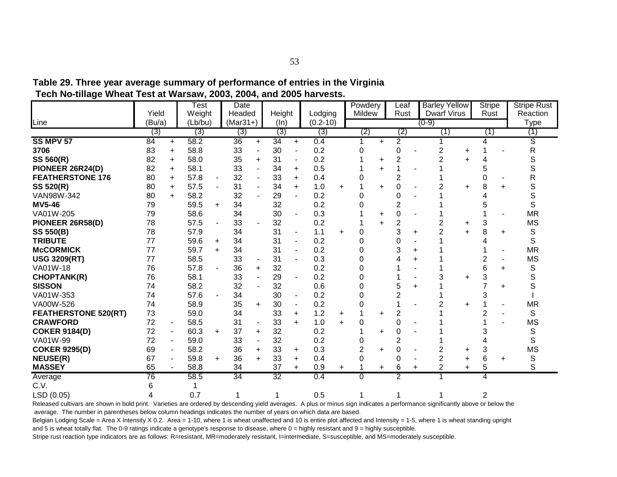|                             | Yield  |           | Test<br>Weight |                | Date<br>Headed |           |                 |                |                         |           | Powdery<br>Mildew |           | Leaf<br>Rust   |   | <b>Barley Yellow</b><br><b>Dwarf Virus</b> |           | <b>Stripe</b><br>Rust |           | <b>Stripe Rust</b><br>Reaction |
|-----------------------------|--------|-----------|----------------|----------------|----------------|-----------|-----------------|----------------|-------------------------|-----------|-------------------|-----------|----------------|---|--------------------------------------------|-----------|-----------------------|-----------|--------------------------------|
| Line                        | (Bu/a) |           | (Lb/bu)        |                | $(Mar31+)$     |           | Height<br>(ln)  |                | Lodging<br>$(0.2 - 10)$ |           |                   |           |                |   | (0-9)                                      |           |                       |           | Type                           |
|                             | (3)    |           | (3)            |                | (3)            |           | (3)             |                | (3)                     |           | (2)               |           | (2)            |   | (1)                                        |           | (1)                   |           | (1)                            |
| SS MPV 57                   | 84     | $\ddot{}$ | 58.2           |                | 36             | $\ddot{}$ | 34              | $\ddot{}$      | 0.4                     |           |                   | +         | 2              |   |                                            |           | 4                     |           | ड                              |
| 3706                        | 83     | $\ddot{}$ | 58.8           |                | 33             |           | 30              |                | 0.2                     |           | 0                 |           | 0              |   | 2                                          | $\ddot{}$ |                       |           | R                              |
| SS 560(R)                   | 82     | $\ddot{}$ | 58.0           |                | 35             | $\ddot{}$ | 31              |                | 0.2                     |           |                   | +         | $\overline{2}$ |   | 2                                          | $\ddot{}$ |                       |           | S                              |
| PIONEER 26R24(D)            | 82     | $\ddot{}$ | 58.1           |                | 33             |           | 34              | $\ddot{}$      | 0.5                     |           |                   | ÷         |                |   |                                            |           |                       |           |                                |
| <b>FEATHERSTONE 176</b>     | 80     | $\ddot{}$ | 57.8           | ۰              | 32             |           | 33              | $\ddot{}$      | 0.4                     |           |                   |           | $\overline{2}$ |   |                                            |           |                       |           | R                              |
| <b>SS 520(R)</b>            | 80     | $\ddot{}$ | 57.5           |                | 31             |           | 34              | $\ddot{}$      | 1.0                     | ÷.        |                   | ÷.        | 0              |   | 2                                          | $\ddot{}$ | 8                     |           | S                              |
| VAN98W-342                  | 80     | $\ddot{}$ | 58.2           |                | 32             |           | 29              |                | 0.2                     |           | 0                 |           | 0              |   |                                            |           |                       |           | S                              |
| <b>MV5-46</b>               | 79     |           | 59.5           | $\ddot{}$      | 34             |           | 32              |                | 0.2                     |           | $\Omega$          |           | 2              |   |                                            |           |                       |           | S                              |
| VA01W-205                   | 79     |           | 58.6           |                | 34             |           | 30              |                | 0.3                     |           |                   | $\ddot{}$ | 0              |   |                                            |           |                       |           | <b>MR</b>                      |
| PIONEER 26R58(D)            | 78     |           | 57.5           | $\blacksquare$ | 33             |           | 32              |                | 0.2                     |           |                   | ÷.        | 2              |   | $\overline{2}$                             | $\ddot{}$ | 3                     |           | <b>MS</b>                      |
| <b>SS 550(B)</b>            | 78     |           | 57.9           |                | 34             |           | 31              | $\blacksquare$ | 1.1                     | $\ddot{}$ | 0                 |           | 3              | + | $\overline{2}$                             | $\ddot{}$ | 8                     | $\ddot{}$ | S                              |
| <b>TRIBUTE</b>              | 77     |           | 59.6           | $\ddot{}$      | 34             |           | 31              |                | 0.2                     |           | 0                 |           | 0              |   |                                            |           |                       |           | S                              |
| <b>McCORMICK</b>            | 77     |           | 59.7           | $\ddot{}$      | 34             |           | 31              |                | 0.2                     |           | 0                 |           | 3              | ÷ |                                            |           |                       |           | <b>MR</b>                      |
| <b>USG 3209(RT)</b>         | 77     |           | 58.5           |                | 33             |           | 31              |                | 0.3                     |           |                   |           |                |   |                                            |           |                       |           | <b>MS</b>                      |
| VA01W-18                    | 76     |           | 57.8           |                | 36             | +         | 32              |                | 0.2                     |           |                   |           |                |   |                                            |           | 6                     | $\div$    | S                              |
| <b>CHOPTANK(R)</b>          | 76     |           | 58.1           |                | 33             |           | 29              |                | 0.2                     |           |                   |           |                |   | 3                                          | $\ddot{}$ | 3                     |           | S                              |
| <b>SISSON</b>               | 74     |           | 58.2           |                | 32             |           | 32              |                | 0.6                     |           |                   |           |                | ÷ |                                            |           |                       | $\div$    | S                              |
| VA01W-353                   | 74     |           | 57.6           |                | 34             |           | 30              |                | 0.2                     |           |                   |           |                |   |                                            |           |                       |           |                                |
| VA00W-526                   | 74     |           | 58.9           |                | 35             | $+$       | 30              |                | 0.2                     |           |                   |           |                |   | 2                                          | $\ddot{}$ |                       |           | <b>MR</b>                      |
| <b>FEATHERSTONE 520(RT)</b> | 73     |           | 59.0           |                | 34             |           | 33              | $\ddot{}$      | 1.2                     | +         |                   | ÷.        | 2              |   |                                            |           |                       |           | S                              |
| <b>CRAWFORD</b>             | 72     |           | 58.5           |                | 31             |           | 33              | $\ddot{}$      | 1.0                     | $\ddot{}$ | 0                 |           | 0              |   |                                            |           |                       |           | <b>MS</b>                      |
| <b>COKER 9184(D)</b>        | 72     |           | 60.3           | $\ddot{}$      | 37             | +         | 32              |                | 0.2                     |           |                   | ÷.        | 0              |   |                                            |           |                       |           | S                              |
| VA01W-99                    | 72     |           | 59.0           |                | 33             |           | 32              |                | 0.2                     |           |                   |           | $\overline{2}$ |   |                                            |           |                       |           | S                              |
| <b>COKER 9295(D)</b>        | 69     |           | 58.2           |                | 36             | ÷.        | 33              | $\ddot{}$      | 0.3                     |           | $\overline{2}$    | ÷.        | 0              |   | 2                                          | $\ddot{}$ | 3                     |           | <b>MS</b>                      |
| <b>NEUSE(R)</b>             | 67     |           | 59.8           | $\ddot{}$      | 36             | $\ddot{}$ | 33              | $\ddot{}$      | 0.4                     |           | 0                 |           | 0              |   | $\overline{c}$                             | $\ddot{}$ | 6                     | $\ddot{}$ | S                              |
| <b>MASSEY</b>               | 65     |           | 58.8           |                | 34             |           | 37              | $\ddot{}$      | 0.9                     | $\ddot{}$ |                   | +         | 6              | + | $\overline{2}$                             | $\ddot{}$ | 5                     |           | S                              |
| Average                     | 76     |           | 58.5           |                | 34             |           | $\overline{32}$ |                | 0.4                     |           | $\Omega$          |           | $\overline{2}$ |   |                                            |           | 4                     |           |                                |
| C.V.                        | 6      |           |                |                |                |           |                 |                |                         |           |                   |           |                |   |                                            |           |                       |           |                                |
| LSD (0.05)                  |        |           | 0.7            |                | 1              |           | 1               |                | 0.5                     |           |                   |           |                |   |                                            |           | $\overline{2}$        |           |                                |

**Table 29. Three year average summary of performance of entries in the Virginia Tech No-tillage Wheat Test at Warsaw, 2003, 2004, and 2005 harvests.**

Released cultivars are shown in bold print. Varieties are ordered by descending yield averages. A plus or minus sign indicates a performance significantly above or below the average. The number in parentheses below column headings indicates the number of years on which data are based.

Belgian Lodging Scale = Area X Intensity X 0.2. Area = 1-10, where 1 is wheat unaffected and 10 is entire plot affected and Intensity = 1-5, where 1 is wheat standing upright and 5 is wheat totally flat. The 0-9 ratings indicate a genotype's response to disease, where  $0 =$  highly resistant and  $9 =$  highly susceptible.

Stripe rust reaction type indicators are as follows: R=resistant, MR=moderately resistant, l=intermediate, S=susceptible, and MS=moderately susceptible.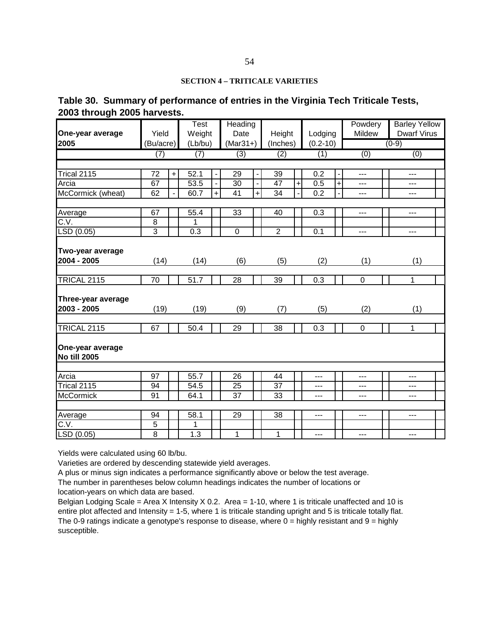#### **SECTION 4 – TRITICALE VARIETIES**

### **Table 30. Summary of performance of entries in the Virginia Tech Triticale Tests, 2003 through 2005 harvests.**

|                                   |                 |           | $\overline{\mathsf{T}}$ est |     | Heading        |     |                  |                |                  |                          | Powdery     | <b>Barley Yellow</b> |  |
|-----------------------------------|-----------------|-----------|-----------------------------|-----|----------------|-----|------------------|----------------|------------------|--------------------------|-------------|----------------------|--|
| One-year average                  | Yield           |           | Weight                      |     | Date           |     | Height           |                | Lodging          |                          | Mildew      | <b>Dwarf Virus</b>   |  |
| 2005                              | (Bu/acre)       |           | (Lb/bu)                     |     | $(Mar31+)$     |     | (Inches)         |                | $(0.2 - 10)$     |                          |             | $(0-9)$              |  |
|                                   | (7)             |           | (7)                         |     | (3)            |     | $\overline{(2)}$ |                | (1)              |                          | (0)         | (0)                  |  |
|                                   |                 |           |                             |     |                |     |                  |                |                  |                          |             |                      |  |
| Trical 2115                       | $\overline{72}$ | $\ddot{}$ | 52.1                        |     | 29             |     | 39               |                | $\overline{0.2}$ | $\overline{\phantom{a}}$ | $---$       | ---                  |  |
| Arcia                             | 67              |           | 53.5                        |     | 30             |     | 47               | $\ddot{}$      | 0.5              | $\pmb{+}$                | ---         | ---                  |  |
| McCormick (wheat)                 | 62              |           | 60.7                        | $+$ | 41             | $+$ | 34               | $\blacksquare$ | 0.2              | $\blacksquare$           | ---         | ---                  |  |
|                                   | 67              |           | 55.4                        |     | 33             |     | 40               |                | 0.3              |                          | $---$       | $\overline{a}$       |  |
| Average<br>$\overline{C.V.}$      | 8               |           | 1                           |     |                |     |                  |                |                  |                          |             |                      |  |
| LSD (0.05)                        | 3               |           | 0.3                         |     | $\mathbf 0$    |     | $\overline{2}$   |                | 0.1              |                          | ---         | $\overline{a}$       |  |
|                                   |                 |           |                             |     |                |     |                  |                |                  |                          |             |                      |  |
| Two-year average                  |                 |           |                             |     |                |     |                  |                |                  |                          |             |                      |  |
| 2004 - 2005                       | (14)            |           | (14)                        |     | (6)            |     | (5)              |                | (2)              |                          | (1)         | (1)                  |  |
|                                   |                 |           |                             |     |                |     |                  |                |                  |                          |             |                      |  |
| <b>TRICAL 2115</b>                | $\overline{70}$ |           | 51.7                        |     | 28             |     | 39               |                | 0.3              |                          | $\mathbf 0$ | 1                    |  |
|                                   |                 |           |                             |     |                |     |                  |                |                  |                          |             |                      |  |
| Three-year average<br>2003 - 2005 | (19)            |           | (19)                        |     | (9)            |     | (7)              |                | (5)              |                          | (2)         | (1)                  |  |
|                                   |                 |           |                             |     |                |     |                  |                |                  |                          |             |                      |  |
| <b>TRICAL 2115</b>                | 67              |           | 50.4                        |     | 29             |     | 38               |                | 0.3              |                          | $\mathbf 0$ | 1                    |  |
|                                   |                 |           |                             |     |                |     |                  |                |                  |                          |             |                      |  |
| One-year average                  |                 |           |                             |     |                |     |                  |                |                  |                          |             |                      |  |
| No till 2005                      |                 |           |                             |     |                |     |                  |                |                  |                          |             |                      |  |
| Arcia                             | 97              |           | 55.7                        |     | 26             |     | 44               |                | ---              |                          | ---         | ---                  |  |
| Trical 2115                       | 94              |           | 54.5                        |     | 25             |     | 37               |                | ---              |                          | ---         | ---                  |  |
| <b>McCormick</b>                  | 91              |           | 64.1                        |     | 37             |     | 33               |                | ---              |                          | ---         | ---                  |  |
|                                   |                 |           |                             |     |                |     |                  |                |                  |                          |             |                      |  |
| Average                           | 94              |           | 58.1                        |     | 29             |     | 38               |                | ---              |                          | ---         | ---                  |  |
| C.V.                              | $\overline{5}$  |           | 1                           |     |                |     |                  |                |                  |                          |             |                      |  |
| LSD(0.05)                         | $\overline{8}$  |           | 1.3                         |     | $\overline{1}$ |     | $\mathbf{1}$     |                | ---              |                          | ---         | ---                  |  |

Yields were calculated using 60 lb/bu.

Varieties are ordered by descending statewide yield averages.

A plus or minus sign indicates a performance significantly above or below the test average. The number in parentheses below column headings indicates the number of locations or

location-years on which data are based.

Belgian Lodging Scale = Area X Intensity X 0.2. Area = 1-10, where 1 is triticale unaffected and 10 is entire plot affected and Intensity = 1-5, where 1 is triticale standing upright and 5 is triticale totally flat. The 0-9 ratings indicate a genotype's response to disease, where  $0 =$  highly resistant and  $9 =$  highly susceptible.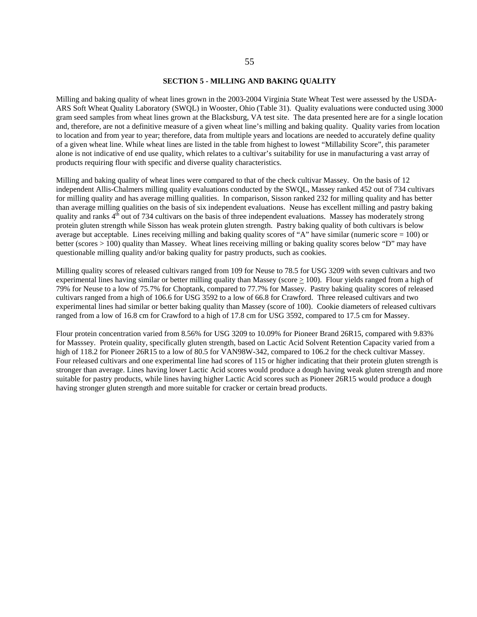#### **SECTION 5 - MILLING AND BAKING QUALITY**

Milling and baking quality of wheat lines grown in the 2003-2004 Virginia State Wheat Test were assessed by the USDA-ARS Soft Wheat Quality Laboratory (SWQL) in Wooster, Ohio (Table 31). Quality evaluations were conducted using 3000 gram seed samples from wheat lines grown at the Blacksburg, VA test site. The data presented here are for a single location and, therefore, are not a definitive measure of a given wheat line's milling and baking quality. Quality varies from location to location and from year to year; therefore, data from multiple years and locations are needed to accurately define quality of a given wheat line. While wheat lines are listed in the table from highest to lowest "Millability Score", this parameter alone is not indicative of end use quality, which relates to a cultivar's suitability for use in manufacturing a vast array of products requiring flour with specific and diverse quality characteristics.

Milling and baking quality of wheat lines were compared to that of the check cultivar Massey. On the basis of 12 independent Allis-Chalmers milling quality evaluations conducted by the SWQL, Massey ranked 452 out of 734 cultivars for milling quality and has average milling qualities. In comparison, Sisson ranked 232 for milling quality and has better than average milling qualities on the basis of six independent evaluations. Neuse has excellent milling and pastry baking quality and ranks  $4<sup>th</sup>$  out of 734 cultivars on the basis of three independent evaluations. Massey has moderately strong protein gluten strength while Sisson has weak protein gluten strength. Pastry baking quality of both cultivars is below average but acceptable. Lines receiving milling and baking quality scores of "A" have similar (numeric score  $= 100$ ) or better (scores > 100) quality than Massey. Wheat lines receiving milling or baking quality scores below "D" may have questionable milling quality and/or baking quality for pastry products, such as cookies.

Milling quality scores of released cultivars ranged from 109 for Neuse to 78.5 for USG 3209 with seven cultivars and two experimental lines having similar or better milling quality than Massey (score  $> 100$ ). Flour yields ranged from a high of 79% for Neuse to a low of 75.7% for Choptank, compared to 77.7% for Massey. Pastry baking quality scores of released cultivars ranged from a high of 106.6 for USG 3592 to a low of 66.8 for Crawford. Three released cultivars and two experimental lines had similar or better baking quality than Massey (score of 100). Cookie diameters of released cultivars ranged from a low of 16.8 cm for Crawford to a high of 17.8 cm for USG 3592, compared to 17.5 cm for Massey.

Flour protein concentration varied from 8.56% for USG 3209 to 10.09% for Pioneer Brand 26R15, compared with 9.83% for Masssey. Protein quality, specifically gluten strength, based on Lactic Acid Solvent Retention Capacity varied from a high of 118.2 for Pioneer 26R15 to a low of 80.5 for VAN98W-342, compared to 106.2 for the check cultivar Massey. Four released cultivars and one experimental line had scores of 115 or higher indicating that their protein gluten strength is stronger than average. Lines having lower Lactic Acid scores would produce a dough having weak gluten strength and more suitable for pastry products, while lines having higher Lactic Acid scores such as Pioneer 26R15 would produce a dough having stronger gluten strength and more suitable for cracker or certain bread products.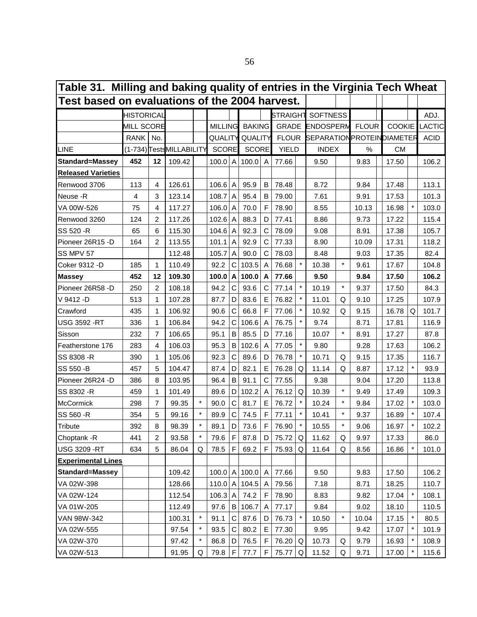| Table 31. Milling and baking quality of entries in the Virginia Tech Wheat |                   |    |                           |         |                |                |                |                |                 |         |                                   |         |              |               |         |             |
|----------------------------------------------------------------------------|-------------------|----|---------------------------|---------|----------------|----------------|----------------|----------------|-----------------|---------|-----------------------------------|---------|--------------|---------------|---------|-------------|
| Test based on evaluations of the 2004 harvest.                             |                   |    |                           |         |                |                |                |                |                 |         |                                   |         |              |               |         |             |
|                                                                            | <b>HISTORICAL</b> |    |                           |         |                |                |                |                | <b>STRAIGHT</b> |         | <b>SOFTNESS</b>                   |         |              |               |         | ADJ.        |
|                                                                            | MILL SCORE        |    |                           |         | <b>MILLING</b> |                | <b>BAKING</b>  |                |                 |         | <b>GRADE ENDOSPERM</b>            |         | <b>FLOUR</b> | <b>COOKIE</b> |         | LACTIC      |
|                                                                            | RANK   No.        |    |                           |         | QUALITY        |                | <b>QUALITY</b> |                |                 |         | FLOUR SEPARATION PROTEIN DIAMETER |         |              |               |         | <b>ACID</b> |
| <b>LINE</b>                                                                |                   |    | (1-734) Tests MILLABILITY |         | <b>SCORE</b>   |                | <b>SCORE</b>   |                | <b>YIELD</b>    |         | <b>INDEX</b>                      |         | %            | <b>CM</b>     |         |             |
| <b>Standard=Massey</b>                                                     | 452               | 12 | 109.42                    |         | $100.0$ A      |                | 100.0          | A              | 77.66           |         | 9.50                              |         | 9.83         | 17.50         |         | 106.2       |
| <b>Released Varieties</b>                                                  |                   |    |                           |         |                |                |                |                |                 |         |                                   |         |              |               |         |             |
| Renwood 3706                                                               | 113               | 4  | 126.61                    |         | 106.6          | A              | 95.9           | B              | 78.48           |         | 8.72                              |         | 9.84         | 17.48         |         | 113.1       |
| Neuse -R                                                                   | 4                 | 3  | 123.14                    |         | 108.7          | A              | 95.4           | B              | 79.00           |         | 7.61                              |         | 9.91         | 17.53         |         | 101.3       |
| VA 00W-526                                                                 | 75                | 4  | 117.27                    |         | 106.0          | A              | 70.0           | F              | 78.90           |         | 8.55                              |         | 10.13        | 16.98         |         | 103.0       |
| Renwood 3260                                                               | 124               | 2  | 117.26                    |         | $102.6$ A      |                | 88.3           | D              | 77.41           |         | 8.86                              |         | 9.73         | 17.22         |         | 115.4       |
| SS 520 - R                                                                 | 65                | 6  | 115.30                    |         | $104.6$ A      |                | 92.3           | C              | 78.09           |         | 9.08                              |         | 8.91         | 17.38         |         | 105.7       |
| Pioneer 26R15 -D                                                           | 164               | 2  | 113.55                    |         | 101.1          | A              | 92.9           | C              | 77.33           |         | 8.90                              |         | 10.09        | 17.31         |         | 118.2       |
| SS MPV 57                                                                  |                   |    | 112.48                    |         | 105.7          | A              | 90.0           | C              | 78.03           |         | 8.48                              |         | 9.03         | 17.35         |         | 82.4        |
| Coker 9312 -D                                                              | 185               | 1  | 110.49                    |         | 92.2           | C              | 103.5          | A              | 76.68           |         | 10.38                             | *       | 9.61         | 17.67         |         | 104.8       |
| <b>Massey</b>                                                              | 452               | 12 | 109.30                    |         | 100.0 A        |                | 100.0          | A              | 77.66           |         | 9.50                              |         | 9.84         | 17.50         |         | 106.2       |
| Pioneer 26R58 -D                                                           | 250               | 2  | 108.18                    |         | 94.2           | С              | 93.6           | С              | 77.14           |         | 10.19                             | $\star$ | 9.37         | 17.50         |         | 84.3        |
| V 9412 -D                                                                  | 513               | 1  | 107.28                    |         | 87.7           | D              | 83.6           | E              | 76.82           |         | 11.01                             | Q       | 9.10         | 17.25         |         | 107.9       |
| Crawford                                                                   | 435               | 1  | 106.92                    |         | 90.6           | C              | 66.8           | F              | 77.06           |         | 10.92                             | Q       | 9.15         | 16.78         | Q       | 101.7       |
| <b>USG 3592 -RT</b>                                                        | 336               | 1  | 106.84                    |         | 94.2           | $\mathsf C$    | 106.6          | A              | 76.75           |         | 9.74                              |         | 8.71         | 17.81         |         | 116.9       |
| Sisson                                                                     | 232               | 7  | 106.65                    |         | 95.1           | B              | 85.5           | D              | 77.16           |         | 10.07                             | $\star$ | 8.91         | 17.27         |         | 87.8        |
| Featherstone 176                                                           | 283               | 4  | 106.03                    |         | 95.3           | $\sf B$        | 102.6          | A              | 77.05           |         | 9.80                              |         | 9.28         | 17.63         |         | 106.2       |
| SS 8308 - R                                                                | 390               | 1  | 105.06                    |         | 92.3           | C              | 89.6           | D              | 76.78           |         | 10.71                             | Q       | 9.15         | 17.35         |         | 116.7       |
| SS 550 - B                                                                 | 457               | 5  | 104.47                    |         | 87.4           | D              | 82.1           | E              | 76.28           | Q       | 11.14                             | Q       | 8.87         | 17.12         | $\star$ | 93.9        |
| Pioneer 26R24 -D                                                           | 386               | 8  | 103.95                    |         | 96.4           | B              | 91.1           | C              | 77.55           |         | 9.38                              |         | 9.04         | 17.20         |         | 113.8       |
| SS 8302 - R                                                                | 459               | 1  | 101.49                    |         | 89.6           | D              | 102.2          | A              | 76.12           | Q       | 10.39                             | $\star$ | 9.49         | 17.49         |         | 109.3       |
| <b>McCormick</b>                                                           | 298               | 7  | 99.35                     | $\star$ | 90.0           | C              | 81.7           | E              | 76.72           |         | 10.24                             | $\star$ | 9.84         | 17.02         | $\star$ | 103.0       |
| SS 560 - R                                                                 | 354               | 5  | 99.16                     |         | 89.9           | C              | 74.5           | F              | 77.11           |         | 10.41                             |         | 9.37         | 16.89         | $\star$ | 107.4       |
| <b>Tribute</b>                                                             | 392               | 8  | 98.39                     |         | 89.1           | D              | 73.6           | F              | 76.90           |         | 10.55                             |         | 9.06         | 16.97         | $\star$ | 102.2       |
| Choptank - R                                                               | 441               | 2  | 93.58                     | $\star$ | 79.6           | F              | 87.8           | D              | 75.72           | Q       | 11.62                             | Q       | 9.97         | 17.33         |         | 86.0        |
| <b>USG 3209 -RT</b>                                                        | 634               | 5  | 86.04                     | Q       | 78.5           | $\mathsf F$    | 69.2           | F              | 75.93           | Q       | 11.64                             | Q       | 8.56         | 16.86         | $\star$ | 101.0       |
| <b>Experimental Lines</b>                                                  |                   |    |                           |         |                |                |                |                |                 |         |                                   |         |              |               |         |             |
| <b>Standard=Massey</b>                                                     |                   |    | 109.42                    |         | 100.0  A       |                | 100.0          | $\overline{A}$ | 77.66           |         | 9.50                              |         | 9.83         | 17.50         |         | 106.2       |
| VA 02W-398                                                                 |                   |    | 128.66                    |         | 110.0          | $\overline{A}$ | 104.5          | A              | 79.56           |         | 7.18                              |         | 8.71         | 18.25         |         | 110.7       |
| VA 02W-124                                                                 |                   |    | 112.54                    |         | 106.3          | $\overline{A}$ | 74.2           | F              | 78.90           |         | 8.83                              |         | 9.82         | 17.04         | $\star$ | 108.1       |
| VA 01W-205                                                                 |                   |    | 112.49                    |         | 97.6           | B              | 106.7          | Α              | 77.17           |         | 9.84                              |         | 9.02         | 18.10         |         | 110.5       |
| VAN 98W-342                                                                |                   |    | 100.31                    | $\star$ | 91.1           | $\mathsf C$    | 87.6           | D              | 76.73           | $\star$ | 10.50                             | $\star$ | 10.04        | 17.15         | $\star$ | 80.5        |
| VA 02W-555                                                                 |                   |    | 97.54                     |         | 93.5           | $\mathsf C$    | 80.2           | Е              | 77.30           |         | 9.95                              |         | 9.42         | 17.07         | $\ast$  | 101.9       |
| VA 02W-370                                                                 |                   |    | 97.42                     |         | 86.8           | D              | 76.5           | F              | 76.20           | Q       | 10.73                             | Q       | 9.79         | 16.93         | $\star$ | 108.9       |
| VA 02W-513                                                                 |                   |    | 91.95                     | Q       | 79.8           | F              | 77.7           | F              | 75.77           | Q       | 11.52                             | Q       | 9.71         | 17.00         | $\star$ | 115.6       |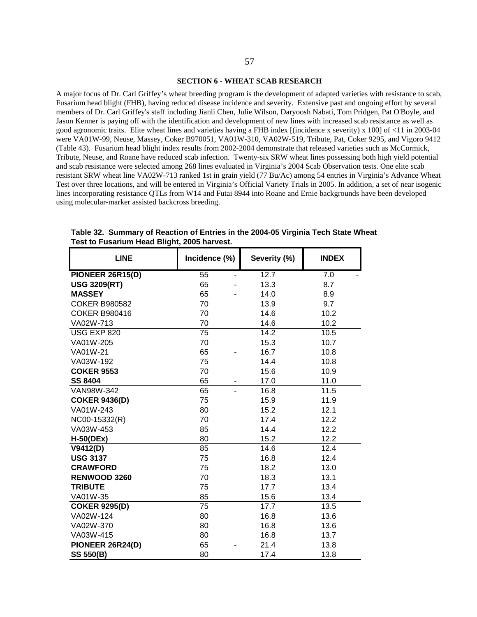#### **SECTION 6 - WHEAT SCAB RESEARCH**

A major focus of Dr. Carl Griffey's wheat breeding program is the development of adapted varieties with resistance to scab, Fusarium head blight (FHB), having reduced disease incidence and severity. Extensive past and ongoing effort by several members of Dr. Carl Griffey's staff including Jianli Chen, Julie Wilson, Daryoosh Nabati, Tom Pridgen, Pat O'Boyle, and Jason Kenner is paying off with the identification and development of new lines with increased scab resistance as well as good agronomic traits. Elite wheat lines and varieties having a FHB index [(incidence x severity) x 100] of <11 in 2003-04 were VA01W-99, Neuse, Massey, Coker B970051, VA01W-310, VA02W-519, Tribute, Pat, Coker 9295, and Vigoro 9412 (Table 43). Fusarium head blight index results from 2002-2004 demonstrate that released varieties such as McCormick, Tribute, Neuse, and Roane have reduced scab infection. Twenty-six SRW wheat lines possessing both high yield potential and scab resistance were selected among 268 lines evaluated in Virginia's 2004 Scab Observation tests. One elite scab resistant SRW wheat line VA02W-713 ranked 1st in grain yield (77 Bu/Ac) among 54 entries in Virginia's Advance Wheat Test over three locations, and will be entered in Virginia's Official Variety Trials in 2005. In addition, a set of near isogenic lines incorporating resistance QTLs from W14 and Futai 8944 into Roane and Ernie backgrounds have been developed using molecular-marker assisted backcross breeding.

| <b>LINE</b>             | Incidence (%)   | Severity (%) | <b>INDEX</b> |
|-------------------------|-----------------|--------------|--------------|
| <b>PIONEER 26R15(D)</b> | $\overline{55}$ | 12.7         | 7.0          |
| <b>USG 3209(RT)</b>     | 65              | 13.3         | 8.7          |
| <b>MASSEY</b>           | 65              | 14.0         | 8.9          |
| <b>COKER B980582</b>    | 70              | 13.9         | 9.7          |
| <b>COKER B980416</b>    | 70              | 14.6         | 10.2         |
| VA02W-713               | 70              | 14.6         | 10.2         |
| <b>USG EXP 820</b>      | $\overline{75}$ | 14.2         | 10.5         |
| VA01W-205               | 70              | 15.3         | 10.7         |
| VA01W-21                | 65              | 16.7         | 10.8         |
| VA03W-192               | 75              | 14.4         | 10.8         |
| <b>COKER 9553</b>       | 70              | 15.6         | 10.9         |
| <b>SS 8404</b>          | 65              | 17.0         | 11.0         |
| VAN98W-342              | 65              | 16.8         | 11.5         |
| <b>COKER 9436(D)</b>    | 75              | 15.9         | 11.9         |
| VA01W-243               | 80              | 15.2         | 12.1         |
| NC00-15332(R)           | 70              | 17.4         | 12.2         |
| VA03W-453               | 85              | 14.4         | 12.2         |
| $H-50(DEx)$             | 80              | 15.2         | 12.2         |
| V9412(D)                | 85              | 14.6         | 12.4         |
| <b>USG 3137</b>         | 75              | 16.8         | 12.4         |
| <b>CRAWFORD</b>         | 75              | 18.2         | 13.0         |
| RENWOOD 3260            | 70              | 18.3         | 13.1         |
| <b>TRIBUTE</b>          | 75              | 17.7         | 13.4         |
| VA01W-35                | 85              | 15.6         | 13.4         |
| <b>COKER 9295(D)</b>    | 75              | 17.7         | 13.5         |
| VA02W-124               | 80              | 16.8         | 13.6         |
| VA02W-370               | 80              | 16.8         | 13.6         |
| VA03W-415               | 80              | 16.8         | 13.7         |
| PIONEER 26R24(D)        | 65              | 21.4         | 13.8         |
| <b>SS 550(B)</b>        | 80              | 17.4         | 13.8         |

**Table 32. Summary of Reaction of Entries in the 2004-05 Virginia Tech State Wheat Test to Fusarium Head Blight, 2005 harvest.**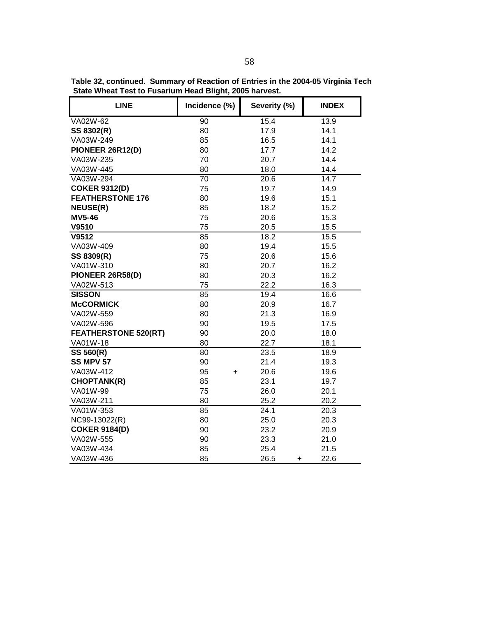| <b>LINE</b>                 | Incidence (%)   | Severity (%)      | <b>INDEX</b> |
|-----------------------------|-----------------|-------------------|--------------|
| VA02W-62                    | 90              | 15.4              | 13.9         |
| SS 8302(R)                  | 80              | 17.9              | 14.1         |
| VA03W-249                   | 85              | 16.5              | 14.1         |
| PIONEER 26R12(D)            | 80              | 17.7              | 14.2         |
| VA03W-235                   | 70              | 20.7              | 14.4         |
| VA03W-445                   | 80              | 18.0              | 14.4         |
| VA03W-294                   | 70              | 20.6              | 14.7         |
| <b>COKER 9312(D)</b>        | 75              | 19.7              | 14.9         |
| <b>FEATHERSTONE 176</b>     | 80              | 19.6              | 15.1         |
| <b>NEUSE(R)</b>             | 85              | 18.2              | 15.2         |
| <b>MV5-46</b>               | 75              | 20.6              | 15.3         |
| V9510                       | 75              | 20.5              | 15.5         |
| V9512                       | 85              | 18.2              | 15.5         |
| VA03W-409                   | 80              | 19.4              | 15.5         |
| SS 8309(R)                  | 75              | 20.6              | 15.6         |
| VA01W-310                   | 80              | 20.7              | 16.2         |
| PIONEER 26R58(D)            | 80              | 20.3              | 16.2         |
| VA02W-513                   | 75              | 22.2              | 16.3         |
| <b>SISSON</b>               | 85              | 19.4              | 16.6         |
| <b>McCORMICK</b>            | 80              | 20.9              | 16.7         |
| VA02W-559                   | 80              | 21.3              | 16.9         |
| VA02W-596                   | 90              | 19.5              | 17.5         |
| <b>FEATHERSTONE 520(RT)</b> | 90              | 20.0              | 18.0         |
| VA01W-18                    | 80              | 22.7              | 18.1         |
| SS 560(R)                   | 80              | 23.5              | 18.9         |
| <b>SS MPV 57</b>            | 90              | 21.4              | 19.3         |
| VA03W-412                   | 95<br>$\ddot{}$ | 20.6              | 19.6         |
| <b>CHOPTANK(R)</b>          | 85              | 23.1              | 19.7         |
| VA01W-99                    | 75              | 26.0              | 20.1         |
| VA03W-211                   | 80              | 25.2              | 20.2         |
| VA01W-353                   | 85              | 24.1              | 20.3         |
| NC99-13022(R)               | 80              | 25.0              | 20.3         |
| <b>COKER 9184(D)</b>        | 90              | 23.2              | 20.9         |
| VA02W-555                   | 90              | 23.3              | 21.0         |
| VA03W-434                   | 85              | 25.4              | 21.5         |
| VA03W-436                   | 85              | 26.5<br>$\ddot{}$ | 22.6         |

**Table 32, continued. Summary of Reaction of Entries in the 2004-05 Virginia Tech State Wheat Test to Fusarium Head Blight, 2005 harvest.**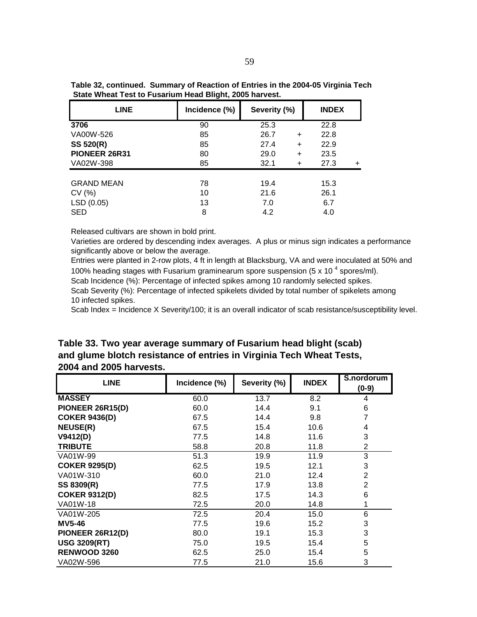| <b>LINE</b>       | Incidence (%) | Severity (%)      | <b>INDEX</b> |
|-------------------|---------------|-------------------|--------------|
| 3706              | 90            | 25.3              | 22.8         |
| VA00W-526         | 85            | 26.7<br>$\ddot{}$ | 22.8         |
| <b>SS 520(R)</b>  | 85            | 27.4<br>$\ddot{}$ | 22.9         |
| PIONEER 26R31     | 80            | 29.0<br>$\ddot{}$ | 23.5         |
| VA02W-398         | 85            | 32.1<br>$\div$    | 27.3         |
| <b>GRAND MEAN</b> | 78            | 19.4              | 15.3         |
| CV(%)             | 10            | 21.6              | 26.1         |
| LSD (0.05)        | 13            | 7.0               | 6.7          |
| <b>SED</b>        | 8             | 4.2               | 4.0          |

**Table 32, continued. Summary of Reaction of Entries in the 2004-05 Virginia Tech State Wheat Test to Fusarium Head Blight, 2005 harvest.**

Varieties are ordered by descending index averages. A plus or minus sign indicates a performance significantly above or below the average.

Entries were planted in 2-row plots, 4 ft in length at Blacksburg, VA and were inoculated at 50% and 100% heading stages with Fusarium graminearum spore suspension (5 x 10<sup>4</sup> spores/ml).

Scab Incidence (%): Percentage of infected spikes among 10 randomly selected spikes.

Scab Severity (%): Percentage of infected spikelets divided by total number of spikelets among 10 infected spikes.

Scab Index = Incidence X Severity/100; it is an overall indicator of scab resistance/susceptibility level.

**Table 33. Two year average summary of Fusarium head blight (scab) and glume blotch resistance of entries in Virginia Tech Wheat Tests, 2004 and 2005 harvests.**

| <b>LINE</b>          | Incidence (%) | Severity (%) | <b>INDEX</b> | S.nordorum<br>$(0-9)$ |
|----------------------|---------------|--------------|--------------|-----------------------|
| <b>MASSEY</b>        | 60.0          | 13.7         | 8.2          | 4                     |
| PIONEER 26R15(D)     | 60.0          | 14.4         | 9.1          | 6                     |
| <b>COKER 9436(D)</b> | 67.5          | 14.4         | 9.8          | 7                     |
| <b>NEUSE(R)</b>      | 67.5          | 15.4         | 10.6         | 4                     |
| V9412(D)             | 77.5          | 14.8         | 11.6         | 3                     |
| <b>TRIBUTE</b>       | 58.8          | 20.8         | 11.8         | $\overline{2}$        |
| VA01W-99             | 51.3          | 19.9         | 11.9         | 3                     |
| <b>COKER 9295(D)</b> | 62.5          | 19.5         | 12.1         | 3                     |
| VA01W-310            | 60.0          | 21.0         | 12.4         | $\overline{2}$        |
| SS 8309(R)           | 77.5          | 17.9         | 13.8         | $\overline{2}$        |
| <b>COKER 9312(D)</b> | 82.5          | 17.5         | 14.3         | 6                     |
| VA01W-18             | 72.5          | 20.0         | 14.8         |                       |
| VA01W-205            | 72.5          | 20.4         | 15.0         | 6                     |
| <b>MV5-46</b>        | 77.5          | 19.6         | 15.2         | 3                     |
| PIONEER 26R12(D)     | 80.0          | 19.1         | 15.3         | 3                     |
| <b>USG 3209(RT)</b>  | 75.0          | 19.5         | 15.4         | 5                     |
| <b>RENWOOD 3260</b>  | 62.5          | 25.0         | 15.4         | 5                     |
| VA02W-596            | 77.5          | 21.0         | 15.6         | 3                     |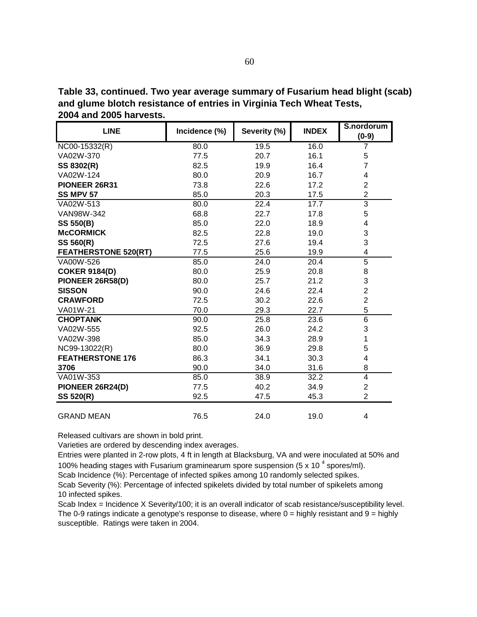**Table 33, continued. Two year average summary of Fusarium head blight (scab) and glume blotch resistance of entries in Virginia Tech Wheat Tests, 2004 and 2005 harvests.**

| <b>LINE</b>                 | Incidence (%) | Severity (%) | <b>INDEX</b> | S.nordorum<br>$(0-9)$ |
|-----------------------------|---------------|--------------|--------------|-----------------------|
| $NCOO-15332(R)$             | 80.0          | 19.5         | 16.0         | 7                     |
| VA02W-370                   | 77.5          | 20.7         | 16.1         | 5                     |
| SS 8302(R)                  | 82.5          | 19.9         | 16.4         | $\overline{7}$        |
| VA02W-124                   | 80.0          | 20.9         | 16.7         | 4                     |
| PIONEER 26R31               | 73.8          | 22.6         | 17.2         | $\overline{c}$        |
| <b>SS MPV 57</b>            | 85.0          | 20.3         | 17.5         | $\overline{c}$        |
| VA02W-513                   | 80.0          | 22.4         | 17.7         | $\overline{3}$        |
| VAN98W-342                  | 68.8          | 22.7         | 17.8         | 5                     |
| <b>SS 550(B)</b>            | 85.0          | 22.0         | 18.9         | 4                     |
| <b>McCORMICK</b>            | 82.5          | 22.8         | 19.0         | 3                     |
| SS 560(R)                   | 72.5          | 27.6         | 19.4         | 3                     |
| <b>FEATHERSTONE 520(RT)</b> | 77.5          | 25.6         | 19.9         | 4                     |
| VA00W-526                   | 85.0          | 24.0         | 20.4         | $\overline{5}$        |
| <b>COKER 9184(D)</b>        | 80.0          | 25.9         | 20.8         | 8                     |
| PIONEER 26R58(D)            | 80.0          | 25.7         | 21.2         | 3                     |
| <b>SISSON</b>               | 90.0          | 24.6         | 22.4         | $\overline{2}$        |
| <b>CRAWFORD</b>             | 72.5          | 30.2         | 22.6         | $\overline{2}$        |
| VA01W-21                    | 70.0          | 29.3         | 22.7         | 5                     |
| <b>CHOPTANK</b>             | 90.0          | 25.8         | 23.6         | 6                     |
| VA02W-555                   | 92.5          | 26.0         | 24.2         | 3                     |
| VA02W-398                   | 85.0          | 34.3         | 28.9         | 1                     |
| NC99-13022(R)               | 80.0          | 36.9         | 29.8         | 5                     |
| <b>FEATHERSTONE 176</b>     | 86.3          | 34.1         | 30.3         | 4                     |
| 3706                        | 90.0          | 34.0         | 31.6         | 8                     |
| VA01W-353                   | 85.0          | 38.9         | 32.2         | 4                     |
| PIONEER 26R24(D)            | 77.5          | 40.2         | 34.9         | $\overline{c}$        |
| SS 520(R)                   | 92.5          | 47.5         | 45.3         | $\overline{2}$        |
| <b>GRAND MEAN</b>           | 76.5          | 24.0         | 19.0         | 4                     |

Varieties are ordered by descending index averages.

Entries were planted in 2-row plots, 4 ft in length at Blacksburg, VA and were inoculated at 50% and 100% heading stages with Fusarium graminearum spore suspension (5 x 10<sup>4</sup> spores/ml).

Scab Incidence (%): Percentage of infected spikes among 10 randomly selected spikes.

Scab Severity (%): Percentage of infected spikelets divided by total number of spikelets among 10 infected spikes.

Scab Index = Incidence X Severity/100; it is an overall indicator of scab resistance/susceptibility level. The 0-9 ratings indicate a genotype's response to disease, where  $0 =$  highly resistant and  $9 =$  highly susceptible. Ratings were taken in 2004.